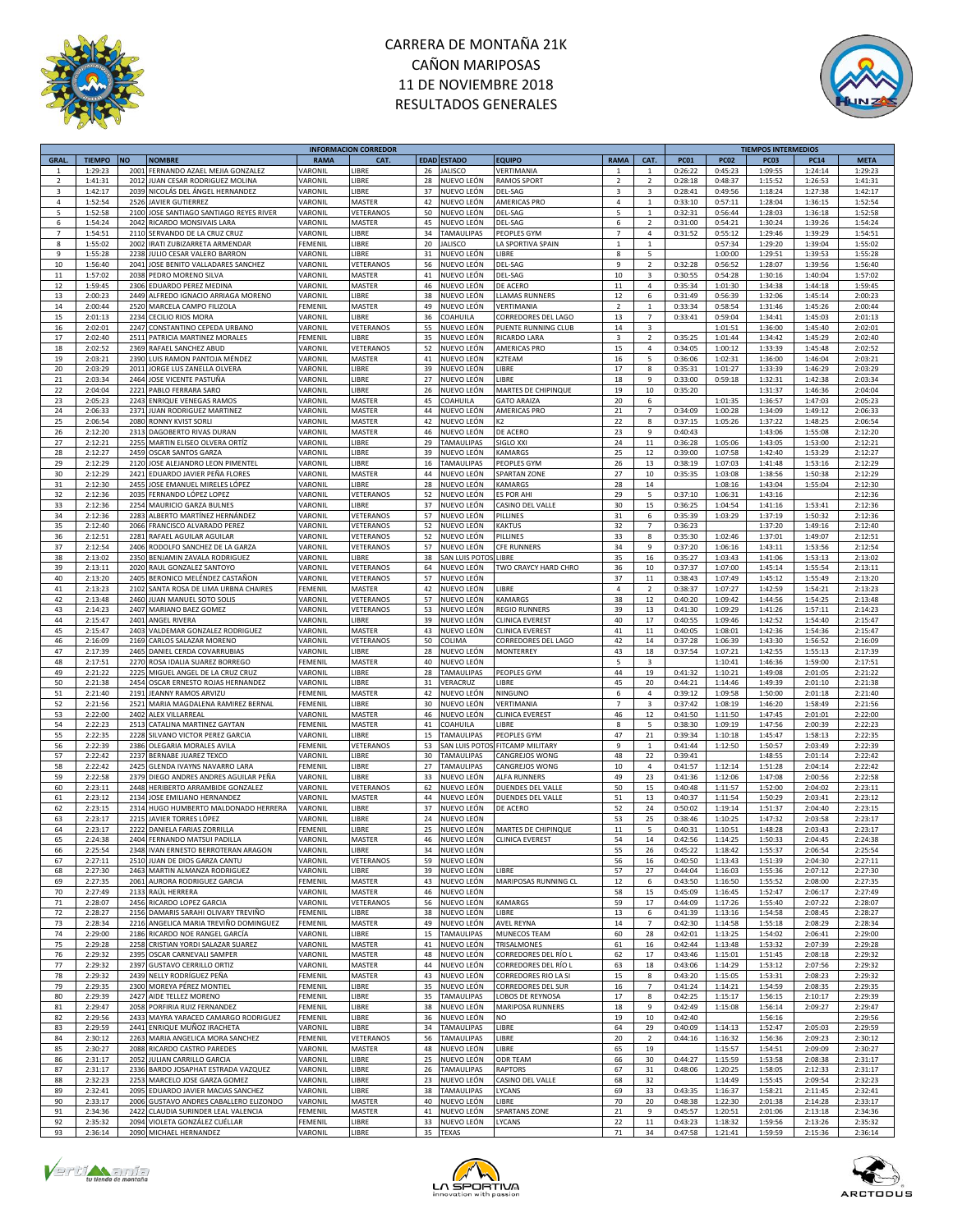



|                |               |           |                                         |             | <b>INFORMACION CORREDOR</b> |    |                    |                        |                |                         |             |             | <b>TIEMPOS INTERMEDIOS</b> |             |             |
|----------------|---------------|-----------|-----------------------------------------|-------------|-----------------------------|----|--------------------|------------------------|----------------|-------------------------|-------------|-------------|----------------------------|-------------|-------------|
| GRAL.          | <b>TIEMPO</b> | <b>NO</b> | <b>NOMBRE</b>                           | <b>RAMA</b> | CAT.                        |    | <b>EDAD ESTADO</b> | <b>EQUIPO</b>          | RAMA           | CAT.                    | <b>PC01</b> | <b>PC02</b> | <b>PC03</b>                | <b>PC14</b> | <b>META</b> |
| 1              | 1:29:23       |           | 2001 FERNANDO AZAEL MEJIA GONZALEZ      | VARONIL     | LIBRE                       | 26 | <b>JALISCO</b>     | VERTIMANIA             | 1              | $\mathbf{1}$            | 0:26:22     | 0:45:23     | 1:09:55                    | 1:24:14     | 1:29:23     |
| $\overline{2}$ | 1:41:31       | 2012      | JUAN CESAR RODRIGUEZ MOLINA             | VARONII     | LIBRE                       | 28 | NUEVO LEÓN         | <b>RAMOS SPORT</b>     | $\overline{2}$ | $\overline{2}$          | 0:28:18     | 0:48:37     | 1:15:52                    | 1:26:53     | 1:41:31     |
| 3              | 1:42:17       |           | 2039 NICOLÁS DEL ÁNGEL HERNANDEZ        | VARONIL     | LIBRE                       | 37 | NUEVO LEÓN         | DEL-SAG                | $\overline{3}$ | $\overline{\mathbf{3}}$ | 0:28:41     | 0:49:56     | 1:18:24                    | 1:27:38     | 1:42:17     |
| 4              | 1:52:54       | 2526      | <b>JAVIER GUTIERREZ</b>                 | VARONIL     | MASTER                      | 42 | NUEVO LEÓN         | AMERICAS PRO           | $\overline{4}$ | $\mathbf{1}$            | 0:33:10     | 0:57:11     | 1:28:04                    | 1:36:15     | 1:52:54     |
| 5              | 1:52:58       |           | 2100 JOSE SANTIAGO SANTIAGO REYES RIVER | VARONIL     | VETERANOS                   | 50 | NUEVO LEÓN         | DEL-SAG                | 5              | $\mathbf{1}$            | 0:32:31     | 0:56:44     | 1:28:03                    | 1:36:18     | 1:52:58     |
|                |               |           |                                         |             |                             |    |                    |                        |                |                         |             |             |                            |             |             |
| 6              | 1:54:24       |           | 2042 RICARDO MONSIVAIS LARA             | VARONIL     | MASTER                      | 45 | NUEVO LEÓN         | DEL-SAG                | 6              | $\overline{2}$          | 0:31:00     | 0:54:21     | 1:30:24                    | 1:39:26     | 1:54:24     |
| $\overline{7}$ | 1:54:51       |           | 2110 SERVANDO DE LA CRUZ CRUZ           | VARONIL     | LIBRE                       | 34 | TAMAULIPAS         | PEOPLES GYM            | $\overline{7}$ | $\sqrt{4}$              | 0:31:52     | 0:55:12     | 1:29:46                    | 1:39:29     | 1:54:51     |
| 8              | 1:55:02       |           | 2002 IRATI ZUBIZARRETA ARMENDAR         | FEMENIL     | LIBRE                       | 20 | <b>JALISCO</b>     | LA SPORTIVA SPAIN      | 1              | $\mathbf{1}$            |             | 0:57:34     | 1:29:20                    | 1:39:04     | 1:55:02     |
| 9              | 1:55:28       | 2238      | JULIO CESAR VALERO BARRON               | VARONIL     | LIBRE                       | 31 | NUEVO LEÓN         | LIBRE                  | 8              | 5                       |             | 1:00:00     | 1:29:51                    | 1:39:53     | 1:55:28     |
| 10             | 1:56:40       | 2041      | JOSE BENITO VALLADARES SANCHEZ          | VARONII     | VETERANOS                   | 56 | NUEVO LEÓN         | DEL-SAG                | $\overline{9}$ | $\mathcal{P}$           | 0:32:28     | 0:56:52     | 1:28:07                    | 1:39:56     | 1:56:40     |
| 11             | 1:57:02       | 2038      | PEDRO MORENO SILVA                      | VARONII     | MASTER                      | 41 | NUEVO LEÓN         | DEL-SAG                | $10\,$         | 3                       | 0:30:55     | 0:54:28     | 1:30:16                    | 1:40:04     | 1:57:02     |
| 12             | 1:59:45       | 2306      | EDUARDO PEREZ MEDINA                    | VARONIL     | MASTER                      | 46 | NUEVO LEÓN         | DE ACERO               | 11             | 4                       | 0:35:34     | 1:01:30     | 1:34:38                    | 1:44:18     | 1:59:45     |
| 13             | 2:00:23       | 2449      | ALFREDO IGNACIO ARRIAGA MORENO          | VARONIL     | LIBRE                       | 38 | NUEVO LEÓN         | <b>LLAMAS RUNNERS</b>  | 12             | 6                       | 0:31:49     | 0:56:39     | 1:32:06                    | 1:45:14     | 2:00:23     |
|                |               |           |                                         |             |                             |    | NUEVO LEÓN         |                        |                | $\mathbf{1}$            |             |             |                            |             |             |
| 14             | 2:00:44       | 2520      | MARCELA CAMPO FILIZOLA                  | FEMENIL     | MASTER                      | 49 |                    | VERTIMANIA             | $\overline{2}$ |                         | 0:33:34     | 0:58:54     | 1:31:46                    | 1:45:26     | 2:00:44     |
| 15             | 2:01:13       |           | 2234 CECILIO RIOS MORA                  | VARONIL     | LIBRE                       | 36 | COAHUILA           | CORREDORES DEL LAGO    | 13             | $\overline{7}$          | 0:33:41     | 0:59:04     | 1:34:41                    | 1:45:03     | 2:01:13     |
| 16             | 2:02:01       | 2247      | CONSTANTINO CEPEDA URBANO               | VARONIL     | VETERANOS                   | 55 | NUEVO LEÓN         | PUENTE RUNNING CLUB    | 14             | 3                       |             | 1:01:51     | 1:36:00                    | 1:45:40     | 2:02:01     |
| 17             | 2:02:40       | 2511      | PATRICIA MARTINEZ MORALES               | FEMENIL     | LIBRE                       | 35 | NUEVO LEÓN         | RICARDO LARA           | 3              | $\overline{2}$          | 0:35:25     | 1:01:44     | 1:34:42                    | 1:45:29     | 2:02:40     |
| 18             | 2:02:52       | 2369      | RAFAEL SANCHEZ ABUD                     | VARONII     | VETERANOS                   | 52 | NUEVO LEÓN         | <b>AMERICAS PRO</b>    | 15             | 4                       | 0:34:05     | 1:00:12     | 1:33:39                    | 1:45:48     | 2:02:52     |
| 19             | 2:03:21       | 2390      | LUIS RAMON PANTOJA MÉNDEZ               | VARONII     | MASTER                      | 41 | NUEVO LEÓN         | K2TEAM                 | 16             | 5                       | 0:36:06     | 1:02:31     | 1:36:00                    | 1:46:04     | 2:03:21     |
| 20             | 2:03:29       | 2011      | JORGE LUS ZANELLA OLVERA                | VARONIL     | LIBRE                       | 39 | NUEVO LEÓN         | LIBRE                  | 17             | 8                       | 0:35:31     | 1:01:27     | 1:33:39                    | 1:46:29     | 2:03:29     |
|                |               |           |                                         |             |                             |    |                    |                        |                |                         |             |             |                            |             |             |
| 21             | 2:03:34       | 2464      | JOSE VICENTE PASTUÑA                    | VARONIL     | LIBRE                       | 27 | NUEVO LEÓN         | <b>IIBRF</b>           | 18             | $\mathbf{q}$            | 0:33:00     | 0:59:18     | 1:32:31                    | 1:42:38     | 2:03:34     |
| 22             | 2:04:04       | 2221      | PABLO FERRARA SARO                      | VARONII     | LIBRE                       | 26 | NUEVO LEÓN         | MARTES DE CHIPINQUE    | 19             | 10                      | 0:35:20     |             | 1:31:37                    | 1:46:36     | 2:04:04     |
| 23             | 2:05:23       | 2243      | <b>ENRIQUE VENEGAS RAMOS</b>            | VARONII     | MASTER                      | 45 | COAHUILA           | <b>GATO ARAIZA</b>     | 20             | 6                       |             | 1:01:35     | 1:36:57                    | 1:47:03     | 2:05:23     |
| 24             | 2:06:33       | 2371      | JUAN RODRIGUEZ MARTINEZ                 | VARONII     | MASTER                      | 44 | NUEVO LEÓN         | <b>AMERICAS PRO</b>    | 21             | $\overline{7}$          | 0:34:09     | 1:00:28     | 1:34:09                    | 1:49:12     | 2:06:33     |
| 25             | 2:06:54       |           | 2080 RONNY KVIST SORLI                  | VARONIL     | MASTER                      | 42 | NUEVO LEÓN         | K2                     | 22             | 8                       | 0:37:15     | 1:05:26     | 1:37:22                    | 1:48:25     | 2:06:54     |
| 26             | 2:12:20       |           | 2313 DAGOBERTO RIVAS DURAN              | VARONIL     | MASTER                      | 46 | NUEVO LEÓN         | DE ACERO               | 23             | 9                       | 0:40:43     |             | 1:43:06                    | 1:55:08     | 2:12:20     |
| 27             | 2:12:21       | 2255      | MARTIN ELISEO OLVERA ORTÍZ              | VARONIL     | LIBRE                       | 29 | <b>TAMAULIPAS</b>  | SIGLO XXI              | 24             | 11                      | 0:36:28     | 1:05:06     | 1:43:05                    | 1:53:00     | 2:12:21     |
| 28             | 2:12:27       |           | 2459 OSCAR SANTOS GARZA                 |             |                             | 39 | NUEVO LEÓN         | <b>KAMARGS</b>         | 25             | 12                      |             | 1:07:58     | 1:42:40                    | 1:53:29     | 2:12:27     |
|                |               |           |                                         | VARONII     | LIBRE                       |    |                    |                        |                |                         | 0:39:00     |             |                            |             |             |
| 29             | 2:12:29       | 2120      | JOSE ALEJANDRO LEON PIMENTEL            | VARONIL     | LIBRE                       | 16 | <b>TAMAULIPAS</b>  | PEOPLES GYM            | 26             | 13                      | 0:38:19     | 1:07:03     | 1:41:48                    | 1:53:16     | 2:12:29     |
| 30             | 2:12:29       |           | 2421 EDUARDO JAVIER PEÑA FLORES         | VARONIL     | MASTER                      | 44 | NUEVO LEÓN         | <b>SPARTAN ZONE</b>    | 27             | 10                      | 0:35:35     | 1:03:08     | 1:38:56                    | 1:50:38     | 2:12:29     |
| 31             | 2:12:30       | 2455      | JOSE EMANUEL MIRELES LÓPEZ              | VARONII     | LIBRE                       | 28 | NUEVO LEÓN         | <b>KAMARGS</b>         | 28             | 14                      |             | 1:08:16     | 1:43:04                    | 1:55:04     | 2:12:30     |
| 32             | 2:12:36       | 2035      | FERNANDO LÓPEZ LOPEZ                    | VARONIL     | VETERANOS                   | 52 | NUEVO LEÓN         | <b>ES POR AHI</b>      | 29             | 5                       | 0:37:10     | 1:06:31     | 1:43:16                    |             | 2:12:36     |
| 33             | 2:12:36       | 2254      | MAURICIO GARZA BULNES                   | VARONIL     | LIBRE                       | 37 | NUEVO LEÓN         | CASINO DEL VALLE       | 30             | 15                      | 0:36:25     | 1:04:54     | 1:41:16                    | 1:53:41     | 2:12:36     |
| 34             | 2:12:36       |           | 2283 ALBERTO MARTÍNEZ HERNÁNDEZ         | VARONIL     | VETERANOS                   | 57 | NUEVO LEÓN         | PILLINES               | 31             | 6                       | 0:35:39     | 1:03:29     | 1:37:19                    | 1:50:32     | 2:12:36     |
| 35             | 2:12:40       |           | 2066 FRANCISCO ALVARADO PEREZ           | VARONIL     | VETERANOS                   | 52 | NUEVO LEÓN         | <b>KAKTUS</b>          | 32             | $\overline{7}$          | 0:36:23     |             | 1:37:20                    | 1:49:16     | 2:12:40     |
|                |               |           |                                         |             |                             |    |                    |                        |                |                         |             |             |                            |             |             |
| 36             | 2:12:51       | 2281      | RAFAEL AGUILAR AGUILAR                  | VARONII     | <b>/ETERANOS</b>            | 52 | NUEVO LEÓN         | PILLINES               | 33             | 8                       | 0:35:30     | 1:02:46     | 1:37:01                    | 1:49:07     | 2:12:51     |
| 37             | 2:12:54       | 2406      | RODOLFO SANCHEZ DE LA GARZA             | VARONIL     | VETERANOS                   | 57 | NUEVO LEÓN         | <b>CFE RUNNERS</b>     | 34             | 9                       | 0:37:20     | 1:06:16     | 1:43:11                    | 1:53:56     | 2:12:54     |
| 38             | 2:13:02       | 2350      | BENJAMIN ZAVALA RODRIGUEZ               | VARONIL     | <b>IRRF</b>                 | 38 | SAN LUIS POTO      | <b>IIBRF</b>           | 35             | 16                      | 0:35:27     | 1:03:43     | 1:41:06                    | 1:53:13     | 2:13:02     |
| 39             | 2:13:11       | 2020      | RAUL GONZALEZ SANTOYO                   | VARONII     | VETERANOS                   | 64 | NUEVO LEÓN         | TWO CRAYCY HARD CHRO   | 36             | 10                      | 0:37:37     | 1:07:00     | 1:45:14                    | 1:55:54     | 2:13:11     |
| 40             | 2:13:20       | 2405      | BERONICO MELÉNDEZ CASTAÑON              | VARONIL     | VETERANOS                   | 57 | NUEVO LEÓN         |                        | 37             | 11                      | 0:38:43     | 1:07:49     | 1:45:12                    | 1:55:49     | 2:13:20     |
| 41             | 2:13:23       | 2102      | SANTA ROSA DE LIMA URBNA CHAIRES        | FEMENIL     | MASTER                      | 42 | NUEVO LEÓN         | LIBRE                  | 4              | $\overline{2}$          | 0:38:37     | 1:07:27     | 1:42:59                    | 1:54:21     | 2:13:23     |
| 42             | 2:13:48       | 2460      |                                         | VARONIL     | VETERANOS                   | 57 |                    | <b>KAMARGS</b>         | 38             | 12                      |             |             | 1:44:56                    | 1:54:25     | 2:13:48     |
|                |               |           | JUAN MANUEL SOTO SOLIS                  |             |                             |    | NUEVO LEÓN         |                        |                |                         | 0:40:20     | 1:09:42     |                            |             |             |
| 43             | 2:14:23       | 2407      | MARIANO BAEZ GOMEZ                      | VARONII     | VETERANOS                   | 53 | NUEVO LEÓN         | <b>REGIO RUNNERS</b>   | 39             | 13                      | 0:41:30     | 1:09:29     | 1:41:26                    | 1:57:11     | 2:14:23     |
| 44             | 2:15:47       | 2401      | ANGEL RIVERA                            | VARONII     | LIBRE                       | 39 | NUEVO LEÓN         | <b>CLINICA EVEREST</b> | 40             | 17                      | 0:40:55     | 1:09:46     | 1:42:52                    | 1:54:40     | 2:15:47     |
| 45             | 2:15:47       | 2403      | VALDEMAR GONZALEZ RODRIGUEZ             | VARONIL     | MASTER                      | 43 | NUEVO LEÓN         | <b>CLINICA EVEREST</b> | 41             | 11                      | 0:40:05     | 1:08:01     | 1:42:36                    | 1:54:36     | 2:15:47     |
| 46             | 2:16:09       | 2169      | CARLOS SALAZAR MORENO                   | VARONIL     | VETERANOS                   | 50 | COLIMA             | CORREDORES DEL LAGO    | 42             | 14                      | 0:37:28     | 1:06:39     | 1:43:30                    | 1:56:52     | 2:16:09     |
| 47             | 2:17:39       | 2465      | DANIEL CERDA COVARRUBIAS                | VARONII     | LIBRE                       | 28 | NUEVO LEÓN         | MONTERREY              | 43             | 18                      | 0:37:54     | 1:07:21     | 1:42:55                    | 1:55:13     | 2:17:39     |
| 48             | 2:17:51       | 2270      | ROSA IDALIA SUAREZ BORREGO              | FEMENIL     | MASTER                      | 40 | NUEVO LEÓN         |                        | 5              | $\overline{\mathbf{3}}$ |             | 1:10:41     | 1:46:36                    | 1:59:00     | 2:17:51     |
|                |               |           |                                         |             |                             |    |                    |                        |                |                         |             |             |                            |             |             |
| 49             | 2:21:22       | 2225      | MIGUEL ANGEL DE LA CRUZ CRUZ            | VARONIL     | LIBRE                       | 28 | TAMAULIPAS         | PEOPLES GYM            | 44             | 19                      | 0:41:32     | 1:10:21     | 1:49:08                    | 2:01:05     | 2:21:22     |
| 50             | 2:21:38       |           | 2454 OSCAR ERNESTO ROJAS HERNANDEZ      | VARONIL     | LIBRE                       | 31 | VERACRUZ           | LIBRE                  | 45             | 20                      | 0:44:21     | 1:14:46     | 1:49:39                    | 2:01:10     | 2:21:38     |
| 51             | 2:21:40       |           | 2191 JEANNY RAMOS ARVIZU                | FEMENIL     | MASTER                      | 42 | NUEVO LEÓN         | NINGUNO                | 6              | $\overline{4}$          | 0:39:12     | 1:09:58     | 1:50:00                    | 2:01:18     | 2:21:40     |
| 52             | 2:21:56       | 2521      | MARIA MAGDALENA RAMIREZ BERNAL          | FEMENIL     | LIBRE                       | 30 | NUEVO LEÓN         | VERTIMANIA             | $\overline{7}$ | 3                       | 0:37:42     | 1:08:19     | 1:46:20                    | 1:58:49     | 2:21:56     |
| 53             | 2:22:00       | 2402      | ALEX VILLARREAL                         | VARONIL     | MASTER                      | 46 | NUEVO LEÓN         | CLINICA EVEREST        | 46             | 12                      | 0:41:50     | 1:11:50     | 1:47:45                    | 2:01:01     | 2:22:00     |
| 54             | 2:22:23       | 2513      | CATALINA MARTINEZ GAYTAN                | FEMENIL     | MASTER                      | 41 | COAHUILA           | LIBRE                  | 8              | 5                       | 0:38:30     | 1:09:19     | 1:47:56                    | 2:00:39     | 2:22:23     |
|                |               |           | 2228 SILVANO VICTOR PEREZ GARCIA        | VARONIL     | LIBRE                       | 15 | <b>TAMAULIPAS</b>  |                        | 47             |                         | 0:39:34     |             |                            |             | 2:22:35     |
| 55             | 2:22:35       |           |                                         |             |                             |    |                    | PEOPLES GYM            |                | 21                      |             | 1:10:18     | 1:45:47                    | 1:58:13     |             |
| 56             | 2:22:39       |           | 2386 OLEGARIA MORALES AVILA             | FEMENIL     | VETERANOS                   | 53 | SAN LUIS POTC      | FITCAMP MILITARY       | 9              | $\mathbf{1}$            | 0:41:44     | 1:12:50     | 1:50:57                    | 2:03:49     | 2:22:39     |
| 57             | 2:22:42       |           | 2237 BERNABE JUAREZ TEXCO               | VARONIL     | LIBRE                       | 30 | TAMAULIPAS         | CANGREJOS WONG         | 48             | 22                      | 0:39:41     |             | 1:48:55                    | 2:01:14     | 2:22:42     |
| 58             | 2:22:42       | 2425      | GLENDA IVAYNS NAVARRO LARA              | FEMENIL     | LIBRE                       | 27 | <b>TAMAULIPAS</b>  | CANGREJOS WONG         | 10             | 4                       | 0:41:57     | 1:12:14     | 1:51:28                    | 2:04:14     | 2:22:42     |
| 59             | 2:22:58       |           | 2379 DIEGO ANDRES ANDRES AGUILAR PEÑA   | VARONIL     | LIBRE                       | 33 | NUEVO LEÓN         | ALFA RUNNERS           | 49             | 23                      | 0:41:36     | 1:12:06     | 1:47:08                    | 2:00:56     | 2:22:58     |
| 60             | 2:23:11       | 2448      | HERIBERTO ARRAMBIDE GONZALEZ            | VARONII     | VETERANOS                   | 62 | NUEVO LEÓN         | DUENDES DEL VALLE      | 50             | 15                      | 0:40:48     | 1:11:57     | 1:52:00                    | 2:04:02     | 2:23:11     |
| 61             | 2:23:12       | 2134      | JOSE EMILIANO HERNANDEZ                 | VARONII     | MASTER                      | 44 | NUEVO LEÓN         | DUENDES DEL VALLE      | 51             | 13                      | 0:40:37     | 1:11:54     | 1:50:29                    | 2:03:41     | 2:23:12     |
| 62             | 2:23:15       | 2314      | HUGO HUMBERTO MALDONADO HERRERA         | VARONIL     | LIBRE                       | 37 | NUEVO LEÓN         | DE ACERO               | 52             | 24                      | 0:50:02     | 1:19:14     | 1:51:37                    | 2:04:40     | 2:23:15     |
|                |               |           |                                         |             |                             |    |                    |                        |                |                         |             |             |                            |             |             |
| 63             | 2:23:17       | 2215      | JAVIER TORRES LÓPEZ                     | VARONII     | <b>IBRE</b>                 | 24 | NUEVO LEÓN         |                        | 53             | 25                      | 0:38:46     | 1:10:25     | 1:47:32                    | 2:03:58     | 2:23:17     |
| 64             | 2:23:17       |           | 2222 DANIELA FARIAS ZORRILLA            | FEMENIL     | LIBRE                       | 25 | NUEVO LEÓN         | MARTES DE CHIPINQUE    | $11\,$         | 5                       | 0:40:31     | 1:10:51     | 1:48:28                    | 2:03:43     | 2:23:17     |
| 65             | 2:24:38       |           | 2404 FERNANDO MATSUI PADILLA            | VARONIL     | MASTER                      | 46 | NUEVO LEÓN         | <b>CLINICA EVEREST</b> | 54             | 14                      | 0:42:56     | 1:14:25     | 1:50:33                    | 2:04:45     | 2:24:38     |
| 66             | 2:25:54       |           | 2348 IVAN ERNESTO BERROTERAN ARAGON     | VARONIL     | LIBRE                       |    | 34 NUEVO LEÓN      |                        | 55             | 26                      | 0:45:22     | 1:18:42     | 1:55:37                    | 2:06:54     | 2:25:54     |
| 67             | 2:27:11       |           | 2510 JUAN DE DIOS GARZA CANTU           | VARONIL     | VETERANOS                   | 59 | NUEVO LEÓN         |                        | 56             | 16                      | 0:40:50     | 1:13:43     | 1:51:39                    | 2:04:30     | 2:27:11     |
| 68             | 2:27:30       |           | 2463 MARTIN ALMANZA RODRIGUEZ           | VARONII     | LIBRE                       | 39 | NUEVO LEÓN         | LIBRE                  | 57             | 27                      | 0:44:04     | 1:16:03     | 1:55:36                    | 2:07:12     | 2:27:30     |
| 69             | 2:27:35       | 2061      | AURORA RODRIGUEZ GARCIA                 | FEMENIL     | MASTER                      | 43 | NUEVO LEÓN         | MARIPOSAS RUNNING CL   | 12             | 6                       | 0:43:50     | 1:16:50     | 1:55:52                    | 2:08:00     | 2:27:35     |
| 70             | 2:27:49       | 2133      | RAÚL HERRERA                            | VARONIL     | MASTER                      | 46 | NUEVO LEÓN         |                        | 58             | 15                      | 0:45:09     | 1:16:45     | 1:52:47                    | 2:06:17     | 2:27:49     |
| 71             | 2:28:07       | 2456      | RICARDO LOPEZ GARCIA                    | VARONIL     | VETERANOS                   | 56 | NUEVO LEÓN         | <b>KAMARGS</b>         | 59             | 17                      | 0:44:09     | 1:17:26     | 1:55:40                    | 2:07:22     | 2:28:07     |
| 72             | 2:28:27       | 2156      | DAMARIS SARAHI OLIVARY TREVIÑO          | FEMENIL     | LIBRE                       | 38 | NUEVO LEÓN         | LIBRE                  | 13             | 6                       | 0:41:39     | 1:13:16     | 1:54:58                    | 2:08:45     | 2:28:27     |
|                |               |           |                                         |             |                             |    |                    |                        |                |                         |             |             |                            |             |             |
| 73             | 2:28:34       | 2216      | ANGELICA MARIA TREVIÑO DOMINGUEZ        | FEMENIL     | MASTER                      | 49 | NUEVO LEÓN         | AVEL REYNA             | $14\,$         | $\overline{7}$          | 0:42:30     | 1:14:58     | 1:55:18                    | 2:08:29     | 2:28:34     |
| 74             | 2:29:00       | 2186      | RICARDO NOE RANGEL GARCÍA               | VARONIL     | LIBRE                       | 15 | TAMAULIPAS         | MUNECOS TEAM           | 60             | 28                      | 0:42:01     | 1:13:25     | 1:54:02                    | 2:06:41     | 2:29:00     |
| 75             | 2:29:28       | 2258      | CRISTIAN YORDI SALAZAR SUAREZ           | VARONIL     | MASTER                      | 41 | NUEVO LEÓN         | TRISALMONES            | 61             | 16                      | 0:42:44     | 1:13:48     | 1:53:32                    | 2:07:39     | 2:29:28     |
| 76             | 2:29:32       | 2395      | OSCAR CARNEVALI SAMPER                  | VARONIL     | MASTER                      | 48 | NUEVO LEÓN         | CORREDORES DEL RÍO L   | 62             | 17                      | 0:43:46     | 1:15:01     | 1:51:45                    | 2:08:18     | 2:29:32     |
| 77             | 2:29:32       | 2397      | <b>GUSTAVO CERRILLO ORTIZ</b>           | VARONIL     | MASTER                      | 44 | NUEVO LEÓN         | CORREDORES DEL RÍO I   | 63             | 18                      | 0:43:06     | 1:14:29     | 1:53:12                    | 2:07:56     | 2:29:32     |
| 78             | 2:29:32       |           | 2439 NELLY RODRÍGUEZ PEÑA               | FEMENIL     | MASTER                      | 43 | NUEVO LEÓN         | CORREDORES RIO LA SI   | 15             | 8                       | 0:43:20     | 1:15:05     | 1:53:31                    | 2:08:23     | 2:29:32     |
| 79             | 2:29:35       |           | 2300 MOREYA PÉREZ MONTIEL               | FEMENIL     | LIBRE                       | 35 | NUEVO LEÓN         | CORREDORES DEL SUR     | 16             | $\overline{7}$          | 0:41:24     | 1:14:21     | 1:54:59                    | 2:08:35     | 2:29:35     |
| 80             | 2:29:39       |           | 2427 AIDE TELLEZ MORENO                 | FEMENIL     | LIBRE                       |    | <b>TAMAULIPAS</b>  | LOBOS DE REYNOSA       | 17             |                         | 0:42:25     | 1:15:17     |                            |             | 2:29:39     |
|                |               |           |                                         |             |                             | 35 |                    |                        |                | 8                       |             |             | 1:56:15                    | 2:10:17     |             |
| 81             | 2:29:47       |           | 2058 PORFIRIA RUIZ FERNANDEZ            | FEMENIL     | LIBRE                       | 38 | NUEVO LEÓN         | MARIPOSA RUNNERS       | 18             | 9                       | 0:42:49     | 1:15:08     | 1:56:14                    | 2:09:27     | 2:29:47     |
| 82             | 2:29:56       |           | 2433 MAYRA YARACED CAMARGO RODRIGUEZ    | FEMENIL     | LIBRE                       | 36 | NUEVO LEÓN         | NO                     | 19             | 10                      | 0:42:40     |             | 1:56:16                    |             | 2:29:56     |
| 83             | 2:29:59       |           | 2441 ENRIQUE MUÑOZ IRACHETA             | VARONIL     | LIBRE                       | 34 | <b>TAMAULIPAS</b>  | LIBRE                  | 64             | 29                      | 0:40:09     | 1:14:13     | 1:52:47                    | 2:05:03     | 2:29:59     |
| 84             | 2:30:12       |           | 2263 MARIA ANGELICA MORA SANCHEZ        | FEMENIL     | VETERANOS                   | 56 | <b>TAMAULIPAS</b>  | LIBRE                  | 20             | $\overline{2}$          | 0:44:16     | 1:16:32     | 1:56:36                    | 2:09:23     | 2:30:12     |
| 85             | 2:30:27       | 2088      | RICARDO CASTRO PAREDES                  | VARONIL     | MASTER                      | 48 | NUEVO LEÓN         | LIBRE                  | 65             | 19                      |             | 1:15:57     | 1:54:51                    | 2:09:09     | 2:30:27     |
| 86             | 2:31:17       | 2052      | JULIAN CARRILLO GARCIA                  | VARONIL     | LIBRE                       | 25 | NUEVO LEÓN         | ODR TEAM               | 66             | 30                      | 0:44:27     | 1:15:59     | 1:53:58                    | 2:08:38     | 2:31:17     |
| 87             | 2:31:17       | 2336      | BARDO JOSAPHAT ESTRADA VAZQUEZ          | VARONIL     | LIBRE                       | 26 | <b>TAMAULIPAS</b>  | <b>RAPTORS</b>         | 67             | 31                      | 0:48:06     | 1:20:25     | 1:58:05                    | 2:12:33     | 2:31:17     |
|                |               |           |                                         |             |                             |    |                    |                        |                |                         |             |             |                            |             |             |
| 88             | 2:32:23       | 2253      | MARCELO JOSE GARZA GOMEZ                | VARONIL     | LIBRE                       | 23 | NUEVO LEÓN         | CASINO DEL VALLE       | 68             | 32                      |             | 1:14:49     | 1:55:45                    | 2:09:54     | 2:32:23     |
| 89             | 2:32:41       | 2095      | EDUARDO JAVIER MACIAS SANCHEZ           | VARONIL     | LIBRE                       | 38 | TAMAULIPAS         | LYCANS                 | 69             | 33                      | 0:43:35     | 1:16:37     | 1:58:21                    | 2:11:45     | 2:32:41     |
| 90             | 2:33:17       | 2006      | GUSTAVO ANDRES CABALLERO ELIZONDO       | VARONIL     | MASTER                      | 40 | NUEVO LEÓN         | LIBRE                  | 70             | 20                      | 0:48:38     | 1:22:30     | 2:01:38                    | 2:14:28     | 2:33:17     |
| 91             | 2:34:36       | 2422      | CLAUDIA SURINDER LEAL VALENCIA          | FEMENIL     | MASTER                      | 41 | NUEVO LEÓN         | SPARTANS ZONE          | 21             | 9                       | 0:45:57     | 1:20:51     | 2:01:06                    | 2:13:18     | 2:34:36     |
| 92             | 2:35:32       |           | 2094 VIOLETA GONZÁLEZ CUÉLLAR           | FEMENIL     | LIBRE                       | 33 | NUEVO LEÓN         | LYCANS                 | 22             | 11                      | 0:43:23     | 1:18:32     | 1:59:56                    | 2:13:26     | 2:35:32     |
| 93             | 2:36:14       |           | 2090 MICHAEL HERNANDEZ                  | VARONIL     | LIBRE                       | 35 | TEXAS              |                        | 71             | 34                      | 0:47:58     | 1:21:41     | 1:59:59                    | 2:15:36     | 2:36:14     |
|                |               |           |                                         |             |                             |    |                    |                        |                |                         |             |             |                            |             |             |





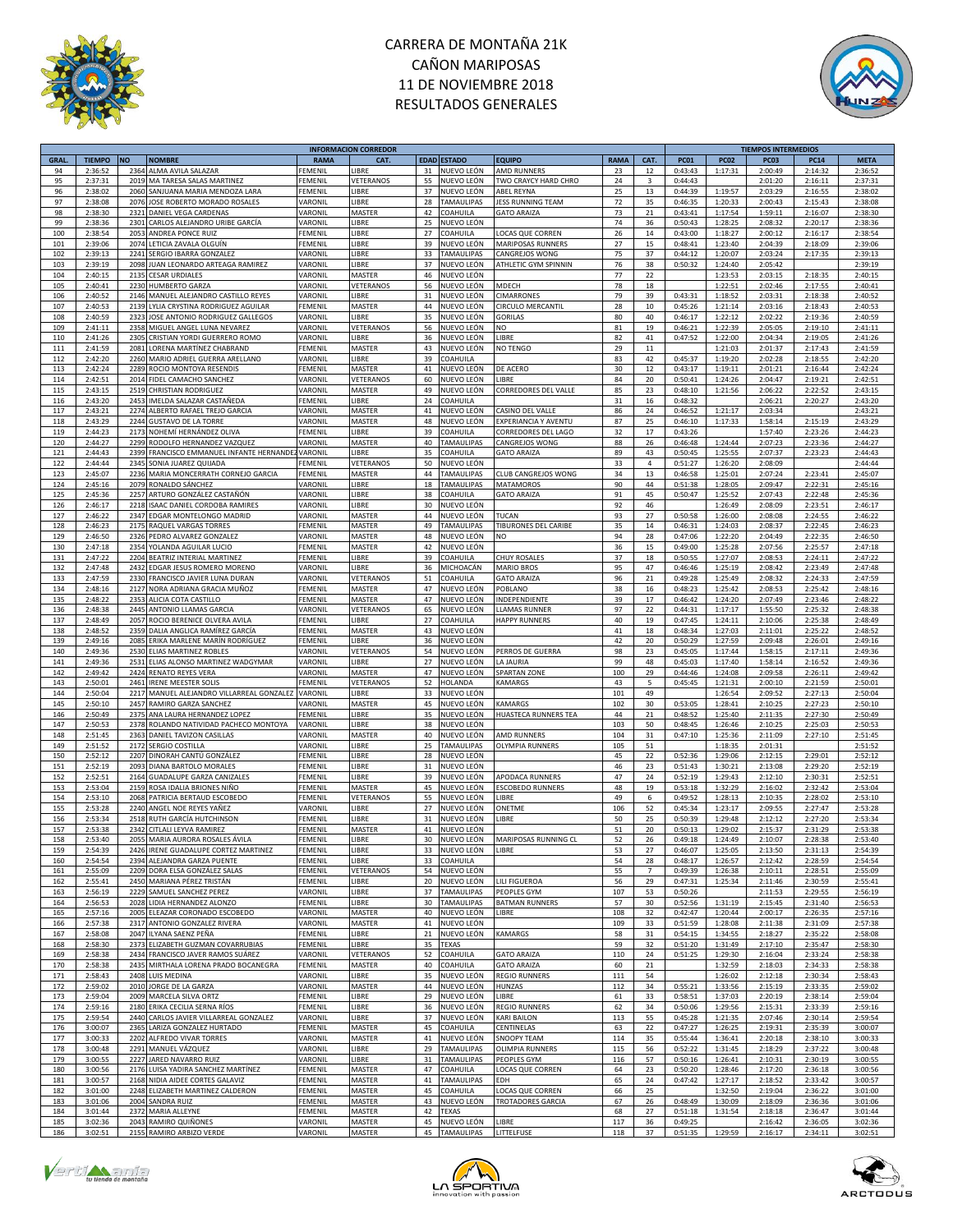



|             |               |           |                                       |                | <b>INFORMACION CORREDOR</b> |    |                    |                          |             |                |             |             | <b>TIEMPOS INTERMEDIOS</b> |             |             |
|-------------|---------------|-----------|---------------------------------------|----------------|-----------------------------|----|--------------------|--------------------------|-------------|----------------|-------------|-------------|----------------------------|-------------|-------------|
| <b>GRAL</b> | <b>TIEMPO</b> | <b>NO</b> | <b>NOMBRE</b>                         | <b>RAMA</b>    | CAT.                        |    | <b>EDAD ESTADO</b> | <b>EQUIPO</b>            | <b>RAMA</b> | CAT.           | <b>PC01</b> | <b>PC02</b> | PC <sub>03</sub>           | <b>PC14</b> | <b>META</b> |
| 94          | 2:36:52       | 2364      | ALMA AVILA SALAZAR                    | <b>EMENIL</b>  | <b>IBRE</b>                 | 31 | NUEVO LEÓN         | AMD RUNNERS              | 23          | 12             | 0:43:43     | 1:17:31     | 2:00:49                    | 2:14:32     | 2:36:52     |
| 95          | 2:37:31       | 2019      | MA TARESA SALAS MARTINEZ              | FEMENIL        | VETERANOS                   | 55 | NUEVO LEÓN         | TWO CRAYCY HARD CHRO     | 24          | 3              | 0:44:43     |             | 2:01:20                    | 2:16:11     | 2:37:31     |
|             |               |           |                                       |                |                             |    |                    |                          |             |                |             |             |                            |             |             |
| 96          | 2:38:02       | 2060      | SANJUANA MARIA MENDOZA LARA           | FEMENIL        | LIBRE                       | 37 | NUEVO LEÓN         | <b>ABEL REYNA</b>        | 25          | 13             | 0:44:39     | 1:19:57     | 2:03:29                    | 2:16:55     | 2:38:02     |
| 97          | 2:38:08       | 2076      | JOSE ROBERTO MORADO ROSALES           | VARONIL        | <b>IBRE</b>                 | 28 | TAMAULIPAS         | <b>JESS RUNNING TEAM</b> | 72          | 35             | 0:46:35     | 1:20:33     | 2:00:43                    | 2:15:43     | 2:38:08     |
| 98          | 2:38:30       | 2321      | DANIEL VEGA CARDENAS                  | VARONIL        | MASTER                      | 42 | COAHUILA           | <b>GATO ARAIZA</b>       | 73          | 21             | 0:43:41     | 1:17:54     | 1:59:11                    | 2:16:07     | 2:38:30     |
| 99          | 2:38:36       | 2301      | CARLOS ALEJANDRO URIBE GARCÍA         | VARONIL        | LIBRE                       | 25 | NUEVO LEÓN         |                          | 74          | 36             | 0:50:43     | 1:28:25     | 2:08:32                    | 2:20:17     | 2:38:36     |
| 100         | 2:38:54       | 2053      |                                       |                | <b>IBRE</b>                 | 27 | COAHUILA           | LOCAS QUE CORREN         | 26          | 14             | 0:43:00     | 1:18:27     | 2:00:12                    | 2:16:17     | 2:38:54     |
|             |               |           | ANDREA PONCE RUIZ                     | FEMENIL        |                             |    |                    |                          |             |                |             |             |                            |             |             |
| 101         | 2:39:06       | 2074      | LETICIA ZAVALA OLGUÍN                 | FEMENIL        | LIBRE                       | 39 | NUEVO LEÓN         | MARIPOSAS RUNNERS        | 27          | 15             | 0:48:41     | 1:23:40     | 2:04:39                    | 2:18:09     | 2:39:06     |
| 102         | 2:39:13       | 2241      | SERGIO IBARRA GONZALEZ                | VARONIL        | <b>IBRE</b>                 | 33 | TAMAULIPAS         | CANGREJOS WONG           | 75          | 37             | 0:44:12     | 1:20:07     | 2:03:24                    | 2:17:35     | 2:39:13     |
| 103         | 2:39:19       | 2098      | JUAN LEONARDO ARTEAGA RAMIREZ         | VARONIL        | <b>IBRE</b>                 | 37 | NUEVO LEÓN         | ATHLETIC GYM SPINNIN     | 76          | 38             | 0:50:32     | 1:24:40     | 2:05:42                    |             | 2:39:19     |
| 104         | 2:40:15       | 2135      | <b>CESAR URDIALES</b>                 | VARONIL        | MASTER                      | 46 | NUEVO LEÓN         |                          | 77          | 22             |             | 1:23:53     | 2:03:15                    | 2:18:35     | 2:40:15     |
| 105         | 2:40:41       | 2230      | <b>HUMBERTO GARZA</b>                 | VARONIL        |                             | 56 | NUEVO LEÓN         | MDECH                    | 78          | 18             |             | 1:22:51     | 2:02:46                    | 2:17:55     | 2:40:41     |
|             |               |           |                                       |                | VETERANOS                   |    |                    |                          |             |                |             |             |                            |             |             |
| 106         | 2:40:52       | 2146      | MANUEL ALEJANDRO CASTILLO REYES       | VARONIL        | <b>IBRE</b>                 | 31 | NUEVO LEÓN         | <b>CIMARRONES</b>        | 79          | 39             | 0:43:31     | 1:18:52     | 2:03:31                    | 2:18:38     | 2:40:52     |
| 107         | 2:40:53       |           | 2139 LYLIA CRYSTINA RODRIGUEZ AGUILAR | FEMENIL        | MASTER                      | 44 | NUEVO LEÓN         | CIRCULO MERCANTIL        | 28          | 10             | 0:45:26     | 1:21:14     | 2:03:16                    | 2:18:43     | 2:40:53     |
| 108         | 2:40:59       | 2323      | JOSE ANTONIO RODRIGUEZ GALLEGOS       | VARONIL        | LIBRE                       | 35 | NUEVO LEÓN         | <b>GORILAS</b>           | 80          | 40             | 0:46:17     | 1:22:12     | 2:02:22                    | 2:19:36     | 2:40:59     |
| 109         | 2:41:11       | 2358      | MIGUEL ANGEL LUNA NEVAREZ             | VARONIL        | VETERANOS                   | 56 | NUEVO LEÓN         | <b>NO</b>                | 81          | 19             | 0:46:21     | 1:22:39     | 2:05:05                    | 2:19:10     | 2:41:11     |
| 110         | 2:41:26       | 2305      | CRISTIAN YORDI GUERRERO ROMO          | VARONIL        | LIBRE                       | 36 | NUEVO LEÓN         | LIBRE                    | 82          | 41             | 0:47:52     | 1:22:00     | 2:04:34                    | 2:19:05     | 2:41:26     |
|             |               |           |                                       |                |                             |    |                    |                          |             |                |             |             |                            |             |             |
| 111         | 2:41:59       | 2081      | LORENA MARTÍNEZ CHABRAND              | FEMENIL        | MASTER                      | 43 | NUEVO LEÓN         | NO TENGO                 | 29          | $11\,$         |             | 1:21:03     | 2:01:37                    | 2:17:43     | 2:41:59     |
| 112         | 2:42:20       | 2260      | MARIO ADRIEL GUERRA ARELLANO          | VARONIL        | LIBRE                       | 39 | COAHUILA           |                          | 83          | 42             | 0:45:37     | 1:19:20     | 2:02:28                    | 2:18:55     | 2:42:20     |
| 113         | 2:42:24       | 2289      | ROCIO MONTOYA RESENDIS                | FEMENIL        | MASTER                      | 41 | NUEVO LEÓN         | DE ACERO                 | 30          | 12             | 0:43:17     | 1:19:11     | 2:01:21                    | 2:16:44     | 2:42:24     |
| 114         | 2:42:51       |           | 2014 FIDEL CAMACHO SANCHEZ            | VARONIL        | VETERANOS                   | 60 | NUEVO LEÓN         | LIBRE                    | 84          | 20             | 0:50:41     | 1:24:26     | 2:04:47                    | 2:19:21     | 2:42:51     |
| 115         | 2:43:15       |           | 2519 CHRISTIAN RODRIGUEZ              | VARONIL        | MASTER                      | 49 | NUEVO LEÓN         | CORREDORES DEL VALLE     | 85          | 23             | 0:48:10     | 1:21:56     | 2:06:22                    | 2:22:52     | 2:43:15     |
|             |               |           |                                       |                |                             |    |                    |                          |             |                |             |             |                            |             |             |
| 116         | 2:43:20       | 2453      | IMELDA SALAZAR CASTAÑEDA              | FEMENIL        | LIBRE                       | 24 | COAHUILA           |                          | 31          | 16             | 0:48:32     |             | 2:06:21                    | 2:20:27     | 2:43:20     |
| 117         | 2:43:21       | 2274      | ALBERTO RAFAEL TREJO GARCIA           | <b>ARONIL</b>  | MASTER                      | 41 | NUEVO LEÓN         | CASINO DEL VALLE         | 86          | 24             | 0:46:52     | 1:21:17     | 2:03:34                    |             | 2:43:21     |
| 118         | 2:43:29       | 2244      | <b>GUSTAVO DE LA TORRE</b>            | VARONIL        | MASTER                      | 48 | NUEVO LEÓN         | EXPERIANCIA Y AVENTU     | 87          | 25             | 0:46:10     | 1:17:33     | 1:58:14                    | 2:15:19     | 2:43:29     |
| 119         | 2:44:23       | 2173      | NOHEMÍ HERNÁNDEZ OLIVA                | FEMENIL        | <b>IBRE</b>                 | 39 | COAHUILA           | CORREDORES DEL LAGO      | 32          | 17             | 0:43:26     |             | 1:57:40                    | 2:23:26     | 2:44:23     |
| 120         | 2:44:27       | 2299      | RODOLFO HERNANDEZ VAZQUEZ             | VARONIL        | MASTER                      | 40 | TAMAULIPAS         | CANGREJOS WONG           | 88          | 26             | 0:46:48     | 1:24:44     | 2:07:23                    | 2:23:36     | 2:44:27     |
|             |               |           |                                       |                |                             |    |                    |                          |             |                |             |             |                            |             |             |
| 121         | 2:44:43       | 2399      | FRANCISCO EMMANUEL INFANTE HERNANDE   | VARONIL        | <b>IBRE</b>                 | 35 | COAHUILA           | <b>GATO ARAIZA</b>       | 89          | 43             | 0:50:45     | 1:25:55     | 2:07:37                    | 2:23:23     | 2:44:43     |
| 122         | 2:44:44       | 2345      | SONIA JUAREZ QUIJADA                  | FEMENIL        | VETERANOS                   | 50 | NUEVO LEÓN         |                          | 33          | 4              | 0:51:27     | 1:26:20     | 2:08:09                    |             | 2:44:44     |
| 123         | 2:45:07       | 2236      | MARIA MONCERRATH CORNEJO GARCIA       | FEMENIL        | MASTER                      | 44 | TAMAULIPAS         | CLUB CANGREJOS WONG      | 34          | 13             | 0:46:58     | 1:25:01     | 2:07:24                    | 2:23:41     | 2:45:07     |
| 124         | 2:45:16       | 2079      | RONALDO SÁNCHEZ                       | VARONIL        | LIBRE                       | 18 | <b>TAMAULIPAS</b>  | <b>MATAMOROS</b>         | 90          | 44             | 0:51:38     | 1:28:05     | 2:09:47                    | 2:22:31     | 2:45:16     |
| 125         | 2:45:36       | 2257      | ARTURO GONZÁLEZ CASTAÑÓN              |                | <b>IBRE</b>                 | 38 |                    | <b>GATO ARAIZA</b>       | 91          | 45             | 0:50:47     | 1:25:52     | 2:07:43                    | 2:22:48     | 2:45:36     |
|             |               |           |                                       | VARONIL        |                             |    | COAHUILA           |                          |             |                |             |             |                            |             |             |
| 126         | 2:46:17       | 2218      | ISAAC DANIEL CORDOBA RAMIRES          | VARONIL        | LIBRE                       | 30 | NUEVO LEÓN         |                          | 92          | 46             |             | 1:26:49     | 2:08:09                    | 2:23:51     | 2:46:17     |
| 127         | 2:46:22       | 2347      | EDGAR MONTELONGO MADRID               | VARONIL        | MASTER                      | 44 | NUEVO LEÓN         | <b>TUCAN</b>             | 93          | 27             | 0:50:58     | 1:26:00     | 2:08:08                    | 2:24:55     | 2:46:22     |
| 128         | 2:46:23       | 2175      | RAQUEL VARGAS TORRES                  | FEMENIL        | MASTER                      | 49 | TAMAULIPAS         | TIBURONES DEL CARIBE     | 35          | 14             | 0:46:31     | 1:24:03     | 2:08:37                    | 2:22:45     | 2:46:23     |
| 129         | 2:46:50       | 2326      | PEDRO ALVAREZ GONZALEZ                | VARONII        | MASTER                      | 48 | NUEVO LEÓN         | N <sub>O</sub>           | 94          | 28             | 0:47:06     | 1:22:20     | 2:04:49                    | 2:22:35     | 2:46:50     |
| 130         | 2:47:18       | 2354      | YOLANDA AGUILAR LUCIO                 | FEMENIL        | MASTER                      | 42 | NUEVO LEÓN         |                          | 36          | 15             | 0:49:00     | 1:25:28     | 2:07:56                    | 2:25:57     | 2:47:18     |
|             |               |           |                                       |                |                             |    |                    |                          |             |                |             |             |                            |             |             |
| 131         | 2:47:22       | 2204      | BEATRIZ INTERIAL MARTINEZ             | <b>FEMENIL</b> | LIBRE                       | 39 | COAHUILA           | <b>CHUY ROSALES</b>      | 37          | 18             | 0:50:55     | 1:27:07     | 2:08:53                    | 2:24:11     | 2:47:22     |
| 132         | 2:47:48       | 2432      | EDGAR JESUS ROMERO MORENO             | VARONIL        | LIBRE                       | 36 | MICHOACÁN          | <b>MARIO BROS</b>        | 95          | 47             | 0:46:46     | 1:25:19     | 2:08:42                    | 2:23:49     | 2:47:48     |
| 133         | 2:47:59       |           | 2330 FRANCISCO JAVIER LUNA DURAN      | VARONIL        | VETERANOS                   | 51 | COAHUILA           | <b>GATO ARAIZA</b>       | 96          | 21             | 0:49:28     | 1:25:49     | 2:08:32                    | 2:24:33     | 2:47:59     |
| 134         | 2:48:16       | 2127      | NORA ADRIANA GRACIA MUÑOZ             | FEMENIL        | MASTER                      | 47 | NUEVO LEÓN         | POBLANO                  | 38          | 16             | 0:48:23     | 1:25:42     | 2:08:53                    | 2:25:42     | 2:48:16     |
| 135         | 2:48:22       | 2353      | ALICIA COTA CASTILLO                  | <b>FEMENIL</b> | MASTER                      | 47 | NUEVO LEÓN         | INDEPENDIENTE            | 39          | 17             | 0:46:42     | 1:24:20     | 2:07:49                    | 2:23:46     | 2:48:22     |
|             |               |           |                                       |                |                             |    |                    |                          |             |                |             |             |                            |             |             |
| 136         | 2:48:38       | 2445      | ANTONIO LLAMAS GARCIA                 | VARONIL        | VETERANOS                   | 65 | NUEVO LEÓN         | <b>LLAMAS RUNNER</b>     | 97          | 22             | 0:44:31     | 1:17:17     | 1:55:50                    | 2:25:32     | 2:48:38     |
| 137         | 2:48:49       | 2057      | ROCIO BERENICE OLVERA AVILA           | FEMENIL        | LIBRE                       | 27 | COAHUILA           | <b>HAPPY RUNNERS</b>     | 40          | 19             | 0:47:45     | 1:24:11     | 2:10:06                    | 2:25:38     | 2:48:49     |
| 138         | 2:48:52       | 2359      | DALIA ANGLICA RAMÍREZ GARCÍA          | FEMENIL        | MASTER                      | 43 | NUEVO LEÓN         |                          | 41          | 18             | 0:48:34     | 1:27:03     | 2:11:01                    | 2:25:22     | 2:48:52     |
| 139         | 2:49:16       | 2085      | ERIKA MARLENE MARÍN RODRÍGUEZ         | <b>FEMENIL</b> | LIBRE                       | 36 | NUEVO LEÓN         |                          | 42          | 20             | 0:50:29     | 1:27:59     | 2:09:48                    | 2:26:01     | 2:49:16     |
| 140         | 2:49:36       |           | 2530 ELIAS MARTINEZ ROBLES            | VARONIL        | VETERANOS                   | 54 | NUEVO LEÓN         | PERROS DE GUERRA         | 98          | 23             | 0:45:05     | 1:17:44     | 1:58:15                    | 2:17:11     | 2:49:36     |
| 141         | 2:49:36       | 2531      | ELIAS ALONSO MARTINEZ WADGYMAR        | VARONIL        | LIBRE                       | 27 | NUEVO LEÓN         | <b>LA JAURIA</b>         | 99          | 48             | 0:45:03     | 1:17:40     | 1:58:14                    | 2:16:52     | 2:49:36     |
|             |               |           |                                       |                |                             |    |                    |                          |             |                |             |             |                            |             |             |
| 142         | 2:49:42       |           | 2424 RENATO REYES VERA                | VARONIL        | MASTER                      | 47 | NUEVO LEÓN         | SPARTAN ZONE             | 100         | 29             | 0:44:46     | 1:24:08     | 2:09:58                    | 2:26:11     | 2:49:42     |
| 143         | 2:50:01       | 2461      | <b>IRENE MEESTER SOLIS</b>            | FEMENIL        | VETERANOS                   | 52 | HOLANDA            | <b>KAMARGS</b>           | 43          | 5              | 0:45:45     | 1:21:31     | 2:00:10                    | 2:21:59     | 2:50:01     |
| 144         | 2:50:04       | 2217      | MANUEL ALEJANDRO VILLARREAL GONZALEZ  | VARONIL        | LIBRE                       | 33 | NUEVO LEÓN         |                          | 101         | 49             |             | 1:26:54     | 2:09:52                    | 2:27:13     | 2:50:04     |
| 145         | 2:50:10       | 2457      | RAMIRO GARZA SANCHEZ                  | VARONIL        | MASTER                      | 45 | NUEVO LEÓN         | <b>KAMARGS</b>           | 102         | 30             | 0:53:05     | 1:28:41     | 2:10:25                    | 2:27:23     | 2:50:10     |
| 146         | 2:50:49       | 2375      | ANA LAURA HERNANDEZ LOPEZ             | FEMENIL        | <b>IBRE</b>                 | 35 | NUEVO LEÓN         | HUASTECA RUNNERS TEA     | 44          | 21             | 0:48:52     | 1:25:40     | 2:11:35                    | 2:27:30     | 2:50:49     |
| 147         | 2:50:53       | 2378      | ROLANDO NATIVIDAD PACHECO MONTOYA     | VARONIL        | <b>IBRE</b>                 | 38 | NUEVO LEÓN         |                          | 103         | 50             | 0:48:45     | 1:26:46     | 2:10:25                    | 2:25:03     | 2:50:53     |
|             |               |           |                                       |                |                             |    |                    |                          |             |                |             |             |                            |             |             |
| 148         | 2:51:45       | 2363      | DANIEL TAVIZON CASILLAS               | VARONIL        | MASTER                      | 40 | NUEVO LEÓN         | <b>AMD RUNNERS</b>       | 104         | 31             | 0:47:10     | 1:25:36     | 2:11:09                    | 2:27:10     | 2:51:45     |
| 149         | 2:51:52       | 2172      | SERGIO COSTILLA                       | VARONIL        | LIBRE                       | 25 | TAMAULIPAS         | <b>OLYMPIA RUNNERS</b>   | 105         | 51             |             | 1:18:35     | 2:01:31                    |             | 2:51:52     |
| 150         | 2:52:12       | 2207      | DINORAH CANTÚ GONZÁLEZ                | FEMENIL        | LIBRE                       | 28 | NUEVO LEÓN         |                          | 45          | 22             | 0:52:36     | 1:29:06     | 2:12:15                    | 2:29:01     | 2:52:12     |
| 151         | 2:52:19       | 2093      | DIANA BARTOLO MORALES                 | EMENIL         | LIBRE                       | 31 | NUEVO LEÓN         |                          | 46          | 23             | 0:51:43     | 1:30:21     | 2:13:08                    | 2:29:20     | 2:52:19     |
| 152         | 2:52:51       | 2164      | <b>GUADALUPE GARZA CANIZALES</b>      | EMENIL         | <b>IBRE</b>                 | 39 | NUEVO LEÓN         | APODACA RUNNERS          | 47          | 24             | 0:52:19     | 1:29:43     | 2:12:10                    | 2:30:31     | 2:52:51     |
|             |               |           |                                       |                |                             |    |                    |                          |             |                |             |             |                            |             |             |
| 153         | 2:53:04       | 2159      | ROSA IDALIA BRIONES NIÑO              | FEMENIL        | MASTER                      | 45 | NUEVO LEÓN         | <b>ESCOBEDO RUNNERS</b>  | 48          | 19             | 0:53:18     | 1:32:29     | 2:16:02                    | 2:32:42     | 2:53:04     |
| 154         | 2:53:10       | 2068      | PATRICIA BERTAUD ESCOBEDO             | FEMENIL        | VETERANOS                   | 55 | NUEVO LEÓN         | LIBRE                    | 49          | 6              | 0:49:52     | 1:28:13     | 2:10:35                    | 2:28:02     | 2:53:10     |
| 155         | 2:53:28       | 2240      | ANGEL NOE REYES YAÑEZ                 | VARONIL        | <b>IBRE</b>                 | 27 | NUEVO LEÓN         | ONETME                   | 106         | 52             | 0:45:34     | 1:23:17     | 2:09:55                    | 2:27:47     | 2:53:28     |
| 156         | 2:53:34       |           | 2518 RUTH GARCÍA HUTCHINSON           | FEMENIL        | <b>IBRE</b>                 | 31 | NUEVO LEÓN         | LIBRE                    | 50          | 25             | 0:50:39     | 1:29:48     | 2:12:12                    | 2:27:20     | 2:53:34     |
| 157         | 2:53:38       | 2342      | CITLALI LEYVA RAMIREZ                 | FEMENIL        | MASTER                      | 41 | NUEVO LEÓN         |                          | 51          | 20             | 0:50:13     | 1:29:02     | 2:15:37                    | 2:31:29     | 2:53:38     |
| 158         | 2:53:40       |           | 2055 MARIA AURORA ROSALES ÁVILA       | <b>FEMENIL</b> | LIBRE                       | 30 | NUEVO LEÓN         | MARIPOSAS RUNNING CL     | 52          | 26             | 0:49:18     | 1:24:49     | 2:10:07                    | 2:28:38     | 2:53:40     |
|             |               |           |                                       |                |                             |    |                    |                          |             |                |             |             |                            |             |             |
| 159         | 2:54:39       |           | 2426 IRENE GUADALUPE CORTEZ MARTINEZ  | <b>FEMENIL</b> | LIBRE                       | 33 | NUEVO LEÓN         | LIBRE                    | 53          | 27             | 0:46:07     | 1:25:05     | 2:13:50                    | 2:31:13     | 2:54:39     |
| 160         | 2:54:54       |           | 2394 ALEJANDRA GARZA PUENTE           | FEMENIL        | <b>IBRE</b>                 | 33 | COAHUILA           |                          | 54          | 28             | 0:48:17     | 1:26:57     | 2:12:42                    | 2:28:59     | 2:54:54     |
| 161         | 2:55:09       |           | 2209 DORA ELSA GONZÁLEZ SALAS         | FEMENIL        | VETERANOS                   | 54 | NUEVO LEÓN         |                          | 55          | $\overline{7}$ | 0:49:39     | 1:26:38     | 2:10:11                    | 2:28:51     | 2:55:09     |
| 162         | 2:55:41       |           | 2450 MARIANA PÉREZ TRISTÁN            | FEMENIL        | LIBRE                       | 20 | NUEVO LEÓN         | LILI FIGUEROA            | 56          | 29             | 0:47:31     | 1:25:34     | 2:11:46                    | 2:30:59     | 2:55:41     |
| 163         | 2:56:19       | 2229      | SAMUEL SANCHEZ PEREZ                  | VARONIL        | LIBRE                       | 37 | TAMAULIPAS         | PEOPLES GYM              | 107         | 53             | 0:50:26     |             | 2:11:53                    | 2:29:55     | 2:56:19     |
| 164         | 2:56:53       | 2028      | LIDIA HERNANDEZ ALONZO                | FEMENIL        | LIBRE                       | 30 | <b>TAMAULIPAS</b>  | <b>BATMAN RUNNERS</b>    | 57          | 30             | 0:52:56     | 1:31:19     | 2:15:45                    | 2:31:40     | 2:56:53     |
|             |               |           |                                       |                |                             |    |                    |                          |             |                |             |             |                            |             |             |
| 165         | 2:57:16       | 2005      | ELEAZAR CORONADO ESCOBEDO             | VARONIL        | MASTER                      | 40 | NUEVO LEÓN         | LIBRE                    | 108         | 32             | 0:42:47     | 1:20:44     | 2:00:17                    | 2:26:35     | 2:57:16     |
| 166         | 2:57:38       | 2317      | ANTONIO GONZALEZ RIVERA               | VARONIL        | MASTER                      | 41 | NUEVO LEÓN         |                          | 109         | 33             | 0:51:59     | 1:28:08     | 2:11:38                    | 2:31:09     | 2:57:38     |
| 167         | 2:58:08       | 2047      | ILYANA SAENZ PEÑA                     | FEMENIL        | LIBRE                       | 21 | NUEVO LEÓN         | <b>KAMARGS</b>           | 58          | 31             | 0:54:15     | 1:34:55     | 2:18:27                    | 2:35:22     | 2:58:08     |
| 168         | 2:58:30       | 2373      | ELIZABETH GUZMAN COVARRUBIAS          | FEMENIL        | LIBRE                       | 35 | <b>TEXAS</b>       |                          | 59          | 32             | 0:51:20     | 1:31:49     | 2:17:10                    | 2:35:47     | 2:58:30     |
| 169         | 2:58:38       |           | 2434 FRANCISCO JAVER RAMOS SUÁREZ     | VARONIL        | VETERANOS                   | 52 | COAHUILA           | <b>GATO ARAIZA</b>       | 110         | 24             | 0:51:25     | 1:29:30     | 2:16:04                    | 2:33:24     | 2:58:38     |
| 170         | 2:58:38       |           | 2435 MIRTHALA LORENA PRADO BOCANEGRA  | FEMENIL        | MASTER                      | 40 | COAHUILA           | <b>GATO ARAIZA</b>       | 60          | 21             |             | 1:32:59     | 2:18:03                    | 2:34:33     | 2:58:38     |
|             |               |           |                                       |                |                             |    |                    |                          |             |                |             |             |                            |             |             |
| 171         | 2:58:43       | 2408      | LUIS MEDINA                           | VARONIL        | LIBRE                       | 35 | NUEVO LEÓN         | <b>REGIO RUNNERS</b>     | 111         | 54             |             | 1:26:02     | 2:12:18                    | 2:30:34     | 2:58:43     |
| 172         | 2:59:02       | 2010      | JORGE DE LA GARZA                     | VARONIL        | MASTER                      | 44 | NUEVO LEÓN         | <b>HUNZAS</b>            | 112         | 34             | 0:55:21     | 1:33:56     | 2:15:19                    | 2:33:35     | 2:59:02     |
| 173         | 2:59:04       | 2009      | MARCELA SILVA ORTZ                    | FEMENIL        | LIBRE                       | 29 | NUEVO LEÓN         | LIBRE                    | 61          | 33             | 0:58:51     | 1:37:03     | 2:20:19                    | 2:38:14     | 2:59:04     |
| 174         | 2:59:16       | 2180      | ERIKA CECILIA SERNA RÍOS              | FEMENIL        | LIBRE                       | 36 | NUEVO LEÓN         | <b>REGIO RUNNERS</b>     | 62          | 34             | 0:50:06     | 1:29:56     | 2:15:31                    | 2:33:39     | 2:59:16     |
| 175         | 2:59:54       | 2440      | CARLOS JAVIER VILLARREAL GONZALEZ     | VARONIL        | LIBRE                       | 37 | NUEVO LEÓN         | <b>KARI BAILON</b>       | 113         | 55             | 0:45:28     | 1:21:35     | 2:07:46                    | 2:30:14     | 2:59:54     |
| 176         | 3:00:07       | 2365      | LARIZA GONZALEZ HURTADO               | FEMENIL        | MASTER                      | 45 | COAHUILA           | CENTINELAS               | 63          | 22             | 0:47:27     | 1:26:25     | 2:19:31                    | 2:35:39     | 3:00:07     |
|             |               |           |                                       |                |                             |    |                    |                          |             |                |             |             |                            |             |             |
| 177         | 3:00:33       | 2202      | ALFREDO VIVAR TORRES                  | VARONIL        | MASTER                      | 41 | NUEVO LEÓN         | SNOOPY TEAM              | 114         | 35             | 0:55:44     | 1:36:41     | 2:20:18                    | 2:38:10     | 3:00:33     |
| 178         | 3:00:48       | 2291      | MANUEL VÁZQUEZ                        | VARONIL        | LIBRE                       | 29 | TAMAULIPAS         | <b>OLIMPIA RUNNERS</b>   | 115         | 56             | 0:52:22     | 1:31:45     | 2:18:29                    | 2:37:22     | 3:00:48     |
| 179         | 3:00:55       | 2227      | JARED NAVARRO RUIZ                    | VARONIL        | <b>IBRE</b>                 | 31 | TAMAULIPAS         | PEOPLES GYM              | 116         | 57             | 0:50:16     | 1:26:41     | 2:10:31                    | 2:30:19     | 3:00:55     |
| 180         | 3:00:56       | 2176      | LUISA YADIRA SANCHEZ MARTÍNEZ         | FEMENIL        | MASTER                      | 47 | COAHUILA           | LOCAS QUE CORREN         | 64          | 23             | 0:50:20     | 1:28:46     | 2:17:20                    | 2:36:18     | 3:00:56     |
| 181         | 3:00:57       |           | 2168 NIDIA AIDEE CORTES GALAVIZ       | FEMENIL        | MASTER                      | 41 | TAMAULIPAS         | EDH                      | 65          | 24             | 0:47:42     | 1:27:17     | 2:18:52                    | 2:33:42     | 3:00:57     |
| 182         | 3:01:00       |           | 2248 ELIZABETH MARTINEZ CALDERON      | FEMENIL        | MASTER                      | 45 | COAHUILA           | LOCAS QUE CORREN         | 66          | 25             |             | 1:32:50     | 2:19:04                    | 2:36:22     | 3:01:00     |
| 183         | 3:01:06       | 2004      | <b>SANDRA RUIZ</b>                    | <b>FEMENIL</b> | MASTER                      | 43 |                    | <b>TROTADORES GARCIA</b> | 67          | 26             | 0:48:49     | 1:30:09     | 2:18:09                    | 2:36:36     | 3:01:06     |
|             |               |           |                                       |                |                             |    | NUEVO LEÓN         |                          |             |                |             |             |                            |             |             |
| 184         | 3:01:44       | 2372      | MARIA ALLEYNE                         | FEMENIL        | MASTER                      | 42 | <b>TEXAS</b>       |                          | 68          | 27             | 0:51:18     | 1:31:54     | 2:18:18                    | 2:36:47     | 3:01:44     |
| 185         | 3:02:36       |           | 2043 RAMIRO QUIÑONES                  | VARONIL        | MASTER                      | 45 | NUEVO LEÓN         | LIBRE                    | 117         | 36             | 0:49:25     |             | 2:16:42                    | 2:36:05     | 3:02:36     |
| 186         | 3:02:51       |           | 2155 RAMIRO ARBIZO VERDE              | VARONIL        | MASTER                      | 45 | TAMAULIPAS         | LITTELFUSE               | 118         | 37             | 0:51:35     | 1:29:59     | 2:16:17                    | 2:34:11     | 3:02:51     |





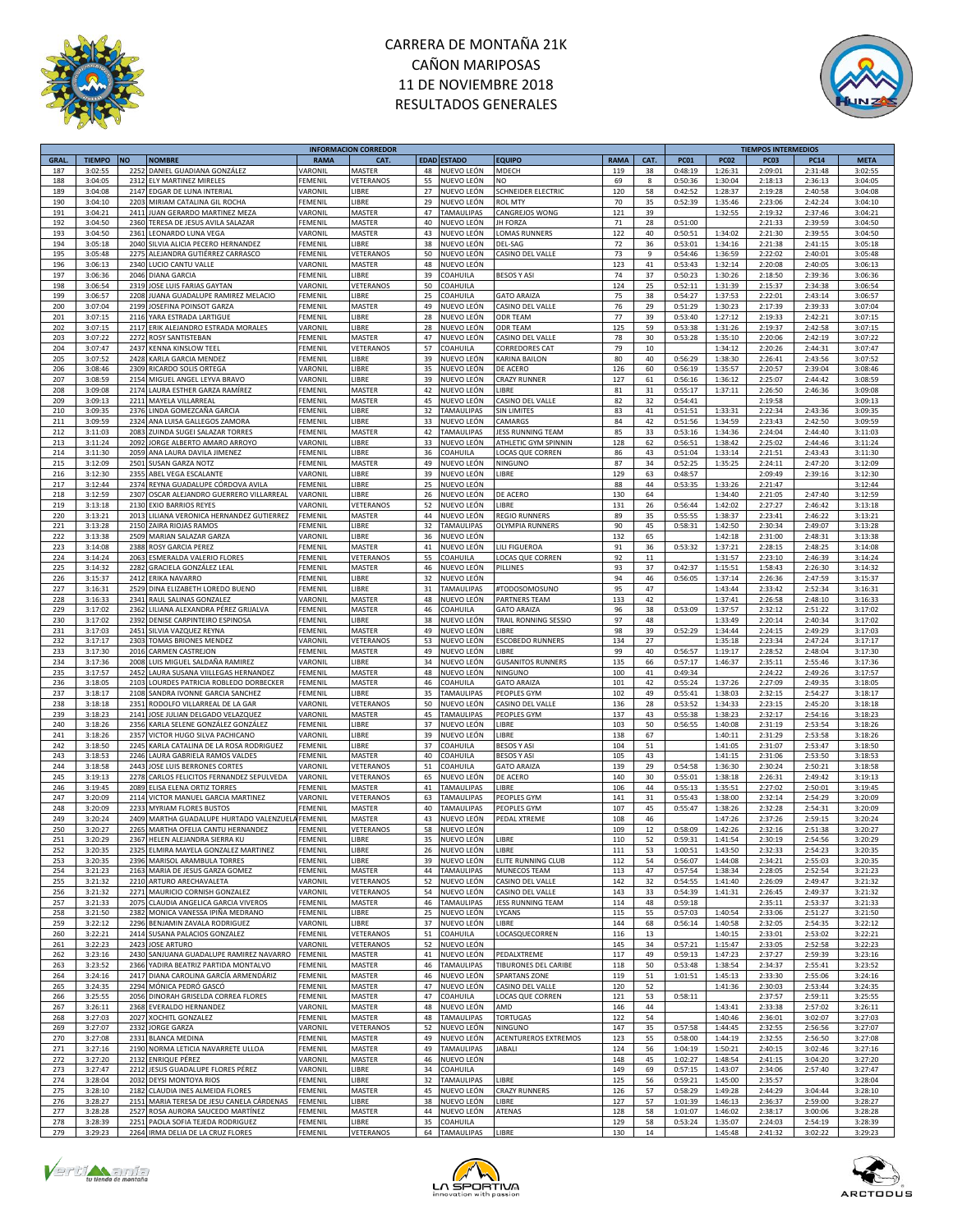



|             |               |           |                                         |                | <b>INFORMACION CORREDOR</b> |             |                   |                          |             |      |             |             | <b>TIEMPOS INTERMEDIOS</b> |             |             |
|-------------|---------------|-----------|-----------------------------------------|----------------|-----------------------------|-------------|-------------------|--------------------------|-------------|------|-------------|-------------|----------------------------|-------------|-------------|
| <b>GRAL</b> | <b>TIEMPO</b> | <b>NO</b> | <b>NOMBRE</b>                           | <b>RAMA</b>    | CAT.                        | <b>EDAD</b> | <b>ESTADO</b>     | <b>EQUIPO</b>            | <b>RAMA</b> | CAT. | <b>PC01</b> | <b>PC02</b> | <b>PC03</b>                | <b>PC14</b> | <b>META</b> |
| 187         | 3:02:55       | 2252      | DANIEL GUADIANA GONZÁLEZ                | VARONIL        | MASTER                      | 48          | NUEVO LEÓN        | MDECH                    | 119         | 38   | 0:48:19     | 1:26:31     | 2:09:01                    | 2:31:48     | 3:02:55     |
| 188         | 3:04:05       | 2312      | ELY MARTINEZ MIRELES                    | FEMENIL        | VETERANOS                   | 55          | NUEVO LEÓN        | NO                       | 69          | 8    | 0:50:36     | 1:30:04     | 2:18:13                    | 2:36:13     | 3:04:05     |
| 189         | 3:04:08       | 2147      | EDGAR DE LUNA INTERIAI                  | VARONIL        | LIBRE                       | 27          | NUEVO LEÓN        | SCHNEIDER ELECTRIC       | 120         | 58   | 0:42:52     | 1:28:37     | 2:19:28                    | 2:40:58     | 3:04:08     |
|             |               | 2203      |                                         | FEMENIL        | LIBRE                       | 29          |                   | <b>ROL MTY</b>           |             |      |             |             |                            |             | 3:04:10     |
| 190         | 3:04:10       |           | MIRIAM CATALINA GIL ROCHA               |                |                             |             | NUEVO LEÓN        |                          | 70          | 35   | 0:52:39     | 1:35:46     | 2:23:06                    | 2:42:24     |             |
| 191         | 3:04:21       | 2411      | JUAN GERARDO MARTINEZ MEZA              | VARONIL        | MASTER                      | 47          | TAMAULIPAS        | CANGREJOS WONG           | 121         | 39   |             | 1:32:55     | 2:19:32                    | 2:37:46     | 3:04:21     |
| 192         | 3:04:50       | 2360      | TERESA DE JESUS AVILA SALAZAR           | FEMENIL        | MASTER                      | 40          | NUEVO LEÓN        | <b>JH FORZA</b>          | 71          | 28   | 0:51:00     |             | 2:21:33                    | 2:39:59     | 3:04:50     |
| 193         | 3:04:50       | 2361      | EONARDO LUNA VEGA                       | VARONIL        | MASTER                      | 43          | NUEVO LEÓN        | OMAS RUNNERS             | 122         | 40   | 0:50:51     | 1:34:02     | 2:21:30                    | 2:39:55     | 3:04:50     |
| 194         | 3:05:18       | 2040      | SILVIA ALICIA PECERO HERNANDEZ          | FEMENIL        | LIBRE                       | 38          | NUEVO LEÓN        | DEL-SAG                  | 72          | 36   | 0:53:01     | 1:34:16     | 2:21:38                    | 2:41:15     | 3:05:18     |
|             |               |           |                                         |                |                             | 50          |                   | CASINO DEL VALLE         |             |      |             |             |                            |             |             |
| 195         | 3:05:48       | 2275      | ALEJANDRA GUTIÉRREZ CARRASCO            | FEMENIL        | VETERANOS                   |             | NUEVO LEÓN        |                          | 73          | 9    | 0:54:46     | 1:36:59     | 2:22:02                    | 2:40:01     | 3:05:48     |
| 196         | 3:06:13       |           | 2340 LUCIO CANTU VALLE                  | VARONIL        | MASTER                      | 48          | NUEVO LEÓN        |                          | 123         | 41   | 0:53:43     | 1:32:14     | 2:20:08                    | 2:40:05     | 3:06:13     |
| 197         | 3:06:36       | 2046      | <b>DIANA GARCIA</b>                     | FEMENIL        | LIBRE                       | 39          | COAHUILA          | <b>BESOS Y ASI</b>       | 74          | 37   | 0:50:23     | 1:30:26     | 2:18:50                    | 2:39:36     | 3:06:36     |
| 198         | 3:06:54       | 2319      | JOSE LUIS FARIAS GAYTAN                 | VARONIL        | VETERANOS                   | 50          | COAHUILA          |                          | 124         | 25   | 0:52:11     | 1:31:39     | 2:15:37                    | 2:34:38     | 3:06:54     |
| 199         | 3:06:57       | 2208      | JUANA GUADALUPE RAMIREZ MELACIO         | <b>FEMENIL</b> | LIBRE                       | 25          | COAHUILA          | <b>GATO ARAIZA</b>       | 75          | 38   | 0:54:27     | 1:37:53     | 2:22:01                    | 2:43:14     | 3:06:57     |
|             |               | 2199      |                                         |                |                             | 49          |                   |                          |             |      |             |             |                            |             | 3:07:04     |
| 200         | 3:07:04       |           | JOSEFINA POINSOT GARZA                  | FEMENIL        | MASTER                      |             | NUEVO LEÓN        | CASINO DEL VALLE         | 76          | 29   | 0:51:29     | 1:30:23     | 2:17:39                    | 2:39:33     |             |
| 201         | 3:07:15       | 2116      | YARA ESTRADA LARTIGUE                   | <b>FEMENIL</b> | LIBRE                       | 28          | NUEVO LEÓN        | <b>ODR TEAM</b>          | 77          | 39   | 0:53:40     | 1:27:12     | 2:19:33                    | 2:42:21     | 3:07:15     |
| 202         | 3:07:15       | 2117      | ERIK ALEJANDRO ESTRADA MORALES          | VARONIL        | LIBRE                       | 28          | NUEVO LEÓN        | ODR TEAM                 | 125         | 59   | 0:53:38     | 1:31:26     | 2:19:37                    | 2:42:58     | 3:07:15     |
| 203         | 3:07:22       | 2272      | ROSY SANTISTEBAN                        | <b>FEMENIL</b> | MASTER                      | 47          | NUEVO LEÓN        | CASINO DEL VALLE         | 78          | 30   | 0:53:28     | 1:35:10     | 2:20:06                    | 2:42:19     | 3:07:22     |
| 204         | 3:07:47       | 2437      | <b>KENNA KINSLOW TEEL</b>               | FEMENIL        | VETERANOS                   | 57          | COAHUILA          | CORREDORES CAT           | 79          | 10   |             | 1:34:12     | 2:20:26                    | 2:44:31     | 3:07:47     |
| 205         | 3:07:52       | 2428      |                                         |                | LIBRE                       | 39          | NUEVO LEÓN        |                          | 80          | 40   | 0:56:29     |             |                            |             | 3:07:52     |
|             |               |           | KARLA GARCIA MENDEZ                     | FEMENIL        |                             |             |                   | KARINA BAILON            |             |      |             | 1:38:30     | 2:26:41                    | 2:43:56     |             |
| 206         | 3:08:46       | 2309      | RICARDO SOLIS ORTEGA                    | VARONIL        | <b>TBRE</b>                 | 35          | NUEVO LEÓN        | DE ACERO                 | 126         | 60   | 0:56:19     | 1:35:57     | 2:20:57                    | 2:39:04     | 3:08:46     |
| 207         | 3:08:59       | 2154      | MIGUEL ANGEL LEYVA BRAVO                | VARONIL        | LIBRE                       | 39          | NUEVO LEÓN        | <b>CRAZY RUNNER</b>      | 127         | 61   | 0:56:16     | 1:36:12     | 2:25:07                    | 2:44:42     | 3:08:59     |
| 208         | 3:09:08       | 2174      | LAURA ESTHER GARZA RAMÍREZ              | FEMENIL        | MASTER                      | 42          | NUEVO LEÓN        | LIBRE                    | 81          | 31   | 0:55:17     | 1:37:11     | 2:26:50                    | 2:46:36     | 3:09:08     |
| 209         | 3:09:13       | 2211      | MAYELA VILLARREAL                       | <b>FEMENIL</b> | MASTER                      | 45          | NUEVO LEÓN        | CASINO DEL VALLE         | 82          | 32   | 0:54:41     |             | 2:19:58                    |             | 3:09:13     |
|             |               |           |                                         |                |                             |             |                   |                          |             |      |             |             |                            |             |             |
| 210         | 3:09:35       | 2376      | LINDA GOMEZCAÑA GARCIA                  | FEMENIL        | LIBRE                       | 32          | TAMAULIPAS        | SIN LIMITES              | 83          | 41   | 0:51:51     | 1:33:31     | 2:22:34                    | 2:43:36     | 3:09:35     |
| 211         | 3:09:59       | 2324      | ANA LUISA GALLEGOS ZAMORA               | FEMENIL        | LIBRE                       | 33          | NUEVO LEÓN        | CAMARGS                  | 84          | 42   | 0:51:56     | 1:34:59     | 2:23:43                    | 2:42:50     | 3:09:59     |
| 212         | 3:11:03       | 2083      | ZUINDA SUGEI SALAZAR TORRES             | FEMENIL        | MASTER                      | 42          | <b>TAMAULIPAS</b> | <b>ESS RUNNING TEAM</b>  | 85          | 33   | 0:53:16     | 1:34:36     | 2:24:04                    | 2:44:40     | 3:11:03     |
| 213         | 3:11:24       | 2092      | JORGE ALBERTO AMARO ARROYO              | VARONIL        | LIBRE                       | 33          | NUEVO LEÓN        | ATHLETIC GYM SPINNIN     | 128         | 62   | 0:56:51     | 1:38:42     | 2:25:02                    | 2:44:46     | 3:11:24     |
| 214         | 3:11:30       | 2059      | ANA LAURA DAVILA JIMENEZ                | FEMENIL        | LIBRE                       | 36          | COAHUILA          | LOCAS QUE CORREN         | 86          | 43   | 0:51:04     | 1:33:14     | 2:21:51                    | 2:43:43     | 3:11:30     |
|             |               |           |                                         |                |                             |             | NUEVO LEÓN        |                          |             |      |             |             |                            |             |             |
| 215         | 3:12:09       | 2501      | SUSAN GARZA NOTZ                        | FEMENIL        | MASTER                      | 49          |                   | NINGUNO                  | 87          | 34   | 0:52:25     | 1:35:25     | 2:24:11                    | 2:47:20     | 3:12:09     |
| 216         | 3:12:30       | 2355      | ABEL VEGA ESCALANTE                     | VARONIL        | LIBRE                       | 39          | NUEVO LEÓN        | <b>IBRE</b>              | 129         | 63   | 0:48:57     |             | 2:09:49                    | 2:39:16     | 3:12:30     |
| 217         | 3:12:44       | 2374      | REYNA GUADALUPE CÓRDOVA AVILA           | FEMENIL        | LIBRE                       | 25          | NUEVO LEÓN        |                          | 88          | 44   | 0:53:35     | 1:33:26     | 2:21:47                    |             | 3:12:44     |
| 218         | 3:12:59       | 2307      | OSCAR ALEJANDRO GUERRERO VILLARREAL     | VARONIL        | LIBRE                       | 26          | NUEVO LEÓN        | DE ACERO                 | 130         | 64   |             | 1:34:40     | 2:21:05                    | 2:47:40     | 3:12:59     |
| 219         | 3:13:18       | 2130      | EXIO BARRIOS REYES                      | VARONIL        | VETERANOS                   | 52          | NUEVO LEÓN        | <b>IBRE</b>              | 131         | 26   | 0:56:44     | 1:42:02     | 2:27:27                    | 2:46:42     | 3:13:18     |
| 220         |               | 2013      | LILIANA VERONICA HERNANDEZ GUTIERREZ    | <b>FEMENIL</b> | MASTER                      | 44          | NUEVO LEÓN        | REGIO RUNNERS            | 89          |      |             | 1:38:37     | 2:23:41                    |             | 3:13:21     |
|             | 3:13:21       |           |                                         |                |                             |             |                   |                          |             | 35   | 0:55:55     |             |                            | 2:46:22     |             |
| 221         | 3:13:28       | 2150      | ZAIRA RIOJAS RAMOS                      | FEMENIL        | LIBRE                       | 32          | TAMAULIPAS        | OLYMPIA RUNNERS          | 90          | 45   | 0:58:31     | 1:42:50     | 2:30:34                    | 2:49:07     | 3:13:28     |
| 222         | 3:13:38       | 2509      | MARIAN SALAZAR GARZA                    | VARONIL        | LIBRE                       | 36          | NUEVO LEÓN        |                          | 132         | 65   |             | 1:42:18     | 2:31:00                    | 2:48:31     | 3:13:38     |
| 223         | 3:14:08       | 2388      | <b>ROSY GARCIA PEREZ</b>                | FEMENIL        | MASTER                      | 41          | NUEVO LEÓN        | LILI FIGUEROA            | 91          | 36   | 0:53:32     | 1:37:21     | 2:28:15                    | 2:48:25     | 3:14:08     |
| 224         | 3:14:24       | 2063      | <b>ESMERALDA VALERIO FLORES</b>         | FEMENIL        | VETERANOS                   | 55          | COAHUILA          | <b>OCAS QUE CORREN</b>   | 92          | 11   |             | 1:31:57     | 2:23:10                    | 2:46:39     | 3:14:24     |
| 225         |               | 2282      |                                         |                | MASTER                      | 46          |                   |                          | 93          |      |             |             |                            |             |             |
|             | 3:14:32       |           | GRACIELA GONZÁLEZ LEAL                  | FEMENIL        |                             |             | NUEVO LEÓN        | PILLINES                 |             | 37   | 0:42:37     | 1:15:51     | 1:58:43                    | 2:26:30     | 3:14:32     |
| 226         | 3:15:37       | 2412      | <b>ERIKA NAVARRO</b>                    | FEMENIL        | LIBRE                       | 32          | NUEVO LEÓN        |                          | 94          | 46   | 0:56:05     | 1:37:14     | 2:26:36                    | 2:47:59     | 3:15:37     |
| 227         | 3:16:31       | 2529      | DINA ELIZABETH LOREDO BUENO             | FEMENIL        | LIBRE                       | 31          | TAMAULIPAS        | #TODOSOMOSUNO            | 95          | 47   |             | 1:43:44     | 2:33:42                    | 2:52:34     | 3:16:31     |
| 228         | 3:16:33       | 2341      | RAUL SALINAS GONZALEZ                   | VARONIL        | MASTER                      | 48          | NUEVO LEÓN        | PARTNERS TEAM            | 133         | 42   |             | 1:37:41     | 2:26:58                    | 2:48:10     | 3:16:33     |
| 229         | 3:17:02       | 2362      | LILIANA ALEXANDRA PÉREZ GRIJALVA        | FEMENIL        | MASTER                      | 46          | COAHUILA          | <b>GATO ARAIZA</b>       | 96          | 38   | 0:53:09     | 1:37:57     | 2:32:12                    | 2:51:22     | 3:17:02     |
| 230         | 3:17:02       | 2392      |                                         |                | LIBRE                       |             | NUEVO LEÓN        |                          | 97          |      |             | 1:33:49     |                            |             | 3:17:02     |
|             |               |           | DENISE CARPINTEIRO ESPINOSA             | <b>FEMENIL</b> |                             | 38          |                   | TRAIL RONNING SESSIO     |             | 48   |             |             | 2:20:14                    | 2:40:34     |             |
| 231         | 3:17:03       | 2451      | SILVIA VAZQUEZ REYNA                    | FEMENIL        | MASTER                      | 49          | NUEVO LEÓN        | LIBRE                    | 98          | 39   | 0:52:29     | 1:34:44     | 2:24:15                    | 2:49:29     | 3:17:03     |
| 232         | 3:17:17       | 2303      | TOMAS BRIONES MENDEZ                    | VARONIL        | VETERANOS                   | 53          | NUEVO LEÓN        | <b>ESCOBEDO RUNNERS</b>  | 134         | 27   |             | 1:35:18     | 2:23:34                    | 2:47:24     | 3:17:17     |
| 233         | 3:17:30       | 2016      | CARMEN CASTREJON                        | FEMENIL        | MASTER                      | 49          | NUEVO LEÓN        | LIBRE                    | 99          | 40   | 0:56:57     | 1:19:17     | 2:28:52                    | 2:48:04     | 3:17:30     |
| 234         | 3:17:36       | 2008      | LUIS MIGUEL SALDAÑA RAMIREZ             | VARONIL        | LIBRE                       | 34          | NUEVO LEÓN        | <b>GUSANITOS RUNNERS</b> | 135         | 66   | 0:57:17     | 1:46:37     | 2:35:11                    | 2:55:46     | 3:17:36     |
|             | 3:17:57       | 2452      |                                         |                |                             |             |                   |                          |             |      |             |             |                            |             | 3:17:57     |
| 235         |               |           | AURA SUSANA VIILLEGAS HERNANDEZ         | FEMENIL        | MASTER                      | 48          | NUEVO LEÓN        | NINGUNO                  | 100         | 41   | 0:49:34     |             | 2:24:22                    | 2:49:26     |             |
| 236         | 3:18:05       | 2103      | LOURDES PATRICIA ROBLEDO DORBECKER      | <b>FEMENIL</b> | MASTER                      | 46          | COAHUILA          | <b>GATO ARAIZA</b>       | 101         | 42   | 0:55:24     | 1:37:26     | 2:27:09                    | 2:49:35     | 3:18:05     |
| 237         | 3:18:17       | 2108      | SANDRA IVONNE GARCIA SANCHEZ            | <b>FEMENIL</b> | LIBRE                       | 35          | <b>TAMAULIPAS</b> | <b>EOPLES GYM</b>        | 102         | 49   | 0:55:41     | 1:38:03     | 2:32:15                    | 2:54:27     | 3:18:17     |
| 238         | 3:18:18       | 2351      | RODOLFO VILLARREAL DE LA GAR            | VARONIL        | VETERANOS                   | 50          | NUEVO LEÓN        | CASINO DEL VALLE         | 136         | 28   | 0:53:52     | 1:34:33     | 2:23:15                    | 2:45:20     | 3:18:18     |
| 239         | 3:18:23       | 2141      | JOSE JULIAN DELGADO VELAZQUEZ           | VARONIL        | MASTER                      | 45          | TAMAULIPAS        | PEOPLES GYM              | 137         | 43   | 0:55:38     | 1:38:23     | 2:32:17                    | 2:54:16     | 3:18:23     |
|             |               | 2356      |                                         |                | LIBRE                       | 37          |                   | LIBRE                    |             |      |             |             |                            |             |             |
| 240         | 3:18:26       |           | KARLA SELENE GONZÁLEZ GONZÁLEZ          | FEMENIL        |                             |             | NUEVO LEÓN        |                          | 103         | 50   | 0:56:55     | 1:40:08     | 2:31:19                    | 2:53:54     | 3:18:26     |
| 241         | 3:18:26       | 2357      | VICTOR HUGO SILVA PACHICANO             | VARONIL        | LIBRE                       | 39          | NUEVO LEÓN        | <b>IBRF</b>              | 138         | 67   |             | 1:40:11     | 2:31:29                    | 2:53:58     | 3:18:26     |
| 242         | 3:18:50       | 2245      | KARLA CATALINA DE LA ROSA RODRIGUEZ     | FEMENIL        | LIBRE                       | 37          | COAHUILA          | <b>BESOS Y ASI</b>       | 104         | 51   |             | 1:41:05     | 2:31:07                    | 2:53:47     | 3:18:50     |
| 243         | 3:18:53       | 2246      | LAURA GABRIELA RAMOS VALDES             | FEMENIL        | MASTER                      | 40          | COAHUILA          | <b>BESOS Y ASI</b>       | 105         | 43   |             | 1:41:15     | 2:31:06                    | 2:53:50     | 3:18:53     |
| 244         | 3:18:58       | 2443      | JOSE LUIS BERRONES CORTES               | VARONIL        | VETERANOS                   | 51          | COAHUILA          | <b>GATO ARAIZA</b>       | 139         | 29   | 0:54:58     | 1:36:30     | 2:30:24                    | 2:50:21     | 3:18:58     |
|             |               |           |                                         |                |                             |             |                   |                          |             |      |             |             |                            |             |             |
| 245         | 3:19:13       | 2278      | CARLOS FELICITOS FERNANDEZ SEPULVEDA    | VARONIL        | VETERANOS                   | 65          | NUEVO LEÓN        | DE ACERO                 | 140         | 30   | 0:55:01     | 1:38:18     | 2:26:31                    | 2:49:42     | 3:19:13     |
| 246         | 3:19:45       | 2089      | ELISA ELENA ORTIZ TORRES                | FEMENIL        | MASTER                      | 41          | TAMAULIPAS        | LIBRE                    | 106         | 44   | 0:55:13     | 1:35:51     | 2:27:02                    | 2:50:01     | 3:19:45     |
| 247         | 3:20:09       | 2114      | VICTOR MANUEL GARCIA MARTINEZ           | VARONIL        | VETERANOS                   | 63          | <b>TAMAULIPAS</b> | PEOPLES GYM              | 141         | 31   | 0:55:43     | 1:38:00     | 2:32:14                    | 2:54:29     | 3:20:09     |
| 248         | 3:20:09       | 223       | <b>MYRIAM FLORES BUSTOS</b>             | FEMENIL        | MASTER                      | 40          | TAMAULIPAS        | PEOPLES GYM              | 107         | 45   | 0:55:47     | 1:38:26     | 2:32:28                    | 2:54:31     | 3:20:09     |
| 249         | 3:20:24       | 2409      | MARTHA GUADALUPE HURTADO VALENZUEL      | <b>FEMENIL</b> | MASTER                      | 43          | NUEVO LEÓN        | PEDAL XTREME             | 108         | 46   |             | 1:47:26     | 2:37:26                    | 2:59:15     | 3:20:24     |
| 250         | 3:20:27       | 2265      | MARTHA OFELIA CANTU HERNANDEZ           | FEMENIL        | VETERANOS                   | 58          | NUEVO LEÓN        |                          | 109         | 12   | 0:58:09     | 1:42:26     | 2:32:16                    | 2:51:38     | 3:20:27     |
| 251         | 3:20:29       |           | 2367 HELEN ALEJANDRA SIERRA KU          | <b>FEMENIL</b> | LIBRE                       | 35          | NUEVO LEÓN        | <b>IBRE</b>              | 110         | 52   | 0:59:31     | 1:41:54     | 2:30:19                    | 2:54:56     | 3:20:29     |
|             |               |           |                                         |                |                             |             |                   |                          |             |      |             |             |                            |             |             |
| 252         | 3:20:35       |           | 2325 ELMIRA MAYELA GONZALEZ MARTINEZ    | <b>FEMENIL</b> | LIBRE                       | 26          | NUEVO LEÓN        | LIBRE                    | 111         | 53   | 1:00:51     | 1:43:50     | 2:32:33                    | 2:54:23     | 3:20:35     |
| 253         | 3:20:35       |           | 2396 MARISOL ARAMBULA TORRES            | <b>FEMENIL</b> | LIBRE                       | 39          | NUEVO LEÓN        | ELITE RUNNING CLUB       | 112         | 54   | 0:56:07     | 1:44:08     | 2:34:21                    | 2:55:03     | 3:20:35     |
| 254         | 3:21:23       |           | 2163 MARIA DE JESUS GARZA GOMEZ         | FEMENIL        | MASTER                      | 44          | TAMAULIPAS        | MUNECOS TEAM             | 113         | 47   | 0:57:54     | 1:38:34     | 2:28:05                    | 2:52:54     | 3:21:23     |
| 255         | 3:21:32       |           | 2210 ARTURO ARECHAVALETA                | VARONIL        | VETERANOS                   | 52          | NUEVO LEÓN        | CASINO DEL VALLE         | 142         | 32   | 0:54:55     | 1:41:40     | 2:26:09                    | 2:49:47     | 3:21:32     |
| 256         | 3:21:32       | 2271      | MAURICIO CORNISH GONZALEZ               | VARONIL        | VETERANOS                   | 54          | NUEVO LEÓN        | CASINO DEL VALLE         | 143         | 33   | 0:54:39     | 1:41:31     | 2:26:45                    | 2:49:37     | 3:21:32     |
|             |               |           |                                         |                |                             |             | <b>TAMAULIPAS</b> |                          |             |      |             |             |                            |             |             |
| 257         | 3:21:33       | 2075      | CLAUDIA ANGELICA GARCIA VIVEROS         | <b>FEMENIL</b> | MASTER                      | 46          |                   | JESS RUNNING TEAM        | 114         | 48   | 0:59:18     |             | 2:35:11                    | 2:53:37     | 3:21:33     |
| 258         | 3:21:50       | 2382      | MONICA VANESSA IPIÑA MEDRANO            | FEMENIL        | LIBRE                       | 25          | NUEVO LEÓN        | LYCANS                   | 115         | 55   | 0:57:03     | 1:40:54     | 2:33:06                    | 2:51:27     | 3:21:50     |
| 259         | 3:22:12       | 2296      | BENJAMIN ZAVALA RODRIGUEZ               | VARONIL        | LIBRE                       | 37          | NUEVO LEÓN        | <b>IBRE</b>              | 144         | 68   | 0:56:14     | 1:40:58     | 2:32:05                    | 2:54:35     | 3:22:12     |
| 260         | 3:22:21       | 2414      | SUSANA PALACIOS GONZALEZ                | FEMENIL        | VETERANOS                   | 51          | COAHUILA          | LOCASQUECORREN           | 116         | 13   |             | 1:40:15     | 2:33:01                    | 2:53:02     | 3:22:21     |
| 261         | 3:22:23       | 2423      | <b>JOSE ARTURO</b>                      | VARONIL        | VETERANOS                   | 52          | NUEVO LEÓN        |                          | 145         | 34   | 0:57:21     | 1:15:47     | 2:33:05                    | 2:52:58     | 3:22:23     |
|             |               |           |                                         |                |                             |             |                   |                          |             |      |             |             |                            |             |             |
| 262         | 3:23:16       |           | 2430 SANJUANA GUADALUPE RAMIREZ NAVARRO | FEMENIL        | MASTER                      | 41          | NUEVO LEÓN        | PEDALXTREME              | 117         | 49   | 0:59:13     | 1:47:23     | 2:37:27                    | 2:59:39     | 3:23:16     |
| 263         | 3:23:52       |           | 2366 YADIRA BEATRIZ PARTIDA MONTALVO    | <b>FEMENIL</b> | MASTER                      | 46          | TAMAULIPAS        | TIBURONES DEL CARIBE     | 118         | 50   | 0:53:48     | 1:38:54     | 2:34:37                    | 2:55:41     | 3:23:52     |
| 264         | 3:24:16       | 2417      | DIANA CAROLINA GARCÍA ARMENDÁRIZ        | FEMENIL        | MASTER                      | 46          | NUEVO LEÓN        | SPARTANS ZONE            | 119         | 51   | 1:01:51     | 1:45:13     | 2:33:30                    | 2:55:06     | 3:24:16     |
| 265         | 3:24:35       | 2294      | MÓNICA PEDRÓ GASCÓ                      | <b>FEMENIL</b> | MASTER                      | 47          | NUEVO LEÓN        | CASINO DEL VALLE         | 120         | 52   |             | 1:41:36     | 2:30:03                    | 2:53:44     | 3:24:35     |
| 266         | 3:25:55       | 2056      | DINORAH GRISELDA CORREA FLORES          | FEMENIL        | MASTER                      | 47          | COAHUILA          | LOCAS QUE CORREN         | 121         | 53   | 0:58:11     |             | 2:37:57                    | 2:59:11     | 3:25:55     |
|             |               |           |                                         |                |                             |             |                   |                          |             |      |             |             |                            |             |             |
| 267         | 3:26:11       | 2368      | EVERALDO HERNANDEZ                      | VARONIL        | MASTER                      | 48          | NUEVO LEÓN        | AMD                      | 146         | 44   |             | 1:43:41     | 2:33:38                    | 2:57:02     | 3:26:11     |
| 268         | 3:27:03       | 2027      | XOCHITL GONZALEZ                        | FEMENIL        | MASTER                      | 48          | <b>TAMAULIPAS</b> | TORTUGAS                 | 122         | 54   |             | 1:40:46     | 2:36:01                    | 3:02:07     | 3:27:03     |
| 269         | 3:27:07       | 2332      | JORGE GARZA                             | VARONIL        | VETERANOS                   | 52          | NUEVO LEÓN        | NINGUNO                  | 147         | 35   | 0:57:58     | 1:44:45     | 2:32:55                    | 2:56:56     | 3:27:07     |
| 270         | 3:27:08       | 2331      | <b>BLANCA MEDINA</b>                    | FEMENIL        | MASTER                      | 49          | NUEVO LEÓN        | ACENTUREROS EXTREMOS     | 123         | 55   | 0:58:00     | 1:44:19     | 2:32:55                    | 2:56:50     | 3:27:08     |
| 271         | 3:27:16       | 2190      | NORMA LETICIA NAVARRETE ULLOA           | <b>FEMENIL</b> | MASTER                      | 49          | TAMAULIPAS        | JABALI                   | 124         | 56   | 1:04:19     | 1:50:21     | 2:40:15                    | 3:02:46     | 3:27:16     |
|             |               |           |                                         |                |                             |             |                   |                          |             |      |             |             |                            |             |             |
| 272         | 3:27:20       | 2132      | ENRIQUE PÉREZ                           | VARONIL        | MASTER                      | 46          | NUEVO LEÓN        |                          | 148         | 45   | 1:02:27     | 1:48:54     | 2:41:15                    | 3:04:20     | 3:27:20     |
| 273         | 3:27:47       | 2212      | JESUS GUADALUPE FLORES PÉREZ            | VARONIL        | LIBRE                       | 34          | COAHUILA          |                          | 149         | 69   | 0:57:15     | 1:43:07     | 2:34:06                    | 2:57:40     | 3:27:47     |
| 274         | 3:28:04       | 2032      | DEYSI MONTOYA RIOS                      | FEMENIL        | LIBRE                       | 32          | TAMAULIPAS        | <b>IBRE</b>              | 125         | 56   | 0:59:21     | 1:45:00     | 2:35:57                    |             | 3:28:04     |
| 275         | 3:28:10       | 2182      | CLAUDIA INES ALMEIDA FLORES             | <b>FEMENIL</b> | MASTER                      | 45          | NUEVO LEÓN        | CRAZY RUNNERS            | 126         | 57   | 0:58:29     | 1:49:28     | 2:44:29                    | 3:04:44     | 3:28:10     |
| 276         | 3:28:27       | 2151      | MARIA TERESA DE JESU CANELA CÁRDENAS    | <b>FEMENIL</b> | LIBRE                       | 38          | NUEVO LEÓN        | <b>IBRE</b>              | 127         | 57   | 1:01:39     | 1:46:13     | 2:36:37                    | 2:59:00     | 3:28:27     |
|             |               |           |                                         |                |                             |             |                   |                          |             |      |             |             |                            |             |             |
| 277         | 3:28:28       | 2527      | ROSA AURORA SAUCEDO MARTÍNEZ            | FEMENIL        | MASTER                      | 44          | NUEVO LEÓN        | ATENAS                   | 128         | 58   | 1:01:07     | 1:46:02     | 2:38:17                    | 3:00:06     | 3:28:28     |
| 278         | 3:28:39       |           | 2251 PAOLA SOFIA TEJEDA RODRIGUEZ       | <b>FEMENIL</b> | LIBRE                       | 35          | COAHUILA          |                          | 129         | 58   | 0:53:24     | 1:35:07     | 2:24:03                    | 2:54:19     | 3:28:39     |
| 279         | 3:29:23       |           | 2264 IRMA DELIA DE LA CRUZ FLORES       | <b>FEMENIL</b> | VETERANOS                   |             | 64 TAMAULIPAS     | LIBRE                    | 130         | 14   |             | 1:45:48     | 2:41:32                    | 3:02:22     | 3:29:23     |





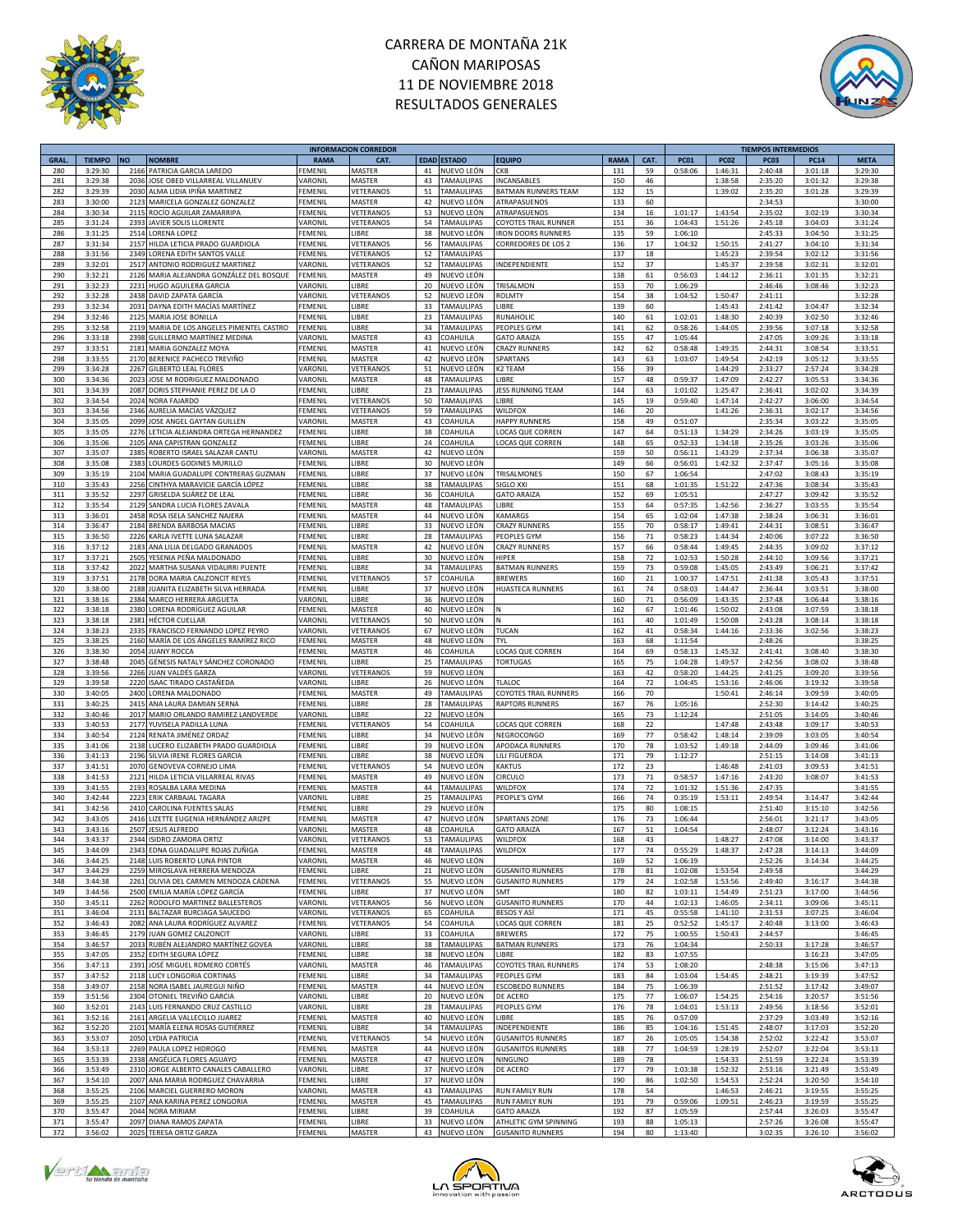



|             |               |           |                                           |                | <b>INFORMACION CORREDOR</b> |    |                    |                              |             |      |             |             | <b>TIEMPOS INTERMEDIOS</b> |             |             |
|-------------|---------------|-----------|-------------------------------------------|----------------|-----------------------------|----|--------------------|------------------------------|-------------|------|-------------|-------------|----------------------------|-------------|-------------|
| <b>GRAL</b> | <b>TIEMPO</b> | <b>NO</b> | <b>NOMBRE</b>                             | <b>RAMA</b>    | CAT.                        |    | <b>EDAD ESTADO</b> | <b>EQUIPO</b>                | <b>RAMA</b> | CAT. | <b>PC01</b> | <b>PC02</b> | PC <sub>03</sub>           | <b>PC14</b> | <b>META</b> |
| 280         | 3:29:30       | 2166      | PATRICIA GARCIA LAREDO                    | <b>EMENIL</b>  | MASTER                      | 41 | NUEVO LEÓN         | <b>CKB</b>                   | 131         | 59   | 0:58:06     | 1:46:31     | 2:40:48                    | 3:01:18     | 3:29:30     |
| 281         | 3:29:38       | 2036      | JOSE OBED VILLARREAL VILLANUEV            | VARONIL        | MASTER                      | 43 | <b>TAMAULIPAS</b>  | INCANSABLES                  | 150         | 46   |             | 1:38:58     | 2:35:20                    | 3:01:32     | 3:29:38     |
| 282         | 3:29:39       | 2030      | ALMA LIDIA IPIÑA MARTINEZ                 | FEMENIL        | VETERANOS                   | 51 | TAMAULIPAS         | <b>BATMAN RUNNERS TEAM</b>   | 132         | 15   |             | 1:39:02     | 2:35:20                    | 3:01:28     | 3:29:39     |
| 283         | 3:30:00       | 212       | MARICELA GONZALEZ GONZALEZ                | FEMENIL        | MASTER                      | 42 | NUEVO LEÓN         | ATRAPASUENOS                 | 133         | 60   |             |             | 2:34:53                    |             | 3:30:00     |
|             |               |           |                                           |                |                             |    |                    |                              |             |      |             |             |                            |             |             |
| 284         | 3:30:34       | 2115      | ROCÍO AGUILAR ZAMARRIPA                   | FEMENIL        | VETERANOS                   | 53 | NUEVO LEÓN         | ATRAPASUENOS                 | 134         | 16   | 1:01:17     | 1:43:54     | 2:35:02                    | 3:02:19     | 3:30:34     |
| 285         | 3:31:24       | 2393      | JAVIER SOLIS LLORENTE                     | VARONIL        | VETERANOS                   | 54 | TAMAULIPAS         | COYOTES TRAIL RUNNER         | 151         | 36   | 1:04:43     | 1:51:26     | 2:45:18                    | 3:04:03     | 3:31:24     |
| 286         | 3:31:25       | 2514      | LORENA LOPEZ                              | FEMENIL        | LIBRE                       | 38 | NUEVO LEÓN         | <b>RON DOORS RUNNERS</b>     | 135         | 59   | 1:06:10     |             | 2:45:33                    | 3:04:50     | 3:31:25     |
| 287         | 3:31:34       | 2157      | HILDA LETICIA PRADO GUARDIOLA             | FEMENIL        | VETERANOS                   | 56 | TAMAULIPAS         | CORREDORES DE LOS 2          | 136         | 17   | 1:04:32     | 1:50:15     | 2:41:27                    | 3:04:10     | 3:31:34     |
| 288         | 3:31:56       | 2349      | LORENA EDITH SANTOS VALLE                 | FEMENIL        | VETERANOS                   | 52 | TAMAULIPAS         |                              | 137         | 18   |             | 1:45:23     | 2:39:54                    | 3:02:12     | 3:31:56     |
|             |               |           |                                           |                |                             |    |                    |                              |             |      |             |             |                            |             |             |
| 289         | 3:32:01       | 2517      | ANTONIO RODRIGUEZ MARTINEZ                | VARONIL        | VETERANOS                   | 52 | TAMAULIPAS         | INDEPENDIENTE                | 152         | 37   |             | 1:45:37     | 2:39:58                    | 3:02:31     | 3:32:01     |
| 290         | 3:32:21       | 2126      | MARIA ALEJANDRA GONZÁLEZ DEL BOSQUE       | FEMENIL        | MASTER                      | 49 | NUEVO LEÓN         |                              | 138         | 61   | 0:56:03     | 1:44:12     | 2:36:11                    | 3:01:35     | 3:32:21     |
| 291         | 3:32:23       | 2231      | HUGO AGUILERA GARCIA                      | VARONIL        | LIBRE                       | 20 | NUEVO LEÓN         | TRISALMON                    | 153         | 70   | 1:06:29     |             | 2:46:46                    | 3:08:46     | 3:32:23     |
| 292         | 3:32:28       | 2438      | DAVID ZAPATA GARCÍA                       | VARONIL        | VETERANOS                   | 52 | NUEVO LEÓN         | <b>ROLMTY</b>                | 154         | 38   | 1:04:52     | 1:50:47     | 2:41:11                    |             | 3:32:28     |
| 293         | 3:32:34       | 2031      | DAYNA EDITH MACÍAS MARTÍNEZ               | FEMENIL        | LIBRE                       | 33 | <b>TAMAULIPAS</b>  | LIBRE                        | 139         | 60   |             | 1:45:43     | 2:41:42                    | 3:04:47     | 3:32:34     |
|             |               |           |                                           |                |                             |    | <b>TAMAULIPAS</b>  |                              |             |      |             |             |                            |             |             |
| 294         | 3:32:46       | 2125      | MARIA JOSE BONILLA                        | FEMENIL        | LIBRE                       | 23 |                    | RUNAHOLIC                    | 140         | 61   | 1:02:01     | 1:48:30     | 2:40:39                    | 3:02:50     | 3:32:46     |
| 295         | 3:32:58       |           | 2119 MARIA DE LOS ANGELES PIMENTEL CASTRO | FEMENIL        | LIBRE                       | 34 | TAMAULIPAS         | PEOPLES GYM                  | 141         | 62   | 0:58:26     | 1:44:05     | 2:39:56                    | 3:07:18     | 3:32:58     |
| 296         | 3:33:18       | 2398      | GUILLERMO MARTÍNEZ MEDINA                 | VARONIL        | MASTER                      | 43 | COAHUILA           | <b>GATO ARAIZA</b>           | 155         | 47   | 1:05:44     |             | 2:47:05                    | 3:09:26     | 3:33:18     |
| 297         | 3:33:51       | 2181      | MARIA GONZALEZ MOYA                       | FEMENIL        | MASTER                      | 41 | NUEVO LEÓN         | <b>CRAZY RUNNERS</b>         | 142         | 62   | 0:58:48     | 1:49:35     | 2:44:31                    | 3:08:54     | 3:33:51     |
| 298         | 3:33:55       |           | 2170 BERENICE PACHECO TREVIÑO             | FEMENIL        | MASTER                      | 42 | NUEVO LEÓN         | SPARTANS                     | 143         | 63   | 1:03:07     | 1:49:54     | 2:42:19                    | 3:05:12     | 3:33:55     |
|             |               |           |                                           |                |                             |    |                    |                              |             |      |             |             |                            |             |             |
| 299         | 3:34:28       | 2267      | <b>GILBERTO LEAL FLORES</b>               | VARONIL        | VETERANOS                   | 51 | NUEVO LEÓN         | K2 TEAM                      | 156         | 39   |             | 1:44:29     | 2:33:27                    | 2:57:24     | 3:34:28     |
| 300         | 3:34:36       | 2023      | JOSE M RODRIGUEZ MALDONADO                | VARONIL        | MASTER                      | 48 | TAMAULIPAS         | LIBRE                        | 157         | 48   | 0:59:37     | 1:47:09     | 2:42:27                    | 3:05:53     | 3:34:36     |
| 301         | 3:34:39       | 2087      | DORIS STEPHANIE PEREZ DE LA O             | FEMENIL        | LIBRE                       | 23 | <b>TAMAULIPAS</b>  | JESS RUNNING TEAM            | 144         | 63   | 1:01:02     | 1:25:47     | 2:36:41                    | 3:02:02     | 3:34:39     |
| 302         | 3:34:54       | 2024      | <b>NORA FAJARDO</b>                       | FEMENIL        | VETERANOS                   | 50 | <b>TAMAULIPAS</b>  | LIBRE                        | 145         | 19   | 0:59:40     | 1:47:14     | 2:42:27                    | 3:06:00     | 3:34:54     |
| 303         | 3:34:56       | 2346      | AURELIA MACÍAS VÁZQUEZ                    | FEMENIL        | VETERANOS                   | 59 | TAMAULIPAS         | WILDFOX                      | 146         | 20   |             | 1:41:26     | 2:36:31                    | 3:02:17     | 3:34:56     |
|             |               |           |                                           |                |                             |    |                    |                              |             |      |             |             |                            |             |             |
| 304         | 3:35:05       | 2099      | JOSE ANGEL GAYTAN GUILLEN                 | VARONIL        | MASTER                      | 43 | COAHUILA           | <b>HAPPY RUNNERS</b>         | 158         | 49   | 0:51:07     |             | 2:35:34                    | 3:03:22     | 3:35:05     |
| 305         | 3:35:05       | 2276      | LETICIA ALEJANDRA ORTEGA HERNANDEZ        | FEMENIL        | <b>IBRE</b>                 | 38 | COAHUILA           | LOCAS QUE CORREN             | 147         | 64   | 0:51:13     | 1:34:29     | 2:34:26                    | 3:03:19     | 3:35:05     |
| 306         | 3:35:06       | 2105      | ANA CAPISTRAN GONZALEZ                    | FEMENIL        | <b>IBRE</b>                 | 24 | COAHUILA           | <b>LOCAS QUE CORREN</b>      | 148         | 65   | 0:52:33     | 1:34:18     | 2:35:26                    | 3:03:26     | 3:35:06     |
| 307         | 3:35:07       | 2385      | ROBERTO ISRAEL SALAZAR CANTU              | VARONIL        | MASTER                      | 42 | NUEVO LEÓN         |                              | 159         | 50   | 0:56:11     | 1:43:29     | 2:37:34                    | 3:06:38     | 3:35:07     |
| 308         | 3:35:08       | 2383      | LOURDES GODINES MURILLO                   | FEMENIL        | <b>IBRE</b>                 | 30 | NUEVO LEÓN         |                              | 149         | 66   | 0:56:01     | 1:42:32     | 2:37:47                    | 3:05:16     | 3:35:08     |
|             |               |           |                                           |                |                             |    |                    |                              |             |      |             |             |                            |             |             |
| 309         | 3:35:19       | 2104      | MARIA GUADALUPE CONTRERAS GUZMAN          | FEMENIL        | <b>IBRE</b>                 | 37 | NUEVO LEÓN         | TRISALMONES                  | 150         | 67   | 1:06:54     |             | 2:47:02                    | 3:08:43     | 3:35:19     |
| 310         | 3:35:43       | 2256      | CINTHYA MARAVICIE GARCÍA LÓPEZ            | FEMENIL        | LIBRE                       | 38 | TAMAULIPAS         | SIGLO XXI                    | 151         | 68   | 1:01:35     | 1:51:22     | 2:47:36                    | 3:08:34     | 3:35:43     |
| 311         | 3:35:52       | 2297      | GRISELDA SUÁREZ DE LEAL                   | FEMENIL        | <b>IBRE</b>                 | 36 | COAHUILA           | <b>GATO ARAIZA</b>           | 152         | 69   | 1:05:51     |             | 2:47:27                    | 3:09:42     | 3:35:52     |
| 312         | 3:35:54       | 2129      | SANDRA LUCIA FLORES ZAVALA                | FEMENIL        | MASTER                      | 48 | <b>TAMAULIPAS</b>  | LIBRE                        | 153         | 64   | 0:57:35     | 1:42:56     | 2:36:27                    | 3:03:55     | 3:35:54     |
| 313         | 3:36:01       | 2458      | ROSA ISELA SANCHEZ NAJERA                 | FEMENIL        | MASTER                      | 44 | NUEVO LEÓN         | KAMARGS                      | 154         | 65   | 1:02:04     | 1:47:38     | 2:38:24                    | 3:06:31     | 3:36:01     |
|             |               |           |                                           |                |                             |    |                    |                              |             |      |             |             |                            |             |             |
| 314         | 3:36:47       | 2184      | BRENDA BARBOSA MACIAS                     | FEMENIL        | <b>IBRE</b>                 | 33 | NUEVO LEÓN         | <b>CRAZY RUNNERS</b>         | 155         | 70   | 0:58:17     | 1:49:41     | 2:44:31                    | 3:08:51     | 3:36:47     |
| 315         | 3:36:50       | 2226      | KARLA IVETTE LUNA SALAZAR                 | FEMENI         | <b>IBRE</b>                 | 28 | <b>TAMAULIPAS</b>  | PEOPLES GYM                  | 156         | 71   | 0:58:23     | 1:44:34     | 2:40:06                    | 3:07:22     | 3:36:50     |
| 316         | 3:37:12       | 2183      | ANA LILIA DELGADO GRANADOS                | FEMENI         | MASTER                      | 42 | NUEVO LEÓN         | <b>CRAZY RUNNERS</b>         | 157         | 66   | 0:58:44     | 1:49:45     | 2:44:35                    | 3:09:02     | 3:37:12     |
| 317         | 3:37:21       | 2505      | YESENIA PEÑA MALDONADO                    | <b>FEMENIL</b> | LIBRE                       | 30 | NUEVO LEÓN         | <b>HIPFR</b>                 | 158         | 72   | 1:02:53     | 1:50:28     | 2:44:10                    | 3:09:56     | 3:37:21     |
| 318         | 3:37:42       | 2022      | MARTHA SUSANA VIDAURRI PUENTE             | FEMENIL        | LIBRE                       | 34 | TAMAULIPAS         | <b>BATMAN RUNNERS</b>        | 159         | 73   | 0:59:08     | 1:45:05     | 2:43:49                    | 3:06:21     | 3:37:42     |
|             |               |           |                                           |                |                             |    |                    |                              |             |      |             |             |                            |             |             |
| 319         | 3:37:51       | 2178      | DORA MARIA CALZONCIT REYES                | FEMENIL        | VETERANOS                   | 57 | COAHUILA           | <b>BREWERS</b>               | 160         | 21   | 1:00:37     | 1:47:51     | 2:41:38                    | 3:05:43     | 3:37:51     |
| 320         | 3:38:00       | 2188      | JUANITA ELIZABETH SILVA HERRADA           | FEMENIL        | LIBRE                       | 37 | NUEVO LEÓN         | HUASTECA RUNNERS             | 161         | 74   | 0:58:03     | 1:44:47     | 2:36:44                    | 3:03:51     | 3:38:00     |
| 321         | 3:38:16       | 2384      | MARCO HERRERA ARGUETA                     | VARONIL        | <b>IBRE</b>                 | 36 | NUEVO LEÓN         |                              | 160         | 71   | 0:56:09     | 1:43:35     | 2:37:48                    | 3:06:44     | 3:38:16     |
| 322         | 3:38:18       | 2380      | LORENA RODRÍGUEZ AGUILAR                  | FEMENIL        | MASTER                      | 40 | NUEVO LEÓN         | N                            | 162         | 67   | 1:01:46     | 1:50:02     | 2:43:08                    | 3:07:59     | 3:38:18     |
| 323         | 3:38:18       | 2381      | <b>HÉCTOR CUELLAR</b>                     | VARONIL        | VETERANOS                   | 50 | NUEVO LEÓN         | N                            | 161         | 40   | 1:01:49     | 1:50:08     | 2:43:28                    | 3:08:14     | 3:38:18     |
|             |               |           |                                           |                |                             |    |                    |                              |             |      |             |             |                            |             |             |
| 324         | 3:38:23       | 2335      | FRANCISCO FERNANDO LOPEZ PEYRO            | VARONIL        | VETERANOS                   | 67 | NUEVO LEÓN         | <b>TUCAN</b>                 | 162         | 41   | 0:58:34     | 1:44:16     | 2:33:36                    | 3:02:56     | 3:38:23     |
| 325         | 3:38:25       | 2160      | MARÍA DE LOS ÁNGELES RAMÍREZ RICO         | <b>FEMENIL</b> | MASTER                      | 48 | NUEVO LEÓN         | <b>TYL</b>                   | 163         | 68   | 1:11:54     |             | 2:48:26                    |             | 3:38:25     |
| 326         | 3:38:30       | 2054      | <b>JUANY ROCCA</b>                        | FEMENIL        | MASTER                      | 46 | COAHUILA           | LOCAS QUE CORREN             | 164         | 69   | 0:58:13     | 1:45:32     | 2:41:41                    | 3:08:40     | 3:38:30     |
| 327         | 3:38:48       | 2045      | GÉNESIS NATALY SÁNCHEZ CORONADO           | <b>FEMENIL</b> | LIBRE                       | 25 | <b>TAMAULIPAS</b>  | <b>TORTUGAS</b>              | 165         | 75   | 1:04:28     | 1:49:57     | 2:42:56                    | 3:08:02     | 3:38:48     |
| 328         | 3:39:56       | 2266      | UAN VALDÉS GARZA                          | <b>ARONIL</b>  | VETERANOS                   | 59 | NUEVO LEÓN         |                              | 163         | 42   | 0:58:20     | 1:44:25     | 2:41:25                    | 3:09:20     | 3:39:56     |
| 329         | 3:39:58       | 2220      | ISAAC TIRADO CASTAÑEDA                    | VARONIL        | LIBRE                       | 26 | NUEVO LEÓN         | TLALOC                       | 164         | 72   | 1:04:45     | 1:53:16     | 2:46:06                    | 3:19:32     | 3:39:58     |
|             |               |           |                                           |                |                             |    |                    |                              |             |      |             |             |                            |             |             |
| 330         | 3:40:05       |           | 2400 LORENA MALDONADO                     | FEMENIL        | MASTER                      | 49 | TAMAULIPAS         | COYOTES TRAIL RUNNERS        | 166         | 70   |             | 1:50:41     | 2:46:14                    | 3:09:59     | 3:40:05     |
| 331         | 3:40:25       | 2415      | ANA LAURA DAMIAN SERNA                    | FEMENIL        | <b>IBRE</b>                 | 28 | TAMAULIPAS         | <b>RAPTORS RUNNERS</b>       | 167         | 76   | 1:05:16     |             | 2:52:30                    | 3:14:42     | 3:40:25     |
| 332         | 3:40:46       | 2017      | MARIO ORLANDO RAMIREZ LANDVERDE           | VARONIL        | <b>IBRE</b>                 | 22 | NUEVO LEÓN         |                              | 165         | 73   | 1:12:24     |             | 2:51:05                    | 3:14:05     | 3:40:46     |
| 333         | 3:40:53       | 2177      | YUVISELA PADILLA LUNA                     | FEMENIL        | VETERANOS                   | 54 | COAHUILA           | <b>LOCAS QUE CORREN</b>      | 168         | 22   |             | 1:47:48     | 2:43:48                    | 3:09:17     | 3:40:53     |
| 334         | 3:40:54       | 2124      | RENATA JIMÉNEZ ORDAZ                      | EMENIL         | <b>IBRE</b>                 | 34 | NUEVO LEÓN         | NEGROCONGO                   | 169         | 77   | 0:58:42     | 1:48:14     | 2:39:09                    | 3:03:05     | 3:40:54     |
|             |               |           |                                           |                |                             |    |                    |                              |             |      |             |             |                            |             |             |
| 335         | 3:41:06       | 2138      | LUCERO ELIZABETH PRADO GUARDIOLA          | FEMENIL        | LIBRE                       | 39 | NUEVO LEÓN         | APODACA RUNNERS              | 170         | 78   | 1:03:52     | 1:49:18     | 2:44:09                    | 3:09:46     | 3:41:06     |
| 336         | 3:41:13       | 2196      | SILVIA IRENE FLORES GARCIA                | FEMENIL        | LIBRE                       | 38 | NUEVO LEÓN         | LILI FIGUEROA                | 171         | 79   | 1:12:27     |             | 2:51:15                    | 3:14:08     | 3:41:13     |
| 337         | 3:41:51       | 2070      | GENOVEVA CORNEJO LIMA                     | FEMENIL        | VETERANOS                   | 54 | NUEVO LEÓN         | KAKTUS                       | 172         | 23   |             | 1:46:48     | 2:41:03                    | 3:09:53     | 3:41:51     |
| 338         | 3:41:53       | 2121      | HILDA LETICIA VILLARREAL RIVAS            | <b>EMENIL</b>  | MASTER                      | 49 | NUEVO LEÓN         | CIRCULO                      | 173         | 71   | 0:58:57     | 1:47:16     | 2:43:20                    | 3:08:07     | 3:41:53     |
| 339         | 3:41:55       | 2193      | ROSALBA LARA MEDINA                       | FEMENIL        | MASTER                      | 44 | <b>TAMAULIPAS</b>  | WILDFOX                      | 174         | 72   | 1:01:32     | 1:51:36     | 2:47:35                    |             | 3:41:55     |
|             |               | 2223      |                                           |                |                             |    |                    |                              |             | 74   |             |             |                            |             |             |
| 340         | 3:42:44       |           | ERIK CARBAJAL TAGARA                      | VARONIL        | <b>IBRE</b>                 | 25 | <b>TAMAULIPAS</b>  | PEOPLE'S GYM                 | 166         |      | 0:35:19     | 1:53:11     | 2:49:54                    | 3:14:47     | 3:42:44     |
| 341         | 3:42:56       | 2410      | CAROLINA FUENTES SALAS                    | FEMENIL        | <b>IBRE</b>                 | 29 | NUEVO LEÓN         |                              | 175         | 80   | 1:08:15     |             | 2:51:40                    | 3:15:10     | 3:42:56     |
| 342         | 3:43:05       | 2416      | LIZETTE EUGENIA HERNÁNDEZ ARIZPE          | <b>FEMENIL</b> | MASTER                      | 47 | NUEVO LEÓN         | <b>SPARTANS ZONE</b>         | 176         | 73   | 1:06:44     |             | 2:56:01                    | 3:21:17     | 3:43:05     |
| 343         | 3:43:16       | 2507      | <b>JESUS ALFREDO</b>                      | VARONIL        | MASTER                      | 48 | COAHUILA           | <b>GATO ARAIZA</b>           | 167         | 51   | 1:04:54     |             | 2:48:07                    | 3:12:24     | 3:43:16     |
| 344         | 3:43:37       |           | 2344 ISIDRO ZAMORA ORTIZ                  | VARONIL        | VETERANOS                   | 53 | <b>TAMAULIPAS</b>  | <b>WILDFOX</b>               | 168         | 43   |             | 1:48:27     | 2:47:08                    | 3:14:00     | 3:43:37     |
| 345         | 3:44:09       |           | 2343 EDNA GUADALUPE ROJAS ZUÑIGA          | <b>FEMENIL</b> | MASTER                      | 48 | <b>TAMAULIPAS</b>  | <b>WILDFOX</b>               | 177         | 74   | 0:55:29     | 1:48:37     | 2:47:28                    | 3:14:13     | 3:44:09     |
| 346         | 3:44:25       |           | 2148 LUIS ROBERTO LUNA PINTOR             | VARONIL        | MASTER                      | 46 | NUEVO LEÓN         |                              | 169         | 52   | 1:06:19     |             | 2:52:26                    | 3:14:34     | 3:44:25     |
|             |               |           |                                           |                |                             |    |                    |                              |             |      |             |             |                            |             |             |
| 347         | 3:44:29       |           | 2259 MIROSLAVA HERRERA MENDOZA            | FEMENIL        | LIBRE                       | 21 | NUEVO LEÓN         | <b>GUSANITO RUNNERS</b>      | 178         | 81   | 1:02:08     | 1:53:54     | 2:49:58                    |             | 3:44:29     |
| 348         | 3:44:38       | 2261      | OLIVIA DEL CARMEN MENDOZA CADENA          | FEMENIL        | VETERANOS                   | 55 | NUEVO LEÓN         | <b>GUSANITO RUNNERS</b>      | 179         | 24   | 1:02:58     | 1:53:56     | 2:49:40                    | 3:16:17     | 3:44:38     |
| 349         | 3:44:56       |           | 2500 EMILIA MARÍA LÓPEZ GARCÍA            | FEMENIL        | LIBRE                       | 37 | NUEVO LEÓN         | <b>SMT</b>                   | 180         | 82   | 1:03:11     | 1:54:49     | 2:51:23                    | 3:17:00     | 3:44:56     |
| 350         | 3:45:11       | 2262      | RODOLFO MARTINEZ BALLESTEROS              | VARONIL        | VETERANOS                   | 56 | NUEVO LEÓN         | <b>GUSANITO RUNNERS</b>      | 170         | 44   | 1:02:13     | 1:46:05     | 2:34:11                    | 3:09:06     | 3:45:11     |
| 351         | 3:46:04       | 2131      | BALTAZAR BURCIAGA SAUCEDO                 | VARONIL        | VETERANOS                   | 65 | COAHUILA           | <b>BESOS Y ASÍ</b>           | 171         | 45   | 0:55:58     | 1:41:10     | 2:31:53                    | 3:07:25     | 3:46:04     |
|             |               |           |                                           |                |                             |    |                    |                              |             |      |             |             |                            |             |             |
| 352         | 3:46:43       | 2082      | ANA LAURA RODRÍGUEZ ALVAREZ               | FEMENIL        | VETERANOS                   | 54 | COAHUILA           | <b>LOCAS QUE CORREN</b>      | 181         | 25   | 0:52:52     | 1:45:17     | 2:40:48                    | 3:13:00     | 3:46:43     |
| 353         | 3:46:45       | 2179      | JUAN GOMEZ CALZONCIT                      | VARONIL        | LIBRE                       | 33 | COAHUILA           | <b>BREWERS</b>               | 172         | 75   | 1:00:55     | 1:50:43     | 2:44:57                    |             | 3:46:45     |
| 354         | 3:46:57       |           | 2033 RUBÉN ALEJANDRO MARTÍNEZ GOVEA       | VARONIL        | LIBRE                       | 38 | <b>TAMAULIPAS</b>  | <b>BATMAN RUNNERS</b>        | 173         | 76   | 1:04:34     |             | 2:50:33                    | 3:17:28     | 3:46:57     |
| 355         | 3:47:05       |           | 2352 EDITH SEGURA LÓPEZ                   | FEMENIL        | LIBRE                       | 38 | NUEVO LEÓN         | LIBRE                        | 182         | 83   | 1:07:55     |             |                            | 3:16:23     | 3:47:05     |
| 356         | 3:47:13       | 2391      | JOSÉ MIGUEL ROMERO CORTÉS                 | VARONIL        | MASTER                      | 46 | TAMAULIPAS         | <b>COYOTES TRAIL RUNNERS</b> | 174         | 53   | 1:08:20     |             | 2:48:38                    | 3:15:06     | 3:47:13     |
| 357         | 3:47:52       | 2118      | LUCY LONGORIA CORTINAS                    | FEMENIL        | LIBRE                       | 34 | TAMAULIPAS         | PEOPLES GYM                  | 183         | 84   |             | 1:54:45     | 2:48:21                    |             | 3:47:52     |
|             |               |           |                                           |                |                             |    |                    |                              |             |      | 1:03:04     |             |                            | 3:19:39     |             |
| 358         | 3:49:07       | 2158      | NORA ISABEL JAUREGUI NIÑO                 | FEMENIL        | MASTER                      | 44 | NUEVO LEÓN         | <b>ESCOBEDO RUNNERS</b>      | 184         | 75   | 1:06:39     |             | 2:51:52                    | 3:17:42     | 3:49:07     |
| 359         | 3:51:56       | 2304      | OTONIEL TREVIÑO GARCIA                    | VARONIL        | LIBRE                       | 20 | NUEVO LEÓN         | DE ACERO                     | 175         | 77   | 1:06:07     | 1:54:25     | 2:54:16                    | 3:20:57     | 3:51:56     |
| 360         | 3:52:01       | 2143      | LUIS FERNANDO CRUZ CASTILLO               | VARONIL        | LIBRE                       | 28 | TAMAULIPAS         | PEOPLES GYM                  | 176         | 78   | 1:04:01     | 1:53:13     | 2:49:56                    | 3:18:56     | 3:52:01     |
| 361         | 3:52:16       | 2161      | ARGELIA VALLECILLO JUAREZ                 | FEMENIL        | MASTER                      | 40 | NUEVO LEÓN         | LIBRE                        | 185         | 76   | 0:57:09     |             | 2:37:29                    | 3:03:49     | 3:52:16     |
|             |               |           |                                           |                |                             |    | <b>TAMAULIPAS</b>  |                              |             |      |             |             |                            |             |             |
| 362         | 3:52:20       | 2101      | MARÍA ELENA ROSAS GUTIÉRREZ               | FEMENIL        | LIBRE                       | 34 |                    | INDEPENDIENTE                | 186         | 85   | 1:04:16     | 1:51:45     | 2:48:07                    | 3:17:03     | 3:52:20     |
| 363         | 3:53:07       |           | 2050 LYDIA PATRICIA                       | EMENIL         | VETERANOS                   | 54 | NUEVO LEÓN         | <b>GUSANITOS RUNNERS</b>     | 187         | 26   | 1:05:05     | 1:54:38     | 2:52:02                    | 3:22:42     | 3:53:07     |
| 364         | 3:53:13       | 2269      | PAULA LOPEZ HIDROGO                       | FEMENIL        | MASTER                      | 44 | NUEVO LEÓN         | <b>GUSANITOS RUNNERS</b>     | 188         | 77   | 1:04:59     | 1:28:19     | 2:52:07                    | 3:22:04     | 3:53:13     |
| 365         | 3:53:39       | 2338      | ANGÉLICA FLORES AGUAYO                    | FEMENIL        | MASTER                      | 47 | NUEVO LEÓN         | NINGUNO                      | 189         | 78   |             | 1:54:33     | 2:51:59                    | 3:22:24     | 3:53:39     |
| 366         | 3:53:49       | 2310      | JORGE ALBERTO CANALES CABALLERO           | VARONIL        | LIBRE                       | 37 | NUEVO LEÓN         | DE ACERO                     | 177         | 79   | 1:03:38     | 1:52:32     | 2:53:16                    | 3:21:49     | 3:53:49     |
|             |               | 2007      | ANA MARIA RODRGUEZ CHAVARRIA              | FEMENIL        | <b>IBRE</b>                 |    |                    |                              |             | 86   |             |             |                            |             |             |
| 367         | 3:54:10       |           |                                           |                |                             | 37 | NUEVO LEÓN         |                              | 190         |      | 1:02:50     | 1:54:53     | 2:52:24                    | 3:20:50     | 3:54:10     |
| 368         | 3:55:25       |           | 2106 MARCIEL GUERRERO MORON               | VARONIL        | MASTER                      | 43 | TAMAULIPAS         | <b>RUN FAMILY RUN</b>        | 178         | 54   |             | 1:46:53     | 2:46:21                    | 3:19:55     | 3:55:25     |
| 369         | 3:55:25       | 2107      | ANA KARINA PEREZ LONGORIA                 | <b>FEMENIL</b> | MASTER                      | 45 | <b>TAMAULIPAS</b>  | <b>RUN FAMILY RUN</b>        | 191         | 79   | 0:59:06     | 1:09:51     | 2:46:23                    | 3:19:59     | 3:55:25     |
| 370         | 3:55:47       | 2044      | <b>NORA MIRIAM</b>                        | FEMENIL        | LIBRE                       | 39 | COAHUILA           | <b>GATO ARAIZA</b>           | 192         | 87   | 1:05:59     |             | 2:57:44                    | 3:26:03     | 3:55:47     |
| 371         | 3:55:47       | 2097      | DIANA RAMOS ZAPATA                        | FEMENIL        | <b>IBRE</b>                 | 33 | NUEVO LEÓN         | ATHLETIC GYM SPINNING        | 193         | 88   | 1:05:13     |             | 2:57:26                    | 3:26:08     | 3:55:47     |
|             |               |           |                                           |                |                             |    |                    |                              |             |      |             |             |                            |             |             |
| 372         | 3:56:02       |           | 2025 TERESA ORTIZ GARZA                   | FEMENIL        | MASTER                      |    | 43 NUEVO LEÓN      | <b>GUSANITO RUNNERS</b>      | 194         | 80   | 1:13:40     |             | 3:02:35                    | 3:26:10     | 3:56:02     |





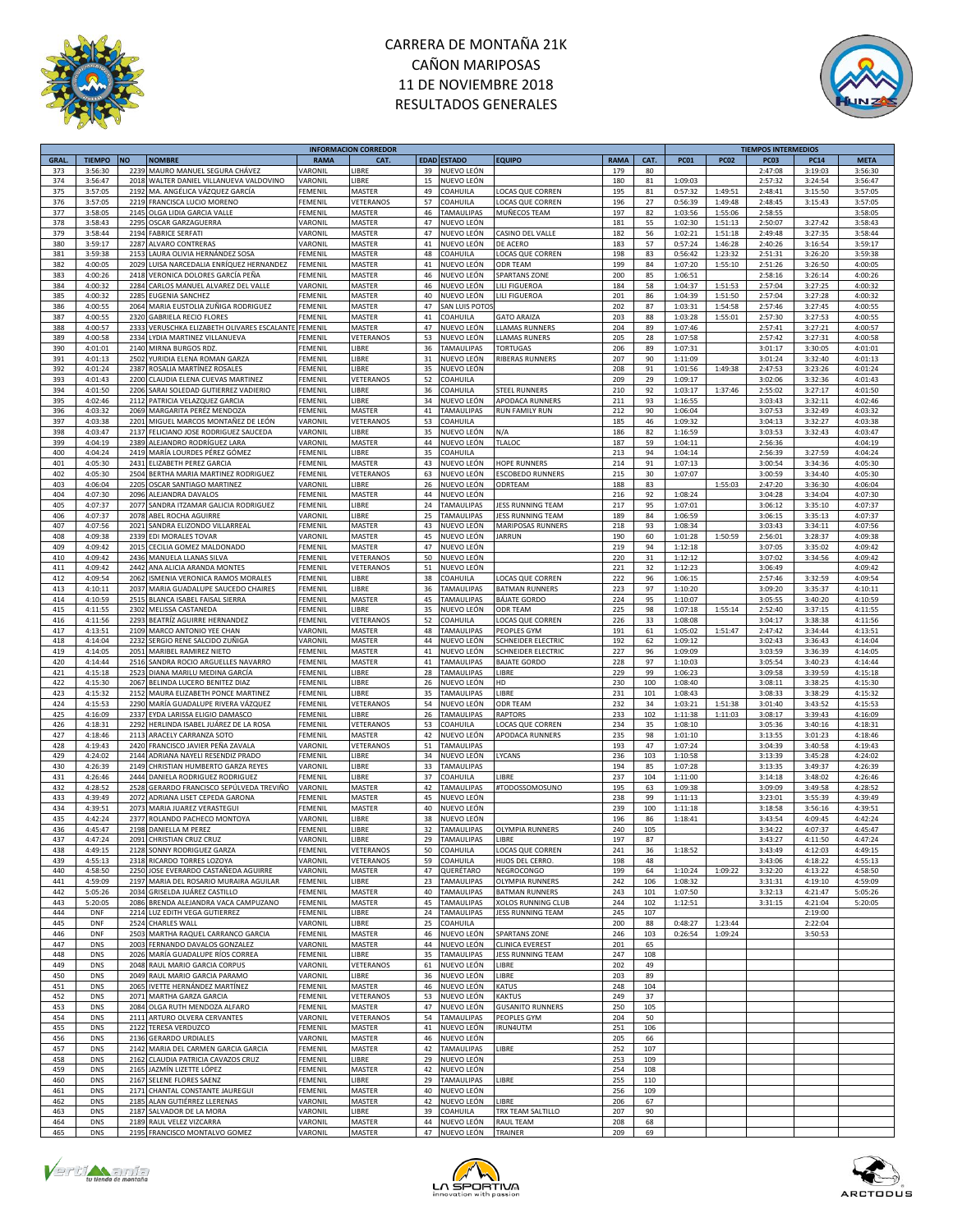



|             |               |           |                                        |                | <b>INFORMACION CORREDOR</b> |             |                   |                           |             |      |             |             | <b>TIEMPOS INTERMEDIOS</b> |             |             |
|-------------|---------------|-----------|----------------------------------------|----------------|-----------------------------|-------------|-------------------|---------------------------|-------------|------|-------------|-------------|----------------------------|-------------|-------------|
| <b>GRAL</b> | <b>TIEMPO</b> | <b>NO</b> | <b>NOMBRE</b>                          | <b>RAMA</b>    | CAT.                        | <b>EDAD</b> | <b>ESTADO</b>     | <b>EQUIPO</b>             | <b>RAMA</b> | CAT. | <b>PC01</b> | <b>PC02</b> | PC <sub>03</sub>           | <b>PC14</b> | <b>META</b> |
| 373         | 3:56:30       | 2239      | MAURO MANUEL SEGURA CHÁVEZ             | VARONIL        | <b>IBRE</b>                 | 39          | NUEVO LEÓN        |                           | 179         | 80   |             |             | 2:47:08                    | 3:19:03     | 3:56:30     |
| 374         | 3:56:47       | 2018      | WALTER DANIEL VILLANUEVA VALDOVINO     | VARONIL        | LIBRE                       | 15          | NUEVO LEÓN        |                           | 180         | 81   | 1:09:03     |             | 2:57:32                    | 3:24:54     | 3:56:47     |
| 375         | 3:57:05       | 2192      | MA. ANGÉLICA VÁZQUEZ GARCÍA            | FEMENII        | MASTER                      | 49          | COAHUILA          | LOCAS QUE CORREN          | 195         | 81   | 0:57:32     | 1:49:51     | 2:48:41                    | 3:15:50     | 3:57:05     |
| 376         | 3:57:05       | 2219      | FRANCISCA LUCIO MORENO                 | FEMENIL        | VETERANOS                   | 57          | <b>COAHUILA</b>   | OCAS QUE CORREN           | 196         | 27   | 0:56:39     | 1:49:48     | 2:48:45                    | 3:15:43     | 3:57:05     |
| 377         | 3:58:05       | 2145      | OLGA LIDIA GARCIA VALLE                | FEMENIL        | MASTER                      | 46          | TAMAULIPAS        | MUÑECOS TEAM              | 197         | 82   | 1:03:56     | 1:55:06     | 2:58:55                    |             | 3:58:05     |
| 378         | 3:58:43       | 2295      | OSCAR GARZAGUERRA                      | VARONIL        | MASTER                      | 47          | NUEVO LEÓN        |                           | 181         | 55   | 1:02:30     | 1:51:13     | 2:50:07                    | 3:27:42     | 3:58:43     |
|             |               |           |                                        |                |                             | 47          |                   |                           |             |      |             |             |                            |             |             |
| 379         | 3:58:44       | 2194      | <b>FABRICE SERFATI</b>                 | VARONIL        | MASTER                      |             | NUEVO LEÓN        | CASINO DEL VALLE          | 182         | 56   | 1:02:21     | 1:51:18     | 2:49:48                    | 3:27:35     | 3:58:44     |
| 380         | 3:59:17       | 2287      | ALVARO CONTRERAS                       | VARONIL        | MASTER                      | 41          | NUEVO LEÓN        | DE ACERO                  | 183         | 57   | 0:57:24     | 1:46:28     | 2:40:26                    | 3:16:54     | 3:59:17     |
| 381         | 3:59:38       | 2153      | LAURA OLIVIA HERNÁNDEZ SOSA            | FEMENIL        | MASTER                      | 48          | COAHUILA          | LOCAS QUE CORREN          | 198         | 83   | 0:56:42     | 1:23:32     | 2:51:31                    | 3:26:20     | 3:59:38     |
| 382         | 4:00:05       | 2029      | LUISA NARCEDALIA ENRÍQUEZ HERNANDEZ    | FEMENIL        | MASTER                      | 41          | NUEVO LEÓN        | ODR TEAM                  | 199         | 84   | 1:07:20     | 1:55:10     | 2:51:26                    | 3:26:50     | 4:00:05     |
| 383         | 4:00:26       | 2418      | VERONICA DOLORES GARCÍA PEÑA           | FEMENIL        | MASTER                      | 46          | NUEVO LEÓN        | <b>SPARTANS ZONE</b>      | 200         | 85   | 1:06:51     |             | 2:58:16                    | 3:26:14     | 4:00:26     |
| 384         | 4:00:32       | 2284      | CARLOS MANUEL ALVAREZ DEL VALLE        | VARONIL        | MASTER                      | 46          | NUEVO LEÓN        | LILI FIGUEROA             | 184         | 58   | 1:04:37     | 1:51:53     | 2:57:04                    | 3:27:25     | 4:00:32     |
| 385         | 4:00:32       | 2285      | EUGENIA SANCHEZ                        | FEMENIL        | MASTER                      | 40          | NUEVO LEÓN        | LILI FIGUEROA             | 201         | 86   | 1:04:39     | 1:51:50     | 2:57:04                    | 3:27:28     | 4:00:32     |
| 386         | 4:00:55       | 2064      | MARIA EUSTOLIA ZUÑIGA RODRIGUEZ        | FEMENIL        | MASTER                      | 47          | SAN LUIS POTO     |                           | 202         | 87   | 1:03:31     | 1:54:58     | 2:57:46                    | 3:27:45     | 4:00:55     |
| 387         | 4:00:55       | 2320      | <b>GABRIELA RECIO FLORES</b>           | FEMENIL        | MASTER                      | 41          | COAHUILA          | <b>GATO ARAIZA</b>        | 203         | 88   | 1:03:28     | 1:55:01     | 2:57:30                    | 3:27:53     | 4:00:55     |
| 388         | 4:00:57       | 2333      | VERUSCHKA ELIZABETH OLIVARES ESCALANTE | FEMENIL        | MASTER                      | 47          | NUEVO LEÓN        | LLAMAS RUNNERS            | 204         | 89   | 1:07:46     |             | 2:57:41                    | 3:27:21     | 4:00:57     |
|             |               |           |                                        |                |                             |             |                   |                           |             |      |             |             |                            |             |             |
| 389         | 4:00:58       | 2334      | LYDIA MARTINEZ VILLANUEVA              | FEMENIL        | VETERANOS                   | 53          | NUEVO LEÓN        | LLAMAS RUNERS             | 205         | 28   | 1:07:58     |             | 2:57:42                    | 3:27:31     | 4:00:58     |
| 390         | 4:01:01       | 2140      | MIRNA BURGOS RDZ.                      | FEMENIL        | LIBRE                       | 36          | <b>TAMAULIPAS</b> | <b>TORTUGAS</b>           | 206         | 89   | 1:07:31     |             | 3:01:17                    | 3:30:05     | 4:01:01     |
| 391         | 4:01:13       | 2502      | YURIDIA ELENA ROMAN GARZA              | FEMENIL        | LIBRE                       | 31          | NUEVO LEÓN        | RIBERAS RUNNERS           | 207         | 90   | 1:11:09     |             | 3:01:24                    | 3:32:40     | 4:01:13     |
| 392         | 4:01:24       | 2387      | ROSALIA MARTÍNEZ ROSALES               | FEMENI         | <b>IBRE</b>                 | 35          | NUEVO LEÓN        |                           | 208         | 91   | 1:01:56     | 1:49:38     | 2:47:53                    | 3:23:26     | 4:01:24     |
| 393         | 4:01:43       | 2200      | CLAUDIA ELENA CUEVAS MARTINEZ          | FEMENIL        | VETERANOS                   | 52          | COAHUILA          |                           | 209         | 29   | 1:09:17     |             | 3:02:06                    | 3:32:36     | 4:01:43     |
| 394         | 4:01:50       | 2206      | SARAI SOLEDAD GUTIERREZ VADIERIO       | FEMENIL        | LIBRE                       | 36          | COAHUILA          | <b>STEEL RUNNERS</b>      | 210         | 92   | 1:03:17     | 1:37:46     | 2:55:02                    | 3:27:17     | 4:01:50     |
| 395         | 4:02:46       | 2112      | PATRICIA VELAZQUEZ GARCIA              | FEMENIL        | LIBRE                       | 34          | NUEVO LEÓN        | APODACA RUNNERS           | 211         | 93   | 1:16:55     |             | 3:03:43                    | 3:32:11     | 4:02:46     |
| 396         | 4:03:32       | 2069      | MARGARITA PERÉZ MENDOZA                | FEMENIL        | MASTER                      | 41          | TAMAULIPAS        | <b>RUN FAMILY RUN</b>     | 212         | 90   | 1:06:04     |             | 3:07:53                    | 3:32:49     | 4:03:32     |
| 397         | 4:03:38       | 2201      | MIGUEL MARCOS MONTAÑEZ DE LEÓN         | VARONIL        | VETERANOS                   | 53          | COAHUILA          |                           | 185         | 46   | 1:09:32     |             | 3:04:13                    | 3:32:27     | 4:03:38     |
|             |               |           |                                        |                |                             |             |                   |                           |             |      |             |             |                            |             |             |
| 398         | 4:03:47       | 2137      | FELICIANO JOSE RODRIGUEZ SAUCEDA       | VARONIL        | <b>IBRE</b>                 | 35          | NUEVO LEÓN        | N/A                       | 186         | 82   | 1:16:59     |             | 3:03:53                    | 3:32:43     | 4:03:47     |
| 399         | 4:04:19       | 2389      | ALEJANDRO RODRÍGUEZ LARA               | VARONIL        | MASTER                      | 44          | NUEVO LEÓN        | TLALOC                    | 187         | 59   | 1:04:11     |             | 2:56:36                    |             | 4:04:19     |
| 400         | 4:04:24       | 2419      | MARÍA LOURDES PÉREZ GÓMEZ              | FEMENIL        | LIBRE                       | 35          | COAHUILA          |                           | 213         | 94   | 1:04:14     |             | 2:56:39                    | 3:27:59     | 4:04:24     |
| 401         | 4:05:30       | 2431      | ELIZABETH PEREZ GARCIA                 | FEMENIL        | MASTER                      | 43          | NUEVO LEÓN        | <b>HOPE RUNNERS</b>       | 214         | 91   | 1:07:13     |             | 3:00:54                    | 3:34:36     | 4:05:30     |
| 402         | 4:05:30       | 2504      | BERTHA MARIA MARTINEZ RODRIGUEZ        | FEMENIL        | VETERANOS                   | 63          | NUEVO LEÓN        | <b>ESCOBEDO RUNNERS</b>   | 215         | 30   | 1:07:07     |             | 3:00:59                    | 3:34:40     | 4:05:30     |
| 403         | 4:06:04       | 2205      | OSCAR SANTIAGO MARTINEZ                | VARONIL        | LIBRE                       | 26          | NUEVO LEÓN        | ODRTEAM                   | 188         | 83   |             | 1:55:03     | 2:47:20                    | 3:36:30     | 4:06:04     |
| 404         | 4:07:30       | 2096      | ALEJANDRA DAVALOS                      | FEMENIL        | MASTER                      | 44          | NUEVO LEÓN        |                           | 216         | 92   | 1:08:24     |             | 3:04:28                    | 3:34:04     | 4:07:30     |
| 405         | 4:07:37       | 2077      | SANDRA ITZAMAR GALICIA RODRIGUEZ       | FEMENIL        | LIBRE                       | 24          | TAMAULIPAS        | <b>IESS RUNNING TEAM</b>  | 217         | 95   | 1:07:01     |             | 3:06:12                    | 3:35:10     | 4:07:37     |
|             |               |           |                                        | VARONIL        | <b>IBRE</b>                 |             |                   |                           |             |      |             |             |                            |             |             |
| 406         | 4:07:37       | 2078      | ABEL ROCHA AGUIRRE                     |                |                             | 25          | <b>TAMAULIPAS</b> | JESS RUNNING TEAM         | 189         | 84   | 1:06:59     |             | 3:06:15                    | 3:35:13     | 4:07:37     |
| 407         | 4:07:56       | 2021      | SANDRA ELIZONDO VILLARREAL             | FEMENIL        | MASTER                      | 43          | NUEVO LEÓN        | MARIPOSAS RUNNERS         | 218         | 93   | 1:08:34     |             | 3:03:43                    | 3:34:11     | 4:07:56     |
| 408         | 4:09:38       | 2339      | EDI MORALES TOVAR                      | VARONI         | MASTER                      | 45          | NUEVO LEÓN        | <b>IARRUN</b>             | 190         | 60   | 1:01:28     | 1:50:59     | 2:56:01                    | 3:28:37     | 4:09:38     |
| 409         | 4:09:42       | 2015      | CECILIA GOMEZ MALDONADO                | FEMENIL        | MASTER                      | 47          | NUEVO LEÓN        |                           | 219         | 94   | 1:12:18     |             | 3:07:05                    | 3:35:02     | 4:09:42     |
| 410         | 4:09:42       | 2436      | MANUELA LLANAS SILVA                   | FEMENIL        | VETERANOS                   | 50          | NUEVO LEÓN        |                           | 220         | 31   | 1:12:12     |             | 3:07:02                    | 3:34:56     | 4:09:42     |
| 411         | 4:09:42       | 2442      | ANA ALICIA ARANDA MONTES               | FEMENIL        | VETERANOS                   | 51          | NUEVO LEÓN        |                           | 221         | 32   | 1:12:23     |             | 3:06:49                    |             | 4:09:42     |
| 412         | 4:09:54       | 2062      | ISMENIA VERONICA RAMOS MORALES         | FEMENIL        | LIBRE                       | 38          | COAHUILA          | LOCAS QUE CORREN          | 222         | 96   | 1:06:15     |             | 2:57:46                    | 3:32:59     | 4:09:54     |
| 413         | 4:10:11       | 2037      | MARIA GUADALUPE SAUCEDO CHAIRES        | FEMENIL        | LIBRE                       | 36          | <b>TAMAULIPAS</b> | <b>BATMAN RUNNERS</b>     | 223         | 97   | 1:10:20     |             | 3:09:20                    | 3:35:37     | 4:10:11     |
| 414         | 4:10:59       |           |                                        | FEMENIL        | MASTER                      | 45          | <b>TAMAULIPAS</b> | <b>BÁJATE GORDO</b>       | 224         | 95   |             |             | 3:05:55                    | 3:40:20     | 4:10:59     |
|             |               | 2515      | BLANCA ISABEL FAISAL SIERRA            |                |                             |             |                   |                           |             |      | 1:10:07     |             |                            |             |             |
| 415         | 4:11:55       | 2302      | MELISSA CASTANEDA                      | FEMENIL        | LIBRE                       | 35          | NUEVO LEÓN        | ODR TEAM                  | 225         | 98   | 1:07:18     | 1:55:14     | 2:52:40                    | 3:37:15     | 4:11:55     |
| 416         | 4:11:56       | 2293      | BEATRÍZ AGUIRRE HERNANDEZ              | FEMENIL        | VETERANOS                   | 52          | COAHUILA          | LOCAS QUE CORREN          | 226         | 33   | 1:08:08     |             | 3:04:17                    | 3:38:38     | 4:11:56     |
| 417         | 4:13:51       | 2109      | MARCO ANTONIO YEE CHAN                 | VARONIL        | MASTER                      | 48          | <b>TAMAULIPAS</b> | PEOPLES GYM               | 191         | 61   | 1:05:02     | 1:51:47     | 2:47:42                    | 3:34:44     | 4:13:51     |
| 418         | 4:14:04       | 2232      | SERGIO RENE SALCIDO ZUÑIGA             | VARONIL        | MASTER                      | 44          | NUEVO LEÓN        | <b>SCHNEIDER ELECTRIC</b> | 192         | 62   | 1:09:12     |             | 3:02:43                    | 3:36:43     | 4:14:04     |
| 419         | 4:14:05       | 2051      | MARIBEL RAMIREZ NIETO                  | FEMENIL        | MASTER                      | 41          | NUEVO LEÓN        | <b>SCHNEIDER ELECTRIC</b> | 227         | 96   | 1:09:09     |             | 3:03:59                    | 3:36:39     | 4:14:05     |
| 420         | 4:14:44       | 2516      | SANDRA ROCIO ARGUELLES NAVARRO         | FEMENIL        | MASTER                      | 41          | <b>TAMAULIPAS</b> | <b>BAJATE GORDO</b>       | 228         | 97   | 1:10:03     |             | 3:05:54                    | 3:40:23     | 4:14:44     |
| 421         | 4:15:18       | 2523      | DIANA MARILU MEDINA GARCÍA             | FEMENI         | LIBRE                       | 28          | <b>TAMAULIPAS</b> | LIBRE                     | 229         | 99   | 1:06:23     |             | 3:09:58                    | 3:39:59     | 4:15:18     |
| 422         | 4:15:30       |           |                                        | FEMENIL        | <b>IBRE</b>                 | 26          | NUEVO LEÓN        | HD                        | 230         |      |             |             |                            |             | 4:15:30     |
|             |               | 2067      | BELINDA LUCERO BENITEZ DIAZ            |                |                             |             |                   |                           |             | 100  | 1:08:40     |             | 3:08:11                    | 3:38:25     |             |
| 423         | 4:15:32       | 2152      | MAURA ELIZABETH PONCE MARTINEZ         | FEMENIL        | LIBRE                       | 35          | TAMAULIPAS        | LIBRE                     | 231         | 101  | 1:08:43     |             | 3:08:33                    | 3:38:29     | 4:15:32     |
| 424         | 4:15:53       | 2290      | MARÍA GUADALUPE RIVERA VÁZQUEZ         | FEMENI         | VETERANOS                   | 54          | NUEVO LEÓN        | <b>ODR TEAM</b>           | 232         | 34   | 1:03:21     | 1:51:38     | 3:01:40                    | 3:43:52     | 4:15:53     |
| 425         | 4:16:09       | 2337      | EYDA LARISSA ELIGIO DAMASCO            | FEMENII        | LIBRE                       | 26          | <b>TAMAULIPAS</b> | <b>RAPTORS</b>            | 233         | 102  | 1:11:38     | 1:11:03     | 3:08:17                    | 3:39:43     | 4:16:09     |
| 426         | 4:18:31       | 2292      | HERLINDA ISABEL JUÁREZ DE LA ROSA      | FEMENIL        | <b>/ETERANOS</b>            | 53          | COAHUILA          | OCAS QUE CORREN           | 234         | 35   | 1:08:10     |             | 3:05:36                    | 3:40:16     | 4:18:31     |
| 427         | 4:18:46       | 2113      | ARACELY CARRANZA SOTO                  | FEMENIL        | MASTER                      | 42          | NUEVO LEÓN        | APODACA RUNNERS           | 235         | 98   | 1:01:10     |             | 3:13:55                    | 3:01:23     | 4:18:46     |
| 428         | 4:19:43       | 2420      | FRANCISCO JAVIER PEÑA ZAVALA           | VARONIL        | VETERANOS                   | 51          | <b>TAMAULIPAS</b> |                           | 193         | 47   | 1:07:24     |             | 3:04:39                    | 3:40:58     | 4:19:43     |
| 429         | 4:24:02       | 2144      | ADRIANA NAYELI RESENDIZ PRADO          | FEMENIL        | LIBRE                       | 34          | NUEVO LEÓN        | LYCANS                    | 236         | 103  | 1:10:58     |             | 3:13:39                    | 3:45:28     | 4:24:02     |
| 430         | 4:26:39       | 2149      | CHRISTIAN HUMBERTO GARZA REYES         | VARONIL        | LIBRE                       | 33          | TAMAULIPAS        |                           | 194         | 85   | 1:07:28     |             | 3:13:35                    | 3:49:37     | 4:26:39     |
| 431         |               | 2444      |                                        | FEMENIL        | <b>IBRE</b>                 | 37          | COAHUILA          | LIBRE                     | 237         | 104  |             |             |                            |             | 4:26:46     |
|             | 4:26:46       |           | DANIELA RODRIGUEZ RODRIGUEZ            |                |                             |             |                   |                           |             |      | 1:11:00     |             | 3:14:18                    | 3:48:02     |             |
| 432         | 4:28:52       | 2528      | GERARDO FRANCISCO SEPÚLVEDA TREVIÑO    | VARONIL        | MASTER                      | 42          | <b>TAMAULIPAS</b> | #TODOSSOMOSUNO            | 195         | 63   | 1:09:38     |             | 3:09:09                    | 3:49:58     | 4:28:52     |
| 433         | 4:39:49       | 2072      | ADRIANA LISET CEPEDA GARONA            | FEMENI         | MASTER                      | 45          | NUEVO LEÓN        |                           | 238         | 99   | 1:11:13     |             | 3:23:01                    | 3:55:39     | 4:39:49     |
| 434         | 4:39:51       | 2073      | MARIA JUAREZ VERASTEGUI                | FEMENIL        | MASTER                      | 40          | NUEVO LEÓN        |                           | 239         | 100  | 1:11:18     |             | 3:18:58                    | 3:56:16     | 4:39:51     |
| 435         | 4:42:24       | 2377      | ROLANDO PACHECO MONTOYA                | VARONIL        | LIBRE                       | 38          | NUEVO LEÓN        |                           | 196         | 86   | 1:18:41     |             | 3:43:54                    | 4:09:45     | 4:42:24     |
| 436         | 4:45:47       | 2198      | DANIELLA M PEREZ                       | FEMENIL        | LIBRE                       | 32          | TAMAULIPAS        | OLYMPIA RUNNERS           | 240         | 105  |             |             | 3:34:22                    | 4:07:37     | 4:45:47     |
| 437         | 4:47:24       |           | 2091 CHRISTIAN CRUZ CRUZ               | VARONIL        | LIBRE                       | 29          | <b>TAMAULIPAS</b> | LIBRE                     | 197         | 87   |             |             | 3:43:27                    | 4:11:50     | 4:47:24     |
| 438         | 4:49:15       |           | 2128 SONNY RODRIGUEZ GARZA             | <b>FEMENIL</b> | VETERANOS                   | 50          | COAHUILA          | LOCAS QUE CORREN          | 241         | 36   | 1:18:52     |             | 3:43:49                    | 4:12:03     | 4:49:15     |
| 439         | 4:55:13       |           | 2318 RICARDO TORRES LOZOYA             | VARONIL        | VETERANOS                   | 59          | COAHUILA          | HIJOS DEL CERRO.          | 198         | 48   |             |             | 3:43:06                    | 4:18:22     | 4:55:13     |
| 440         | 4:58:50       |           | 2250 JOSE EVERARDO CASTAÑEDA AGUIRRE   | VARONIL        | MASTER                      | 47          | QUERÉTARO         | NEGROCONGO                | 199         | 64   | 1:10:24     | 1:09:22     | 3:32:20                    | 4:13:22     | 4:58:50     |
| 441         | 4:59:09       | 2197      | MARIA DEL ROSARIO MURAIRA AGUILAR      | FEMENIL        | LIBRE                       | 23          | <b>TAMAULIPAS</b> | <b>OLYMPIA RUNNERS</b>    | 242         | 106  | 1:08:32     |             | 3:31:31                    | 4:19:10     | 4:59:09     |
| 442         | 5:05:26       | 2034      | GRISELDA JUÁREZ CASTILLO               | FEMENIL        | MASTER                      | 40          | TAMAULIPAS        | <b>BATMAN RUNNERS</b>     | 243         | 101  | 1:07:50     |             | 3:32:13                    | 4:21:47     | 5:05:26     |
| 443         | 5:20:05       |           | BRENDA ALEJANDRA VACA CAMPUZANO        | FEMENIL        | MASTER                      |             | <b>TAMAULIPAS</b> | XOLOS RUNNING CLUB        | 244         |      |             |             |                            |             |             |
|             |               | 2086      |                                        |                |                             | 45          |                   |                           |             | 102  | 1:12:51     |             | 3:31:15                    | 4:21:04     | 5:20:05     |
| 444         | DNF           |           | 2214 LUZ EDITH VEGA GUTIERREZ          | FEMENIL        | LIBRE                       | 24          | TAMAULIPAS        | JESS RUNNING TEAM         | 245         | 107  |             |             |                            | 2:19:00     |             |
| 445         | <b>DNF</b>    | 2524      | CHARLES WALL                           | VARONIL        | LIBRE                       | 25          | COAHUILA          |                           | 200         | 88   | 0:48:27     | 1:23:44     |                            | 2:22:04     |             |
| 446         | <b>DNF</b>    | 2503      | MARTHA RAQUEL CARRANCO GARCIA          | FEMENIL        | MASTER                      | 46          | NUEVO LEÓN        | <b>SPARTANS ZONE</b>      | 246         | 103  | 0:26:54     | 1:09:24     |                            | 3:50:53     |             |
| 447         | <b>DNS</b>    | 2003      | FERNANDO DAVALOS GONZALEZ              | VARONIL        | MASTER                      | 44          | NUEVO LEÓN        | <b>CLINICA EVEREST</b>    | 201         | 65   |             |             |                            |             |             |
| 448         | <b>DNS</b>    | 2026      | MARÍA GUADALUPE RÍOS CORREA            | FEMENIL        | LIBRE                       | 35          | TAMAULIPAS        | JESS RUNNING TEAM         | 247         | 108  |             |             |                            |             |             |
| 449         | DNS           | 2048      | RAUL MARIO GARCIA CORPUS               | VARONIL        | VETERANOS                   | 61          | NUEVO LEÓN        | LIBRE                     | 202         | 49   |             |             |                            |             |             |
| 450         | <b>DNS</b>    | 2049      | RAUL MARIO GARCIA PARAMO               | VARONIL        | LIBRE                       | 36          | NUEVO LEÓN        | LIBRE                     | 203         | 89   |             |             |                            |             |             |
| 451         | <b>DNS</b>    | 2065      | IVETTE HERNÁNDEZ MARTÍNEZ              | FEMENIL        | MASTER                      | 46          | NUEVO LEÓN        | <b>KATUS</b>              | 248         | 104  |             |             |                            |             |             |
| 452         | <b>DNS</b>    | 2071      | MARTHA GARZA GARCIA                    | FEMENIL        | VETERANOS                   | 53          | NUEVO LEÓN        | <b>KAKTUS</b>             | 249         | 37   |             |             |                            |             |             |
|             |               |           |                                        |                |                             |             |                   |                           |             |      |             |             |                            |             |             |
| 453         | <b>DNS</b>    | 2084      | OLGA RUTH MENDOZA ALFARO               | FEMENIL        | MASTER                      | 47          | NUEVO LEÓN        | <b>GUSANITO RUNNERS</b>   | 250         | 105  |             |             |                            |             |             |
| 454         | <b>DNS</b>    | 2111      | ARTURO OLVERA CERVANTES                | VARONIL        | VETERANOS                   | 54          | TAMAULIPAS        | PEOPLES GYM               | 204         | 50   |             |             |                            |             |             |
| 455         | <b>DNS</b>    | 2122      | TERESA VERDUZCO                        | FEMENIL        | MASTER                      | 41          | NUEVO LEÓN        | IRUN4UTM                  | 251         | 106  |             |             |                            |             |             |
| 456         | <b>DNS</b>    | 2136      | <b>GERARDO URDIALES</b>                | VARONIL        | MASTER                      | 46          | NUEVO LEÓN        |                           | 205         | 66   |             |             |                            |             |             |
| 457         | <b>DNS</b>    | 2142      | MARIA DEL CARMEN GARCIA GARCIA         | FEMENIL        | MASTER                      | 42          | TAMAULIPAS        | LIBRE                     | 252         | 107  |             |             |                            |             |             |
| 458         | <b>DNS</b>    | 2162      | CLAUDIA PATRICIA CAVAZOS CRUZ          | FEMENIL        | LIBRE                       | 29          | NUEVO LEÓN        |                           | 253         | 109  |             |             |                            |             |             |
| 459         | <b>DNS</b>    | 2165      | JAZMÍN LIZETTE LÓPEZ                   | FEMENIL        | MASTER                      | 42          | NUEVO LEÓN        |                           | 254         | 108  |             |             |                            |             |             |
| 460         | <b>DNS</b>    | 2167      | SELENE FLORES SAENZ                    | FEMENIL        | LIBRE                       | 29          | <b>TAMAULIPAS</b> | LIBRE                     | 255         | 110  |             |             |                            |             |             |
| 461         | <b>DNS</b>    | 2171      | CHANTAL CONSTANTE JAUREGUI             | FEMENIL        | MASTER                      | 40          | NUEVO LEÓN        |                           | 256         | 109  |             |             |                            |             |             |
|             |               |           | ALAN GUTIÉRREZ LLERENAS                | VARONIL        |                             | 42          | NUEVO LEÓN        |                           | 206         |      |             |             |                            |             |             |
| 462         | <b>DNS</b>    | 2185      |                                        |                | MASTER                      |             |                   | LIBRE                     |             | 67   |             |             |                            |             |             |
| 463         | <b>DNS</b>    | 2187      | SALVADOR DE LA MORA                    | VARONIL        | LIBRE                       | 39          | COAHUILA          | TRX TEAM SALTILLO         | 207         | 90   |             |             |                            |             |             |
| 464         | <b>DNS</b>    | 2189      | RAUL VELEZ VIZCARRA                    | VARONIL        | MASTER                      | 44          | NUEVO LEÓN        | RAUL TEAM                 | 208         | 68   |             |             |                            |             |             |
| 465         | <b>DNS</b>    |           | 2195 FRANCISCO MONTALVO GOMEZ          | VARONIL        | MASTER                      |             | 47 NUEVO LEÓN     | TRAINER                   | 209         | 69   |             |             |                            |             |             |





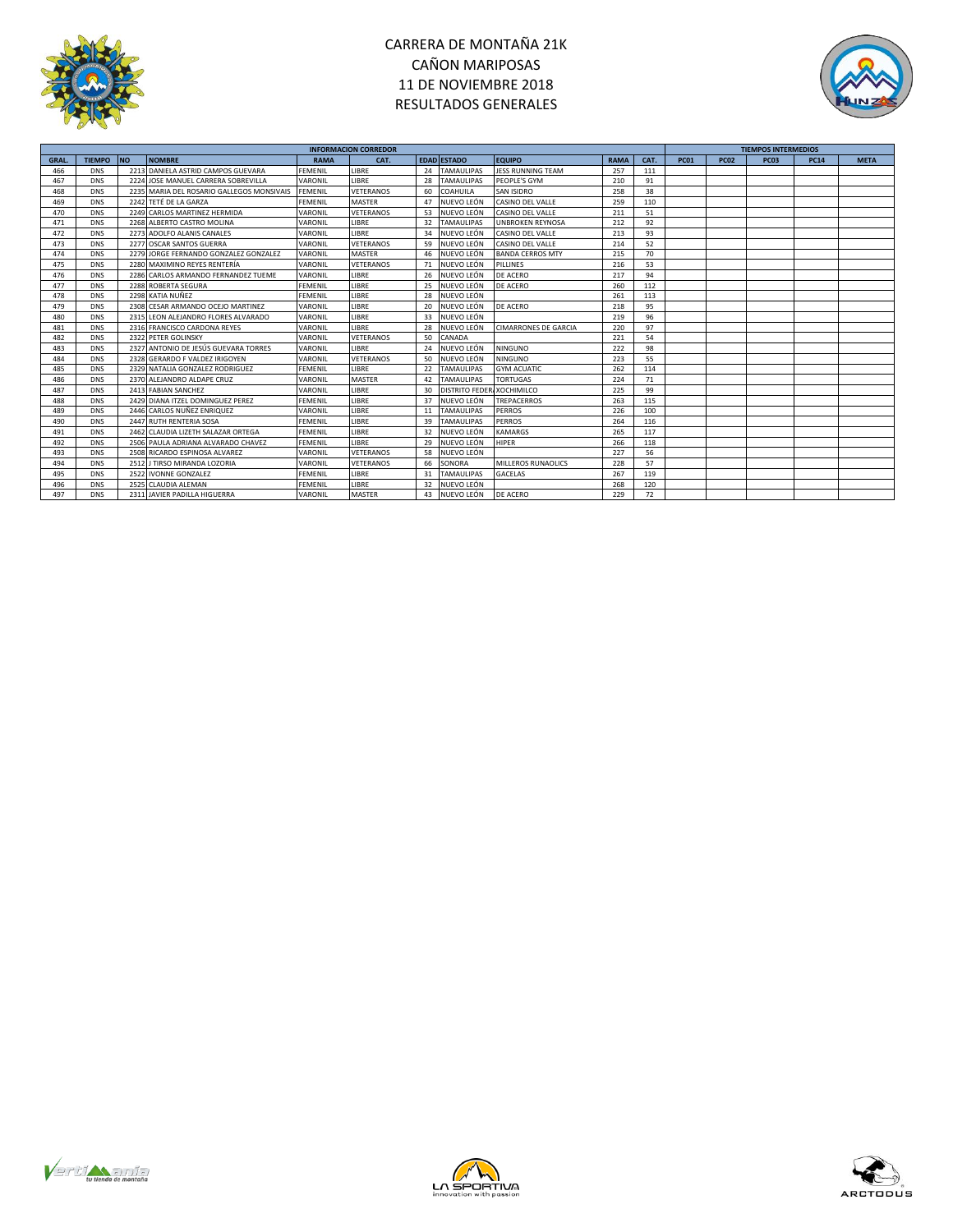



|             |               |           |                                           |                | <b>INFORMACION CORREDOR</b> |            |                           |                             |             |      |             |             | <b>TIEMPOS INTERMEDIOS</b> |             |             |
|-------------|---------------|-----------|-------------------------------------------|----------------|-----------------------------|------------|---------------------------|-----------------------------|-------------|------|-------------|-------------|----------------------------|-------------|-------------|
| <b>GRAL</b> | <b>TIEMPO</b> | <b>NO</b> | <b>NOMBRE</b>                             | <b>RAMA</b>    | CAT.                        |            | <b>EDAD ESTADO</b>        | <b>EQUIPO</b>               | <b>RAMA</b> | CAT. | <b>PC01</b> | <b>PC02</b> | <b>PC03</b>                | <b>PC14</b> | <b>META</b> |
| 466         | <b>DNS</b>    |           | 2213 DANIELA ASTRID CAMPOS GUEVARA        | <b>FEMENIL</b> | LIBRE                       | 24         | <b>TAMAULIPAS</b>         | JESS RUNNING TEAM           | 257         | 111  |             |             |                            |             |             |
| 467         | <b>DNS</b>    |           | 2224 JOSE MANUEL CARRERA SOBREVILLA       | VARONIL        | LIBRE                       | 28         | <b>TAMAULIPAS</b>         | PEOPLE'S GYM                | 210         | 91   |             |             |                            |             |             |
| 468         | <b>DNS</b>    |           | 2235 MARIA DEL ROSARIO GALLEGOS MONSIVAIS | <b>FEMENIL</b> | <b>VETERANOS</b>            | 60         | COAHUILA                  | <b>SAN ISIDRO</b>           | 258         | 38   |             |             |                            |             |             |
| 469         | <b>DNS</b>    |           | 2242 TETÉ DE LA GARZA                     | <b>FEMENIL</b> | <b>MASTER</b>               | $\Delta$ 7 | NUEVO LEÓN                | CASINO DEL VALLE            | 259         | 110  |             |             |                            |             |             |
| 470         | <b>DNS</b>    |           | 2249 CARLOS MARTINEZ HERMIDA              | VARONIL        | <b>VETERANOS</b>            | 53         | NUEVO LEÓN                | CASINO DEL VALLE            | 211         | 51   |             |             |                            |             |             |
| 471         | <b>DNS</b>    |           | 2268 ALBERTO CASTRO MOLINA                | VARONIL        | LIBRE                       | 32         | <b>TAMAULIPAS</b>         | <b>UNBROKEN REYNOSA</b>     | 212         | 92   |             |             |                            |             |             |
| 472         | <b>DNS</b>    |           | 2273 ADOLFO ALANIS CANALES                | VARONIL        | LIBRE                       | 34         | NUEVO LEÓN                | CASINO DEL VALLE            | 213         | 93   |             |             |                            |             |             |
| 473         | <b>DNS</b>    |           | 2277 OSCAR SANTOS GUERRA                  | VARONIL        | <b>VETERANOS</b>            | 59         | NUEVO LEÓN                | CASINO DEL VALLE            | 214         | 52   |             |             |                            |             |             |
| 474         | <b>DNS</b>    |           | 2279 JORGE FERNANDO GONZALEZ GONZALEZ     | VARONIL        | <b>MASTER</b>               | 46         | NUEVO LEÓN                | <b>BANDA CERROS MTY</b>     | 215         | 70   |             |             |                            |             |             |
| 475         | <b>DNS</b>    |           | 2280 MAXIMINO REYES RENTERÍA              | VARONIL        | <b>VETERANOS</b>            | 71         | NUEVO LEÓN                | <b>PILLINES</b>             | 216         | 53   |             |             |                            |             |             |
| 476         | <b>DNS</b>    | 2286      | CARLOS ARMANDO FERNANDEZ TUEME            | VARONIL        | LIBRE                       | 26         | NUEVO LEÓN                | DE ACERO                    | 217         | 94   |             |             |                            |             |             |
| 477         | <b>DNS</b>    |           | 2288 ROBERTA SEGURA                       | FEMENIL        | LIBRE                       | 25         | NUEVO LEÓN                | DE ACERO                    | 260         | 112  |             |             |                            |             |             |
| 478         | <b>DNS</b>    |           | 2298 KATIA NUÑEZ                          | <b>FEMENIL</b> | LIBRE                       | 28         | NUEVO LEÓN                |                             | 261         | 113  |             |             |                            |             |             |
| 479         | <b>DNS</b>    |           | 2308 CESAR ARMANDO OCEJO MARTINEZ         | VARONIL        | LIBRE                       | 20         | NUEVO LEÓN                | DE ACERO                    | 218         | 95   |             |             |                            |             |             |
| 480         | <b>DNS</b>    |           | 2315 LEON ALEJANDRO FLORES ALVARADO       | VARONIL        | LIBRE                       | 33         | NUEVO LEÓN                |                             | 219         | 96   |             |             |                            |             |             |
| 481         | <b>DNS</b>    |           | 2316 FRANCISCO CARDONA REYES              | VARONIL        | LIBRE                       | 28         | NUEVO LEÓN                | <b>CIMARRONES DE GARCIA</b> | 220         | 97   |             |             |                            |             |             |
| 482         | <b>DNS</b>    |           | 2322 PETER GOLINSKY                       | VARONIL        | <b>VETERANOS</b>            | 50         | CANADA                    |                             | 221         | 54   |             |             |                            |             |             |
| 483         | <b>DNS</b>    |           | 2327 ANTONIO DE JESÚS GUEVARA TORRES      | VARONIL        | LIBRE                       | 24         | NUEVO LEÓN                | <b>NINGUNO</b>              | 222         | 98   |             |             |                            |             |             |
| 484         | <b>DNS</b>    | 2328      | <b>GERARDO F VALDEZ IRIGOYEN</b>          | VARONIL        | <b>VETERANOS</b>            | 50         | NUEVO LEÓN                | <b>NINGUNO</b>              | 223         | 55   |             |             |                            |             |             |
| 485         | <b>DNS</b>    |           | 2329 NATALIA GONZALEZ RODRIGUEZ           | <b>FEMENIL</b> | LIBRE                       | 22         | <b>TAMAULIPAS</b>         | <b>GYM ACUATIC</b>          | 262         | 114  |             |             |                            |             |             |
| 486         | <b>DNS</b>    |           | 2370 ALEJANDRO ALDAPE CRUZ                | VARONIL        | <b>MASTER</b>               | 42         | <b>TAMAULIPAS</b>         | <b>TORTUGAS</b>             | 224         | 71   |             |             |                            |             |             |
| 487         | <b>DNS</b>    |           | 2413 FABIAN SANCHEZ                       | VARONIL        | LIBRE                       | 30         | DISTRITO FEDER XOCHIMILCO |                             | 225         | 99   |             |             |                            |             |             |
| 488         | <b>DNS</b>    |           | 2429 DIANA ITZEL DOMINGUEZ PEREZ          | <b>FEMENIL</b> | LIBRE                       | 37         | NUEVO LEÓN                | <b>TREPACERROS</b>          | 263         | 115  |             |             |                            |             |             |
| 489         | <b>DNS</b>    |           | 2446 CARLOS NUÑEZ ENRIQUEZ                | VARONIL        | LIBRE                       | 11         | <b>TAMAULIPAS</b>         | <b>PERROS</b>               | 226         | 100  |             |             |                            |             |             |
| 490         | <b>DNS</b>    |           | 2447 RUTH RENTERIA SOSA                   | <b>FEMENIL</b> | LIBRE                       | 39         | <b>TAMAULIPAS</b>         | <b>PERROS</b>               | 264         | 116  |             |             |                            |             |             |
| 491         | <b>DNS</b>    |           | 2462 CLAUDIA LIZETH SALAZAR ORTEGA        | <b>FEMENIL</b> | LIBRE                       | 32         | NUEVO LEÓN                | <b>KAMARGS</b>              | 265         | 117  |             |             |                            |             |             |
| 492         | <b>DNS</b>    |           | 2506 PAULA ADRIANA ALVARADO CHAVEZ        | <b>FEMENIL</b> | LIBRE                       | 29         | NUEVO LEÓN                | <b>HIPER</b>                | 266         | 118  |             |             |                            |             |             |
| 493         | <b>DNS</b>    |           | 2508 RICARDO ESPINOSA ALVAREZ             | VARONIL        | <b>VETERANOS</b>            | 58         | NUEVO LEÓN                |                             | 227         | 56   |             |             |                            |             |             |
| 494         | <b>DNS</b>    |           | 2512 J TIRSO MIRANDA LOZORIA              | VARONIL        | <b>VETERANOS</b>            | 66         | SONORA                    | MILLEROS RUNAOLICS          | 228         | 57   |             |             |                            |             |             |
| 495         | <b>DNS</b>    |           | 2522 IVONNE GONZALEZ                      | <b>FEMENIL</b> | LIBRE                       | 31         | <b>TAMAULIPAS</b>         | <b>GACELAS</b>              | 267         | 119  |             |             |                            |             |             |
| 496         | <b>DNS</b>    |           | 2525 CLAUDIA ALEMAN                       | <b>FEMENIL</b> | LIBRE                       | 32         | NUEVO LEÓN                |                             | 268         | 120  |             |             |                            |             |             |
| 497         | <b>DNS</b>    |           | 2311 JAVIER PADILLA HIGUERRA              | VARONIL        | <b>MASTER</b>               | 43         | NUEVO LEÓN                | DE ACERO                    | 229         | 72   |             |             |                            |             |             |





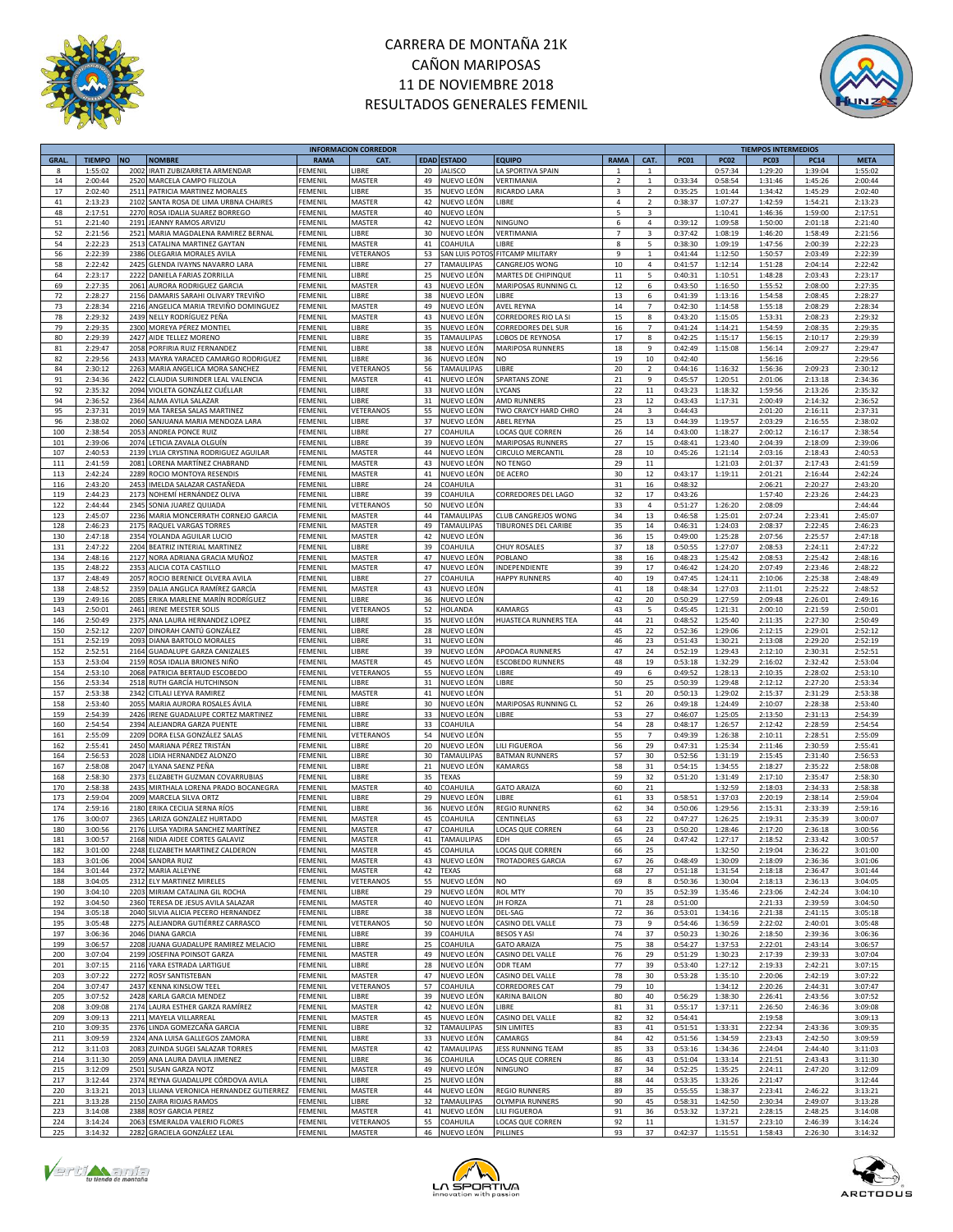



|             |               |           |                                                                       |                | <b>INFORMACION CORREDOR</b> |             |                   |                            |                |                         |                    |             | <b>TIEMPOS INTERMEDIOS</b> |             |             |
|-------------|---------------|-----------|-----------------------------------------------------------------------|----------------|-----------------------------|-------------|-------------------|----------------------------|----------------|-------------------------|--------------------|-------------|----------------------------|-------------|-------------|
| <b>GRAL</b> | <b>TIEMPO</b> | <b>NO</b> | <b>NOMBRE</b>                                                         | <b>RAMA</b>    | CAT.                        | <b>EDAD</b> | <b>ESTADO</b>     | <b>EQUIPO</b>              | <b>RAMA</b>    | CAT.                    | <b>PC01</b>        | <b>PC02</b> | PC03                       | <b>PC14</b> | <b>META</b> |
| 8           | 1:55:02       | 2002      | IRATI ZUBIZARRETA ARMENDAR                                            | FEMENIL        | <b>IBRE</b>                 | 20          | <b>IALISCO</b>    | LA SPORTIVA SPAIN          | $\mathbf{1}$   | 1                       |                    | 0:57:34     | 1:29:20                    | 1:39:04     | 1:55:02     |
| 14          | 2:00:44       | 2520      | MARCELA CAMPO FILIZOLA                                                | FEMENIL        | MASTER                      | 49          | NUEVO LEÓN        | VERTIMANIA                 | $\overline{2}$ | $\mathbf{1}$            | 0:33:34            | 0:58:54     | 1:31:46                    | 1:45:26     | 2:00:44     |
| 17          | 2:02:40       | 251       | PATRICIA MARTINEZ MORALES                                             | FEMENIL        | LIBRE                       | 35          | NUEVO LEÓN        | RICARDO LARA               | 3              | $\overline{2}$          | 0:35:25            | 1:01:44     | 1:34:42                    | 1:45:29     | 2:02:40     |
| 41          | 2:13:23       | 2102      | SANTA ROSA DE LIMA URBNA CHAIRES                                      | FEMENIL        | MASTER                      | 42          | NUEVO LEÓN        | LIBRE                      | $\overline{4}$ | $\overline{2}$          | 0:38:37            | 1:07:27     | 1:42:59                    | 1:54:21     | 2:13:23     |
| 48          | 2:17:51       | 2270      |                                                                       | FEMENIL        | MASTER                      | 40          | NUEVO LEÓN        |                            | 5              | $\overline{\mathbf{3}}$ |                    | 1:10:41     | 1:46:36                    | 1:59:00     | 2:17:51     |
|             |               |           | ROSA IDALIA SUAREZ BORREGO                                            |                |                             |             |                   |                            |                |                         |                    |             |                            |             |             |
| 51          | 2:21:40       | 2191      | JEANNY RAMOS ARVIZU                                                   | FEMENIL        | MASTER                      | 42          | NUEVO LEÓN        | NINGUNO                    | 6              | 4                       | 0:39:12            | 1:09:58     | 1:50:00                    | 2:01:18     | 2:21:40     |
| 52          | 2:21:56       | 2521      | MARIA MAGDALENA RAMIREZ BERNAL                                        | FEMENIL        | LIBRE                       | 30          | NUEVO LEÓN        | VERTIMANIA                 | $\overline{7}$ | $\overline{\mathbf{3}}$ | 0:37:42            | 1:08:19     | 1:46:20                    | 1:58:49     | 2:21:56     |
| 54          | 2:22:23       | 2513      | CATALINA MARTINEZ GAYTAN                                              | FEMENIL        | MASTER                      | 41          | COAHUILA          | LIBRE                      | 8              | 5                       | 0:38:30            | 1:09:19     | 1:47:56                    | 2:00:39     | 2:22:23     |
| 56          | 2:22:39       | 2386      | OLEGARIA MORALES AVILA                                                | FEMENIL        | VETERANOS                   | 53          | SAN LUIS POTO     | FITCAMP MILITARY           | 9              | $\mathbf{1}$            | 0:41:44            | 1:12:50     | 1:50:57                    | 2:03:49     | 2:22:39     |
| 58          | 2:22:42       | 242       | GLENDA IVAYNS NAVARRO LARA                                            | FEMENIL        | LIBRE                       | 27          | <b>TAMAULIPAS</b> | CANGREJOS WONG             | 10             | $\overline{4}$          | 0:41:57            | 1:12:14     | 1:51:28                    | 2:04:14     | 2:22:42     |
| 64          | 2:23:17       | 2222      | DANIELA FARIAS ZORRILLA                                               | FEMENIL        | LIBRE                       | 25          | NUEVO LEÓN        | MARTES DE CHIPINQUE        | 11             | 5                       | 0:40:31            | 1:10:51     | 1:48:28                    | 2:03:43     | 2:23:17     |
| 69          | 2:27:35       | 2061      | AURORA RODRIGUEZ GARCIA                                               | FEMENIL        | MASTER                      | 43          | NUEVO LEÓN        | MARIPOSAS RUNNING CL       | 12             | 6                       | 0:43:50            | 1:16:50     | 1:55:52                    | 2:08:00     | 2:27:35     |
| 72          | 2:28:27       | 2156      | DAMARIS SARAHI OLIVARY TREVIÑO                                        | FEMENIL        | LIBRE                       | 38          | NUEVO LEÓN        | LIBRE                      | 13             | 6                       | 0:41:39            | 1:13:16     | 1:54:58                    | 2:08:45     | 2:28:27     |
| 73          | 2:28:34       | 2216      | ANGELICA MARIA TREVIÑO DOMINGUEZ                                      | FEMENIL        | MASTER                      | 49          | NUEVO LEÓN        | AVEL REYNA                 | 14             | $\overline{7}$          | 0:42:30            | 1:14:58     | 1:55:18                    | 2:08:29     | 2:28:34     |
| 78          | 2:29:32       | 2439      | NELLY RODRÍGUEZ PEÑA                                                  | FEMENIL        | MASTER                      | 43          | NUEVO LEÓN        | CORREDORES RIO LA SI       | 15             | 8                       | 0:43:20            | 1:15:05     | 1:53:31                    | 2:08:23     | 2:29:32     |
| 79          | 2:29:35       | 2300      | MOREYA PÉREZ MONTIEL                                                  | FEMENIL        | LIBRE                       | 35          | NUEVO LEÓN        | CORREDORES DEL SUR         | 16             | $\overline{7}$          | 0:41:24            | 1:14:21     | 1:54:59                    | 2:08:35     | 2:29:35     |
| 80          | 2:29:39       |           | AIDE TELLEZ MORENO                                                    | FEMENIL        | LIBRE                       | 35          | <b>TAMAULIPAS</b> |                            | 17             | 8                       | 0:42:25            | 1:15:17     | 1:56:15                    |             | 2:29:39     |
|             |               | 2427      |                                                                       |                |                             |             |                   | OBOS DE REYNOSA            |                |                         |                    |             |                            | 2:10:17     |             |
| 81          | 2:29:47       | 2058      | PORFIRIA RUIZ FERNANDEZ                                               | FEMENIL        | LIBRE                       | 38          | NUEVO LEÓN        | MARIPOSA RUNNERS           | 18             | 9                       | 0:42:49            | 1:15:08     | 1:56:14                    | 2:09:27     | 2:29:47     |
| 82          | 2:29:56       | 2433      | MAYRA YARACED CAMARGO RODRIGUEZ                                       | FEMENIL        | LIBRE                       | 36          | NUEVO LEÓN        | NO                         | 19             | 10                      | 0:42:40            |             | 1:56:16                    |             | 2:29:56     |
| 84          | 2:30:12       | 2263      | MARIA ANGELICA MORA SANCHEZ                                           | FEMENIL        | VETERANOS                   | 56          | TAMAULIPAS        | LIBRE                      | 20             | $\overline{2}$          | 0:44:16            | 1:16:32     | 1:56:36                    | 2:09:23     | 2:30:12     |
| 91          | 2:34:36       | 2422      | CLAUDIA SURINDER LEAL VALENCIA                                        | FEMENIL        | MASTER                      | 41          | NUEVO LEÓN        | <b>SPARTANS ZONE</b>       | 21             | 9                       | 0:45:57            | 1:20:51     | 2:01:06                    | 2:13:18     | 2:34:36     |
| 92          | 2:35:32       | 2094      | VIOLETA GONZÁLEZ CUÉLLAR                                              | FEMENIL        | LIBRE                       | 33          | NUEVO LEÓN        | LYCANS                     | 22             | $11\,$                  | 0:43:23            | 1:18:32     | 1:59:56                    | 2:13:26     | 2:35:32     |
| 94          | 2:36:52       | 2364      | ALMA AVILA SALAZAR                                                    | FEMENIL        | LIBRE                       | 31          | NUEVO LEÓN        | AMD RUNNERS                | 23             | 12                      | 0:43:43            | 1:17:31     | 2:00:49                    | 2:14:32     | 2:36:52     |
| 95          | 2:37:31       | 2019      | MA TARESA SALAS MARTINEZ                                              | FEMENIL        | VETERANOS                   | 55          | NUEVO LEÓN        | TWO CRAYCY HARD CHRO       | 24             | $\mathsf 3$             | 0:44:43            |             | 2:01:20                    | 2:16:11     | 2:37:31     |
| 96          | 2:38:02       | 2060      | SANJUANA MARIA MENDOZA LARA                                           | FEMENIL        | LIBRE                       | 37          | NUEVO LEÓN        | ABEL REYNA                 | 25             | 13                      | 0:44:39            | 1:19:57     | 2:03:29                    | 2:16:55     | 2:38:02     |
| 100         | 2:38:54       | 2053      | ANDREA PONCE RUIZ                                                     | FEMENIL        | <b>IBRE</b>                 | 27          | COAHUILA          | LOCAS QUE CORREN           | 26             | 14                      | 0:43:00            | 1:18:27     | 2:00:12                    | 2:16:17     | 2:38:54     |
| 101         | 2:39:06       | 2074      | LETICIA ZAVALA OLGUÍN                                                 | FEMENIL        | LIBRE                       | 39          | NUEVO LEÓN        | MARIPOSAS RUNNERS          | 27             | 15                      | 0:48:41            | 1:23:40     | 2:04:39                    | 2:18:09     | 2:39:06     |
| 107         | 2:40:53       | 2139      | LYLIA CRYSTINA RODRIGUEZ AGUILAR                                      | FEMENIL        | MASTER                      | 44          | NUEVO LEÓN        | CIRCULO MERCANTII          | 28             | 10                      | 0:45:26            | 1:21:14     | 2:03:16                    | 2:18:43     | 2:40:53     |
| 111         | 2:41:59       | 2081      | LORENA MARTÍNEZ CHABRAND                                              | FEMENIL        | MASTER                      | 43          | NUEVO LEÓN        | NO TENGO                   | 29             | $11\,$                  |                    | 1:21:03     | 2:01:37                    | 2:17:43     | 2:41:59     |
| 113         | 2:42:24       | 2289      | ROCIO MONTOYA RESENDIS                                                | FEMENIL        | MASTER                      | 41          | NUEVO LEÓN        | DE ACERO                   | 30             | 12                      | 0:43:17            | 1:19:11     | 2:01:21                    | 2:16:44     | 2:42:24     |
|             |               |           | IMELDA SALAZAR CASTAÑEDA                                              | FEMENIL        | LIBRE                       | 24          | COAHUILA          |                            |                |                         |                    |             |                            |             |             |
| 116         | 2:43:20       | 2453      |                                                                       |                |                             |             |                   |                            | 31             | 16                      | 0:48:32            |             | 2:06:21                    | 2:20:27     | 2:43:20     |
| 119         | 2:44:23       | 2173      | NOHEMÍ HERNÁNDEZ OLIVA                                                | FEMENIL        | LIBRE                       | 39          | COAHUILA          | CORREDORES DEL LAGO        | 32             | 17                      | 0:43:26            |             | 1:57:40                    | 2:23:26     | 2:44:23     |
| 122         | 2:44:44       | 2345      | SONIA JUAREZ QUIJADA                                                  | FEMENIL        | VETERANOS                   | 50          | NUEVO LEÓN        |                            | 33             | 4                       | 0:51:27            | 1:26:20     | 2:08:09                    |             | 2:44:44     |
| 123         | 2:45:07       | 2236      | MARIA MONCERRATH CORNEJO GARCIA                                       | FEMENIL        | MASTER                      | 44          | <b>TAMAULIPAS</b> | <b>CLUB CANGREJOS WONG</b> | 34             | 13                      | 0:46:58            | 1:25:01     | 2:07:24                    | 2:23:41     | 2:45:07     |
| 128         | 2:46:23       | 2175      | RAQUEL VARGAS TORRES                                                  | FEMENIL        | MASTER                      | 49          | <b>TAMAULIPAS</b> | TIBURONES DEL CARIBE       | 35             | 14                      | 0:46:31            | 1:24:03     | 2:08:37                    | 2:22:45     | 2:46:23     |
| 130         | 2:47:18       | 2354      | YOLANDA AGUILAR LUCIO                                                 | FEMENIL        | MASTER                      | 42          | NUEVO LEÓN        |                            | 36             | 15                      | 0:49:00            | 1:25:28     | 2:07:56                    | 2:25:57     | 2:47:18     |
| 131         | 2:47:22       | 2204      | BEATRIZ INTERIAL MARTINEZ                                             | FEMENIL        | <b>IBRE</b>                 | 39          | COAHUILA          | <b>CHUY ROSALES</b>        | 37             | 18                      | 0:50:55            | 1:27:07     | 2:08:53                    | 2:24:11     | 2:47:22     |
| 134         | 2:48:16       | 2127      | NORA ADRIANA GRACIA MUÑOZ                                             | <b>FEMENIL</b> | MASTER                      | 47          | NUEVO LEÓN        | POBLANO                    | 38             | 16                      | 0:48:23            | 1:25:42     | 2:08:53                    | 2:25:42     | 2:48:16     |
| 135         | 2:48:22       | 2353      | ALICIA COTA CASTILLO                                                  | FEMENIL        | MASTER                      | 47          | NUEVO LEÓN        | INDEPENDIENTE              | 39             | 17                      | 0:46:42            | 1:24:20     | 2:07:49                    | 2:23:46     | 2:48:22     |
| 137         | 2:48:49       | 2057      | ROCIO BERENICE OLVERA AVILA                                           | FEMENIL        | LIBRE                       | 27          | COAHUILA          | <b>HAPPY RUNNERS</b>       | 40             | 19                      | 0:47:45            | 1:24:11     | 2:10:06                    | 2:25:38     | 2:48:49     |
| 138         | 2:48:52       | 2359      | DALIA ANGLICA RAMÍREZ GARCÍA                                          | FEMENIL        | MASTER                      | 43          | NUEVO LEÓN        |                            | 41             | 18                      | 0:48:34            | 1:27:03     | 2:11:01                    | 2:25:22     | 2:48:52     |
| 139         | 2:49:16       | 2085      | ERIKA MARLENE MARÍN RODRÍGUEZ                                         | FEMENIL        | LIBRE                       | 36          | NUEVO LEÓN        |                            | 42             | 20                      | 0:50:29            | 1:27:59     | 2:09:48                    | 2:26:01     | 2:49:16     |
| 143         | 2:50:01       | 2461      | IRENE MEESTER SOLIS                                                   | FEMENIL        | VETERANOS                   | 52          | HOLANDA           | KAMARGS                    | 43             | 5                       | 0:45:45            | 1:21:31     | 2:00:10                    | 2:21:59     | 2:50:01     |
| 146         | 2:50:49       | 2375      |                                                                       | FEMENIL        |                             | 35          | NUEVO LEÓN        | HUASTECA RUNNERS TEA       | 44             | 21                      | 0:48:52            | 1:25:40     |                            |             | 2:50:49     |
|             |               |           | ANA LAURA HERNANDEZ LOPEZ                                             |                | LIBRE                       |             |                   |                            |                |                         |                    |             | 2:11:35                    | 2:27:30     |             |
| 150         | 2:52:12       | 2207      | DINORAH CANTÚ GONZÁLEZ                                                | FEMENIL        | LIBRE                       | 28          | NUEVO LEÓN        |                            | 45             | 22                      | 0:52:36            | 1:29:06     | 2:12:15                    | 2:29:01     | 2:52:12     |
| 151         | 2:52:19       | 2093      | DIANA BARTOLO MORALES                                                 | FEMENIL        | LIBRE                       | 31          | NUEVO LEÓN        |                            | 46             | 23                      | 0:51:43            | 1:30:21     | 2:13:08                    | 2:29:20     | 2:52:19     |
| 152         | 2:52:51       | 2164      | <b>GUADALUPE GARZA CANIZALES</b>                                      | FEMENIL        | LIBRE                       | 39          | NUEVO LEÓN        | APODACA RUNNERS            | 47             | 24                      | 0:52:19            | 1:29:43     | 2:12:10                    | 2:30:31     | 2:52:51     |
| 153         | 2:53:04       | 2159      | ROSA IDALIA BRIONES NIÑO                                              | FEMENIL        | MASTER                      | 45          | NUEVO LEÓN        | <b>ESCOBEDO RUNNERS</b>    | 48             | 19                      | 0:53:18            | 1:32:29     | 2:16:02                    | 2:32:42     | 2:53:04     |
| 154         | 2:53:10       | 2068      | PATRICIA BERTAUD ESCOBEDO                                             | FEMENIL        | VETERANOS                   | 55          | NUEVO LEÓN        | LIBRE                      | 49             | 6                       | 0:49:52            | 1:28:13     | 2:10:35                    | 2:28:02     | 2:53:10     |
| 156         | 2:53:34       | 2518      | RUTH GARCÍA HUTCHINSON                                                | FEMENIL        | <b>IBRE</b>                 | 31          | NUEVO LEÓN        | LIBRE                      | 50             | 25                      | 0:50:39            | 1:29:48     | 2:12:12                    | 2:27:20     | 2:53:34     |
| 157         | 2:53:38       | 2342      | CITLALI LEYVA RAMIREZ                                                 | FEMENIL        | MASTER                      | 41          | NUEVO LEÓN        |                            | 51             | 20                      | 0:50:13            | 1:29:02     | 2:15:37                    | 2:31:29     | 2:53:38     |
| 158         | 2:53:40       | 2055      | MARIA AURORA ROSALES ÁVILA                                            | FEMENIL        | LIBRE                       | 30          | NUEVO LEÓN        | MARIPOSAS RUNNING CL       | 52             | 26                      | 0:49:18            | 1:24:49     | 2:10:07                    | 2:28:38     | 2:53:40     |
| 159         | 2:54:39       | 242       | RENE GUADALUPE CORTEZ MARTINEZ                                        | FEMENIL        | <b>IBRE</b>                 | 33          | NUEVO LEÓN        | LIBRE                      | 53             | 27                      | 0:46:07            | 1:25:05     | 2:13:50                    | 2:31:13     | 2:54:39     |
| 160         | 2:54:54       | 2394      | ALEJANDRA GARZA PUENTE                                                | FEMENIL        | <b>IBRE</b>                 | 33          | COAHUILA          |                            | 54             | 28                      | 0:48:17            | 1:26:57     | 2:12:42                    | 2:28:59     | 2:54:54     |
| 161         | 2:55:09       | 2209      | DORA ELSA GONZÁLEZ SALAS                                              | FEMENIL        | VETERANOS                   | 54          | NUEVO LEÓN        |                            | 55             | $\overline{7}$          | 0:49:39            | 1:26:38     | 2:10:11                    | 2:28:51     | 2:55:09     |
| 162         | 2:55:41       | 2450      | MARIANA PÉREZ TRISTÁN                                                 | FEMENIL        | LIBRE                       | 20          | NUEVO LEÓN        | LILI FIGUEROA              | 56             | 29                      | 0:47:31            | 1:25:34     | 2:11:46                    | 2:30:59     | 2:55:41     |
| 164         | 2:56:53       | 2028      | IDIA HERNANDEZ ALONZO                                                 | FEMENIL        | LIBRE                       | 30          | <b>TAMAULIPAS</b> | <b>BATMAN RUNNERS</b>      | 57             | 30                      | 0:52:56            | 1:31:19     | 2:15:45                    | 2:31:40     | 2:56:53     |
|             |               |           | ILYANA SAENZ PEÑA                                                     |                |                             |             |                   |                            |                |                         |                    |             |                            |             |             |
| 167         | 2:58:08       | 2047      |                                                                       | FEMENIL        | <b>IBRE</b>                 | 21          | NUEVO LEÓN        | KAMARGS                    | 58             | 31                      | 0:54:15            | 1:34:55     | 2:18:27                    | 2:35:22     | 2:58:08     |
| 168         | 2:58:30       | 2373      | ELIZABETH GUZMAN COVARRUBIAS                                          | FEMENIL        | <b>IBRE</b>                 | 35          | TEXAS             |                            | 59             | 32                      | 0:51:20            | 1:31:49     | 2:17:10                    | 2:35:47     | 2:58:30     |
| 170         | 2:58:38       | 2435      | MIRTHALA LORENA PRADO BOCANEGRA                                       | FEMENIL        | MASTER                      | 40          | <b>COAHUILA</b>   | <b>GATO ARAIZA</b>         | 60             | 21                      |                    | 1:32:59     | 2:18:03                    | 2:34:33     | 2:58:38     |
| 173         | 2:59:04       | 2009      | MARCELA SILVA ORTZ                                                    | FEMENIL        | LIBRE                       | 29          | NUEVO LEÓN        | LIBRE                      | 61             | 33                      | 0:58:51            | 1:37:03     | 2:20:19                    | 2:38:14     | 2:59:04     |
| 174         | 2:59:16       | 2180      | ERIKA CECILIA SERNA RÍOS                                              | FEMENIL        | <b>IBRE</b>                 | 36          | NUEVO LEÓN        | <b>REGIO RUNNERS</b>       | 62             | 34                      | 0:50:06            | 1:29:56     | 2:15:31                    | 2:33:39     | 2:59:16     |
| 176         | 3:00:07       | 2365      | LARIZA GONZALEZ HURTADO                                               | FEMENIL        | MASTER                      | 45          | COAHUILA          | CENTINELAS                 | 63             | 22                      | 0:47:27            | 1:26:25     | 2:19:31                    | 2:35:39     | 3:00:07     |
| 180         | 3:00:56       | 2176      | LUISA YADIRA SANCHEZ MARTÍNEZ                                         | FEMENIL        | MASTER                      | 47          | COAHUILA          | LOCAS QUE CORREN           | 64             | 23                      | 0:50:20            | 1:28:46     | 2:17:20                    | 2:36:18     | 3:00:56     |
| 181         | 3:00:57       |           | 2168 NIDIA AIDEE CORTES GALAVIZ                                       | FEMENIL        | MASTER                      | 41          | <b>TAMAULIPAS</b> | <b>EDH</b>                 | 65             | 24                      | 0:47:42            | 1:27:17     | 2:18:52                    | 2:33:42     | 3:00:57     |
| 182         | 3:01:00       |           | 2248 ELIZABETH MARTINEZ CALDERON                                      | <b>FEMENIL</b> | MASTER                      | 45          | COAHUILA          | LOCAS QUE CORREN           | 66             | 25                      |                    | 1:32:50     | 2:19:04                    | 2:36:22     | 3:01:00     |
| 183         | 3:01:06       | 2004      | SANDRA RUIZ                                                           | <b>FEMENIL</b> | MASTER                      | 43          | NUEVO LEÓN        | <b>TROTADORES GARCIA</b>   | 67             | 26                      | 0:48:49            | 1:30:09     | 2:18:09                    | 2:36:36     | 3:01:06     |
| 184         | 3:01:44       |           | 2372 MARIA ALLEYNE                                                    | FEMENIL        | MASTER                      | 42          | <b>TEXAS</b>      |                            | 68             | 27                      | 0:51:18            | 1:31:54     | 2:18:18                    | 2:36:47     | 3:01:44     |
| 188         | 3:04:05       | 2312      | ELY MARTINEZ MIRELES                                                  | FEMENIL        | VETERANOS                   | 55          | NUEVO LEÓN        | <b>NO</b>                  | 69             | 8                       | 0:50:36            | 1:30:04     | 2:18:13                    | 2:36:13     | 3:04:05     |
| 190         | 3:04:10       | 2203      | MIRIAM CATALINA GIL ROCHA                                             | FEMENIL        | LIBRE                       | 29          | NUEVO LEÓN        | <b>ROL MTY</b>             | 70             | 35                      | 0:52:39            | 1:35:46     | 2:23:06                    | 2:42:24     | 3:04:10     |
| 192         | 3:04:50       | 2360      | TERESA DE JESUS AVILA SALAZAR                                         | FEMENIL        | MASTER                      | 40          | NUEVO LEÓN        | <b>JH FORZA</b>            | $71\,$         | 28                      | 0:51:00            |             | 2:21:33                    | 2:39:59     | 3:04:50     |
| 194         | 3:05:18       |           | 2040 SILVIA ALICIA PECERO HERNANDEZ                                   | FEMENIL        | LIBRE                       | 38          | NUEVO LEÓN        | DEL-SAG                    | 72             | 36                      | 0:53:01            | 1:34:16     | 2:21:38                    | 2:41:15     | 3:05:18     |
| 195         | 3:05:48       | 2275      |                                                                       | FEMENIL        | VETERANOS                   | 50          | NUEVO LEÓN        | CASINO DEL VALLE           | 73             | 9                       | 0:54:46            | 1:36:59     | 2:22:02                    | 2:40:01     |             |
|             |               |           | ALEJANDRA GUTIÉRREZ CARRASCO                                          |                |                             |             |                   |                            |                |                         |                    |             |                            |             | 3:05:48     |
| 197         | 3:06:36       | 2046      | <b>DIANA GARCIA</b>                                                   | FEMENIL        | LIBRE                       | 39          | COAHUILA          | <b>BESOS Y ASI</b>         | 74             | 37                      | 0:50:23            | 1:30:26     | 2:18:50                    | 2:39:36     | 3:06:36     |
| 199         | 3:06:57       | 2208      | JUANA GUADALUPE RAMIREZ MELACIO                                       | FEMENIL        | LIBRE                       | 25          | COAHUILA          | <b>GATO ARAIZA</b>         | 75             | 38                      | 0:54:27            | 1:37:53     | 2:22:01                    | 2:43:14     | 3:06:57     |
| 200         | 3:07:04       | 2199      | JOSEFINA POINSOT GARZA                                                | FEMENIL        | MASTER                      | 49          | NUEVO LEÓN        | CASINO DEL VALLE           | 76             | 29                      | 0:51:29            | 1:30:23     | 2:17:39                    | 2:39:33     | 3:07:04     |
| 201         | 3:07:15       |           | 2116 YARA ESTRADA LARTIGUE                                            | FEMENIL        | LIBRE                       | 28          | NUEVO LEÓN        | ODR TEAM                   | 77             | 39                      | 0:53:40            | 1:27:12     | 2:19:33                    | 2:42:21     | 3:07:15     |
| 203         | 3:07:22       | 2272      | ROSY SANTISTEBAN                                                      | FEMENIL        | MASTER                      | 47          | NUEVO LEÓN        | CASINO DEL VALLE           | 78             | 30                      | 0:53:28            | 1:35:10     | 2:20:06                    | 2:42:19     | 3:07:22     |
| 204         | 3:07:47       | 2437      | KENNA KINSLOW TEEL                                                    | <b>FEMENIL</b> | VETERANOS                   | 57          | COAHUILA          | CORREDORES CAT             | 79             | 10                      |                    | 1:34:12     | 2:20:26                    | 2:44:31     | 3:07:47     |
| 205         | 3:07:52       | 2428      | KARLA GARCIA MENDEZ                                                   | FEMENIL        | <b>IBRE</b>                 | 39          | NUEVO LEÓN        | KARINA BAILON              | 80             | 40                      | 0:56:29            | 1:38:30     | 2:26:41                    | 2:43:56     | 3:07:52     |
| 208         | 3:09:08       | 2174      | LAURA ESTHER GARZA RAMÍREZ                                            | FEMENIL        | MASTER                      | 42          | NUEVO LEÓN        | LIBRE                      | 81             | 31                      | 0:55:17            | 1:37:11     | 2:26:50                    | 2:46:36     | 3:09:08     |
| 209         | 3:09:13       | 2211      | MAYELA VILLARREAL                                                     | FEMENIL        | MASTER                      | 45          | NUEVO LEÓN        | CASINO DEL VALLE           | 82             | 32                      | 0:54:41            |             | 2:19:58                    |             | 3:09:13     |
| 210         | 3:09:35       | 2376      | LINDA GOMEZCAÑA GARCIA                                                | FEMENIL        | LIBRE                       | 32          | TAMAULIPAS        | SIN LIMITES                | 83             | 41                      | 0:51:51            | 1:33:31     | 2:22:34                    | 2:43:36     | 3:09:35     |
| 211         | 3:09:59       | 2324      | ANA LUISA GALLEGOS ZAMORA                                             | FEMENIL        | <b>IBRE</b>                 | 33          | NUEVO LEÓN        | CAMARGS                    | 84             | 42                      | 0:51:56            | 1:34:59     | 2:23:43                    | 2:42:50     | 3:09:59     |
| 212         | 3:11:03       | 2083      | ZUINDA SUGEI SALAZAR TORRES                                           | FEMENIL        | MASTER                      | 42          | TAMAULIPAS        | JESS RUNNING TEAM          | 85             | 33                      | 0:53:16            | 1:34:36     | 2:24:04                    | 2:44:40     | 3:11:03     |
| 214         | 3:11:30       | 2059      | ANA LAURA DAVILA JIMENEZ                                              | FEMENIL        | LIBRE                       | 36          | COAHUILA          | LOCAS QUE CORREN           | 86             | 43                      | 0:51:04            | 1:33:14     | 2:21:51                    | 2:43:43     | 3:11:30     |
| 215         | 3:12:09       | 2501      | SUSAN GARZA NOTZ                                                      | <b>FEMENIL</b> | MASTER                      | 49          | NUEVO LEÓN        | NINGUNO                    | 87             | 34                      | 0:52:25            | 1:35:25     | 2:24:11                    | 2:47:20     | 3:12:09     |
| 217         | 3:12:44       | 2374      |                                                                       | FEMENIL        | LIBRE                       | 25          | NUEVO LEÓN        |                            | 88             | 44                      |                    | 1:33:26     | 2:21:47                    |             | 3:12:44     |
| 220         | 3:13:21       |           | REYNA GUADALUPE CÓRDOVA AVILA<br>LILIANA VERONICA HERNANDEZ GUTIERREZ | FEMENIL        | MASTER                      |             | NUEVO LEÓN        |                            | 89             | 35                      | 0:53:35<br>0:55:55 |             |                            |             |             |
|             |               | 2013      |                                                                       |                |                             | 44          |                   | <b>REGIO RUNNERS</b>       |                |                         |                    | 1:38:37     | 2:23:41                    | 2:46:22     | 3:13:21     |
| 221         | 3:13:28       | 2150      | ZAIRA RIOJAS RAMOS                                                    | FEMENIL        | LIBRE                       | 32          | <b>TAMAULIPAS</b> | <b>OLYMPIA RUNNERS</b>     | 90             | 45                      | 0:58:31            | 1:42:50     | 2:30:34                    | 2:49:07     | 3:13:28     |
| 223         | 3:14:08       | 2388      | ROSY GARCIA PEREZ                                                     | FEMENIL        | MASTER                      | 41          | NUEVO LEÓN        | LILI FIGUEROA              | 91             | 36                      | 0:53:32            | 1:37:21     | 2:28:15                    | 2:48:25     | 3:14:08     |
| 224         | 3:14:24       | 2063      | ESMERALDA VALERIO FLORES                                              | <b>FEMENIL</b> | VETERANOS                   | 55          | COAHUILA          | LOCAS QUE CORREN           | 92             | $11\,$                  |                    | 1:31:57     | 2:23:10                    | 2:46:39     | 3:14:24     |
| 225         | 3:14:32       |           | 2282 GRACIELA GONZÁLEZ LEAL                                           | FEMENIL        | MASTER                      |             | 46 NUEVO LEÓN     | PILLINES                   | 93             | 37                      | 0:42:37            | 1:15:51     | 1:58:43                    | 2:26:30     | 3:14:32     |





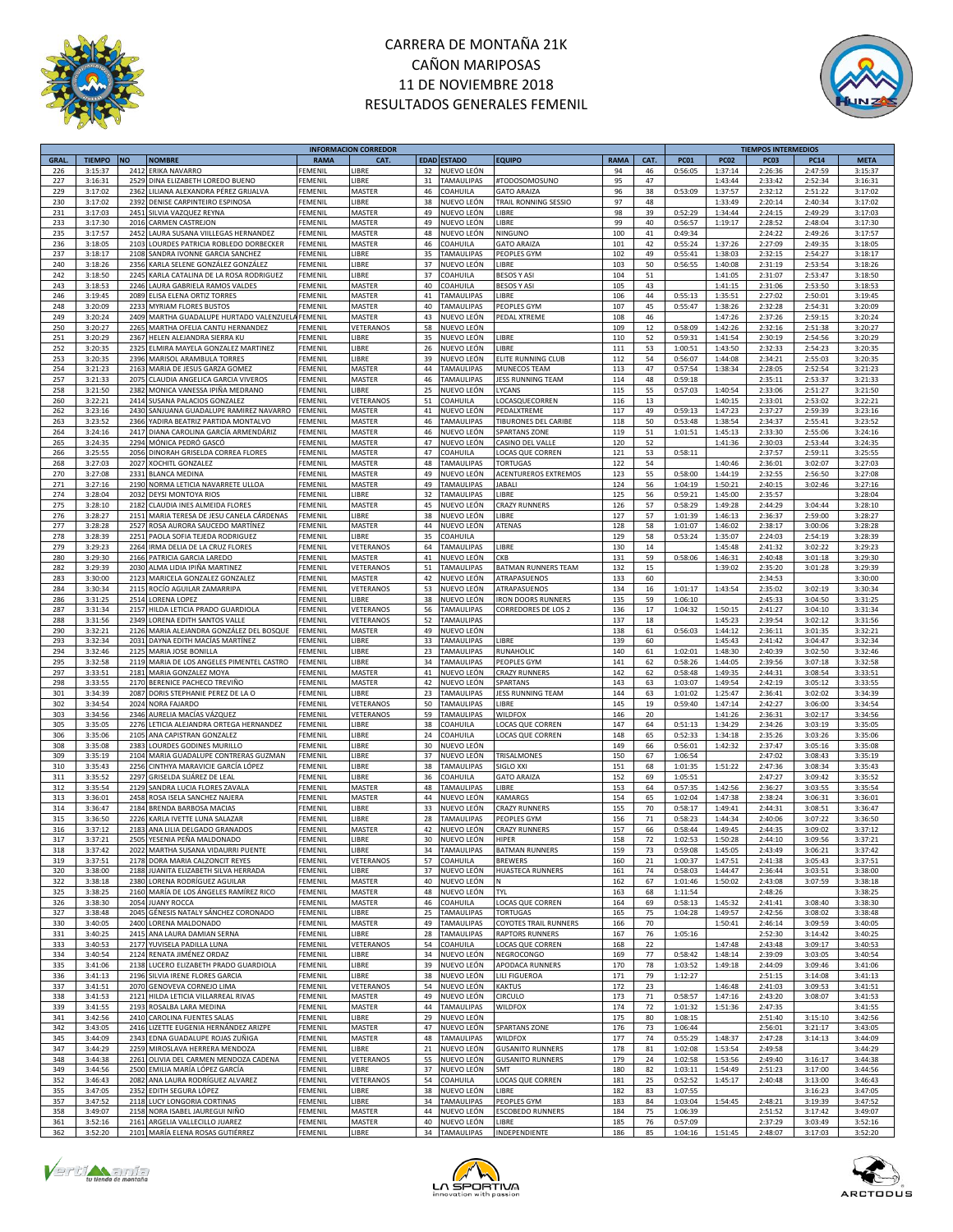



|             |               |           |                                                  |                | <b>INFORMACION CORREDOR</b> |    |                    |                              |             |        |             |             | <b>TIEMPOS INTERMEDIOS</b> |             |             |
|-------------|---------------|-----------|--------------------------------------------------|----------------|-----------------------------|----|--------------------|------------------------------|-------------|--------|-------------|-------------|----------------------------|-------------|-------------|
| <b>GRAL</b> | <b>TIEMPO</b> | <b>NO</b> | <b>NOMBRE</b>                                    | <b>RAMA</b>    | CAT.                        |    | <b>EDAD ESTADO</b> | <b>EQUIPO</b>                | <b>RAMA</b> | CAT.   | <b>PC01</b> | <b>PC02</b> | PC03                       | <b>PC14</b> | <b>META</b> |
| 226         | 3:15:37       | 2412      | <b>ERIKA NAVARRO</b>                             | FEMENIL        | LIBRE                       | 32 | NUEVO LEÓN         |                              | 94          | 46     | 0:56:05     | 1:37:14     | 2:26:36                    | 2:47:59     | 3:15:37     |
| 227         | 3:16:31       | 2529      | DINA ELIZABETH LOREDO BUENO                      | FEMENIL        | LIBRE                       | 31 | <b>TAMAULIPAS</b>  | #TODOSOMOSUNO                | 95          | 47     |             | 1:43:44     | 2:33:42                    | 2:52:34     | 3:16:31     |
| 229         | 3:17:02       | 2362      | LILIANA ALEXANDRA PÉREZ GRIJALVA                 | FEMENI         | MASTER                      | 46 | COAHUILA           | <b>GATO ARAIZA</b>           | 96          | 38     | 0:53:09     | 1:37:57     | 2:32:12                    | 2:51:22     | 3:17:02     |
|             |               |           |                                                  |                |                             |    |                    |                              |             |        |             |             |                            |             |             |
| 230         | 3:17:02       | 2392      | DENISE CARPINTEIRO ESPINOSA                      | FEMENIL        | LIBRE                       | 38 | NUEVO LEÓN         | TRAIL RONNING SESSIO         | 97          | 48     |             | 1:33:49     | 2:20:14                    | 2:40:34     | 3:17:02     |
| 231         | 3:17:03       | 2451      | SILVIA VAZQUEZ REYNA                             | FEMENIL        | MASTER                      | 49 | NUEVO LEÓN         | LIBRE                        | 98          | 39     | 0:52:29     | 1:34:44     | 2:24:15                    | 2:49:29     | 3:17:03     |
| 233         | 3:17:30       | 2016      | CARMEN CASTREJON                                 | FEMENIL        | MASTER                      | 49 | NUEVO LEÓN         | LIBRE                        | 99          | 40     | 0:56:57     | 1:19:17     | 2:28:52                    | 2:48:04     | 3:17:30     |
| 235         | 3:17:57       | 2452      | LAURA SUSANA VIILLEGAS HERNANDEZ                 | FEMENIL        | MASTER                      | 48 | NUEVO LEÓN         | NINGUNO                      | 100         | 41     | 0:49:34     |             | 2:24:22                    | 2:49:26     | 3:17:57     |
| 236         | 3:18:05       | 2103      | LOURDES PATRICIA ROBLEDO DORBECKER               | <b>FEMENIL</b> | MASTER                      | 46 | COAHUILA           | <b>GATO ARAIZA</b>           | 101         | 42     | 0:55:24     | 1:37:26     | 2:27:09                    | 2:49:35     | 3:18:05     |
|             |               |           |                                                  |                |                             |    |                    |                              |             |        |             |             |                            |             |             |
| 237         | 3:18:17       | 2108      | SANDRA IVONNE GARCIA SANCHEZ                     | FEMENIL        | LIBRE                       | 35 | TAMAULIPAS         | PEOPLES GYM                  | 102         | 49     | 0:55:41     | 1:38:03     | 2:32:15                    | 2:54:27     | 3:18:17     |
| 240         | 3:18:26       | 2356      | KARLA SELENE GONZÁLEZ GONZÁLEZ                   | FEMENIL        | LIBRE                       | 37 | NUEVO LEÓN         | LIBRE                        | 103         | 50     | 0:56:55     | 1:40:08     | 2:31:19                    | 2:53:54     | 3:18:26     |
| 242         | 3:18:50       | 2245      | KARLA CATALINA DE LA ROSA RODRIGUEZ              | FEMENI         | LIBRE                       | 37 | COAHUILA           | <b>BESOS Y ASI</b>           | 104         | 51     |             | 1:41:05     | 2:31:07                    | 2:53:47     | 3:18:50     |
| 243         | 3:18:53       | 2246      | LAURA GABRIELA RAMOS VALDES                      | FEMENI         | MASTER                      | 40 | COAHUILA           | <b>BESOS Y ASI</b>           | 105         | 43     |             | 1:41:15     | 2:31:06                    | 2:53:50     | 3:18:53     |
| 246         | 3:19:45       | 2089      | ELISA ELENA ORTIZ TORRES                         | <b>FEMENIL</b> | MASTER                      | 41 | <b>TAMAULIPAS</b>  | LIBRE                        | 106         | 44     | 0:55:13     | 1:35:51     | 2:27:02                    | 2:50:01     | 3:19:45     |
| 248         |               |           | 2233 MYRIAM FLORES BUSTOS                        | FEMENIL        |                             | 40 |                    | PEOPLES GYM                  |             | 45     |             |             |                            |             | 3:20:09     |
|             | 3:20:09       |           |                                                  |                | MASTER                      |    | TAMAULIPAS         |                              | 107         |        | 0:55:47     | 1:38:26     | 2:32:28                    | 2:54:31     |             |
| 249         | 3:20:24       |           | 2409 MARTHA GUADALUPE HURTADO VALENZUELA FEMENIL |                | MASTER                      | 43 | NUEVO LEÓN         | PEDAL XTREME                 | 108         | 46     |             | 1:47:26     | 2:37:26                    | 2:59:15     | 3:20:24     |
| 250         | 3:20:27       | 2265      | MARTHA OFELIA CANTU HERNANDEZ                    | FEMENIL        | VETERANOS                   | 58 | NUEVO LEÓN         |                              | 109         | 12     | 0:58:09     | 1:42:26     | 2:32:16                    | 2:51:38     | 3:20:27     |
| 251         | 3:20:29       |           | 2367 HELEN ALEJANDRA SIERRA KU                   | <b>FEMENIL</b> | LIBRE                       | 35 | NUEVO LEÓN         | LIBRE                        | 110         | 52     | 0:59:31     | 1:41:54     | 2:30:19                    | 2:54:56     | 3:20:29     |
| 252         | 3:20:35       | 2325      | ELMIRA MAYELA GONZALEZ MARTINEZ                  | FEMENIL        | LIBRE                       | 26 | NUEVO LEÓN         | LIBRE                        | 111         | 53     | 1:00:51     | 1:43:50     | 2:32:33                    | 2:54:23     | 3:20:35     |
| 253         | 3:20:35       |           | 2396 MARISOL ARAMBULA TORRES                     | FEMENIL        | LIBRE                       | 39 | NUEVO LEÓN         | ELITE RUNNING CLUB           | 112         | 54     | 0:56:07     | 1:44:08     | 2:34:21                    | 2:55:03     | 3:20:35     |
|             |               |           |                                                  |                |                             |    |                    |                              |             |        |             |             |                            |             |             |
| 254         | 3:21:23       | 2163      | MARIA DE JESUS GARZA GOMEZ                       | FEMENIL        | MASTER                      | 44 | TAMAULIPAS         | MUNECOS TEAM                 | 113         | 47     | 0:57:54     | 1:38:34     | 2:28:05                    | 2:52:54     | 3:21:23     |
| 257         | 3:21:33       | 2075      | CLAUDIA ANGELICA GARCIA VIVEROS                  | <b>FEMENIL</b> | MASTER                      | 46 | <b>TAMAULIPAS</b>  | JESS RUNNING TEAM            | 114         | 48     | 0:59:18     |             | 2:35:11                    | 2:53:37     | 3:21:33     |
| 258         | 3:21:50       | 2382      | MONICA VANESSA IPIÑA MEDRANO                     | <b>FEMENIL</b> | LIBRE                       | 25 | NUEVO LEÓN         | LYCANS                       | 115         | 55     | 0:57:03     | 1:40:54     | 2:33:06                    | 2:51:27     | 3:21:50     |
| 260         | 3:22:21       | 2414      | SUSANA PALACIOS GONZALEZ                         | FEMENIL        | VETERANOS                   | 51 | COAHUILA           | LOCASQUECORREN               | 116         | 13     |             | 1:40:15     | 2:33:01                    | 2:53:02     | 3:22:21     |
| 262         | 3:23:16       | 2430      | SANJUANA GUADALUPE RAMIREZ NAVARRO               | FEMENIL        | MASTER                      | 41 | NUEVO LEÓN         | PEDALXTREME                  | 117         | 49     | 0:59:13     | 1:47:23     | 2:37:27                    | 2:59:39     | 3:23:16     |
|             |               |           |                                                  |                |                             |    |                    |                              |             |        |             |             |                            |             |             |
| 263         | 3:23:52       | 2366      | YADIRA BEATRIZ PARTIDA MONTALVO                  | <b>FEMENIL</b> | MASTER                      | 46 | TAMAULIPAS         | TIBURONES DEL CARIBE         | 118         | 50     | 0:53:48     | 1:38:54     | 2:34:37                    | 2:55:41     | 3:23:52     |
| 264         | 3:24:16       |           | 2417 DIANA CAROLINA GARCÍA ARMENDÁRIZ            | FEMENIL        | MASTER                      | 46 | NUEVO LEÓN         | SPARTANS ZONE                | 119         | 51     | 1:01:51     | 1:45:13     | 2:33:30                    | 2:55:06     | 3:24:16     |
| 265         | 3:24:35       | 2294      | MÓNICA PEDRÓ GASCÓ                               | FEMENIL        | MASTER                      | 47 | NUEVO LEÓN         | CASINO DEL VALLE             | 120         | 52     |             | 1:41:36     | 2:30:03                    | 2:53:44     | 3:24:35     |
| 266         | 3:25:55       | 2056      | DINORAH GRISELDA CORREA FLORES                   | FEMENIL        | MASTER                      | 47 | COAHUILA           | LOCAS QUE CORREN             | 121         | 53     | 0:58:11     |             | 2:37:57                    | 2:59:11     | 3:25:55     |
| 268         | 3:27:03       | 2027      | XOCHITL GONZALEZ                                 | FEMENIL        | MASTER                      | 48 | <b>TAMAULIPAS</b>  | <b>TORTUGAS</b>              | 122         | 54     |             | 1:40:46     | 2:36:01                    | 3:02:07     | 3:27:03     |
|             |               |           |                                                  |                |                             |    |                    | <b>ACENTUREROS EXTREMOS</b>  |             |        |             |             |                            |             |             |
| 270         | 3:27:08       | 2331      | <b>BLANCA MEDINA</b>                             | FEMENIL        | MASTER                      | 49 | NUEVO LEÓN         |                              | 123         | 55     | 0:58:00     | 1:44:19     | 2:32:55                    | 2:56:50     | 3:27:08     |
| 271         | 3:27:16       | 2190      | NORMA LETICIA NAVARRETE ULLOA                    | FEMENIL        | MASTER                      | 49 | <b>TAMAULIPAS</b>  | <b>JABALI</b>                | 124         | 56     | 1:04:19     | 1:50:21     | 2:40:15                    | 3:02:46     | 3:27:16     |
| 274         | 3:28:04       | 2032      | DEYSI MONTOYA RIOS                               | FEMENIL        | LIBRE                       | 32 | TAMAULIPAS         | LIBRE                        | 125         | 56     | 0:59:21     | 1:45:00     | 2:35:57                    |             | 3:28:04     |
| 275         | 3:28:10       | 2182      | CLAUDIA INES ALMEIDA FLORES                      | FEMENIL        | MASTER                      | 45 | NUEVO LEÓN         | <b>CRAZY RUNNERS</b>         | 126         | 57     | 0:58:29     | 1:49:28     | 2:44:29                    | 3:04:44     | 3:28:10     |
| 276         | 3:28:27       | 2151      | MARIA TERESA DE JESU CANELA CÁRDENAS             | FEMENIL        | LIBRE                       | 38 | NUEVO LEÓN         | LIBRE                        | 127         | 57     | 1:01:39     | 1:46:13     | 2:36:37                    | 2:59:00     | 3:28:27     |
|             |               |           | ROSA AURORA SAUCEDO MARTÍNEZ                     |                |                             |    | NUEVO LEÓN         |                              |             |        |             |             |                            |             |             |
| 277         | 3:28:28       | 2527      |                                                  | FEMENI         | MASTER                      | 44 |                    | ATENAS                       | 128         | 58     | 1:01:07     | 1:46:02     | 2:38:17                    | 3:00:06     | 3:28:28     |
| 278         | 3:28:39       | 2251      | PAOLA SOFIA TEJEDA RODRIGUEZ                     | <b>FEMENI</b>  | LIBRE                       | 35 | COAHUILA           |                              | 129         | 58     | 0:53:24     | 1:35:07     | 2:24:03                    | 2:54:19     | 3:28:39     |
| 279         | 3:29:23       | 2264      | IRMA DELIA DE LA CRUZ FLORES                     | FEMENIL        | VETERANOS                   | 64 | <b>TAMAULIPAS</b>  | LIBRE                        | 130         | 14     |             | 1:45:48     | 2:41:32                    | 3:02:22     | 3:29:23     |
| 280         | 3:29:30       | 2166      | PATRICIA GARCIA LAREDO                           | FEMENIL        | MASTER                      | 41 | NUEVO LEÓN         | CKB                          | 131         | 59     | 0:58:06     | 1:46:31     | 2:40:48                    | 3:01:18     | 3:29:30     |
| 282         | 3:29:39       | 2030      | ALMA LIDIA IPIÑA MARTINEZ                        | FEMENIL        | VETERANOS                   | 51 | TAMAULIPAS         | <b>BATMAN RUNNERS TEAM</b>   | 132         | 15     |             | 1:39:02     | 2:35:20                    | 3:01:28     | 3:29:39     |
|             |               |           | 2123 MARICELA GONZALEZ GONZALEZ                  |                |                             |    |                    |                              |             |        |             |             |                            |             |             |
| 283         | 3:30:00       |           |                                                  | FEMENIL        | MASTER                      | 42 | NUEVO LEÓN         | ATRAPASUENOS                 | 133         | 60     |             |             | 2:34:53                    |             | 3:30:00     |
| 284         | 3:30:34       |           | 2115 ROCÍO AGUILAR ZAMARRIPA                     | FEMENIL        | VETERANOS                   | 53 | NUEVO LEÓN         | ATRAPASUENOS                 | 134         | 16     | 1:01:17     | 1:43:54     | 2:35:02                    | 3:02:19     | 3:30:34     |
| 286         | 3:31:25       |           | 2514 LORENA LOPEZ                                | <b>FEMENIL</b> | LIBRE                       | 38 | NUEVO LEÓN         | <b>IRON DOORS RUNNERS</b>    | 135         | 59     | 1:06:10     |             | 2:45:33                    | 3:04:50     | 3:31:25     |
| 287         | 3:31:34       |           | 2157 HILDA LETICIA PRADO GUARDIOLA               | FEMENIL        | VETERANOS                   | 56 | TAMAULIPAS         | CORREDORES DE LOS 2          | 136         | 17     | 1:04:32     | 1:50:15     | 2:41:27                    | 3:04:10     | 3:31:34     |
| 288         | 3:31:56       |           | 2349 LORENA EDITH SANTOS VALLE                   | FEMENIL        | VETERANOS                   | 52 | <b>TAMAULIPAS</b>  |                              | 137         | 18     |             | 1:45:23     | 2:39:54                    | 3:02:12     | 3:31:56     |
|             |               |           |                                                  |                |                             |    |                    |                              |             |        |             |             |                            |             |             |
| 290         | 3:32:21       | 2126      | MARIA ALEJANDRA GONZÁLEZ DEL BOSQUE              | FEMENI         | MASTER                      | 49 | NUEVO LEÓN         |                              | 138         | 61     | 0:56:03     | 1:44:12     | 2:36:11                    | 3:01:35     | 3:32:21     |
| 293         | 3:32:34       | 2031      | DAYNA EDITH MACÍAS MARTÍNEZ                      | <b>FEMENIL</b> | LIBRE                       | 33 | <b>TAMAULIPAS</b>  | LIBRE                        | 139         | 60     |             | 1:45:43     | 2:41:42                    | 3:04:47     | 3:32:34     |
| 294         | 3:32:46       |           | 2125 MARIA JOSE BONILLA                          | FEMENIL        | LIBRE                       | 23 | TAMAULIPAS         | <b>RUNAHOLIC</b>             | 140         | 61     | 1:02:01     | 1:48:30     | 2:40:39                    | 3:02:50     | 3:32:46     |
| 295         | 3:32:58       |           | 2119 MARIA DE LOS ANGELES PIMENTEL CASTRO        | FEMENIL        | LIBRE                       | 34 | <b>TAMAULIPAS</b>  | PEOPLES GYM                  | 141         | 62     | 0:58:26     | 1:44:05     | 2:39:56                    | 3:07:18     | 3:32:58     |
| 297         | 3:33:51       | 2181      | MARIA GONZALEZ MOYA                              | FEMENI         | MASTER                      | 41 | NUEVO LEÓN         | <b>CRAZY RUNNERS</b>         | 142         | 62     | 0:58:48     | 1:49:35     | 2:44:31                    | 3:08:54     | 3:33:51     |
|             |               |           |                                                  |                |                             |    |                    |                              |             |        |             |             |                            |             |             |
| 298         | 3:33:55       |           | 2170 BERENICE PACHECO TREVIÑO                    | FEMENIL        | MASTER                      | 42 | NUEVO LEÓN         | SPARTANS                     | 143         | 63     | 1:03:07     | 1:49:54     | 2:42:19                    | 3:05:12     | 3:33:55     |
| 301         | 3:34:39       | 2087      | DORIS STEPHANIE PEREZ DE LA O                    | FEMENIL        | LIBRE                       | 23 | TAMAULIPAS         | JESS RUNNING TEAM            | 144         | 63     | 1:01:02     | 1:25:47     | 2:36:41                    | 3:02:02     | 3:34:39     |
| 302         | 3:34:54       | 2024      | <b>NORA FAJARDO</b>                              | FEMENI         | VETERANOS                   | 50 | TAMAULIPAS         | LIBRE                        | 145         | 19     | 0:59:40     | 1:47:14     | 2:42:27                    | 3:06:00     | 3:34:54     |
| 303         | 3:34:56       | 2346      | AURELIA MACÍAS VÁZQUEZ                           | FEMENI         | VETERANOS                   | 59 | TAMAULIPAS         | <b>WILDFOX</b>               | 146         | 20     |             | 1:41:26     | 2:36:31                    | 3:02:17     | 3:34:56     |
| 305         | 3:35:05       | 2276      | LETICIA ALEJANDRA ORTEGA HERNANDEZ               | FEMENIL        | LIBRE                       | 38 | COAHUILA           | LOCAS QUE CORREN             | 147         | 64     | 0:51:13     | 1:34:29     | 2:34:26                    | 3:03:19     | 3:35:05     |
|             |               |           |                                                  | FEMENIL        | LIBRE                       | 24 |                    |                              |             |        |             |             |                            |             |             |
| 306         | 3:35:06       | 2105      | ANA CAPISTRAN GONZALEZ                           |                |                             |    | COAHUILA           | LOCAS QUE CORREN             | 148         | 65     | 0:52:33     | 1:34:18     | 2:35:26                    | 3:03:26     | 3:35:06     |
| 308         | 3:35:08       | 2383      | LOURDES GODINES MURILLO                          | FEMENIL        | LIBRE                       | 30 | NUEVO LEÓN         |                              | 149         | 66     | 0:56:01     | 1:42:32     | 2:37:47                    | 3:05:16     | 3:35:08     |
| 309         | 3:35:19       | 2104      | MARIA GUADALUPE CONTRERAS GUZMAN                 | FEMENIL        | LIBRE                       | 37 | NUEVO LEÓN         | TRISALMONES                  | 150         | 67     | 1:06:54     |             | 2:47:02                    | 3:08:43     | 3:35:19     |
| 310         | 3:35:43       | 2256      | CINTHYA MARAVICIE GARCÍA LÓPEZ                   | FEMENIL        | LIBRE                       | 38 | TAMAULIPAS         | SIGLO XXI                    | 151         | 68     | 1:01:35     | 1:51:22     | 2:47:36                    | 3:08:34     | 3:35:43     |
| 311         | 3:35:52       | 2297      | GRISELDA SUÁREZ DE LEAL                          | FEMENIL        | LIBRE                       | 36 | COAHUILA           | <b>GATO ARAIZA</b>           | 152         | 69     | 1:05:51     |             | 2:47:27                    | 3:09:42     | 3:35:52     |
|             |               |           |                                                  |                |                             |    |                    |                              |             |        |             |             |                            |             |             |
| 312         | 3:35:54       | 2129      | SANDRA LUCIA FLORES ZAVALA                       | FEMENI         | MASTER                      | 48 | TAMAULIPAS         | LIBRE                        | 153         | 64     | 0:57:35     | 1:42:56     | 2:36:27                    | 3:03:55     | 3:35:54     |
| 313         | 3:36:01       | 2458      | ROSA ISELA SANCHEZ NAJERA                        | FEMENI         | MASTER                      | 44 | NUEVO LEÓN         | KAMARGS                      | 154         | 65     | 1:02:04     | 1:47:38     | 2:38:24                    | 3:06:31     | 3:36:01     |
| 314         | 3:36:47       | 2184      | <b>BRENDA BARBOSA MACIAS</b>                     | FEMENIL        | LIBRE                       | 33 | NUEVO LEÓN         | <b>CRAZY RUNNERS</b>         | 155         | 70     | 0:58:17     | 1:49:41     | 2:44:31                    | 3:08:51     | 3:36:47     |
| 315         | 3:36:50       | 2226      | KARLA IVETTE LUNA SALAZAR                        | <b>FEMENIL</b> | LIBRE                       | 28 | TAMAULIPAS         | PEOPLES GYM                  | 156         | 71     | 0:58:23     | 1:44:34     | 2:40:06                    | 3:07:22     | 3:36:50     |
| 316         | 3:37:12       |           | 2183 ANA LILIA DELGADO GRANADOS                  | FEMENIL        | MASTER                      | 42 | NUEVO LEÓN         | <b>CRAZY RUNNERS</b>         | 157         | 66     | 0:58:44     | 1:49:45     | 2:44:35                    | 3:09:02     | 3:37:12     |
| 317         | 3:37:21       |           | 2505 YESENIA PEÑA MALDONADO                      | <b>FEMENIL</b> | LIBRE                       | 30 | NUEVO LEÓN         | HIPER                        | 158         | 72     | 1:02:53     | 1:50:28     | 2:44:10                    | 3:09:56     | 3:37:21     |
|             |               |           |                                                  |                |                             |    |                    |                              |             |        |             |             |                            |             |             |
| 318         | 3:37:42       |           | 2022 MARTHA SUSANA VIDAURRI PUENTE               | <b>FEMENIL</b> | LIBRE                       | 34 | <b>TAMAULIPAS</b>  | <b>BATMAN RUNNERS</b>        | 159         | 73     | 0:59:08     | 1:45:05     | 2:43:49                    | 3:06:21     | 3:37:42     |
| 319         | 3:37:51       |           | 2178 DORA MARIA CALZONCIT REYES                  | <b>FEMENIL</b> | VETERANOS                   | 57 | COAHUILA           | <b>BREWERS</b>               | 160         | 21     | 1:00:37     | 1:47:51     | 2:41:38                    | 3:05:43     | 3:37:51     |
| 320         | 3:38:00       |           | 2188 JUANITA ELIZABETH SILVA HERRADA             | <b>FEMENIL</b> | LIBRE                       | 37 | NUEVO LEÓN         | <b>HUASTECA RUNNERS</b>      | 161         | 74     | 0:58:03     | 1:44:47     | 2:36:44                    | 3:03:51     | 3:38:00     |
| 322         | 3:38:18       |           | 2380 LORENA RODRÍGUEZ AGUILAR                    | FEMENIL        | MASTER                      | 40 | NUEVO LEÓN         | ${\sf N}$                    | 162         | 67     | 1:01:46     | 1:50:02     | 2:43:08                    | 3:07:59     | 3:38:18     |
| 325         | 3:38:25       |           | 2160 MARÍA DE LOS ÁNGELES RAMÍREZ RICO           | FEMENIL        | MASTER                      | 48 | NUEVO LEÓN         | <b>TYL</b>                   | 163         | 68     | 1:11:54     |             | 2:48:26                    |             | 3:38:25     |
| 326         |               |           |                                                  | <b>FEMENIL</b> | MASTER                      |    | COAHUILA           |                              | 164         |        | 0:58:13     |             |                            |             |             |
|             | 3:38:30       | 2054      | <b>JUANY ROCCA</b>                               |                |                             | 46 |                    | LOCAS QUE CORREN             |             | 69     |             | 1:45:32     | 2:41:41                    | 3:08:40     | 3:38:30     |
| 327         | 3:38:48       | 2045      | GÉNESIS NATALY SÁNCHEZ CORONADO                  | FEMENIL        | LIBRE                       | 25 | TAMAULIPAS         | <b>TORTUGAS</b>              | 165         | 75     | 1:04:28     | 1:49:57     | 2:42:56                    | 3:08:02     | 3:38:48     |
| 330         | 3:40:05       |           | 2400 LORENA MALDONADO                            | <b>FEMENIL</b> | MASTER                      | 49 | <b>TAMAULIPAS</b>  | <b>COYOTES TRAIL RUNNERS</b> | 166         | 70     |             | 1:50:41     | 2:46:14                    | 3:09:59     | 3:40:05     |
| 331         | 3:40:25       | 2415      | ANA LAURA DAMIAN SERNA                           | <b>FEMENIL</b> | LIBRE                       | 28 | TAMAULIPAS         | <b>RAPTORS RUNNERS</b>       | 167         | 76     | 1:05:16     |             | 2:52:30                    | 3:14:42     | 3:40:25     |
| 333         | 3:40:53       | 2177      | YUVISELA PADILLA LUNA                            | <b>FEMENIL</b> | VETERANOS                   | 54 | COAHUILA           | <b>LOCAS QUE CORREN</b>      | 168         | 22     |             | 1:47:48     | 2:43:48                    | 3:09:17     | 3:40:53     |
|             |               |           |                                                  |                |                             |    |                    |                              |             |        |             |             |                            |             |             |
| 334         | 3:40:54       |           | 2124 RENATA JIMÉNEZ ORDAZ                        | FEMENIL        | LIBRE                       | 34 | NUEVO LEÓN         | NEGROCONGO                   | 169         | 77     | 0:58:42     | 1:48:14     | 2:39:09                    | 3:03:05     | 3:40:54     |
| 335         | 3:41:06       |           | 2138 LUCERO ELIZABETH PRADO GUARDIOLA            | FEMENIL        | LIBRE                       | 39 | NUEVO LEÓN         | APODACA RUNNERS              | 170         | 78     | 1:03:52     | 1:49:18     | 2:44:09                    | 3:09:46     | 3:41:06     |
| 336         | 3:41:13       | 2196      | SILVIA IRENE FLORES GARCIA                       | FEMENIL        | LIBRE                       | 38 | NUEVO LEÓN         | LILI FIGUEROA                | 171         | 79     | 1:12:27     |             | 2:51:15                    | 3:14:08     | 3:41:13     |
| 337         | 3:41:51       | 2070      | GENOVEVA CORNEJO LIMA                            | <b>FEMENIL</b> | VETERANOS                   | 54 | NUEVO LEÓN         | <b>KAKTUS</b>                | 172         | 23     |             | 1:46:48     | 2:41:03                    | 3:09:53     | 3:41:51     |
| 338         | 3:41:53       | 2121      | HILDA LETICIA VILLARREAL RIVAS                   | <b>FEMENIL</b> | MASTER                      | 49 | NUEVO LEÓN         | <b>CIRCULO</b>               | 173         | $71\,$ | 0:58:57     | 1:47:16     | 2:43:20                    | 3:08:07     | 3:41:53     |
|             |               |           |                                                  |                |                             |    |                    |                              |             |        |             |             |                            |             |             |
| 339         | 3:41:55       | 2193      | ROSALBA LARA MEDINA                              | <b>FEMENIL</b> | MASTER                      | 44 | TAMAULIPAS         | WILDFOX                      | 174         | 72     | 1:01:32     | 1:51:36     | 2:47:35                    |             | 3:41:55     |
| 341         | 3:42:56       | 2410      | CAROLINA FUENTES SALAS                           | FEMENIL        | LIBRE                       | 29 | NUEVO LEÓN         |                              | 175         | 80     | 1:08:15     |             | 2:51:40                    | 3:15:10     | 3:42:56     |
| 342         | 3:43:05       |           | 2416 LIZETTE EUGENIA HERNÁNDEZ ARIZPE            | <b>FEMENIL</b> | MASTER                      | 47 | NUEVO LEÓN         | SPARTANS ZONE                | 176         | 73     | 1:06:44     |             | 2:56:01                    | 3:21:17     | 3:43:05     |
| 345         | 3:44:09       |           | 2343 EDNA GUADALUPE ROJAS ZUÑIGA                 | FEMENIL        | MASTER                      | 48 | <b>TAMAULIPAS</b>  | <b>WILDFOX</b>               | 177         | 74     | 0:55:29     | 1:48:37     | 2:47:28                    | 3:14:13     | 3:44:09     |
| 347         | 3:44:29       |           | 2259 MIROSLAVA HERRERA MENDOZA                   | FEMENIL        | LIBRE                       | 21 | NUEVO LEÓN         | <b>GUSANITO RUNNERS</b>      | 178         | 81     | 1:02:08     | 1:53:54     | 2:49:58                    |             | 3:44:29     |
|             |               |           |                                                  |                |                             |    |                    |                              |             |        |             |             |                            |             |             |
| 348         | 3:44:38       | 2261      | OLIVIA DEL CARMEN MENDOZA CADENA                 | FEMENIL        | VETERANOS                   | 55 | NUEVO LEÓN         | <b>GUSANITO RUNNERS</b>      | 179         | 24     | 1:02:58     | 1:53:56     | 2:49:40                    | 3:16:17     | 3:44:38     |
| 349         | 3:44:56       | 2500      | EMILIA MARÍA LÓPEZ GARCÍA                        | <b>FEMENIL</b> | LIBRE                       | 37 | NUEVO LEÓN         | SMT                          | 180         | 82     | 1:03:11     | 1:54:49     | 2:51:23                    | 3:17:00     | 3:44:56     |
| 352         | 3:46:43       | 2082      | ANA LAURA RODRÍGUEZ ALVAREZ                      | <b>FEMENIL</b> | VETERANOS                   | 54 | COAHUILA           | LOCAS QUE CORREN             | 181         | 25     | 0:52:52     | 1:45:17     | 2:40:48                    | 3:13:00     | 3:46:43     |
| 355         | 3:47:05       |           | 2352 EDITH SEGURA LÓPEZ                          | <b>FEMENIL</b> | LIBRE                       | 38 | NUEVO LEÓN         | LIBRE                        | 182         | 83     | 1:07:55     |             |                            | 3:16:23     | 3:47:05     |
| 357         | 3:47:52       |           | 2118 LUCY LONGORIA CORTINAS                      | FEMENIL        | LIBRE                       | 34 | <b>TAMAULIPAS</b>  | PEOPLES GYM                  | 183         | 84     | 1:03:04     | 1:54:45     | 2:48:21                    | 3:19:39     | 3:47:52     |
|             |               |           |                                                  |                |                             |    |                    |                              |             |        |             |             |                            |             |             |
| 358         | 3:49:07       |           | 2158 NORA ISABEL JAUREGUI NIÑO                   | <b>FEMENIL</b> | MASTER                      | 44 | NUEVO LEÓN         | <b>ESCOBEDO RUNNERS</b>      | 184         | 75     | 1:06:39     |             | 2:51:52                    | 3:17:42     | 3:49:07     |
| 361         | 3:52:16       |           | 2161 ARGELIA VALLECILLO JUAREZ                   | <b>FEMENIL</b> | MASTER                      | 40 | NUEVO LEÓN         | LIBRE                        | 185         | 76     | 0:57:09     |             | 2:37:29                    | 3:03:49     | 3:52:16     |
| 362         | 3:52:20       |           | 2101 MARÍA ELENA ROSAS GUTIÉRREZ                 | <b>FEMENIL</b> | LIBRE                       |    | 34 TAMAULIPAS      | INDEPENDIENTE                | 186         | 85     | 1:04:16     | 1:51:45     | 2:48:07                    | 3:17:03     | 3:52:20     |





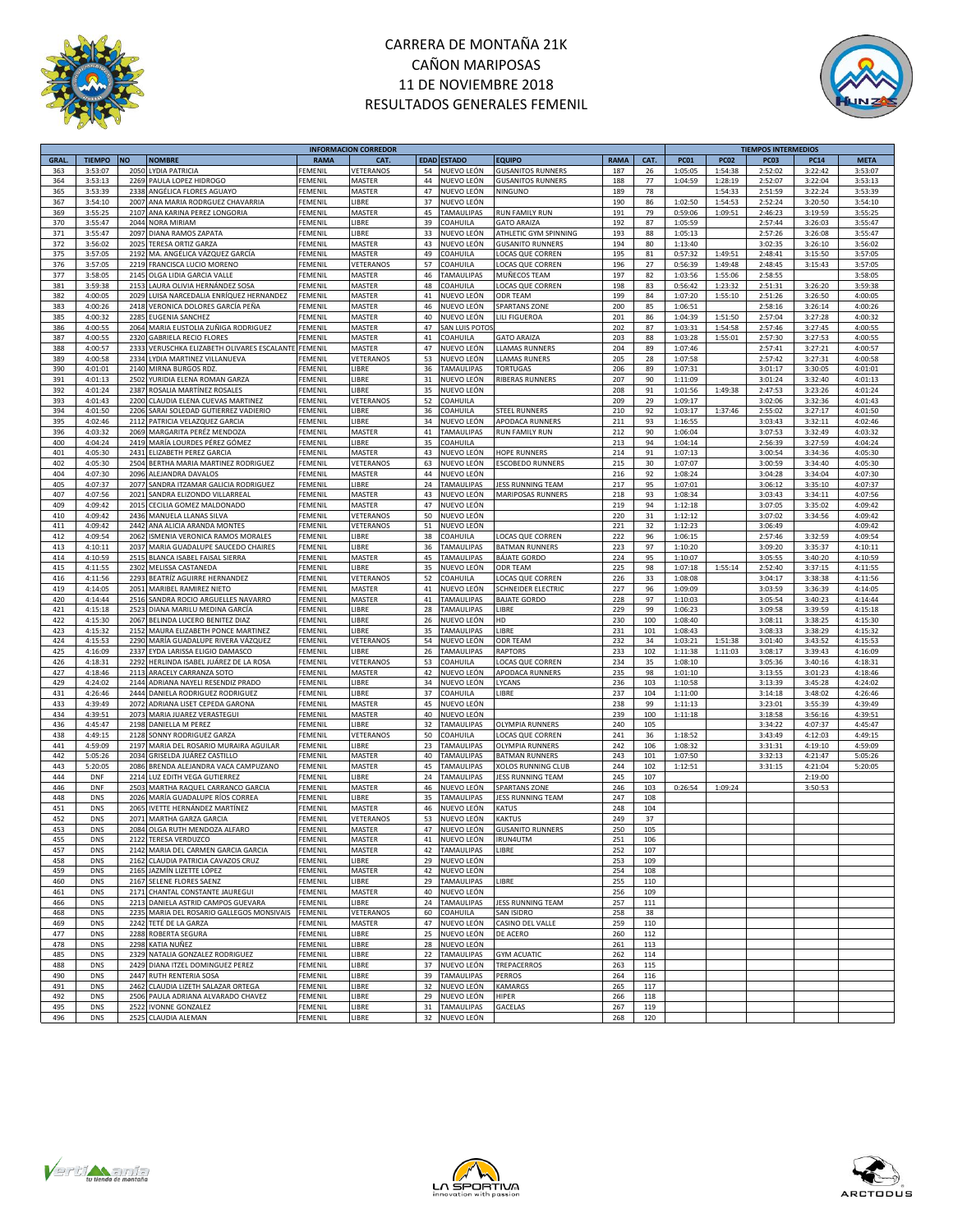



|             |               |                                                |                | <b>INFORMACION CORREDOR</b> |             |                          |                          |             |      |             |             | <b>TIEMPOS INTERMEDIOS</b> |             |             |
|-------------|---------------|------------------------------------------------|----------------|-----------------------------|-------------|--------------------------|--------------------------|-------------|------|-------------|-------------|----------------------------|-------------|-------------|
| <b>GRAL</b> | <b>TIEMPO</b> | <b>NO</b><br><b>NOMBRE</b>                     | <b>RAMA</b>    | <b>CAT</b>                  | <b>EDAD</b> | <b>ESTADO</b>            | <b>EQUIPO</b>            | <b>RAMA</b> | CAT. | <b>PC01</b> | <b>PC02</b> | <b>PC03</b>                | <b>PC14</b> | <b>META</b> |
| 363         | 3:53:07       | 2050<br>LYDIA PATRICIA                         | FEMENIL        | VETERANOS                   | 54          | NUEVO LEÓN               | <b>GUSANITOS RUNNERS</b> | 187         | 26   | 1:05:05     | 1:54:38     | 2:52:02                    | 3:22:42     | 3:53:07     |
| 364         | 3:53:13       | 2269<br>PAULA LOPEZ HIDROGO                    | FEMENI         | MASTER                      | 44          | NUEVO LEÓN               | <b>GUSANITOS RUNNERS</b> | 188         | 77   | 1:04:59     | 1:28:19     | 2:52:07                    | 3:22:04     | 3:53:13     |
| 365         | 3:53:39       | ANGÉLICA FLORES AGUAYO<br>2338                 | FEMENI         | MASTER                      | 47          | NUEVO LEÓN               | NINGUNO                  | 189         | 78   |             | 1:54:33     | 2:51:59                    | 3:22:24     | 3:53:39     |
|             |               |                                                |                |                             |             |                          |                          |             |      |             |             |                            |             |             |
| 367         | 3:54:10       | 2007<br>ANA MARIA RODRGUEZ CHAVARRIA           | FEMENIL        | LIBRE                       | 37          | NUEVO LEÓN               |                          | 190         | 86   | 1:02:50     | 1:54:53     | 2:52:24                    | 3:20:50     | 3:54:10     |
| 369         | 3:55:25       | ANA KARINA PEREZ LONGORIA<br>2107              | FEMENIL        | MASTER                      | 45          | TAMAULIPAS               | <b>RUN FAMILY RUN</b>    | 191         | 79   | 0:59:06     | 1:09:51     | 2:46:23                    | 3:19:59     | 3:55:25     |
| 370         | 3:55:47       | 2044<br>NORA MIRIAM                            | FEMENI         | LIBRE                       | 39          | COAHUILA                 | <b>GATO ARAIZA</b>       | 192         | 87   | 1:05:59     |             | 2:57:44                    | 3:26:03     | 3:55:47     |
| 371         | 3:55:47       | DIANA RAMOS ZAPATA<br>2097                     | FEMENIL        | LIBRE                       | 33          | NUEVO LEÓN               | ATHLETIC GYM SPINNING    | 193         | 88   | 1:05:13     |             | 2:57:26                    | 3:26:08     | 3:55:47     |
| 372         | 3:56:02       | 2025<br>TERESA ORTIZ GARZA                     | FEMENIL        | MASTER                      | 43          | NUEVO LEÓN               | <b>GUSANITO RUNNERS</b>  | 194         | 80   | 1:13:40     |             | 3:02:35                    | 3:26:10     | 3:56:02     |
| 375         |               | MA. ANGÉLICA VÁZQUEZ GARCÍA                    | FEMENIL        | MASTER                      | 49          |                          | LOCAS QUE CORREN         | 195         |      | 0:57:32     | 1:49:51     | 2:48:41                    | 3:15:50     |             |
|             | 3:57:05       | 2192                                           |                |                             |             | COAHUILA                 |                          |             | 81   |             |             |                            |             | 3:57:05     |
| 376         | 3:57:05       | 2219<br>FRANCISCA LUCIO MORENO                 | FEMENIL        | <b>VETERANO</b>             | 57          | COAHUILA                 | LOCAS QUE CORREN         | 196         | 27   | 0:56:39     | 1:49:48     | 2:48:45                    | 3:15:43     | 3:57:05     |
| 377         | 3:58:05       | 2145<br>OLGA LIDIA GARCIA VALLE                | FEMENIL        | MASTER                      | 46          | <b>TAMAULIPAS</b>        | MUÑECOS TEAM             | 197         | 82   | 1:03:56     | 1:55:06     | 2:58:55                    |             | 3:58:05     |
| 381         | 3:59:38       | 2153<br>LAURA OLIVIA HERNÁNDEZ SOSA            | FEMENIL        | MASTER                      | 48          | COAHUILA                 | LOCAS QUE CORREN         | 198         | 83   | 0:56:42     | 1:23:32     | 2:51:31                    | 3:26:20     | 3:59:38     |
| 382         | 4:00:05       | LUISA NARCEDALIA ENRÍQUEZ HERNANDEZ<br>2029    | FEMENIL        | MASTER                      | 41          | NUEVO LEÓN               | <b>ODR TEAM</b>          | 199         | 84   | 1:07:20     | 1:55:10     | 2:51:26                    | 3:26:50     | 4:00:05     |
| 383         | 4:00:26       | 2418<br>VERONICA DOLORES GARCÍA PEÑA           | FEMENIL        | MASTER                      | 46          | NUEVO LEÓN               | SPARTANS ZONE            | 200         | 85   | 1:06:51     |             | 2:58:16                    | 3:26:14     | 4:00:26     |
| 385         | 4:00:32       | 2285<br>EUGENIA SANCHEZ                        | FEMENIL        | MASTER                      | 40          | NUEVO LEÓN               | LILI FIGUEROA            | 201         | 86   | 1:04:39     | 1:51:50     | 2:57:04                    | 3:27:28     | 4:00:32     |
|             |               |                                                |                |                             |             |                          |                          |             |      |             |             |                            |             |             |
| 386         | 4:00:55       | 2064<br>MARIA EUSTOLIA ZUÑIGA RODRIGUEZ        | FEMENIL        | MASTER                      | 47          | SAN LUIS POTC            |                          | 202         | 87   | 1:03:31     | 1:54:58     | 2:57:46                    | 3:27:45     | 4:00:55     |
| 387         | 4:00:55       | 2320<br><b>GABRIELA RECIO FLORES</b>           | FEMENIL        | MASTER                      | 41          | COAHUILA                 | <b>GATO ARAIZA</b>       | 203         | 88   | 1:03:28     | 1:55:01     | 2:57:30                    | 3:27:53     | 4:00:55     |
| 388         | 4:00:57       | 2333<br>VERUSCHKA ELIZABETH OLIVARES ESCALANTE | FEMENIL        | MASTER                      | 47          | NUEVO LEÓN               | <b>LLAMAS RUNNERS</b>    | 204         | 89   | 1:07:46     |             | 2:57:41                    | 3:27:21     | 4:00:57     |
| 389         | 4:00:58       | 2334<br>LYDIA MARTINEZ VILLANUEVA              | FEMENIL        | VETERANOS                   | 53          | NUEVO LEÓN               | <b>LLAMAS RUNERS</b>     | 205         | 28   | 1:07:58     |             | 2:57:42                    | 3:27:31     | 4:00:58     |
| 390         | 4:01:01       | 2140<br>MIRNA BURGOS RDZ                       | FEMENIL        | LIBRE                       | 36          | <b>TAMAULIPAS</b>        | <b>TORTUGAS</b>          | 206         | 89   | 1:07:31     |             | 3:01:17                    | 3:30:05     | 4:01:01     |
| 391         | 4:01:13       | YURIDIA ELENA ROMAN GARZA<br>2502              | FEMENIL        | LIBRE                       | 31          | NUEVO LEÓN               | <b>RIBERAS RUNNERS</b>   | 207         | 90   | 1:11:09     |             | 3:01:24                    | 3:32:40     | 4:01:13     |
|             |               |                                                |                |                             |             |                          |                          |             |      |             |             |                            |             |             |
| 392         | 4:01:24       | 2387<br>ROSALIA MARTÍNEZ ROSALES               | FEMENIL        | LIBRE                       | 35          | NUEVO LEÓN               |                          | 208         | 91   | 1:01:56     | 1:49:38     | 2:47:53                    | 3:23:26     | 4:01:24     |
| 393         | 4:01:43       | 2200<br>CLAUDIA ELENA CUEVAS MARTINEZ          | FEMENIL        | VETERANOS                   | 52          | COAHUILA                 |                          | 209         | 29   | 1:09:17     |             | 3:02:06                    | 3:32:36     | 4:01:43     |
| 394         | 4:01:50       | SARAI SOLEDAD GUTIERREZ VADIERIO<br>2206       | FEMENIL        | LIBRE                       | 36          | COAHUILA                 | <b>TEEL RUNNERS</b>      | 210         | 92   | 1:03:17     | 1:37:46     | 2:55:02                    | 3:27:17     | 4:01:50     |
| 395         | 4:02:46       | 2112<br>PATRICIA VELAZQUEZ GARCIA              | FEMENIL        | LIBRE                       | 34          | NUEVO LEÓN               | APODACA RUNNERS          | 211         | 93   | 1:16:55     |             | 3:03:43                    | 3:32:11     | 4:02:46     |
| 396         | 4:03:32       | 2069<br>MARGARITA PERÉZ MENDOZA                | FEMENIL        | MASTER                      | 41          | <b>TAMAULIPAS</b>        | <b>RUN FAMILY RUN</b>    | 212         | 90   | 1:06:04     |             | 3:07:53                    | 3:32:49     | 4:03:32     |
| 400         | 4:04:24       | 2419<br>MARÍA LOURDES PÉREZ GÓMEZ              | FEMENI         | LIBRE                       | 35          | COAHUILA                 |                          | 213         | 94   | 1:04:14     |             | 2:56:39                    | 3:27:59     | 4:04:24     |
|             |               |                                                |                |                             |             |                          |                          |             |      |             |             |                            |             |             |
| 401         | 4:05:30       | 243<br>ELIZABETH PEREZ GARCIA                  | FEMENIL        | MASTER                      | 43          | NUEVO LEÓN               | <b>HOPE RUNNERS</b>      | 214         | 91   | 1:07:13     |             | 3:00:54                    | 3:34:36     | 4:05:30     |
| 402         | 4:05:30       | 2504<br>BERTHA MARIA MARTINEZ RODRIGUEZ        | FEMENIL        | VETERANOS                   | 63          | NUEVO LEÓN               | ESCOBEDO RUNNERS         | 215         | 30   | 1:07:07     |             | 3:00:59                    | 3:34:40     | 4:05:30     |
| 404         | 4:07:30       | 2096<br>ALEJANDRA DAVALOS                      | FEMENIL        | MASTER                      | 44          | NUEVO LEÓN               |                          | 216         | 92   | 1:08:24     |             | 3:04:28                    | 3:34:04     | 4:07:30     |
| 405         | 4:07:37       | 2077<br>SANDRA ITZAMAR GALICIA RODRIGUEZ       | FEMENIL        | LIBRE                       | 24          | TAMAULIPAS               | JESS RUNNING TEAM        | 217         | 95   | 1:07:01     |             | 3:06:12                    | 3:35:10     | 4:07:37     |
| 407         | 4:07:56       | 2021<br>SANDRA ELIZONDO VILLARREAL             | FEMENIL        | MASTER                      | 43          | NUEVO LEÓN               | MARIPOSAS RUNNERS        | 218         | 93   | 1:08:34     |             | 3:03:43                    | 3:34:11     | 4:07:56     |
| 409         |               | 2015                                           |                | MASTER                      | 47          |                          |                          |             |      |             |             |                            |             |             |
|             | 4:09:42       | CECILIA GOMEZ MALDONADO                        | FEMENIL        |                             |             | NUEVO LEÓN               |                          | 219         | 94   | 1:12:18     |             | 3:07:05                    | 3:35:02     | 4:09:42     |
| 410         | 4:09:42       | 2436<br>MANUELA LLANAS SILVA                   | FEMENIL        | VETERANOS                   | 50          | NUEVO LEÓN               |                          | 220         | 31   | 1:12:12     |             | 3:07:02                    | 3:34:56     | 4:09:42     |
| 411         | 4:09:42       | 2442<br>ANA ALICIA ARANDA MONTES               | FEMENIL        | VETERANOS                   | 51          | NUEVO LEÓN               |                          | 221         | 32   | 1:12:23     |             | 3:06:49                    |             | 4:09:42     |
| 412         | 4:09:54       | 2062<br>ISMENIA VERONICA RAMOS MORALES         | FEMENI         | LIBRE                       | 38          | COAHUILA                 | LOCAS QUE CORREN         | 222         | 96   | 1:06:15     |             | 2:57:46                    | 3:32:59     | 4:09:54     |
| 413         | 4:10:11       | 2037<br>MARIA GUADALUPE SAUCEDO CHAIRES        | FEMENI         | LIBRE                       | 36          | TAMAULIPAS               | <b>BATMAN RUNNERS</b>    | 223         | 97   | 1:10:20     |             | 3:09:20                    | 3:35:37     | 4:10:11     |
| 414         | 4:10:59       | 2515<br>BLANCA ISABEL FAISAL SIERRA            | FEMENIL        | MASTER                      | 45          | <b>TAMAULIPAS</b>        | <b>BÁJATE GORDO</b>      | 224         | 95   | 1:10:07     |             | 3:05:55                    | 3:40:20     | 4:10:59     |
|             |               |                                                |                |                             |             |                          |                          |             |      |             |             |                            |             |             |
| 415         | 4:11:55       | 2302<br>MELISSA CASTANEDA                      | FEMENIL        | LIBRE                       | 35          | NUEVO LEÓN               | ODR TEAM                 | 225         | 98   | 1:07:18     | 1:55:14     | 2:52:40                    | 3:37:15     | 4:11:55     |
| 416         | 4:11:56       | 2293<br>BEATRÍZ AGUIRRE HERNANDEZ              | FEMENIL        | VETERANOS                   | 52          | COAHUILA                 | LOCAS QUE CORREN         | 226         | 33   | 1:08:08     |             | 3:04:17                    | 3:38:38     | 4:11:56     |
| 419         | 4:14:05       | 2051<br>MARIBEL RAMIREZ NIETO                  | FEMENIL        | MASTER                      | 41          | NUEVO LEÓN               | SCHNEIDER ELECTRIC       | 227         | 96   | 1:09:09     |             | 3:03:59                    | 3:36:39     | 4:14:05     |
| 420         | 4:14:44       | SANDRA ROCIO ARGUELLES NAVARRO<br>2516         | FEMENIL        | MASTER                      | 41          | <b>TAMAULIPAS</b>        | <b>BAJATE GORDO</b>      | 228         | 97   | 1:10:03     |             | 3:05:54                    | 3:40:23     | 4:14:44     |
| 421         | 4:15:18       | 2523<br>DIANA MARILU MEDINA GARCÍA             | FEMENIL        | LIBRE                       | 28          | TAMAULIPAS               | LIBRE                    | 229         | 99   | 1:06:23     |             | 3:09:58                    | 3:39:59     | 4:15:18     |
| 422         | 4:15:30       | 2067<br>BELINDA LUCERO BENITEZ DIAZ            | FEMENIL        | LIBRE                       | 26          | NUEVO LEÓN               | HD                       | 230         | 100  | 1:08:40     |             | 3:08:11                    | 3:38:25     | 4:15:30     |
|             |               |                                                |                |                             |             |                          |                          |             |      |             |             |                            |             |             |
| 423         | 4:15:32       | MAURA ELIZABETH PONCE MARTINEZ<br>2152         | FEMENIL        | LIBRE                       | 35          | <b>TAMAULIPAS</b>        | LIBRE                    | 231         | 101  | 1:08:43     |             | 3:08:33                    | 3:38:29     | 4:15:32     |
| 424         | 4:15:53       | MARÍA GUADALUPE RIVERA VÁZQUEZ<br>2290         | FEMENIL        | VETERANOS                   | 54          | NUEVO LEÓN               | <b>ODR TEAM</b>          | 232         | 34   | 1:03:21     | 1:51:38     | 3:01:40                    | 3:43:52     | 4:15:53     |
| 425         | 4:16:09       | 2337<br>EYDA LARISSA ELIGIO DAMASCO            | FEMENIL        | LIBRE                       | 26          | TAMAULIPAS               | <b>RAPTORS</b>           | 233         | 102  | 1:11:38     | 1:11:03     | 3:08:17                    | 3:39:43     | 4:16:09     |
| 426         | 4:18:31       | 2292<br>HERLINDA ISABEL JUÁREZ DE LA ROSA      | FEMENIL        | VETERANOS                   | 53          | COAHUILA                 | LOCAS QUE CORREN         | 234         | 35   | 1:08:10     |             | 3:05:36                    | 3:40:16     | 4:18:31     |
| 427         | 4:18:46       | 2113<br>ARACELY CARRANZA SOTO                  | FEMENIL        | MASTER                      | 42          | NUEVO LEÓN               | APODACA RUNNERS          | 235         | 98   | 1:01:10     |             | 3:13:55                    | 3:01:23     | 4:18:46     |
|             |               |                                                |                |                             |             |                          |                          |             |      |             |             |                            |             |             |
| 429         | 4:24:02       | 2144<br>ADRIANA NAYELI RESENDIZ PRADO          | FEMENIL        | LIBRE                       | 34          | NUEVO LEÓN               | YCANS                    | 236         | 103  | 1:10:58     |             | 3:13:39                    | 3:45:28     | 4:24:02     |
| 431         | 4:26:46       | 2444<br>DANIELA RODRIGUEZ RODRIGUEZ            | FEMENIL        | LIBRE                       | 37          | COAHUILA                 | LIBRE                    | 237         | 104  | 1:11:00     |             | 3:14:18                    | 3:48:02     | 4:26:46     |
| 433         | 4:39:49       | 2072<br>ADRIANA LISET CEPEDA GARONA            | FEMENI         | MASTER                      | 45          | NUEVO LEÓN               |                          | 238         | 99   | 1:11:13     |             | 3:23:01                    | 3:55:39     | 4:39:49     |
| 434         | 4:39:51       | MARIA JUAREZ VERASTEGUI<br>2073                | FEMENIL        | MASTER                      | 40          | NUEVO LEÓN               |                          | 239         | 100  | 1:11:18     |             | 3:18:58                    | 3:56:16     | 4:39:51     |
| 436         | 4:45:47       | 2198<br>DANIELLA M PEREZ                       | FEMENIL        | LIBRE                       | 32          | TAMAULIPAS               | OLYMPIA RUNNERS          | 240         | 105  |             |             | 3:34:22                    | 4:07:37     | 4:45:47     |
| 438         | 4:49:15       | 2128<br>SONNY RODRIGUEZ GARZA                  | FEMENIL        | VETERANOS                   | 50          | COAHUILA                 | OCAS QUE CORREN          | 241         | 36   | 1:18:52     |             | 3:43:49                    | 4:12:03     | 4:49:15     |
|             |               |                                                |                |                             | 23          |                          |                          |             |      |             |             |                            |             |             |
| 441         | 4:59:09       | 2197<br>MARIA DEL ROSARIO MURAIRA AGUILAR      | FEMENIL        | LIBRE                       |             | <b><i>FAMAULIPAS</i></b> | <b>OLYMPIA RUNNERS</b>   | 242         | 106  | 1:08:32     |             | 3:31:31                    | 4:19:10     | 4:59:09     |
| 442         | 5:05:26       | GRISELDA JUÁREZ CASTILLO<br>2034               | FEMENIL        | MASTER                      | 40          | TAMAULIPAS               | <b>BATMAN RUNNERS</b>    | 243         | 101  | 1:07:50     |             | 3:32:13                    | 4:21:47     | 5:05:26     |
| 443         | 5:20:05       | 2086<br>BRENDA ALEJANDRA VACA CAMPUZANO        | FEMENIL        | MASTER                      | 45          | TAMAULIPAS               | XOLOS RUNNING CLUB       | 244         | 102  | 1:12:51     |             | 3:31:15                    | 4:21:04     | 5:20:05     |
| 444         | DNF           | 2214<br>LUZ EDITH VEGA GUTIERREZ               | FEMENIL        | LIBRE                       | 24          | TAMAULIPAS               | ESS RUNNING TEAM         | 245         | 107  |             |             |                            | 2:19:00     |             |
| 446         | <b>DNF</b>    | 2503<br>MARTHA RAQUEL CARRANCO GARCIA          | FEMENI         | MASTER                      | 46          | NUEVO LEÓN               | SPARTANS ZONE            | 246         | 103  | 0:26:54     | 1:09:24     |                            | 3:50:53     |             |
| 448         | <b>DNS</b>    | MARÍA GUADALUPE RÍOS CORREA<br>2026            | FEMENI         | LIBRE                       | 35          | TAMAULIPAS               | JESS RUNNING TEAM        | 247         | 108  |             |             |                            |             |             |
| 451         | <b>DNS</b>    | 2065<br>IVETTE HERNÁNDEZ MARTÍNEZ              | FEMENI         | MASTER                      | 46          | NUEVO LEÓN               | <b>KATUS</b>             | 248         | 104  |             |             |                            |             |             |
|             |               |                                                |                |                             |             |                          |                          |             |      |             |             |                            |             |             |
| 452         | <b>DNS</b>    | 2071<br>MARTHA GARZA GARCIA                    | FEMENIL        | VETERANOS                   | 53          | NUEVO LEÓN               | <b>KAKTUS</b>            | 249         | 37   |             |             |                            |             |             |
| 453         | <b>DNS</b>    | 2084 OLGA RUTH MENDOZA ALFARO                  | FEMENIL        | MASTER                      | 47          | NUEVO LEÓN               | <b>GUSANITO RUNNERS</b>  | 250         | 105  |             |             |                            |             |             |
| 455         | <b>DNS</b>    | 2122 TERESA VERDUZCO                           | FEMENIL        | MASTER                      | 41          | NUEVO LEÓN               | IRUN4UTM                 | 251         | 106  |             |             |                            |             |             |
| 457         | <b>DNS</b>    | 2142 MARIA DEL CARMEN GARCIA GARCIA            | <b>FEMENIL</b> | MASTER                      |             | 42 TAMAULIPAS            | LIBRE                    | 252         | 107  |             |             |                            |             |             |
| 458         | <b>DNS</b>    | 2162 CLAUDIA PATRICIA CAVAZOS CRUZ             | FEMENIL        | LIBRE                       |             | 29 NUEVO LEÓN            |                          | 253         | 109  |             |             |                            |             |             |
| 459         | DNS           | 2165 JAZMÍN LIZETTE LÓPEZ                      | FEMENIL        | MASTER                      |             | 42 NUEVO LEÓN            |                          | 254         | 108  |             |             |                            |             |             |
|             |               |                                                |                |                             |             |                          |                          |             |      |             |             |                            |             |             |
| 460         | <b>DNS</b>    | 2167 SELENE FLORES SAENZ                       | FEMENIL        | LIBRE                       |             | 29 TAMAULIPAS            | LIBRE                    | 255         | 110  |             |             |                            |             |             |
| 461         | <b>DNS</b>    | 2171 CHANTAL CONSTANTE JAUREGUI                | FEMENIL        | MASTER                      |             | 40 NUEVO LEÓN            |                          | 256         | 109  |             |             |                            |             |             |
| 466         | <b>DNS</b>    | 2213 DANIELA ASTRID CAMPOS GUEVARA             | <b>FEMENIL</b> | LIBRE                       |             | 24 TAMAULIPAS            | <b>JESS RUNNING TEAM</b> | 257         | 111  |             |             |                            |             |             |
| 468         | <b>DNS</b>    | 2235 MARIA DEL ROSARIO GALLEGOS MONSIVAIS      | <b>FEMENIL</b> | VETERANOS                   |             | 60 COAHUILA              | SAN ISIDRO               | 258         | 38   |             |             |                            |             |             |
| 469         | <b>DNS</b>    | 2242 TETÉ DE LA GARZA                          | FEMENIL        | MASTER                      | 47          | NUEVO LEÓN               | CASINO DEL VALLE         | 259         | 110  |             |             |                            |             |             |
| 477         |               |                                                |                |                             |             |                          |                          |             |      |             |             |                            |             |             |
|             | <b>DNS</b>    | 2288 ROBERTA SEGURA                            | FEMENIL        | LIBRE                       |             | 25 NUEVO LEÓN            | DE ACERO                 | 260         | 112  |             |             |                            |             |             |
| 478         | <b>DNS</b>    | 2298<br>KATIA NUÑEZ                            | <b>FEMENIL</b> | LIBRE                       |             | 28 NUEVO LEÓN            |                          | 261         | 113  |             |             |                            |             |             |
| 485         | <b>DNS</b>    | 2329 NATALIA GONZALEZ RODRIGUEZ                | FEMENIL        | LIBRE                       |             | 22 TAMAULIPAS            | <b>GYM ACUATIC</b>       | 262         | 114  |             |             |                            |             |             |
| 488         | <b>DNS</b>    | 2429 DIANA ITZEL DOMINGUEZ PEREZ               | FEMENIL        | LIBRE                       |             | 37 NUEVO LEÓN            | TREPACERROS              | 263         | 115  |             |             |                            |             |             |
| 490         | <b>DNS</b>    | 2447<br>RUTH RENTERIA SOSA                     | FEMENIL        | LIBRE                       | 39          | TAMAULIPAS               | <b>PERROS</b>            | 264         | 116  |             |             |                            |             |             |
| 491         | <b>DNS</b>    | 2462<br>CLAUDIA LIZETH SALAZAR ORTEGA          | FEMENIL        | LIBRE                       |             | 32 NUEVO LEÓN            | <b>KAMARGS</b>           | 265         | 117  |             |             |                            |             |             |
|             |               |                                                |                |                             |             |                          |                          |             |      |             |             |                            |             |             |
| 492         | <b>DNS</b>    | PAULA ADRIANA ALVARADO CHAVEZ<br>2506          | FEMENIL        | LIBRE                       | 29          | NUEVO LEÓN               | HIPER                    | 266         | 118  |             |             |                            |             |             |
| 495         | <b>DNS</b>    | 2522<br><b>IVONNE GONZALEZ</b>                 | FEMENIL        | LIBRE                       | 31          | TAMAULIPAS               | GACELAS                  | 267         | 119  |             |             |                            |             |             |
| 496         | <b>DNS</b>    | 2525 CLAUDIA ALEMAN                            | FEMENIL        | LIBRE                       |             | 32 NUEVO LEÓN            |                          | 268         | 120  |             |             |                            |             |             |
|             |               |                                                |                |                             |             |                          |                          |             |      |             |             |                            |             |             |





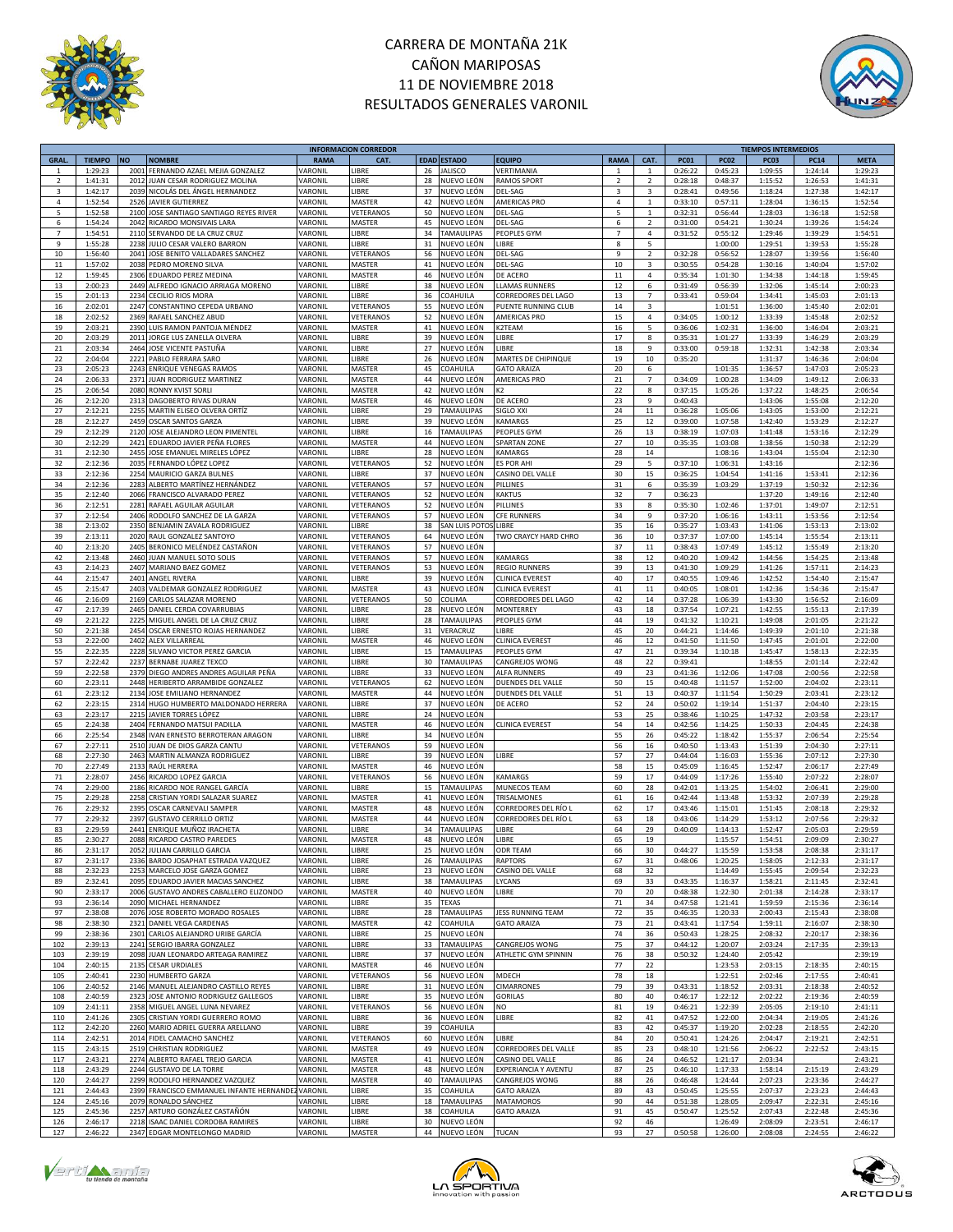



|                |               |      |                                              |             | <b>INFORMACION CORREDOR</b> |    |                    |                        |                         |                |             |             | <b>TIEMPOS INTERMEDIOS</b> |             |             |
|----------------|---------------|------|----------------------------------------------|-------------|-----------------------------|----|--------------------|------------------------|-------------------------|----------------|-------------|-------------|----------------------------|-------------|-------------|
| <b>GRAL</b>    | <b>TIEMPO</b> | NO   | <b>NOMBRE</b>                                | <b>RAMA</b> | CAT.                        |    | <b>EDAD ESTADO</b> | <b>EQUIPO</b>          | <b>RAMA</b>             | CAT.           | <b>PC01</b> | <b>PC02</b> | PC <sub>03</sub>           | <b>PC14</b> | <b>META</b> |
| -1             | 1:29:23       | 2001 | FERNANDO AZAEL MEJIA GONZALEZ                | VARONIL     | LIBRE                       | 26 | <b>JALISCO</b>     | VERTIMANIA             | $\mathbf{1}$            | 1              | 0:26:22     | 0:45:23     | 1:09:55                    | 1:24:14     | 1:29:23     |
| $\overline{2}$ | 1:41:31       | 2012 | JUAN CESAR RODRIGUEZ MOLINA                  | VARONIL     | LIBRE                       | 28 | NUEVO LEÓN         | <b>RAMOS SPORT</b>     | $\overline{2}$          | $\overline{2}$ | 0:28:18     | 0:48:37     | 1:15:52                    | 1:26:53     | 1:41:31     |
| 3              | 1:42:17       | 2039 | NICOLÁS DEL ÁNGEL HERNANDEZ                  | VARONIL     | LIBRE                       | 37 | NUEVO LEÓN         | DEL-SAG                | $\overline{\mathbf{z}}$ | 3              | 0:28:41     | 0:49:56     | 1:18:24                    | 1:27:38     | 1:42:17     |
| 4              | 1:52:54       | 2526 | JAVIER GUTIERREZ                             | VARONIL     | MASTER                      | 42 | NUEVO LEÓN         | AMERICAS PRO           | 4                       | $\mathbf{1}$   | 0:33:10     | 0:57:11     | 1:28:04                    | 1:36:15     | 1:52:54     |
| 5              | 1:52:58       | 2100 | JOSE SANTIAGO SANTIAGO REYES RIVER           | VARONIL     | VETERANOS                   | 50 | NUEVO LEÓN         |                        | 5                       | $\mathbf 1$    | 0:32:31     | 0:56:44     | 1:28:03                    |             | 1:52:58     |
|                |               |      |                                              |             |                             |    |                    | DEL-SAG                |                         |                |             |             |                            | 1:36:18     |             |
| 6              | 1:54:24       | 2042 | RICARDO MONSIVAIS LARA                       | VARONIL     | MASTER                      | 45 | NUEVO LEÓN         | DEL-SAG                | 6                       | $\overline{2}$ | 0:31:00     | 0:54:21     | 1:30:24                    | 1:39:26     | 1:54:24     |
| $\overline{7}$ | 1:54:51       | 2110 | SERVANDO DE LA CRUZ CRUZ                     | VARONIL     | LIBRE                       | 34 | TAMAULIPAS         | PEOPLES GYM            | $\overline{7}$          | $\overline{4}$ | 0:31:52     | 0:55:12     | 1:29:46                    | 1:39:29     | 1:54:51     |
| 9              | 1:55:28       | 2238 | JULIO CESAR VALERO BARRON                    | VARONIL     | LIBRE                       | 31 | NUEVO LEÓN         | LIBRE                  | 8                       | 5              |             | 1:00:00     | 1:29:51                    | 1:39:53     | 1:55:28     |
| $10\,$         | 1:56:40       | 2041 | JOSE BENITO VALLADARES SANCHEZ               | VARONIL     | VETERANOS                   | 56 | NUEVO LEÓN         | DEL-SAG                | $\overline{9}$          | $\mathbf 2$    | 0:32:28     | 0:56:52     | 1:28:07                    | 1:39:56     | 1:56:40     |
| 11             | 1:57:02       | 2038 | PEDRO MORENO SILVA                           | VARONIL     | <b>MASTER</b>               | 41 | NUEVO LEÓN         | <b>DEL-SAG</b>         | 10                      | 3              | 0:30:55     | 0:54:28     | 1:30:16                    | 1:40:04     | 1:57:02     |
| 12             | 1:59:45       | 2306 | EDUARDO PEREZ MEDINA                         | VARONIL     | MASTER                      | 46 | NUEVO LEÓN         | DE ACERO               | 11                      | $\overline{4}$ | 0:35:34     | 1:01:30     | 1:34:38                    | 1:44:18     | 1:59:45     |
| 13             | 2:00:23       | 2449 | ALFREDO IGNACIO ARRIAGA MORENO               | VARONIL     | LIBRE                       | 38 | NUEVO LEÓN         | LLAMAS RUNNERS         | 12                      | 6              | 0:31:49     | 0:56:39     | 1:32:06                    | 1:45:14     | 2:00:23     |
| 15             | 2:01:13       | 2234 | CECILIO RIOS MORA                            | VARONIL     | LIBRE                       | 36 | COAHUILA           | CORREDORES DEL LAGO    | 13                      | $\overline{7}$ | 0:33:41     | 0:59:04     | 1:34:41                    | 1:45:03     | 2:01:13     |
| 16             | 2:02:01       | 2247 | CONSTANTINO CEPEDA URBANO                    | VARONIL     | VETERANOS                   | 55 | NUEVO LEÓN         | PUENTE RUNNING CLUB    | $14\,$                  | 3              |             | 1:01:51     | 1:36:00                    | 1:45:40     | 2:02:01     |
| 18             | 2:02:52       | 2369 |                                              | VARONIL     | VETERANOS                   | 52 | NUEVO LEÓN         |                        | 15                      |                |             |             |                            | 1:45:48     | 2:02:52     |
|                |               |      | RAFAEL SANCHEZ ABUD                          |             |                             |    |                    | <b>AMERICAS PRO</b>    |                         | $\overline{4}$ | 0:34:05     | 1:00:12     | 1:33:39                    |             |             |
| 19             | 2:03:21       | 2390 | LUIS RAMON PANTOJA MÉNDEZ                    | VARONIL     | MASTER                      | 41 | NUEVO LEÓN         | K2TEAM                 | 16                      | 5              | 0:36:06     | 1:02:31     | 1:36:00                    | 1:46:04     | 2:03:21     |
| 20             | 2:03:29       | 2011 | JORGE LUS ZANELLA OLVERA                     | VARONIL     | LIBRE                       | 39 | NUEVO LEÓN         | LIBRE                  | 17                      | 8              | 0:35:31     | 1:01:27     | 1:33:39                    | 1:46:29     | 2:03:29     |
| $21\,$         | 2:03:34       | 2464 | JOSE VICENTE PASTUÑA                         | VARONIL     | LIBRE                       | 27 | NUEVO LEÓN         | LIBRE                  | 18                      | 9              | 0:33:00     | 0:59:18     | 1:32:31                    | 1:42:38     | 2:03:34     |
| 22             | 2:04:04       | 2221 | PABLO FERRARA SARO                           | VARONIL     | LIBRE                       | 26 | NUEVO LEÓN         | MARTES DE CHIPINQUE    | 19                      | 10             | 0:35:20     |             | 1:31:37                    | 1:46:36     | 2:04:04     |
| 23             | 2:05:23       | 2243 | <b>ENRIQUE VENEGAS RAMOS</b>                 | VARONIL     | MASTER                      | 45 | COAHUILA           | GATO ARAIZA            | 20                      | 6              |             | 1:01:35     | 1:36:57                    | 1:47:03     | 2:05:23     |
| 24             | 2:06:33       | 2371 | JUAN RODRIGUEZ MARTINEZ                      | VARONIL     | MASTER                      | 44 | NUEVO LEÓN         | <b>AMERICAS PRO</b>    | 21                      | $\overline{7}$ | 0:34:09     | 1:00:28     | 1:34:09                    | 1:49:12     | 2:06:33     |
| 25             | 2:06:54       | 2080 | RONNY KVIST SORLI                            | VARONIL     | MASTER                      | 42 | NUEVO LEÓN         | К2                     | 22                      | 8              | 0:37:15     | 1:05:26     | 1:37:22                    | 1:48:25     | 2:06:54     |
| 26             | 2:12:20       | 2313 | DAGOBERTO RIVAS DURAN                        | VARONIL     | MASTER                      | 46 | NUEVO LEÓN         | DE ACERO               | 23                      | 9              | 0:40:43     |             | 1:43:06                    | 1:55:08     | 2:12:20     |
| 27             |               |      |                                              |             |                             |    |                    |                        |                         |                |             |             |                            |             |             |
|                | 2:12:21       | 2255 | MARTIN ELISEO OLVERA ORTÍZ                   | VARONIL     | LIBRE                       | 29 | TAMAULIPAS         | SIGLO XXI              | 24                      | 11             | 0:36:28     | 1:05:06     | 1:43:05                    | 1:53:00     | 2:12:21     |
| 28             | 2:12:27       | 2459 | OSCAR SANTOS GARZA                           | VARONIL     | LIBRE                       | 39 | NUEVO LEÓN         | <b>KAMARGS</b>         | 25                      | 12             | 0:39:00     | 1:07:58     | 1:42:40                    | 1:53:29     | 2:12:27     |
| 29             | 2:12:29       | 2120 | JOSE ALEJANDRO LEON PIMENTEL                 | VARONIL     | LIBRE                       | 16 | TAMAULIPAS         | PEOPLES GYM            | 26                      | 13             | 0:38:19     | 1:07:03     | 1:41:48                    | 1:53:16     | 2:12:29     |
| 30             | 2:12:29       | 2421 | EDUARDO JAVIER PEÑA FLORES                   | VARONIL     | MASTER                      | 44 | NUEVO LEÓN         | <b>SPARTAN ZONE</b>    | 27                      | 10             | 0:35:35     | 1:03:08     | 1:38:56                    | 1:50:38     | 2:12:29     |
| 31             | 2:12:30       | 2455 | JOSE EMANUEL MIRELES LÓPEZ                   | VARONIL     | LIBRE                       | 28 | NUEVO LEÓN         | KAMARGS                | 28                      | 14             |             | 1:08:16     | 1:43:04                    | 1:55:04     | 2:12:30     |
| 32             | 2:12:36       | 2035 | FERNANDO LÓPEZ LOPEZ                         | VARONIL     | VETERANOS                   | 52 | NUEVO LEÓN         | <b>ES POR AHI</b>      | 29                      | 5              | 0:37:10     | 1:06:31     | 1:43:16                    |             | 2:12:36     |
| 33             | 2:12:36       | 2254 | MAURICIO GARZA BULNES                        | VARONIL     | LIBRE                       | 37 | NUEVO LEÓN         | CASINO DEL VALLE       | 30                      | 15             | 0:36:25     | 1:04:54     | 1:41:16                    | 1:53:41     | 2:12:36     |
| 34             | 2:12:36       | 2283 | ALBERTO MARTÍNEZ HERNÁNDEZ                   | VARONIL     | <b>VETERANOS</b>            | 57 | NUEVO LEÓN         | PILLINES               | 31                      | 6              | 0:35:39     | 1:03:29     | 1:37:19                    | 1:50:32     | 2:12:36     |
| 35             | 2:12:40       | 2066 | FRANCISCO ALVARADO PEREZ                     | VARONIL     | VETERANOS                   | 52 | NUEVO LEÓN         | KAKTUS                 | 32                      | $\overline{7}$ | 0:36:23     |             | 1:37:20                    | 1:49:16     | 2:12:40     |
|                |               |      |                                              |             |                             |    |                    |                        |                         |                |             |             |                            |             |             |
| 36             | 2:12:51       | 2281 | RAFAEL AGUILAR AGUILAR                       | VARONIL     | VETERANOS                   | 52 | NUEVO LEÓN         | PILLINES               | 33                      | 8<br>9         | 0:35:30     | 1:02:46     | 1:37:01                    | 1:49:07     | 2:12:51     |
| 37             | 2:12:54       | 2406 | RODOLFO SANCHEZ DE LA GARZA                  | VARONIL     | VETERANOS                   | 57 | NUEVO LEÓN         | <b>CFE RUNNERS</b>     | 34                      |                | 0:37:20     | 1:06:16     | 1:43:11                    | 1:53:56     | 2:12:54     |
| 38             | 2:13:02       | 2350 | BENJAMIN ZAVALA RODRIGUEZ                    | VARONIL     | LIBRE                       | 38 | SAN LUIS POTO      | LIBRE                  | 35                      | 16             | 0:35:27     | 1:03:43     | 1:41:06                    | 1:53:13     | 2:13:02     |
| 39             | 2:13:11       | 2020 | RAUL GONZALEZ SANTOYO                        | VARONII     | VETERANOS                   | 64 | NUEVO LEÓN         | TWO CRAYCY HARD CHRO   | 36                      | 10             | 0:37:37     | 1:07:00     | 1:45:14                    | 1:55:54     | 2:13:11     |
| 40             | 2:13:20       | 2405 | BERONICO MELÉNDEZ CASTAÑON                   | VARONI      | VETERANOS                   | 57 | NUEVO LEÓN         |                        | 37                      | 11             | 0:38:43     | 1:07:49     | 1:45:12                    | 1:55:49     | 2:13:20     |
| 42             | 2:13:48       | 2460 | JUAN MANUEL SOTO SOLIS                       | VARONIL     | VETERANOS                   | 57 | NUEVO LEÓN         | <b>KAMARGS</b>         | 38                      | 12             | 0:40:20     | 1:09:42     | 1:44:56                    | 1:54:25     | 2:13:48     |
| 43             | 2:14:23       |      | 2407 MARIANO BAEZ GOMEZ                      | VARONIL     | VETERANOS                   | 53 | NUEVO LEÓN         | <b>REGIO RUNNERS</b>   | 39                      | 13             | 0:41:30     | 1:09:29     | 1:41:26                    | 1:57:11     | 2:14:23     |
| 44             | 2:15:47       | 2401 | <b>ANGEL RIVERA</b>                          | VARONIL     | LIBRE                       | 39 | NUEVO LEÓN         | CLINICA EVEREST        | 40                      | 17             | 0:40:55     | 1:09:46     | 1:42:52                    | 1:54:40     | 2:15:47     |
| 45             | 2:15:47       | 2403 | VALDEMAR GONZALEZ RODRIGUEZ                  | VARONIL     | MASTER                      | 43 | NUEVO LEÓN         | <b>CLINICA EVEREST</b> | 41                      | 11             | 0:40:05     | 1:08:01     | 1:42:36                    | 1:54:36     | 2:15:47     |
|                |               |      |                                              |             |                             |    |                    |                        |                         |                |             |             |                            |             |             |
| 46             | 2:16:09       | 2169 | CARLOS SALAZAR MORENO                        | VARONIL     | VETERANOS                   | 50 | COLIMA             | CORREDORES DEL LAGO    | 42                      | 14             | 0:37:28     | 1:06:39     | 1:43:30                    | 1:56:52     | 2:16:09     |
| 47             | 2:17:39       | 2465 | DANIEL CERDA COVARRUBIAS                     | VARONIL     | LIBRE                       | 28 | NUEVO LEÓN         | <b>MONTERREY</b>       | 43                      | 18             | 0:37:54     | 1:07:21     | 1:42:55                    | 1:55:13     | 2:17:39     |
| 49             | 2:21:22       | 2225 | MIGUEL ANGEL DE LA CRUZ CRUZ                 | VARONIL     | LIBRE                       | 28 | <b>TAMAULIPAS</b>  | <b>PEOPLES GYM</b>     | 44                      | 19             | 0:41:32     | 1:10:21     | 1:49:08                    | 2:01:05     | 2:21:22     |
| 50             | 2:21:38       | 2454 | OSCAR ERNESTO ROJAS HERNANDEZ                | VARONIL     | LIBRE                       | 31 | VERACRUZ           | LIBRE                  | 45                      | 20             | 0:44:21     | 1:14:46     | 1:49:39                    | 2:01:10     | 2:21:38     |
| 53             | 2:22:00       | 2402 | ALEX VILLARREAL                              | VARONIL     | MASTER                      | 46 | NUEVO LEÓN         | <b>CLINICA EVEREST</b> | 46                      | 12             | 0:41:50     | 1:11:50     | 1:47:45                    | 2:01:01     | 2:22:00     |
| 55             | 2:22:35       | 2228 | SILVANO VICTOR PEREZ GARCIA                  | VARONIL     | LIBRE                       | 15 | TAMAULIPAS         | PEOPLES GYM            | 47                      | 21             | 0:39:34     | 1:10:18     | 1:45:47                    | 1:58:13     | 2:22:35     |
| 57             | 2:22:42       | 2237 | <b>BERNABE JUAREZ TEXCO</b>                  | VARONIL     | LIBRE                       | 30 | <b>TAMAULIPAS</b>  | CANGREJOS WONG         | 48                      | 22             | 0:39:41     |             | 1:48:55                    | 2:01:14     | 2:22:42     |
| 59             | 2:22:58       | 2379 | DIEGO ANDRES ANDRES AGUILAR PEÑA             | VARONIL     | LIBRE                       | 33 | NUEVO LEÓN         | <b>ALFA RUNNERS</b>    | 49                      | 23             | 0:41:36     | 1:12:06     | 1:47:08                    | 2:00:56     | 2:22:58     |
|                |               |      |                                              |             |                             |    |                    |                        |                         |                |             |             |                            |             |             |
| 60             | 2:23:11       | 2448 | HERIBERTO ARRAMBIDE GONZALEZ                 | VARONIL     | VETERANOS                   | 62 | NUEVO LEÓN         | DUENDES DEL VALLE      | 50                      | 15             | 0:40:48     | 1:11:57     | 1:52:00                    | 2:04:02     | 2:23:11     |
| 61             | 2:23:12       | 2134 | JOSE EMILIANO HERNANDEZ                      | VARONIL     | MASTER                      | 44 | NUEVO LEÓN         | DUENDES DEL VALLE      | 51                      | 13             | 0:40:37     | 1:11:54     | 1:50:29                    | 2:03:41     | 2:23:12     |
| 62             | 2:23:15       | 2314 | HUGO HUMBERTO MALDONADO HERRERA              | VARONIL     | LIBRE                       | 37 | NUEVO LEÓN         | DE ACERO               | 52                      | 24             | 0:50:02     | 1:19:14     | 1:51:37                    | 2:04:40     | 2:23:15     |
| 63             | 2:23:17       | 2215 | JAVIER TORRES LÓPEZ                          | VARONIL     | LIBRE                       | 24 | NUEVO LEÓN         |                        | 53                      | 25             | 0:38:46     | 1:10:25     | 1:47:32                    | 2:03:58     | 2:23:17     |
| 65             | 2:24:38       | 2404 | FERNANDO MATSUI PADILLA                      | VARONIL     | MASTER                      | 46 | NUEVO LEÓN         | CLINICA EVEREST        | 54                      | 14             | 0:42:56     | 1:14:25     | 1:50:33                    | 2:04:45     | 2:24:38     |
| 66             | 2:25:54       | 2348 | IVAN ERNESTO BERROTERAN ARAGON               | VARONIL     | LIBRE                       | 34 | NUEVO LEÓN         |                        | 55                      | 26             | 0:45:22     | 1:18:42     | 1:55:37                    | 2:06:54     | 2:25:54     |
| 67             | 2:27:11       | 2510 | JUAN DE DIOS GARZA CANTU                     | VARONIL     | VETERANOS                   | 59 | NUEVO LEÓN         |                        | 56                      | 16             | 0:40:50     | 1:13:43     | 1:51:39                    | 2:04:30     | 2:27:11     |
| 68             | 2:27:30       | 2463 | MARTIN ALMANZA RODRIGUEZ                     | VARONIL     | LIBRE                       | 39 | NUEVO LEÓN         | LIBRE                  | 57                      | 27             | 0:44:04     | 1:16:03     | 1:55:36                    | 2:07:12     | 2:27:30     |
| 70             | 2:27:49       | 2133 | RAÚL HERRERA                                 | VARONIL     | MASTER                      | 46 | NUEVO LEÓN         |                        | 58                      | 15             | 0:45:09     | 1:16:45     | 1:52:47                    | 2:06:17     | 2:27:49     |
|                |               |      |                                              |             |                             |    |                    |                        |                         |                |             |             |                            |             |             |
| $71\,$         | 2:28:07       | 2456 | RICARDO LOPEZ GARCIA                         | VARONIL     | VETERANOS                   | 56 | NUEVO LEÓN         | KAMARGS                | 59                      | 17             | 0:44:09     | 1:17:26     | 1:55:40                    | 2:07:22     | 2:28:07     |
| 74             | 2:29:00       | 2186 | RICARDO NOE RANGEL GARCÍA                    | VARONIL     | LIBRE                       | 15 | TAMAULIPAS         | MUNECOS TEAM           | 60                      | 28             | 0:42:01     | 1:13:25     | 1:54:02                    | 2:06:41     | 2:29:00     |
| 75             | 2:29:28       | 2258 | CRISTIAN YORDI SALAZAR SUAREZ                | VARONIL     | MASTER                      | 41 | NUEVO LEÓN         | <b>TRISALMONES</b>     | 61                      | 16             | 0:42:44     | 1:13:48     | 1:53:32                    | 2:07:39     | 2:29:28     |
| 76             | 2:29:32       | 2395 | OSCAR CARNEVALI SAMPER                       | VARONIL     | MASTER                      | 48 | NUEVO LEÓN         | CORREDORES DEL RÍO I   | 62                      | 17             | 0:43:46     | 1:15:01     | 1:51:45                    | 2:08:18     | 2:29:32     |
| 77             | 2:29:32       | 2397 | <b>GUSTAVO CERRILLO ORTIZ</b>                | VARONIL     | MASTER                      | 44 | NUEVO LEÓN         | CORREDORES DEL RÍO L   | 63                      | 18             | 0:43:06     | 1:14:29     | 1:53:12                    | 2:07:56     | 2:29:32     |
| 83             | 2:29:59       | 2441 | ENRIQUE MUÑOZ IRACHETA                       | VARONIL     | LIBRE                       | 34 | TAMAULIPAS         | LIBRE                  | 64                      | 29             | 0:40:09     | 1:14:13     | 1:52:47                    | 2:05:03     | 2:29:59     |
| 85             | 2:30:27       |      | 2088 RICARDO CASTRO PAREDES                  | VARONIL     | <b>MASTER</b>               | 48 | NUEVO LEÓN         | LIBRE                  | 65                      | 19             |             | 1:15:57     | 1:54:51                    | 2:09:09     | 2:30:27     |
| 86             | 2:31:17       |      | 2052 JULIAN CARRILLO GARCIA                  | VARONIL     | LIBRE                       | 25 | NUEVO LEÓN         | <b>ODR TEAM</b>        | 66                      | 30             | 0:44:27     | 1:15:59     | 1:53:58                    | 2:08:38     | 2:31:17     |
| 87             | 2:31:17       |      | 2336 BARDO JOSAPHAT ESTRADA VAZQUEZ          | VARONIL     | LIBRE                       | 26 | <b>TAMAULIPAS</b>  | <b>RAPTORS</b>         | 67                      | 31             | 0:48:06     | 1:20:25     | 1:58:05                    | 2:12:33     | 2:31:17     |
| 88             | 2:32:23       |      | 2253 MARCELO JOSE GARZA GOMEZ                | VARONIL     | LIBRE                       | 23 | NUEVO LEÓN         | CASINO DEL VALLE       | 68                      | 32             |             | 1:14:49     | 1:55:45                    | 2:09:54     | 2:32:23     |
| 89             | 2:32:41       | 2095 | EDUARDO JAVIER MACIAS SANCHEZ                | VARONIL     | LIBRE                       | 38 | <b>TAMAULIPAS</b>  | LYCANS                 | 69                      | 33             | 0:43:35     | 1:16:37     | 1:58:21                    | 2:11:45     | 2:32:41     |
| 90             | 2:33:17       | 2006 |                                              | VARONIL     | MASTER                      |    | NUEVO LEÓN         | LIBRE                  | $70\,$                  |                | 0:48:38     |             | 2:01:38                    |             | 2:33:17     |
|                |               |      | GUSTAVO ANDRES CABALLERO ELIZONDO            |             |                             | 40 |                    |                        |                         | 20             |             | 1:22:30     |                            | 2:14:28     |             |
| 93             | 2:36:14       | 2090 | MICHAEL HERNANDEZ                            | VARONIL     | LIBRE                       | 35 | <b>TEXAS</b>       |                        | $71\,$                  | 34             | 0:47:58     | 1:21:41     | 1:59:59                    | 2:15:36     | 2:36:14     |
| 97             | 2:38:08       |      | 2076 JOSE ROBERTO MORADO ROSALES             | VARONIL     | LIBRE                       | 28 | <b>TAMAULIPAS</b>  | JESS RUNNING TEAM      | 72                      | 35             | 0:46:35     | 1:20:33     | 2:00:43                    | 2:15:43     | 2:38:08     |
| 98             | 2:38:30       | 2321 | DANIEL VEGA CARDENAS                         | VARONIL     | MASTER                      | 42 | COAHUILA           | <b>GATO ARAIZA</b>     | 73                      | 21             | 0:43:41     | 1:17:54     | 1:59:11                    | 2:16:07     | 2:38:30     |
| 99             | 2:38:36       | 2301 | CARLOS ALEJANDRO URIBE GARCÍA                | VARONIL     | LIBRE                       | 25 | NUEVO LEÓN         |                        | 74                      | 36             | 0:50:43     | 1:28:25     | 2:08:32                    | 2:20:17     | 2:38:36     |
| 102            | 2:39:13       | 2241 | SERGIO IBARRA GONZALEZ                       | VARONIL     | LIBRE                       | 33 | <b>TAMAULIPAS</b>  | CANGREJOS WONG         | 75                      | 37             | 0:44:12     | 1:20:07     | 2:03:24                    | 2:17:35     | 2:39:13     |
| 103            | 2:39:19       | 2098 | JUAN LEONARDO ARTEAGA RAMIREZ                | VARONIL     | LIBRE                       | 37 | NUEVO LEÓN         | ATHLETIC GYM SPINNIN   | 76                      | 38             | 0:50:32     | 1:24:40     | 2:05:42                    |             | 2:39:19     |
| 104            | 2:40:15       | 2135 | <b>CESAR URDIALES</b>                        | VARONIL     | MASTER                      | 46 | NUEVO LEÓN         |                        | 77                      | 22             |             | 1:23:53     | 2:03:15                    | 2:18:35     | 2:40:15     |
| 105            | 2:40:41       | 2230 | <b>HUMBERTO GARZA</b>                        | VARONIL     | VETERANOS                   | 56 | NUEVO LEÓN         | MDECH                  | 78                      | 18             |             | 1:22:51     | 2:02:46                    | 2:17:55     | 2:40:41     |
| 106            | 2:40:52       | 2146 | MANUEL ALEJANDRO CASTILLO REYES              | VARONIL     | LIBRE                       | 31 | NUEVO LEÓN         | CIMARRONES             | 79                      | 39             | 0:43:31     | 1:18:52     | 2:03:31                    | 2:18:38     | 2:40:52     |
| 108            | 2:40:59       | 2323 | JOSE ANTONIO RODRIGUEZ GALLEGOS              | VARONIL     | LIBRE                       |    | NUEVO LEÓN         | GORILAS                | 80                      |                | 0:46:17     |             |                            | 2:19:36     | 2:40:59     |
|                |               |      |                                              |             |                             | 35 |                    |                        |                         | 40             |             | 1:22:12     | 2:02:22                    |             |             |
| 109            | 2:41:11       | 2358 | MIGUEL ANGEL LUNA NEVAREZ                    | VARONIL     | VETERANOS                   | 56 | NUEVO LEÓN         | NO                     | 81                      | 19             | 0:46:21     | 1:22:39     | 2:05:05                    | 2:19:10     | 2:41:11     |
| 110            | 2:41:26       | 2305 | CRISTIAN YORDI GUERRERO ROMO                 | VARONIL     | LIBRE                       | 36 | NUEVO LEÓN         | LIBRE                  | 82                      | 41             | 0:47:52     | 1:22:00     | 2:04:34                    | 2:19:05     | 2:41:26     |
| 112            | 2:42:20       | 2260 | MARIO ADRIEL GUERRA ARELLANO                 | VARONIL     | LIBRE                       | 39 | COAHUILA           |                        | 83                      | 42             | 0:45:37     | 1:19:20     | 2:02:28                    | 2:18:55     | 2:42:20     |
| $114\,$        | 2:42:51       | 2014 | FIDEL CAMACHO SANCHEZ                        | VARONIL     | VETERANOS                   | 60 | NUEVO LEÓN         | LIBRE                  | 84                      | 20             | 0:50:41     | 1:24:26     | 2:04:47                    | 2:19:21     | 2:42:51     |
| 115            | 2:43:15       | 2519 | CHRISTIAN RODRIGUEZ                          | VARONIL     | MASTER                      | 49 | NUEVO LEÓN         | CORREDORES DEL VALLE   | 85                      | 23             | 0:48:10     | 1:21:56     | 2:06:22                    | 2:22:52     | 2:43:15     |
| 117            | 2:43:21       | 2274 | ALBERTO RAFAEL TREJO GARCIA                  | VARONIL     | MASTER                      | 41 | NUEVO LEÓN         | CASINO DEL VALLE       | 86                      | 24             | 0:46:52     | 1:21:17     | 2:03:34                    |             | 2:43:21     |
| 118            | 2:43:29       | 2244 | <b>GUSTAVO DE LA TORRE</b>                   | VARONIL     | MASTER                      | 48 | NUEVO LEÓN         | EXPERIANCIA Y AVENTU   | 87                      | 25             | 0:46:10     | 1:17:33     | 1:58:14                    | 2:15:19     | 2:43:29     |
| 120            | 2:44:27       | 2299 | RODOLFO HERNANDEZ VAZQUEZ                    | VARONIL     | MASTER                      | 40 | TAMAULIPAS         | CANGREJOS WONG         | 88                      | 26             | 0:46:48     | 1:24:44     | 2:07:23                    | 2:23:36     | 2:44:27     |
| 121            | 2:44:43       | 2399 | FRANCISCO EMMANUEL INFANTE HERNANDEZ VARONIL |             | LIBRE                       | 35 | COAHUILA           | <b>GATO ARAIZA</b>     | 89                      | 43             | 0:50:45     | 1:25:55     | 2:07:37                    | 2:23:23     | 2:44:43     |
| 124            | 2:45:16       | 2079 |                                              |             | LIBRE                       |    |                    | <b>MATAMOROS</b>       | 90                      | 44             |             |             |                            |             |             |
|                |               |      | RONALDO SÁNCHEZ                              | VARONIL     |                             | 18 | TAMAULIPAS         |                        |                         |                | 0:51:38     | 1:28:05     | 2:09:47                    | 2:22:31     | 2:45:16     |
| 125            | 2:45:36       | 2257 | ARTURO GONZÁLEZ CASTAÑÓN                     | VARONIL     | LIBRE                       | 38 | COAHUILA           | <b>GATO ARAIZA</b>     | 91                      | 45             | 0:50:47     | 1:25:52     | 2:07:43                    | 2:22:48     | 2:45:36     |
| 126            | 2:46:17       |      | 2218 ISAAC DANIEL CORDOBA RAMIRES            | VARONIL     | LIBRE                       | 30 | NUEVO LEÓN         |                        | 92                      | 46             |             | 1:26:49     | 2:08:09                    | 2:23:51     | 2:46:17     |
| 127            | 2:46:22       |      | 2347 EDGAR MONTELONGO MADRID                 | VARONIL     | MASTER                      |    | 44 NUEVO LEÓN      | <b>TUCAN</b>           | 93                      | 27             | 0:50:58     | 1:26:00     | 2:08:08                    | 2:24:55     | 2:46:22     |





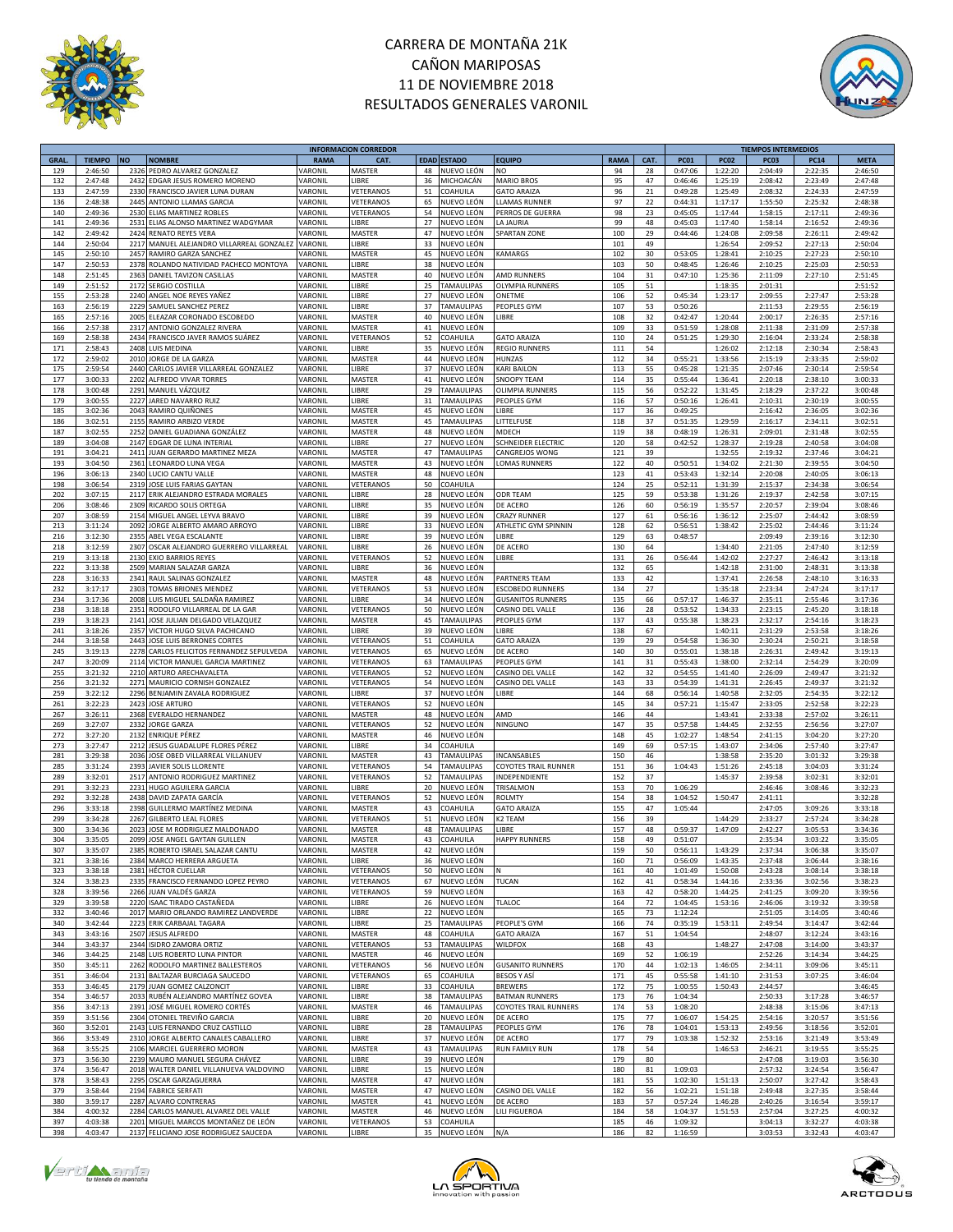



|             |               |           |                                       |             | <b>INFORMACION CORREDOR</b> |    |                    |                              |      |      |             |             | <b>TIEMPOS INTERMEDIOS</b> |             |             |
|-------------|---------------|-----------|---------------------------------------|-------------|-----------------------------|----|--------------------|------------------------------|------|------|-------------|-------------|----------------------------|-------------|-------------|
| <b>GRAL</b> | <b>TIEMPO</b> | <b>NO</b> | <b>NOMBRE</b>                         | <b>RAMA</b> | CAT.                        |    | <b>EDAD ESTADO</b> | <b>EQUIPO</b>                | RAMA | CAT. | <b>PC01</b> | <b>PC02</b> | <b>PC03</b>                | <b>PC14</b> | <b>META</b> |
| 129         | 2:46:50       |           | 2326 PEDRO ALVAREZ GONZALEZ           | VARONIL     | MASTER                      | 48 | NUEVO LEÓN         | NO                           | 94   | 28   | 0:47:06     | 1:22:20     | 2:04:49                    | 2:22:35     | 2:46:50     |
|             |               |           |                                       |             |                             |    |                    |                              |      |      |             |             |                            |             |             |
| 132         | 2:47:48       | 2432      | EDGAR JESUS ROMERO MORENO             | VARONIL     | LIBRE                       | 36 | MICHOACÁN          | <b>MARIO BROS</b>            | 95   | 47   | 0:46:46     | 1:25:19     | 2:08:42                    | 2:23:49     | 2:47:48     |
| 133         | 2:47:59       | 2330      | FRANCISCO JAVIER LUNA DURAN           | VARONIL     | VETERANOS                   | 51 | COAHUILA           | <b>GATO ARAIZA</b>           | 96   | 21   | 0:49:28     | 1:25:49     | 2:08:32                    | 2:24:33     | 2:47:59     |
| 136         | 2:48:38       | 2445      | ANTONIO LLAMAS GARCIA                 | VARONIL     | VETERANOS                   | 65 | NUEVO LEÓN         | <b>LAMAS RUNNER</b>          | 97   | 22   | 0:44:31     | 1:17:17     | 1:55:50                    | 2:25:32     | 2:48:38     |
| 140         | 2:49:36       |           | 2530 ELIAS MARTINEZ ROBLES            | VARONIL     | VETERANOS                   | 54 | NUEVO LEÓN         | PERROS DE GUERRA             | 98   | 23   | 0:45:05     | 1:17:44     | 1:58:15                    | 2:17:11     | 2:49:36     |
|             |               |           |                                       |             |                             |    |                    |                              |      |      |             |             |                            |             |             |
| 141         | 2:49:36       | 2531      | ELIAS ALONSO MARTINEZ WADGYMAR        | VARONIL     | LIBRE                       | 27 | NUEVO LEÓN         | A JAURIA                     | 99   | 48   | 0:45:03     | 1:17:40     | 1:58:14                    | 2:16:52     | 2:49:36     |
| 142         | 2:49:42       |           | 2424 RENATO REYES VERA                | VARONIL     | MASTER                      | 47 | NUEVO LEÓN         | SPARTAN ZONE                 | 100  | 29   | 0:44:46     | 1:24:08     | 2:09:58                    | 2:26:11     | 2:49:42     |
| 144         | 2:50:04       | 2217      | MANUEL ALEJANDRO VILLARREAL GONZALEZ  | VARONIL     | LIBRE                       | 33 | NUEVO LEÓN         |                              | 101  | 49   |             | 1:26:54     | 2:09:52                    | 2:27:13     | 2:50:04     |
| 145         | 2:50:10       | 2457      | RAMIRO GARZA SANCHEZ                  | VARONIL     | MASTER                      | 45 | NUEVO LEÓN         | <b>KAMARGS</b>               | 102  | 30   | 0:53:05     | 1:28:41     | 2:10:25                    | 2:27:23     | 2:50:10     |
|             |               |           |                                       |             |                             |    |                    |                              |      |      |             |             |                            |             |             |
| 147         | 2:50:53       | 2378      | ROLANDO NATIVIDAD PACHECO MONTOYA     | VARONIL     | LIBRE                       | 38 | NUEVO LEÓN         |                              | 103  | 50   | 0:48:45     | 1:26:46     | 2:10:25                    | 2:25:03     | 2:50:53     |
| 148         | 2:51:45       | 2363      | DANIEL TAVIZON CASILLAS               | VARONIL     | MASTER                      | 40 | NUEVO LEÓN         | AMD RUNNERS                  | 104  | 31   | 0:47:10     | 1:25:36     | 2:11:09                    | 2:27:10     | 2:51:45     |
| 149         | 2:51:52       | 2172      | SERGIO COSTILLA                       | VARONIL     | LIBRE                       | 25 | TAMAULIPAS         | OLYMPIA RUNNERS              | 105  | 51   |             | 1:18:35     | 2:01:31                    |             | 2:51:52     |
| 155         | 2:53:28       | 2240      | ANGEL NOE REYES YAÑEZ                 | VARONIL     | LIBRE                       | 27 | NUEVO LEÓN         | ONETME                       | 106  | 52   | 0:45:34     | 1:23:17     | 2:09:55                    | 2:27:47     | 2:53:28     |
| 163         |               | 2229      |                                       | VARONIL     | LIBRE                       | 37 | TAMAULIPAS         | PEOPLES GYM                  |      |      |             |             |                            |             |             |
|             | 2:56:19       |           | SAMUEL SANCHEZ PEREZ                  |             |                             |    |                    |                              | 107  | 53   | 0:50:26     |             | 2:11:53                    | 2:29:55     | 2:56:19     |
| 165         | 2:57:16       | 2005      | ELEAZAR CORONADO ESCOBEDO             | VARONIL     | MASTER                      | 40 | NUEVO LEÓN         | <b>IBRE</b>                  | 108  | 32   | 0:42:47     | 1:20:44     | 2:00:17                    | 2:26:35     | 2:57:16     |
| 166         | 2:57:38       | 2317      | ANTONIO GONZALEZ RIVERA               | VARONIL     | MASTER                      | 41 | NUEVO LEÓN         |                              | 109  | 33   | 0:51:59     | 1:28:08     | 2:11:38                    | 2:31:09     | 2:57:38     |
| 169         | 2:58:38       | 2434      | FRANCISCO JAVER RAMOS SUÁREZ          | VARONIL     | VETERANOS                   | 52 | COAHUILA           | <b>GATO ARAIZA</b>           | 110  | 24   | 0:51:25     | 1:29:30     | 2:16:04                    | 2:33:24     | 2:58:38     |
| 171         | 2:58:43       | 2408      | <b>LUIS MEDINA</b>                    | VARONIL     | LIBRE                       | 35 | NUEVO LEÓN         | <b>REGIO RUNNERS</b>         | 111  | 54   |             | 1:26:02     | 2:12:18                    | 2:30:34     | 2:58:43     |
|             |               |           |                                       |             |                             |    |                    |                              |      |      |             |             |                            |             |             |
| 172         | 2:59:02       | 2010      | JORGE DE LA GARZA                     | VARONIL     | MASTER                      | 44 | NUEVO LEÓN         | HUNZAS                       | 112  | 34   | 0:55:21     | 1:33:56     | 2:15:19                    | 2:33:35     | 2:59:02     |
| 175         | 2:59:54       | 2440      | CARLOS JAVIER VILLARREAL GONZALEZ     | VARONIL     | LIBRE                       | 37 | NUEVO LEÓN         | KARI BAILON                  | 113  | 55   | 0:45:28     | 1:21:35     | 2:07:46                    | 2:30:14     | 2:59:54     |
| 177         | 3:00:33       | 2202      | ALFREDO VIVAR TORRES                  | VARONIL     | MASTER                      | 41 | NUEVO LEÓN         | SNOOPY TEAM                  | 114  | 35   | 0:55:44     | 1:36:41     | 2:20:18                    | 2:38:10     | 3:00:33     |
| 178         | 3:00:48       | 2291      | MANUEL VÁZQUEZ                        | VARONIL     | LIBRE                       | 29 | TAMAULIPAS         | OLIMPIA RUNNERS              | 115  | 56   | 0:52:22     | 1:31:45     | 2:18:29                    | 2:37:22     | 3:00:48     |
|             |               |           |                                       |             | LIBRE                       |    |                    |                              |      |      |             |             |                            |             |             |
| 179         | 3:00:55       | 2227      | JARED NAVARRO RUIZ                    | VARONIL     |                             | 31 | <b>TAMAULIPAS</b>  | PEOPLES GYM                  | 116  | 57   | 0:50:16     | 1:26:41     | 2:10:31                    | 2:30:19     | 3:00:55     |
| 185         | 3:02:36       | 2043      | RAMIRO QUIÑONES                       | VARONIL     | MASTER                      | 45 | NUEVO LEÓN         | <b>IBRE</b>                  | 117  | 36   | 0:49:25     |             | 2:16:42                    | 2:36:05     | 3:02:36     |
| 186         | 3:02:51       | 2155      | RAMIRO ARBIZO VERDE                   | VARONIL     | MASTER                      | 45 | <b>TAMAULIPAS</b>  | LITTELFUSE                   | 118  | 37   | 0:51:35     | 1:29:59     | 2:16:17                    | 2:34:11     | 3:02:51     |
| 187         | 3:02:55       | 2252      | DANIEL GUADIANA GONZÁLEZ              | VARONIL     | MASTER                      | 48 | NUEVO LEÓN         | MDECH                        | 119  | 38   | 0:48:19     | 1:26:31     | 2:09:01                    | 2:31:48     | 3:02:55     |
| 189         | 3:04:08       | 2147      | EDGAR DE LUNA INTERIAL                | VARONIL     | LIBRE                       | 27 | NUEVO LEÓN         | <b>SCHNEIDER ELECTRIC</b>    | 120  | 58   | 0:42:52     | 1:28:37     | 2:19:28                    | 2:40:58     | 3:04:08     |
|             |               |           |                                       |             |                             |    |                    |                              |      |      |             |             |                            |             |             |
| 191         | 3:04:21       | 2411      | JUAN GERARDO MARTINEZ MEZA            | VARONIL     | MASTER                      | 47 | TAMAULIPAS         | CANGREJOS WONG               | 121  | 39   |             | 1:32:55     | 2:19:32                    | 2:37:46     | 3:04:21     |
| 193         | 3:04:50       | 2361      | <b>LEONARDO LUNA VEGA</b>             | VARONIL     | MASTER                      | 43 | NUEVO LEÓN         | OMAS RUNNERS                 | 122  | 40   | 0:50:51     | 1:34:02     | 2:21:30                    | 2:39:55     | 3:04:50     |
| 196         | 3:06:13       | 2340      | LUCIO CANTU VALLE                     | VARONIL     | MASTER                      | 48 | NUEVO LEÓN         |                              | 123  | 41   | 0:53:43     | 1:32:14     | 2:20:08                    | 2:40:05     | 3:06:13     |
| 198         | 3:06:54       | 2319      | JOSE LUIS FARIAS GAYTAN               | VARONIL     | VETERANOS                   | 50 | COAHUILA           |                              | 124  | 25   | 0:52:11     | 1:31:39     | 2:15:37                    | 2:34:38     | 3:06:54     |
|             |               |           |                                       |             |                             |    |                    |                              |      |      |             |             |                            |             |             |
| 202         | 3:07:15       | 2117      | ERIK ALEJANDRO ESTRADA MORALES        | VARONIL     | LIBRE                       | 28 | NUEVO LEÓN         | <b>ODR TEAM</b>              | 125  | 59   | 0:53:38     | 1:31:26     | 2:19:37                    | 2:42:58     | 3:07:15     |
| 206         | 3:08:46       |           | 2309 RICARDO SOLIS ORTEGA             | VARONIL     | LIBRE                       | 35 | NUEVO LEÓN         | DE ACERO                     | 126  | 60   | 0:56:19     | 1:35:57     | 2:20:57                    | 2:39:04     | 3:08:46     |
| 207         | 3:08:59       |           | 2154 MIGUEL ANGEL LEYVA BRAVO         | VARONIL     | LIBRE                       | 39 | NUEVO LEÓN         | CRAZY RUNNER                 | 127  | 61   | 0:56:16     | 1:36:12     | 2:25:07                    | 2:44:42     | 3:08:59     |
| 213         | 3:11:24       | 2092      | JORGE ALBERTO AMARO ARROYO            | VARONIL     | LIBRE                       | 33 | NUEVO LEÓN         | <b>ATHLETIC GYM SPINNIN</b>  | 128  | 62   | 0:56:51     | 1:38:42     | 2:25:02                    | 2:44:46     | 3:11:24     |
|             |               |           |                                       |             |                             |    |                    |                              |      |      |             |             |                            |             |             |
| 216         | 3:12:30       | 2355      | ABEL VEGA ESCALANTE                   | VARONIL     | LIBRE                       | 39 | NUEVO LEÓN         | <b>IBRE</b>                  | 129  | 63   | 0:48:57     |             | 2:09:49                    | 2:39:16     | 3:12:30     |
| 218         | 3:12:59       | 2307      | OSCAR ALEJANDRO GUERRERO VILLARREAL   | VARONIL     | LIBRE                       | 26 | NUEVO LEÓN         | DE ACERO                     | 130  | 64   |             | 1:34:40     | 2:21:05                    | 2:47:40     | 3:12:59     |
| 219         | 3:13:18       | 2130      | <b>EXIO BARRIOS REYES</b>             | VARONIL     | VETERANOS                   | 52 | NUEVO LEÓN         | LIBRE                        | 131  | 26   | 0:56:44     | 1:42:02     | 2:27:27                    | 2:46:42     | 3:13:18     |
| 222         | 3:13:38       | 2509      | MARIAN SALAZAR GARZA                  | VARONIL     | LIBRE                       | 36 | NUEVO LEÓN         |                              | 132  | 65   |             | 1:42:18     | 2:31:00                    | 2:48:31     | 3:13:38     |
|             |               |           |                                       |             |                             |    |                    |                              |      |      |             |             |                            |             |             |
| 228         | 3:16:33       | 2341      | RAUL SALINAS GONZALEZ                 | VARONIL     | MASTER                      | 48 | NUEVO LEÓN         | PARTNERS TEAM                | 133  | 42   |             | 1:37:41     | 2:26:58                    | 2:48:10     | 3:16:33     |
| 232         | 3:17:17       | 2303      | TOMAS BRIONES MENDEZ                  | VARONIL     | VETERANOS                   | 53 | NUEVO LEÓN         | <b>ESCOBEDO RUNNERS</b>      | 134  | 27   |             | 1:35:18     | 2:23:34                    | 2:47:24     | 3:17:17     |
| 234         | 3:17:36       | 2008      | LUIS MIGUEL SALDAÑA RAMIREZ           | VARONIL     | LIBRE                       | 34 | NUEVO LEÓN         | <b>GUSANITOS RUNNERS</b>     | 135  | 66   | 0:57:17     | 1:46:37     | 2:35:11                    | 2:55:46     | 3:17:36     |
| 238         | 3:18:18       | 2351      | RODOLFO VILLARREAL DE LA GAR          | VARONIL     | VETERANOS                   | 50 | NUEVO LEÓN         | CASINO DEL VALLE             | 136  | 28   | 0:53:52     | 1:34:33     | 2:23:15                    | 2:45:20     | 3:18:18     |
|             |               |           |                                       |             |                             |    |                    |                              |      |      |             |             |                            |             |             |
| 239         | 3:18:23       | 2141      | JOSE JULIAN DELGADO VELAZQUEZ         | VARONIL     | MASTER                      | 45 | TAMAULIPAS         | PEOPLES GYM                  | 137  | 43   | 0:55:38     | 1:38:23     | 2:32:17                    | 2:54:16     | 3:18:23     |
| 241         | 3:18:26       | 2357      | VICTOR HUGO SILVA PACHICANO           | VARONIL     | LIBRE                       | 39 | NUEVO LEÓN         | <b>IBRE</b>                  | 138  | 67   |             | 1:40:11     | 2:31:29                    | 2:53:58     | 3:18:26     |
| 244         | 3:18:58       | 2443      | JOSE LUIS BERRONES CORTES             | VARONIL     | VETERANOS                   | 51 | COAHUILA           | <b>GATO ARAIZA</b>           | 139  | 29   | 0:54:58     | 1:36:30     | 2:30:24                    | 2:50:21     | 3:18:58     |
| 245         | 3:19:13       | 2278      | CARLOS FELICITOS FERNANDEZ SEPULVEDA  | VARONIL     | VETERANOS                   | 65 | NUEVO LEÓN         | DE ACERO                     | 140  | 30   | 0:55:01     | 1:38:18     | 2:26:31                    | 2:49:42     | 3:19:13     |
|             |               |           |                                       |             | VETERANOS                   |    |                    | <b>EOPLES GYM</b>            |      | 31   |             | 1:38:00     | 2:32:14                    | 2:54:29     |             |
| 247         | 3:20:09       | 2114      | VICTOR MANUEL GARCIA MARTINEZ         | VARONIL     |                             | 63 | TAMAULIPAS         |                              | 141  |      | 0:55:43     |             |                            |             | 3:20:09     |
| 255         | 3:21:32       | 2210      | ARTURO ARECHAVALETA                   | VARONIL     | <b>VETERANOS</b>            | 52 | NUEVO LEÓN         | CASINO DEL VALLE             | 142  | 32   | 0:54:55     | 1:41:40     | 2:26:09                    | 2:49:47     | 3:21:32     |
| 256         | 3:21:32       | 2271      | MAURICIO CORNISH GONZALEZ             | VARONIL     | VETERANOS                   | 54 | NUEVO LEÓN         | CASINO DEL VALLE             | 143  | 33   | 0:54:39     | 1:41:31     | 2:26:45                    | 2:49:37     | 3:21:32     |
| 259         | 3:22:12       | 2296      | BENJAMIN ZAVALA RODRIGUEZ             | VARONIL     | LIBRE                       | 37 | NUEVO LEÓN         | LIBRE                        | 144  | 68   | 0:56:14     | 1:40:58     | 2:32:05                    | 2:54:35     | 3:22:12     |
| 261         | 3:22:23       | 2423      | <b>JOSE ARTURO</b>                    | VARONIL     | VETERANOS                   | 52 | NUEVO LEÓN         |                              | 145  | 34   | 0:57:21     | 1:15:47     | 2:33:05                    | 2:52:58     | 3:22:23     |
|             |               |           |                                       |             |                             |    |                    |                              |      |      |             |             |                            |             |             |
| 267         | 3:26:11       | 2368      | EVERALDO HERNANDEZ                    | VARONIL     | MASTER                      | 48 | NUEVO LEÓN         | AMD                          | 146  | 44   |             | 1:43:41     | 2:33:38                    | 2:57:02     | 3:26:11     |
| 269         | 3:27:07       | 2332      | <b>JORGE GARZA</b>                    | VARONIL     | VETERANOS                   | 52 | NUEVO LEÓN         | NINGUNO                      | 147  | 35   | 0:57:58     | 1:44:45     | 2:32:55                    | 2:56:56     | 3:27:07     |
| 272         | 3:27:20       | 2132      | <b>ENRIQUE PÉREZ</b>                  | VARONIL     | MASTER                      | 46 | NUEVO LEÓN         |                              | 148  | 45   | 1:02:27     | 1:48:54     | 2:41:15                    | 3:04:20     | 3:27:20     |
| 273         | 3:27:47       | 2212      | JESUS GUADALUPE FLORES PÉREZ          | VARONIL     | LIBRE                       | 34 | COAHUILA           |                              | 149  | 69   | 0:57:15     | 1:43:07     | 2:34:06                    | 2:57:40     | 3:27:47     |
|             |               |           |                                       |             |                             |    |                    |                              |      |      |             |             |                            |             |             |
| 281         | 3:29:38       | 2036      | JOSE OBED VILLARREAL VILLANUEV        | VARONIL     | MASTER                      | 43 | TAMAULIPAS         | INCANSABLES                  | 150  | 46   |             | 1:38:58     | 2:35:20                    | 3:01:32     | 3:29:38     |
| 285         | 3:31:24       | 2393      | JAVIER SOLIS LLORENTE                 | VARONIL     | VETERANOS                   | 54 | <b>TAMAULIPAS</b>  | COYOTES TRAIL RUNNER         | 151  | 36   | 1:04:43     | 1:51:26     | 2:45:18                    | 3:04:03     | 3:31:24     |
| 289         | 3:32:01       |           | 2517 ANTONIO RODRIGUEZ MARTINEZ       | VARONIL     | VETERANOS                   | 52 | TAMAULIPAS         | INDEPENDIENTE                | 152  | 37   |             | 1:45:37     | 2:39:58                    | 3:02:31     | 3:32:01     |
| 291         | 3:32:23       | 2231      | <b>HUGO AGUILERA GARCIA</b>           | VARONIL     | LIBRE                       | 20 | NUEVO LEÓN         | TRISALMON                    | 153  | 70   | 1:06:29     |             | 2:46:46                    | 3:08:46     | 3:32:23     |
| 292         | 3:32:28       | 2438      | DAVID ZAPATA GARCÍA                   | VARONIL     | VETERANOS                   | 52 | NUEVO LEÓN         | ROLMTY                       | 154  | 38   | 1:04:52     | 1:50:47     | 2:41:11                    |             | 3:32:28     |
|             |               |           |                                       |             |                             |    |                    |                              |      |      |             |             |                            |             |             |
| 296         | 3:33:18       | 2398      | GUILLERMO MARTÍNEZ MEDINA             | VARONIL     | MASTER                      | 43 | COAHUILA           | <b>GATO ARAIZA</b>           | 155  | 47   | 1:05:44     |             | 2:47:05                    | 3:09:26     | 3:33:18     |
| 299         | 3:34:28       | 2267      | <b>GILBERTO LEAL FLORES</b>           | VARONIL     | VETERANOS                   | 51 | NUEVO LEÓN         | <b>2 TEAM</b>                | 156  | 39   |             | 1:44:29     | 2:33:27                    | 2:57:24     | 3:34:28     |
| 300         | 3:34:36       | 2023      | JOSE M RODRIGUEZ MALDONADO            | VARONIL     | MASTER                      | 48 | <b>TAMAULIPAS</b>  | LIBRE                        | 157  | 48   | 0:59:37     | 1:47:09     | 2:42:27                    | 3:05:53     | 3:34:36     |
| 304         | 3:35:05       |           | 2099 JOSE ANGEL GAYTAN GUILLEN        | VARONIL     | MASTER                      | 43 | COAHUILA           | <b>HAPPY RUNNERS</b>         | 158  | 49   | 0:51:07     |             | 2:35:34                    | 3:03:22     | 3:35:05     |
| 307         | 3:35:07       |           | 2385 ROBERTO ISRAEL SALAZAR CANTU     | VARONIL     | MASTER                      | 42 | NUEVO LEÓN         |                              | 159  | 50   | 0:56:11     | 1:43:29     | 2:37:34                    | 3:06:38     | 3:35:07     |
|             |               |           | 2384 MARCO HERRERA ARGUETA            | VARONIL     | LIBRE                       |    |                    |                              |      |      |             |             | 2:37:48                    | 3:06:44     |             |
| 321         | 3:38:16       |           |                                       |             |                             | 36 | NUEVO LEÓN         |                              | 160  | 71   | 0:56:09     | 1:43:35     |                            |             | 3:38:16     |
| 323         | 3:38:18       | 2381      | <b>HÉCTOR CUELLAR</b>                 | VARONIL     | VETERANOS                   | 50 | NUEVO LEÓN         |                              | 161  | 40   | 1:01:49     | 1:50:08     | 2:43:28                    | 3:08:14     | 3:38:18     |
| 324         | 3:38:23       | 2335      | FRANCISCO FERNANDO LOPEZ PEYRO        | VARONIL     | VETERANOS                   | 67 | NUEVO LEÓN         | TUCAN                        | 162  | 41   | 0:58:34     | 1:44:16     | 2:33:36                    | 3:02:56     | 3:38:23     |
| 328         | 3:39:56       | 2266      | JUAN VALDÉS GARZA                     | VARONIL     | VETERANOS                   | 59 | NUEVO LEÓN         |                              | 163  | 42   | 0:58:20     | 1:44:25     | 2:41:25                    | 3:09:20     | 3:39:56     |
| 329         | 3:39:58       | 2220      | ISAAC TIRADO CASTAÑEDA                | VARONIL     | LIBRE                       | 26 | NUEVO LEÓN         | TLALOC                       | 164  | 72   | 1:04:45     | 1:53:16     | 2:46:06                    | 3:19:32     | 3:39:58     |
|             |               |           |                                       |             |                             |    |                    |                              |      |      |             |             |                            |             |             |
| 332         | 3:40:46       | 2017      | MARIO ORLANDO RAMIREZ LANDVERDE       | VARONIL     | LIBRE                       | 22 | NUEVO LEÓN         |                              | 165  | 73   | 1:12:24     |             | 2:51:05                    | 3:14:05     | 3:40:46     |
| 340         | 3:42:44       | 2223      | ERIK CARBAJAL TAGARA                  | VARONIL     | LIBRE                       | 25 | <b>TAMAULIPAS</b>  | PEOPLE'S GYM                 | 166  | 74   | 0:35:19     | 1:53:11     | 2:49:54                    | 3:14:47     | 3:42:44     |
| 343         | 3:43:16       | 2507      | <b>JESUS ALFREDO</b>                  | VARONIL     | MASTER                      | 48 | COAHUILA           | <b>GATO ARAIZA</b>           | 167  | 51   | 1:04:54     |             | 2:48:07                    | 3:12:24     | 3:43:16     |
| 344         | 3:43:37       |           | 2344 ISIDRO ZAMORA ORTIZ              | VARONIL     | VETERANOS                   | 53 | <b>TAMAULIPAS</b>  | WILDFOX                      | 168  | 43   |             | 1:48:27     | 2:47:08                    | 3:14:00     | 3:43:37     |
| 346         | 3:44:25       |           | 2148 LUIS ROBERTO LUNA PINTOR         | VARONIL     | MASTER                      | 46 | NUEVO LEÓN         |                              | 169  | 52   | 1:06:19     |             | 2:52:26                    | 3:14:34     | 3:44:25     |
|             |               |           |                                       |             |                             |    |                    |                              |      |      |             |             |                            |             |             |
| 350         | 3:45:11       |           | 2262 RODOLFO MARTINEZ BALLESTEROS     | VARONIL     | VETERANOS                   | 56 | NUEVO LEÓN         | <b>GUSANITO RUNNERS</b>      | 170  | 44   | 1:02:13     | 1:46:05     | 2:34:11                    | 3:09:06     | 3:45:11     |
| 351         | 3:46:04       | 2131      | BALTAZAR BURCIAGA SAUCEDO             | VARONIL     | VETERANOS                   | 65 | COAHUILA           | BESOS Y ASÍ                  | 171  | 45   | 0:55:58     | 1:41:10     | 2:31:53                    | 3:07:25     | 3:46:04     |
| 353         | 3:46:45       | 2179      | <b>JUAN GOMEZ CALZONCIT</b>           | VARONIL     | LIBRE                       | 33 | COAHUILA           | <b>BREWERS</b>               | 172  | 75   | 1:00:55     | 1:50:43     | 2:44:57                    |             | 3:46:45     |
| 354         | 3:46:57       |           | 2033 RUBÉN ALEJANDRO MARTÍNEZ GOVEA   | VARONIL     | LIBRE                       | 38 | TAMAULIPAS         | <b>BATMAN RUNNERS</b>        | 173  | 76   | 1:04:34     |             | 2:50:33                    | 3:17:28     | 3:46:57     |
| 356         | 3:47:13       | 2391      | JOSÉ MIGUEL ROMERO CORTÉS             | VARONIL     | MASTER                      | 46 | <b>TAMAULIPAS</b>  | <b>COYOTES TRAIL RUNNERS</b> | 174  | 53   | 1:08:20     |             | 2:48:38                    | 3:15:06     | 3:47:13     |
|             |               |           |                                       |             |                             |    |                    |                              |      |      |             |             |                            |             |             |
| 359         | 3:51:56       |           | 2304 OTONIEL TREVIÑO GARCIA           | VARONIL     | LIBRE                       | 20 | NUEVO LEÓN         | DE ACERO                     | 175  | 77   | 1:06:07     | 1:54:25     | 2:54:16                    | 3:20:57     | 3:51:56     |
| 360         | 3:52:01       |           | 2143 LUIS FERNANDO CRUZ CASTILLO      | VARONIL     | LIBRE                       | 28 | <b>TAMAULIPAS</b>  | PEOPLES GYM                  | 176  | 78   | 1:04:01     | 1:53:13     | 2:49:56                    | 3:18:56     | 3:52:01     |
| 366         | 3:53:49       |           | 2310 JORGE ALBERTO CANALES CABALLERO  | VARONIL     | LIBRE                       | 37 | NUEVO LEÓN         | DE ACERO                     | 177  | 79   | 1:03:38     | 1:52:32     | 2:53:16                    | 3:21:49     | 3:53:49     |
| 368         | 3:55:25       |           | 2106 MARCIEL GUERRERO MORON           | VARONIL     | MASTER                      | 43 | <b>TAMAULIPAS</b>  | <b>RUN FAMILY RUN</b>        | 178  | 54   |             | 1:46:53     | 2:46:21                    | 3:19:55     | 3:55:25     |
|             |               |           |                                       |             |                             |    |                    |                              |      |      |             |             |                            |             |             |
| 373         | 3:56:30       |           | 2239 MAURO MANUEL SEGURA CHÁVEZ       | VARONIL     | LIBRE                       | 39 | NUEVO LEÓN         |                              | 179  | 80   |             |             | 2:47:08                    | 3:19:03     | 3:56:30     |
| 374         | 3:56:47       | 2018      | WALTER DANIEL VILLANUEVA VALDOVINO    | VARONIL     | LIBRE                       | 15 | NUEVO LEÓN         |                              | 180  | 81   | 1:09:03     |             | 2:57:32                    | 3:24:54     | 3:56:47     |
| 378         | 3:58:43       | 2295      | OSCAR GARZAGUERRA                     | VARONIL     | MASTER                      | 47 | NUEVO LEÓN         |                              | 181  | 55   | 1:02:30     | 1:51:13     | 2:50:07                    | 3:27:42     | 3:58:43     |
| 379         | 3:58:44       |           | 2194 FABRICE SERFATI                  | VARONIL     | MASTER                      | 47 | NUEVO LEÓN         | CASINO DEL VALLE             | 182  | 56   | 1:02:21     | 1:51:18     | 2:49:48                    | 3:27:35     | 3:58:44     |
| 380         | 3:59:17       | 2287      | ALVARO CONTRERAS                      | VARONIL     | MASTER                      | 41 | NUEVO LEÓN         | DE ACERO                     | 183  | 57   | 0:57:24     | 1:46:28     | 2:40:26                    | 3:16:54     | 3:59:17     |
|             |               |           |                                       |             |                             |    |                    |                              |      |      |             |             |                            |             |             |
| 384         | 4:00:32       | 2284      | CARLOS MANUEL ALVAREZ DEL VALLE       | VARONIL     | MASTER                      | 46 | NUEVO LEÓN         | LILI FIGUEROA                | 184  | 58   | 1:04:37     | 1:51:53     | 2:57:04                    | 3:27:25     | 4:00:32     |
| 397         | 4:03:38       | 2201      | MIGUEL MARCOS MONTAÑEZ DE LEÓN        | VARONIL     | VETERANOS                   | 53 | COAHUILA           |                              | 185  | 46   | 1:09:32     |             | 3:04:13                    | 3:32:27     | 4:03:38     |
| 398         | 4:03:47       |           | 2137 FELICIANO JOSE RODRIGUEZ SAUCEDA | VARONIL     | LIBRE                       |    | 35 NUEVO LEÓN      | N/A                          | 186  | 82   | 1:16:59     |             | 3:03:53                    | 3:32:43     | 4:03:47     |
|             |               |           |                                       |             |                             |    |                    |                              |      |      |             |             |                            |             |             |





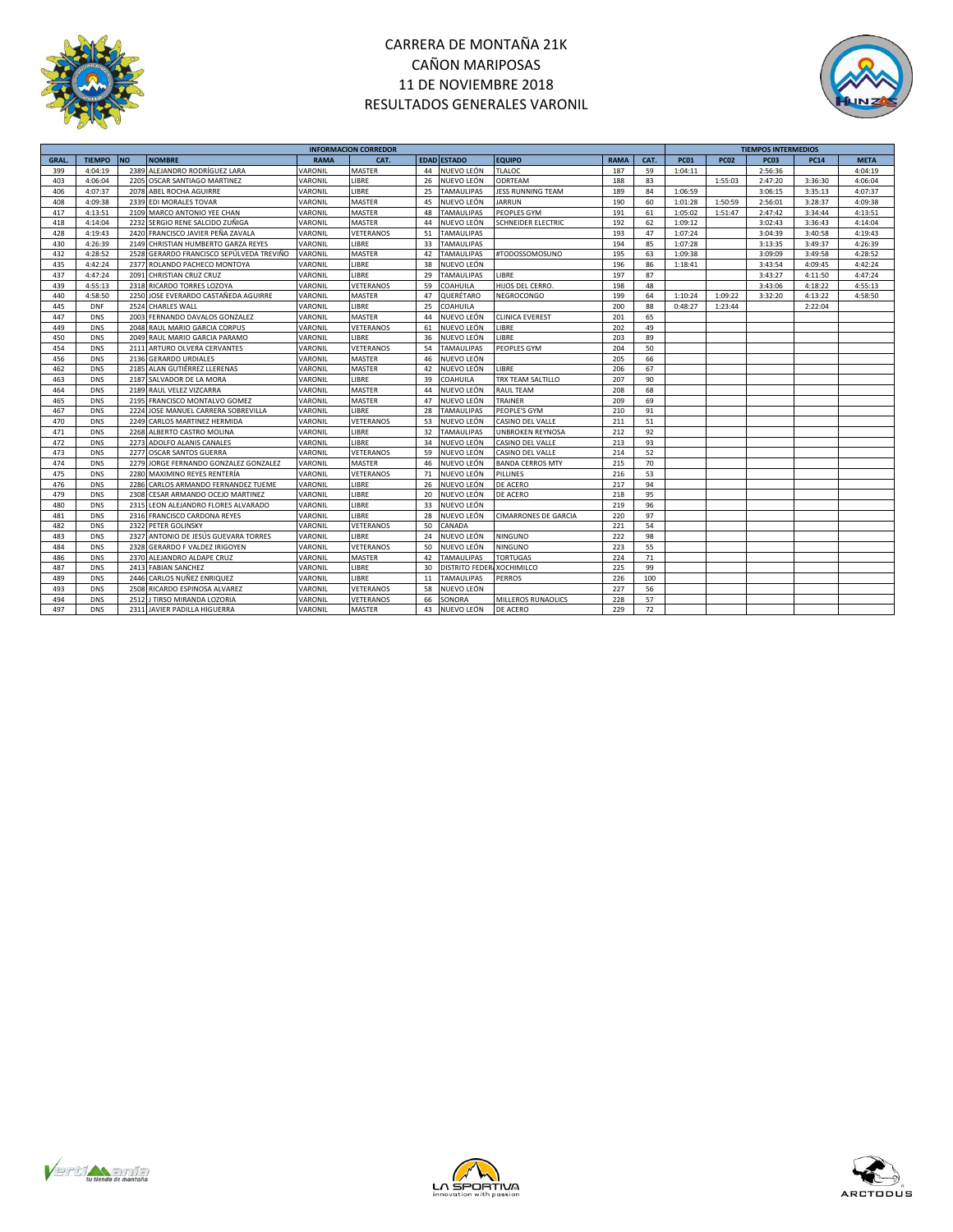



|             |               |           |                                          |                | <b>INFORMACION CORREDOR</b> |    |                       |                             |             |      |             |             | <b>TIEMPOS INTERMEDIOS</b> |             |             |
|-------------|---------------|-----------|------------------------------------------|----------------|-----------------------------|----|-----------------------|-----------------------------|-------------|------|-------------|-------------|----------------------------|-------------|-------------|
| <b>GRAL</b> | <b>TIEMPO</b> | <b>NO</b> | <b>NOMBRE</b>                            | <b>RAMA</b>    | CAT.                        |    | <b>EDAD ESTADO</b>    | <b>EQUIPO</b>               | <b>RAMA</b> | CAT. | <b>PC01</b> | <b>PC02</b> | PC <sub>03</sub>           | <b>PC14</b> | <b>META</b> |
| 399         | 4:04:19       |           | 2389 ALEJANDRO RODRÍGUEZ LARA            | VARONIL        | <b>MASTER</b>               |    | 44 NUEVO LEÓN         | <b>TLALOC</b>               | 187         | 59   | 1:04:11     |             | 2:56:36                    |             | 4:04:19     |
| 403         | 4:06:04       | 2205      | OSCAR SANTIAGO MARTINEZ                  | VARONIL        | LIBRE                       | 26 | NUEVO LEÓN            | <b>ODRTEAM</b>              | 188         | 83   |             | 1:55:03     | 2:47:20                    | 3:36:30     | 4:06:04     |
| 406         | 4:07:37       | 2078      | ABEL ROCHA AGUIRRE                       | VARONIL        | LIBRE                       | 25 | <b>TAMAULIPAS</b>     | <b>JESS RUNNING TEAM</b>    | 189         | 84   | 1:06:59     |             | 3:06:15                    | 3:35:13     | 4:07:37     |
| 408         | 4:09:38       |           | 2339 EDI MORALES TOVAR                   | VARONIL        | MASTER                      | 45 | NUEVO LEÓN            | <b>JARRUN</b>               | 190         | 60   | 1:01:28     | 1:50:59     | 2:56:01                    | 3:28:37     | 4:09:38     |
| 417         | 4:13:51       | 2109      | MARCO ANTONIO YEE CHAN                   | VARONIL        | <b>MASTER</b>               | 48 | <b>TAMAULIPAS</b>     | PEOPLES GYM                 | 191         | 61   | 1:05:02     | 1:51:47     | 2:47:42                    | 3:34:44     | 4:13:51     |
| 418         | 4:14:04       | 2232      | SERGIO RENE SALCIDO ZUÑIGA               | VARONIL        | MASTER                      | 44 | NUEVO LEÓN            | <b>SCHNEIDER ELECTRIC</b>   | 192         | 62   | 1:09:12     |             | 3:02:43                    | 3:36:43     | 4:14:04     |
| 428         | 4:19:43       | 2420      | FRANCISCO JAVIER PEÑA ZAVALA             | VARONIL        | VETERANOS                   | 51 | <b>TAMAULIPAS</b>     |                             | 193         | 47   | 1:07:24     |             | 3:04:39                    | 3:40:58     | 4:19:43     |
| 430         | 4:26:39       | 2149      | CHRISTIAN HUMBERTO GARZA REYES           | VARONIL        | LIBRE                       | 33 | <b>TAMAULIPAS</b>     |                             | 194         | 85   | 1:07:28     |             | 3:13:35                    | 3:49:37     | 4:26:39     |
| 432         | 4:28:52       |           | 2528 GERARDO FRANCISCO SEPÚLVEDA TREVIÑO | <b>VARONIL</b> | <b>MASTER</b>               | 42 | <b>TAMAULIPAS</b>     | #TODOSSOMOSUNO              | 195         | 63   | 1:09:38     |             | 3:09:09                    | 3:49:58     | 4:28:52     |
| 435         | 4:42:24       | 2377      | ROLANDO PACHECO MONTOYA                  | VARONIL        | <b>IIBRF</b>                | 38 | NUEVO LEÓN            |                             | 196         | 86   | 1:18:41     |             | 3:43:54                    | 4:09:45     | 4:42:24     |
| 437         | 4:47:24       | 2091      | CHRISTIAN CRUZ CRUZ                      | VARONIL        | LIBRE                       | 29 | <b>TAMAULIPAS</b>     | LIBRE                       | 197         | 87   |             |             | 3:43:27                    | 4:11:50     | 4:47:24     |
| 439         | 4:55:13       |           | 2318 RICARDO TORRES LOZOYA               | VARONIL        | VETERANOS                   | 59 | COAHUILA              | HIJOS DEL CERRO.            | 198         | 48   |             |             | 3:43:06                    | 4:18:22     | 4:55:13     |
| 440         | 4:58:50       | 2250      | JOSE EVERARDO CASTAÑEDA AGUIRRE          | VARONIL        | MASTER                      | 47 | QUERÉTARO             | NEGROCONGO                  | 199         | 64   | 1:10:24     | 1:09:22     | 3:32:20                    | 4:13:22     | 4:58:50     |
| 445         | <b>DNF</b>    |           | 2524 CHARLES WALL                        | VARONIL        | LIBRE                       | 25 | COAHUILA              |                             | 200         | 88   | 0:48:27     | 1:23:44     |                            | 2:22:04     |             |
| 447         | <b>DNS</b>    | 2003      | FERNANDO DAVALOS GONZALEZ                | VARONIL        | <b>MASTER</b>               | 44 | NUEVO LEÓN            | <b>CLINICA EVEREST</b>      | 201         | 65   |             |             |                            |             |             |
| 449         | <b>DNS</b>    | 2048      | RAUL MARIO GARCIA CORPUS                 | VARONIL        | VETERANOS                   | 61 | NUEVO LEÓN            | LIBRE                       | 202         | 49   |             |             |                            |             |             |
| 450         | <b>DNS</b>    |           | 2049 RAUL MARIO GARCIA PARAMO            | VARONIL        | LIBRE                       | 36 | NUEVO LEÓN            | LIBRE                       | 203         | 89   |             |             |                            |             |             |
| 454         | <b>DNS</b>    | 2111      | ARTURO OLVERA CERVANTES                  | VARONIL        | VETERANOS                   | 54 | <b>TAMAULIPAS</b>     | PEOPLES GYM                 | 204         | 50   |             |             |                            |             |             |
| 456         | <b>DNS</b>    | 2136      | <b>GERARDO URDIALES</b>                  | VARONIL        | MASTER                      | 46 | NUEVO LEÓN            |                             | 205         | 66   |             |             |                            |             |             |
| 462         | <b>DNS</b>    |           | 2185 ALAN GUTIÉRREZ LLERENAS             | VARONIL        | <b>MASTER</b>               | 42 | NUEVO LEÓN            | LIBRE                       | 206         | 67   |             |             |                            |             |             |
| 463         | <b>DNS</b>    |           | 2187 SALVADOR DE LA MORA                 | VARONIL        | LIBRE                       | 39 | COAHUILA              | TRX TEAM SALTILLO           | 207         | 90   |             |             |                            |             |             |
| 464         | <b>DNS</b>    |           | 2189 RAUL VELEZ VIZCARRA                 | VARONIL        | <b>MASTER</b>               | 44 | NUEVO LEÓN            | <b>RAUL TEAM</b>            | 208         | 68   |             |             |                            |             |             |
| 465         | <b>DNS</b>    |           | 2195 FRANCISCO MONTALVO GOMEZ            | VARONIL        | MASTER                      | 47 | NUEVO LEÓN            | <b>TRAINER</b>              | 209         | 69   |             |             |                            |             |             |
| 467         | <b>DNS</b>    | 2224      | JOSE MANUEL CARRERA SOBREVILLA           | VARONIL        | LIBRE                       | 28 | <b>TAMAULIPAS</b>     | PEOPLE'S GYM                | 210         | 91   |             |             |                            |             |             |
| 470         | <b>DNS</b>    |           | 2249 CARLOS MARTINEZ HERMIDA             | VARONIL        | VETERANOS                   | 53 | NUEVO LEÓN            | CASINO DEL VALLE            | 211         | 51   |             |             |                            |             |             |
| 471         | <b>DNS</b>    |           | 2268 ALBERTO CASTRO MOLINA               | VARONIL        | LIBRE                       | 32 | <b>TAMAULIPAS</b>     | <b>UNBROKEN REYNOSA</b>     | 212         | 92   |             |             |                            |             |             |
| 472         | <b>DNS</b>    |           | 2273 ADOLFO ALANIS CANALES               | VARONIL        | LIBRE                       | 34 | NUEVO LEÓN            | CASINO DEL VALLE            | 213         | 93   |             |             |                            |             |             |
| 473         | <b>DNS</b>    |           | 2277 OSCAR SANTOS GUERRA                 | VARONIL        | VETERANOS                   | 59 | NUEVO LEÓN            | CASINO DEL VALLE            | 214         | 52   |             |             |                            |             |             |
| 474         | <b>DNS</b>    | 2279      | JORGE FERNANDO GONZALEZ GONZALEZ         | VARONIL        | <b>MASTER</b>               | 46 | NUEVO LEÓN            | <b>BANDA CERROS MTY</b>     | 215         | 70   |             |             |                            |             |             |
| 475         | <b>DNS</b>    | 2280      | MAXIMINO REYES RENTERÍA                  | VARONIL        | VETERANOS                   | 71 | NUEVO LEÓN            | PILLINES                    | 216         | 53   |             |             |                            |             |             |
| 476         | <b>DNS</b>    |           | 2286 CARLOS ARMANDO FERNANDEZ TUEME      | VARONIL        | LIBRE                       | 26 | NUEVO LEÓN            | DE ACERO                    | 217         | 94   |             |             |                            |             |             |
| 479         | <b>DNS</b>    | 2308      | CESAR ARMANDO OCEJO MARTINEZ             | VARONIL        | LIBRE                       | 20 | NUEVO LEÓN            | DE ACERO                    | 218         | 95   |             |             |                            |             |             |
| 480         | <b>DNS</b>    | 2315      | LEON ALEJANDRO FLORES ALVARADO           | VARONIL        | LIBRE                       | 33 | NUEVO LEÓN            |                             | 219         | 96   |             |             |                            |             |             |
| 481         | <b>DNS</b>    |           | 2316 FRANCISCO CARDONA REYES             | VARONIL        | LIBRE                       | 28 | NUEVO LEÓN            | <b>CIMARRONES DE GARCIA</b> | 220         | 97   |             |             |                            |             |             |
| 482         | <b>DNS</b>    |           | 2322 PETER GOLINSKY                      | VARONIL        | VETERANOS                   | 50 | CANADA                |                             | 221         | 54   |             |             |                            |             |             |
| 483         | <b>DNS</b>    | 2327      | ANTONIO DE JESÚS GUEVARA TORRES          | VARONIL        | LIBRE                       | 24 | NUEVO LEÓN            | <b>NINGUNO</b>              | 222         | 98   |             |             |                            |             |             |
| 484         | <b>DNS</b>    |           | 2328 GERARDO F VALDEZ IRIGOYEN           | VARONIL        | VETERANOS                   | 50 | NUEVO LEÓN            | <b>NINGUNO</b>              | 223         | 55   |             |             |                            |             |             |
| 486         | <b>DNS</b>    |           | 2370 ALEJANDRO ALDAPE CRUZ               | VARONIL        | MASTER                      | 42 | <b>TAMAULIPAS</b>     | <b>TORTUGAS</b>             | 224         | 71   |             |             |                            |             |             |
| 487         | <b>DNS</b>    | 2413      | <b>FABIAN SANCHEZ</b>                    | VARONIL        | LIBRE                       | 30 | <b>DISTRITO FEDER</b> | <b>XOCHIMILCO</b>           | 225         | 99   |             |             |                            |             |             |
| 489         | <b>DNS</b>    | 2446      | CARLOS NUÑEZ ENRIQUEZ                    | VARONIL        | LIBRE                       | 11 | <b>TAMAULIPAS</b>     | <b>PERROS</b>               | 226         | 100  |             |             |                            |             |             |
| 493         | <b>DNS</b>    | 2508      | RICARDO ESPINOSA ALVAREZ                 | VARONIL        | VETERANOS                   | 58 | NUEVO LEÓN            |                             | 227         | 56   |             |             |                            |             |             |
| 494         | <b>DNS</b>    | 2512      | J TIRSO MIRANDA LOZORIA                  | VARONIL        | VETERANOS                   | 66 | SONORA                | MILLEROS RUNAOLICS          | 228         | 57   |             |             |                            |             |             |
| 497         | <b>DNS</b>    |           | 2311 JAVIER PADILLA HIGUERRA             | VARONIL        | MASTER                      | 43 | NUEVO LEÓN            | DE ACERO                    | 229         | 72   |             |             |                            |             |             |
|             |               |           |                                          |                |                             |    |                       |                             |             |      |             |             |                            |             |             |





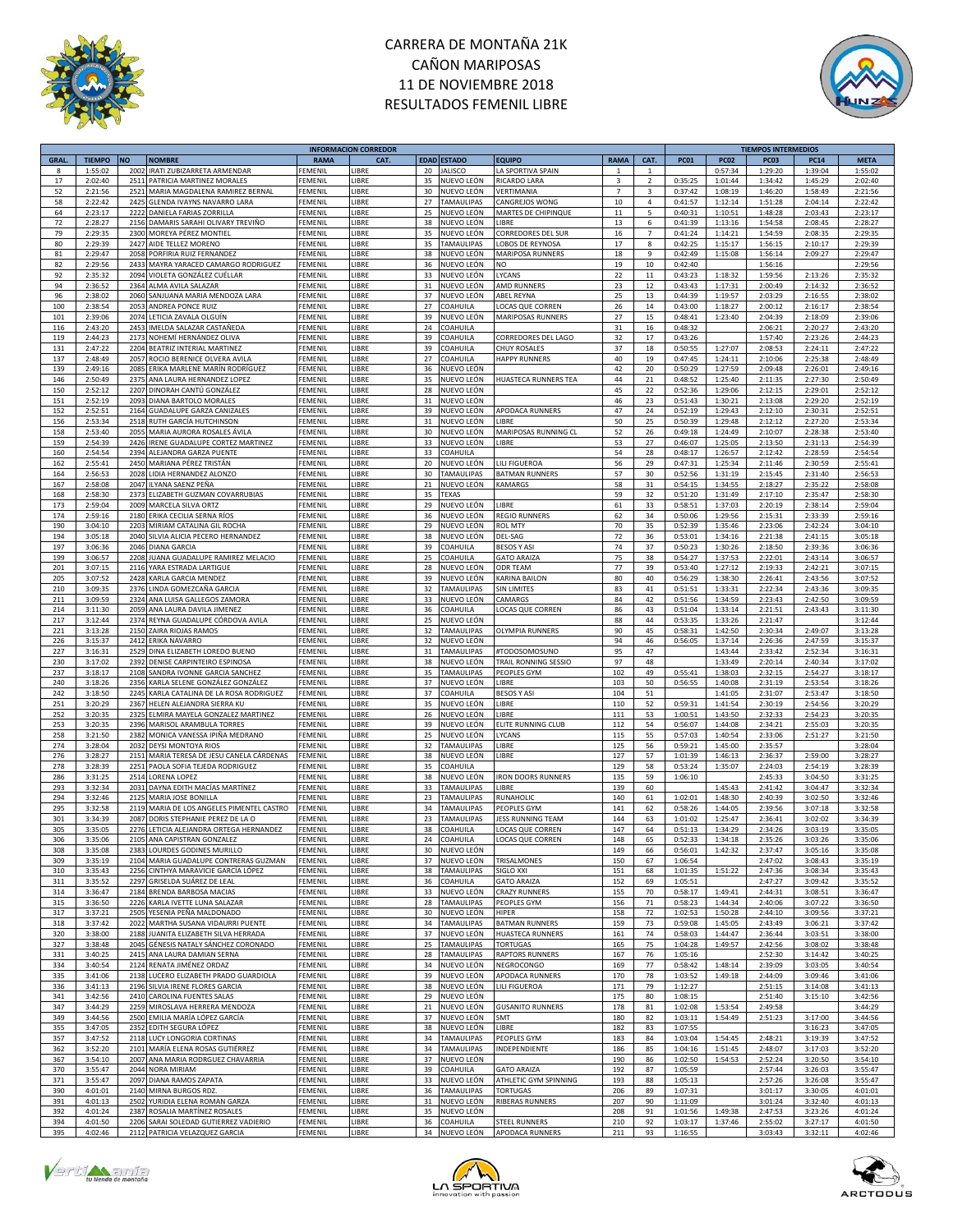



|        |               |           |                                         |                | <b>INFORMACION CORREDOR</b> |    |                    |                             |                |                         |             |             | <b>TIEMPOS INTERMEDIOS</b> |             |             |
|--------|---------------|-----------|-----------------------------------------|----------------|-----------------------------|----|--------------------|-----------------------------|----------------|-------------------------|-------------|-------------|----------------------------|-------------|-------------|
| GRAL.  | <b>TIEMPO</b> | <b>NO</b> | <b>NOMBRE</b>                           | <b>RAMA</b>    | CAT.                        |    | <b>EDAD ESTADO</b> | <b>EQUIPO</b>               | <b>RAMA</b>    | CAT.                    | <b>PC01</b> | <b>PC02</b> | PC03                       | <b>PC14</b> | <b>META</b> |
| 8      | 1:55:02       |           | 2002 IRATI ZUBIZARRETA ARMENDAR         | EMENIL         | <b>IBRE</b>                 | 20 | <b>JALISCO</b>     | LA SPORTIVA SPAIN           | $\mathbf{1}$   | 1                       |             | 0:57:34     | 1:29:20                    | 1:39:04     | 1:55:02     |
| 17     | 2:02:40       | 2511      | PATRICIA MARTINEZ MORALES               | FEMENIL        | LIBRE                       | 35 | NUEVO LEÓN         | RICARDO LARA                | 3              | $\overline{2}$          | 0:35:25     | 1:01:44     | 1:34:42                    | 1:45:29     | 2:02:40     |
| 52     | 2:21:56       | 2521      | MARIA MAGDALENA RAMIREZ BERNAL          | FEMENIL        | <b>IBRE</b>                 | 30 | NUEVO LEÓN         | VERTIMANIA                  | $\overline{7}$ | $\overline{\mathbf{3}}$ | 0:37:42     | 1:08:19     | 1:46:20                    | 1:58:49     | 2:21:56     |
| 58     | 2:22:42       | 2425      | GLENDA IVAYNS NAVARRO LARA              | FEMENIL        | <b>IBRE</b>                 | 27 | TAMAULIPAS         | CANGREJOS WONG              | 10             | 4                       | 0:41:57     | 1:12:14     | 1:51:28                    | 2:04:14     | 2:22:42     |
| 64     | 2:23:17       | 2222      |                                         | EMENIL         | <b>IBRE</b>                 | 25 | NUEVO LEÓN         | MARTES DE CHIPINQUE         | $11\,$         | 5                       | 0:40:31     | 1:10:51     | 1:48:28                    | 2:03:43     | 2:23:17     |
|        |               |           | DANIELA FARIAS ZORRILLA                 |                |                             |    |                    |                             |                |                         |             |             |                            |             |             |
| $72\,$ | 2:28:27       | 2156      | DAMARIS SARAHI OLIVARY TREVIÑO          | FEMENIL        | LIBRE                       | 38 | NUEVO LEÓN         | LIBRE                       | 13             | 6                       | 0:41:39     | 1:13:16     | 1:54:58                    | 2:08:45     | 2:28:27     |
| 79     | 2:29:35       | 2300      | MOREYA PÉREZ MONTIEL                    | FEMENIL        | <b>IBRE</b>                 | 35 | NUEVO LEÓN         | CORREDORES DEL SUR          | 16             | $\overline{7}$          | 0:41:24     | 1:14:21     | 1:54:59                    | 2:08:35     | 2:29:35     |
| 80     | 2:29:39       | 2427      | AIDE TELLEZ MORENO                      | FEMENIL        | LIBRE                       | 35 | TAMAULIPAS         | LOBOS DE REYNOSA            | 17             | 8                       | 0:42:25     | 1:15:17     | 1:56:15                    | 2:10:17     | 2:29:39     |
| 81     | 2:29:47       | 2058      | PORFIRIA RUIZ FERNANDEZ                 | FEMENIL        | <b>IBRE</b>                 | 38 | NUEVO LEÓN         | MARIPOSA RUNNERS            | 18             | 9                       | 0:42:49     | 1:15:08     | 1:56:14                    | 2:09:27     | 2:29:47     |
| 82     | 2:29:56       |           | 2433 MAYRA YARACED CAMARGO RODRIGUEZ    | FEMENIL        | <b>IBRE</b>                 | 36 | NUEVO LEÓN         | NO.                         | 19             | 10                      | 0:42:40     |             | 1:56:16                    |             | 2:29:56     |
| 92     | 2:35:32       | 2094      | VIOLETA GONZÁLEZ CUÉLLAR                | FEMENIL        | <b>IBRE</b>                 | 33 | NUEVO LEÓN         | LYCANS                      | 22             | 11                      | 0:43:23     | 1:18:32     | 1:59:56                    | 2:13:26     | 2:35:32     |
| 94     | 2:36:52       | 2364      | ALMA AVILA SALAZAR                      | FEMENIL        | <b>LIBRE</b>                | 31 | NUEVO LEÓN         | AMD RUNNERS                 | 23             | 12                      | 0:43:43     | 1:17:31     | 2:00:49                    | 2:14:32     | 2:36:52     |
| 96     | 2:38:02       | 2060      | SANJUANA MARIA MENDOZA LARA             | FEMENIL        | <b>IBRE</b>                 | 37 | NUEVO LEÓN         | <b>ABEL REYNA</b>           | 25             | 13                      | 0:44:39     | 1:19:57     | 2:03:29                    | 2:16:55     | 2:38:02     |
|        |               |           | <b>ANDREA PONCE RUIZ</b>                |                |                             |    |                    |                             |                |                         |             |             |                            |             |             |
| 100    | 2:38:54       | 2053      |                                         | FEMENIL        | LIBRE                       | 27 | COAHUILA           | LOCAS QUE CORREN            | 26             | 14                      | 0:43:00     | 1:18:27     | 2:00:12                    | 2:16:17     | 2:38:54     |
| 101    | 2:39:06       |           | 2074 LETICIA ZAVALA OLGUÍN              | FEMENIL        | LIBRE                       | 39 | NUEVO LEÓN         | <b>MARIPOSAS RUNNERS</b>    | 27             | 15                      | 0:48:41     | 1:23:40     | 2:04:39                    | 2:18:09     | 2:39:06     |
| 116    | 2:43:20       | 2453      | IMELDA SALAZAR CASTAÑEDA                | FEMENIL        | <b>LIBRE</b>                | 24 | COAHUILA           |                             | 31             | 16                      | 0:48:32     |             | 2:06:21                    | 2:20:27     | 2:43:20     |
| 119    | 2:44:23       |           | 2173 NOHEMÍ HERNÁNDEZ OLIVA             | FEMENIL        | LIBRE                       | 39 | COAHUILA           | CORREDORES DEL LAGO         | 32             | 17                      | 0:43:26     |             | 1:57:40                    | 2:23:26     | 2:44:23     |
| 131    | 2:47:22       |           | 2204 BEATRIZ INTERIAL MARTINEZ          | FEMENIL        | LIBRE                       | 39 | COAHUILA           | <b>CHUY ROSALES</b>         | 37             | 18                      | 0:50:55     | 1:27:07     | 2:08:53                    | 2:24:11     | 2:47:22     |
| 137    | 2:48:49       | 2057      | ROCIO BERENICE OLVERA AVILA             | FEMENIL        | LIBRE                       | 27 | COAHUILA           | <b>HAPPY RUNNERS</b>        | 40             | 19                      | 0:47:45     | 1:24:11     | 2:10:06                    | 2:25:38     | 2:48:49     |
| 139    | 2:49:16       | 2085      | ERIKA MARLENE MARÍN RODRÍGUEZ           | FEMENIL        | <b>LIBRE</b>                | 36 | NUEVO LEÓN         |                             | 42             | 20                      | 0:50:29     | 1:27:59     | 2:09:48                    | 2:26:01     | 2:49:16     |
| 146    | 2:50:49       | 2375      | ANA LAURA HERNANDEZ LOPEZ               | <b>FEMENIL</b> | LIBRE                       | 35 | NUEVO LEÓN         | <b>HUASTECA RUNNERS TEA</b> | 44             | 21                      | 0:48:52     | 1:25:40     | 2:11:35                    | 2:27:30     | 2:50:49     |
| 150    | 2:52:12       |           | 2207 DINORAH CANTÚ GONZÁLEZ             | FEMENIL        | LIBRE                       | 28 | NUEVO LEÓN         |                             | 45             | 22                      | 0:52:36     | 1:29:06     | 2:12:15                    | 2:29:01     | 2:52:12     |
| 151    | 2:52:19       | 2093      |                                         | FEMENIL        | LIBRE                       | 31 | NUEVO LEÓN         |                             | 46             | 23                      | 0:51:43     | 1:30:21     | 2:13:08                    | 2:29:20     | 2:52:19     |
|        |               |           | DIANA BARTOLO MORALES                   |                |                             |    |                    |                             |                |                         |             |             |                            |             |             |
| 152    | 2:52:51       | 2164      | <b>GUADALUPE GARZA CANIZALES</b>        | EMENIL         | LIBRE                       | 39 | NUEVO LEÓN         | APODACA RUNNERS             | 47             | 24                      | 0:52:19     | 1:29:43     | 2:12:10                    | 2:30:31     | 2:52:51     |
| 156    | 2:53:34       | 2518      | RUTH GARCÍA HUTCHINSON                  | FEMENIL        | LIBRE                       | 31 | NUEVO LEÓN         | LIBRE                       | 50             | 25                      | 0:50:39     | 1:29:48     | 2:12:12                    | 2:27:20     | 2:53:34     |
| 158    | 2:53:40       | 2055      | MARIA AURORA ROSALES ÁVILA              | FEMENIL        | <b>IBRE</b>                 | 30 | NUEVO LEÓN         | MARIPOSAS RUNNING CL        | 52             | 26                      | 0:49:18     | 1:24:49     | 2:10:07                    | 2:28:38     | 2:53:40     |
| 159    | 2:54:39       | 2426      | IRENE GUADALUPE CORTEZ MARTINEZ         | FEMENIL        | <b>IBRE</b>                 | 33 | NUEVO LEÓN         | LIBRE                       | 53             | 27                      | 0:46:07     | 1:25:05     | 2:13:50                    | 2:31:13     | 2:54:39     |
| 160    | 2:54:54       | 2394      | ALEJANDRA GARZA PUENTE                  | FEMENIL        | <b>IBRE</b>                 | 33 | COAHUILA           |                             | 54             | 28                      | 0:48:17     | 1:26:57     | 2:12:42                    | 2:28:59     | 2:54:54     |
| 162    | 2:55:41       | 2450      | MARIANA PÉREZ TRISTÁN                   | EMENIL         | LIBRE                       | 20 | NUEVO LEÓN         | LILI FIGUEROA               | 56             | 29                      | 0:47:31     | 1:25:34     | 2:11:46                    | 2:30:59     | 2:55:41     |
| 164    | 2:56:53       | 2028      | LIDIA HERNANDEZ ALONZO                  | EMENIL         | <b>IBRE</b>                 | 30 | TAMAULIPAS         | <b>BATMAN RUNNERS</b>       | 57             | 30                      | 0:52:56     | 1:31:19     | 2:15:45                    | 2:31:40     | 2:56:53     |
| 167    | 2:58:08       | 2047      | ILYANA SAENZ PEÑA                       | FEMENIL        | LIBRE                       | 21 | NUEVO LEÓN         | <b>KAMARGS</b>              | 58             | 31                      | 0:54:15     | 1:34:55     | 2:18:27                    | 2:35:22     | 2:58:08     |
|        |               |           |                                         |                | LIBRE                       |    | TEXAS              |                             |                | 32                      |             | 1:31:49     |                            |             |             |
| 168    | 2:58:30       | 2373      | ELIZABETH GUZMAN COVARRUBIAS            | FEMENIL        |                             | 35 |                    |                             | 59             |                         | 0:51:20     |             | 2:17:10                    | 2:35:47     | 2:58:30     |
| 173    | 2:59:04       | 2009      | MARCELA SILVA ORTZ                      | FEMENIL        | LIBRE                       | 29 | NUEVO LEÓN         | LIBRE                       | 61             | 33                      | 0:58:51     | 1:37:03     | 2:20:19                    | 2:38:14     | 2:59:04     |
| 174    | 2:59:16       | 2180      | ERIKA CECILIA SERNA RÍOS                | FEMENIL        | <b>IBRE</b>                 | 36 | NUEVO LEÓN         | <b>REGIO RUNNERS</b>        | 62             | 34                      | 0:50:06     | 1:29:56     | 2:15:31                    | 2:33:39     | 2:59:16     |
| 190    | 3:04:10       | 2203      | MIRIAM CATALINA GIL ROCHA               | FEMENIL        | <b>IBRE</b>                 | 29 | NUEVO LEÓN         | <b>ROL MTY</b>              | 70             | 35                      | 0:52:39     | 1:35:46     | 2:23:06                    | 2:42:24     | 3:04:10     |
| 194    | 3:05:18       | 2040      | SILVIA ALICIA PECERO HERNANDEZ          | FEMENI         | <b>IBRE</b>                 | 38 | NUEVO LEÓN         | DEL-SAG                     | 72             | 36                      | 0:53:01     | 1:34:16     | 2:21:38                    | 2:41:15     | 3:05:18     |
| 197    | 3:06:36       | 2046      | <b>DIANA GARCIA</b>                     | FEMENIL        | <b>IBRE</b>                 | 39 | COAHUILA           | <b>BESOS Y ASI</b>          | 74             | 37                      | 0:50:23     | 1:30:26     | 2:18:50                    | 2:39:36     | 3:06:36     |
| 199    | 3:06:57       | 2208      | JUANA GUADALUPE RAMIREZ MELACIO         | <b>FEMENIL</b> | <b>IBRE</b>                 | 25 | COAHUILA           | <b>GATO ARAIZA</b>          | 75             | 38                      | 0:54:27     | 1:37:53     | 2:22:01                    | 2:43:14     | 3:06:57     |
| 201    | 3:07:15       | 2116      | YARA ESTRADA LARTIGUE                   | FEMENIL        | LIBRE                       | 28 | NUEVO LEÓN         | <b>ODR TEAM</b>             | 77             | 39                      | 0:53:40     | 1:27:12     | 2:19:33                    | 2:42:21     | 3:07:15     |
|        |               |           |                                         |                |                             |    |                    | <b>KARINA BAILON</b>        |                |                         |             |             |                            |             |             |
| 205    | 3:07:52       |           | 2428 KARLA GARCIA MENDEZ                | FEMENIL        | LIBRE                       | 39 | NUEVO LEÓN         |                             | 80             | 40                      | 0:56:29     | 1:38:30     | 2:26:41                    | 2:43:56     | 3:07:52     |
| 210    | 3:09:35       | 2376      | LINDA GOMEZCAÑA GARCIA                  | FEMENIL        | <b>IBRE</b>                 | 32 | TAMAULIPAS         | <b>SIN LIMITES</b>          | 83             | 41                      | 0:51:51     | 1:33:31     | 2:22:34                    | 2:43:36     | 3:09:35     |
| 211    | 3:09:59       | 2324      | ANA LUISA GALLEGOS ZAMORA               | FEMENIL        | <b>IBRE</b>                 | 33 | NUEVO LEÓN         | CAMARGS                     | 84             | 42                      | 0:51:56     | 1:34:59     | 2:23:43                    | 2:42:50     | 3:09:59     |
| 214    | 3:11:30       | 2059      | ANA LAURA DAVILA JIMENEZ                | FEMENIL        | LIBRE                       | 36 | COAHUILA           | LOCAS QUE CORREN            | 86             | 43                      | 0:51:04     | 1:33:14     | 2:21:51                    | 2:43:43     | 3:11:30     |
| 217    | 3:12:44       |           | 2374 REYNA GUADALUPE CÓRDOVA AVILA      | FEMENIL        | LIBRE                       | 25 | NUEVO LEÓN         |                             | 88             | 44                      | 0:53:35     | 1:33:26     | 2:21:47                    |             | 3:12:44     |
| 221    | 3:13:28       | 2150      | ZAIRA RIOJAS RAMOS                      | FEMENIL        | <b>IBRE</b>                 | 32 | TAMAULIPAS         | <b>OLYMPIA RUNNERS</b>      | 90             | 45                      | 0:58:31     | 1:42:50     | 2:30:34                    | 2:49:07     | 3:13:28     |
| 226    | 3:15:37       |           | 2412 ERIKA NAVARRO                      | <b>FEMENIL</b> | <b>IBRE</b>                 | 32 | NUEVO LEÓN         |                             | 94             | 46                      | 0:56:05     | 1:37:14     | 2:26:36                    | 2:47:59     | 3:15:37     |
| 227    | 3:16:31       | 2529      |                                         | FEMENIL        | LIBRE                       | 31 | TAMAULIPAS         |                             | 95             | 47                      |             | 1:43:44     | 2:33:42                    | 2:52:34     | 3:16:31     |
|        |               |           | DINA ELIZABETH LOREDO BUENO             |                |                             |    |                    | #TODOSOMOSUNO               |                |                         |             |             |                            |             |             |
| 230    | 3:17:02       | 2392      | DENISE CARPINTEIRO ESPINOSA             | FEMENIL        | LIBRE                       | 38 | NUEVO LEÓN         | TRAIL RONNING SESSIO        | 97             | 48                      |             | 1:33:49     | 2:20:14                    | 2:40:34     | 3:17:02     |
| 237    | 3:18:17       | 2108      | ANDRA IVONNE GARCIA SANCHEZ             | EMENIL         | LIBRE                       | 35 | TAMAULIPAS         | PEOPLES GYM                 | 102            | 49                      | 0:55:41     | 1:38:03     | 2:32:15                    | 2:54:27     | 3:18:17     |
| 240    | 3:18:26       | 2356      | KARLA SELENE GONZÁLEZ GONZÁLEZ          | FEMENIL        | LIBRE                       | 37 | NUEVO LEÓN         | LIBRE                       | 103            | 50                      | 0:56:55     | 1:40:08     | 2:31:19                    | 2:53:54     | 3:18:26     |
| 242    | 3:18:50       | 2245      | KARLA CATALINA DE LA ROSA RODRIGUEZ     | FEMENIL        | <b>IBRE</b>                 | 37 | COAHUILA           | <b>BESOS Y ASI</b>          | 104            | 51                      |             | 1:41:05     | 2:31:07                    | 2:53:47     | 3:18:50     |
| 251    | 3:20:29       | 2367      | HELEN ALEJANDRA SIERRA KU               | FEMENIL        | <b>IBRE</b>                 | 35 | NUEVO LEÓN         | LIBRE                       | 110            | 52                      | 0:59:31     | 1:41:54     | 2:30:19                    | 2:54:56     | 3:20:29     |
| 252    | 3:20:35       | 2325      | ELMIRA MAYELA GONZALEZ MARTINEZ         | FEMENIL        | <b>IBRE</b>                 | 26 | NUEVO LEÓN         | LIBRE                       | 111            | 53                      | 1:00:51     | 1:43:50     | 2:32:33                    | 2:54:23     | 3:20:35     |
| 253    | 3:20:35       | 2396      | MARISOL ARAMBULA TORRES                 | FEMENIL        | LIBRE                       | 39 | NUEVO LEÓN         | ELITE RUNNING CLUB          | 112            | 54                      | 0:56:07     | 1:44:08     | 2:34:21                    | 2:55:03     | 3:20:35     |
| 258    | 3:21:50       | 2382      | MONICA VANESSA IPIÑA MEDRANO            | EMENIL         | <b>IBRE</b>                 | 25 | NUEVO LEÓN         | LYCANS                      | 115            | 55                      | 0:57:03     | 1:40:54     | 2:33:06                    | 2:51:27     | 3:21:50     |
|        |               |           |                                         |                |                             |    |                    |                             |                |                         |             |             |                            |             |             |
| 274    | 3:28:04       | 2032      | <b>DEYSI MONTOYA RIOS</b>               | FEMENIL        | LIBRE                       | 32 | TAMAULIPAS         | LIBRE                       | 125            | 56                      | 0:59:21     | 1:45:00     | 2:35:57                    |             | 3:28:04     |
| 276    | 3:28:27       | 2151      | MARIA TERESA DE JESU CANELA CÁRDENAS    | FEMENIL        | LIBRE                       | 38 | NUEVO LEÓN         | LIBRE                       | 127            | 57                      | 1:01:39     | 1:46:13     | 2:36:37                    | 2:59:00     | 3:28:27     |
| 278    | 3:28:39       | 2251      | PAOLA SOFIA TEJEDA RODRIGUEZ            | FEMENIL        | LIBRE                       | 35 | COAHUILA           |                             | 129            | 58                      | 0:53:24     | 1:35:07     | 2:24:03                    | 2:54:19     | 3:28:39     |
| 286    | 3:31:25       |           | 2514 LORENA LOPEZ                       | <b>EMENIL</b>  | <b>IBRE</b>                 | 38 | NUEVO LEÓN         | <b>IRON DOORS RUNNERS</b>   | 135            | 59                      | 1:06:10     |             | 2:45:33                    | 3:04:50     | 3:31:25     |
| 293    | 3:32:34       | 2031      | DAYNA EDITH MACÍAS MARTÍNEZ             | FEMENIL        | <b>IBRE</b>                 | 33 | TAMAULIPAS         | LIBRE                       | 139            | 60                      |             | 1:45:43     | 2:41:42                    | 3:04:47     | 3:32:34     |
| 294    | 3:32:46       | 2125      | MARIA JOSE BONILLA                      | FEMENIL        | <b>IBRE</b>                 | 23 | TAMAULIPAS         | RUNAHOLIC                   | 140            | 61                      | 1:02:01     | 1:48:30     | 2:40:39                    | 3:02:50     | 3:32:46     |
| 295    | 3:32:58       | 2119      | MARIA DE LOS ANGELES PIMENTEL CASTRO    | FEMENIL        | LIBRE                       | 34 | TAMAULIPAS         | <b>PEOPLES GYM</b>          | 141            | 62                      | 0:58:26     | 1:44:05     | 2:39:56                    | 3:07:18     | 3:32:58     |
| 301    | 3:34:39       | 2087      | DORIS STEPHANIE PEREZ DE LA O           | FEMENIL        | <b>IBRE</b>                 | 23 | <b>TAMAULIPAS</b>  | JESS RUNNING TEAM           | 144            | 63                      | 1:01:02     | 1:25:47     | 2:36:41                    | 3:02:02     | 3:34:39     |
| 305    | 3:35:05       |           | 2276 LETICIA ALEJANDRA ORTEGA HERNANDEZ | FEMENIL        | LIBRE                       | 38 | COAHUILA           | <b>LOCAS QUE CORREN</b>     | 147            | 64                      | 0:51:13     | 1:34:29     | 2:34:26                    | 3:03:19     | 3:35:05     |
| 306    | 3:35:06       |           | 2105 ANA CAPISTRAN GONZALEZ             | FEMENIL        | LIBRE                       | 24 | COAHUILA           | <b>LOCAS QUE CORREN</b>     | 148            | 65                      | 0:52:33     | 1:34:18     | 2:35:26                    | 3:03:26     | 3:35:06     |
|        |               |           |                                         |                |                             |    |                    |                             |                |                         |             |             |                            |             |             |
| 308    | 3:35:08       |           | 2383 LOURDES GODINES MURILLO            | <b>FEMENIL</b> | LIBRE                       | 30 | NUEVO LEÓN         |                             | 149            | 66                      | 0:56:01     | 1:42:32     | 2:37:47                    | 3:05:16     | 3:35:08     |
| 309    | 3:35:19       |           | 2104 MARIA GUADALUPE CONTRERAS GUZMAN   | <b>FEMENIL</b> | LIBRE                       | 37 | NUEVO LEÓN         | TRISALMONES                 | 150            | 67                      | 1:06:54     |             | 2:47:02                    | 3:08:43     | 3:35:19     |
| 310    | 3:35:43       |           | 2256 CINTHYA MARAVICIE GARCÍA LÓPEZ     | FEMENIL        | LIBRE                       | 38 | <b>TAMAULIPAS</b>  | SIGLO XXI                   | 151            | 68                      | 1:01:35     | 1:51:22     | 2:47:36                    | 3:08:34     | 3:35:43     |
| 311    | 3:35:52       | 2297      | <b>GRISELDA SUÁREZ DE LEAL</b>          | FEMENIL        | LIBRE                       | 36 | COAHUILA           | <b>GATO ARAIZA</b>          | 152            | 69                      | 1:05:51     |             | 2:47:27                    | 3:09:42     | 3:35:52     |
| 314    | 3:36:47       | 2184      | <b>BRENDA BARBOSA MACIAS</b>            | FEMENIL        | LIBRE                       | 33 | NUEVO LEÓN         | <b>CRAZY RUNNERS</b>        | 155            | 70                      | 0:58:17     | 1:49:41     | 2:44:31                    | 3:08:51     | 3:36:47     |
| 315    | 3:36:50       | 2226      | KARLA IVETTE LUNA SALAZAR               | FEMENIL        | LIBRE                       | 28 | <b>TAMAULIPAS</b>  | PEOPLES GYM                 | 156            | 71                      | 0:58:23     | 1:44:34     | 2:40:06                    | 3:07:22     | 3:36:50     |
| 317    | 3:37:21       | 2505      | YESENIA PEÑA MALDONADO                  | FEMENIL        | LIBRE                       | 30 | NUEVO LEÓN         | HIPER                       | 158            | 72                      | 1:02:53     | 1:50:28     | 2:44:10                    | 3:09:56     | 3:37:21     |
| 318    | 3:37:42       | 2022      | MARTHA SUSANA VIDAURRI PUENTE           | FEMENIL        | LIBRE                       | 34 | <b>TAMAULIPAS</b>  | <b>BATMAN RUNNERS</b>       | 159            | 73                      | 0:59:08     | 1:45:05     | 2:43:49                    | 3:06:21     | 3:37:42     |
| 320    | 3:38:00       | 2188      | JUANITA ELIZABETH SILVA HERRADA         | FEMENIL        | <b>IBRE</b>                 | 37 | NUEVO LEÓN         | <b>HUASTECA RUNNERS</b>     | 161            | 74                      | 0:58:03     | 1:44:47     | 2:36:44                    | 3:03:51     | 3:38:00     |
| 327    | 3:38:48       | 2045      | GÉNESIS NATALY SÁNCHEZ CORONADO         | FEMENIL        | LIBRE                       | 25 | <b>TAMAULIPAS</b>  |                             | 165            | 75                      |             | 1:49:57     |                            |             |             |
|        |               |           |                                         |                |                             |    |                    | <b>TORTUGAS</b>             |                |                         | 1:04:28     |             | 2:42:56                    | 3:08:02     | 3:38:48     |
| 331    | 3:40:25       | 2415      | ANA LAURA DAMIAN SERNA                  | FEMENIL        | LIBRE                       | 28 | <b>TAMAULIPAS</b>  | <b>RAPTORS RUNNERS</b>      | 167            | 76                      | 1:05:16     |             | 2:52:30                    | 3:14:42     | 3:40:25     |
| 334    | 3:40:54       |           | 2124 RENATA JIMÉNEZ ORDAZ               | FEMENIL        | LIBRE                       | 34 | NUEVO LEÓN         | NEGROCONGO                  | 169            | 77                      | 0:58:42     | 1:48:14     | 2:39:09                    | 3:03:05     | 3:40:54     |
| 335    | 3:41:06       | 2138      | LUCERO ELIZABETH PRADO GUARDIOLA        | FEMENIL        | LIBRE                       | 39 | NUEVO LEÓN         | APODACA RUNNERS             | 170            | 78                      | 1:03:52     | 1:49:18     | 2:44:09                    | 3:09:46     | 3:41:06     |
| 336    | 3:41:13       | 2196      | SILVIA IRENE FLORES GARCIA              | FEMENIL        | LIBRE                       | 38 | NUEVO LEÓN         | LILI FIGUEROA               | 171            | 79                      | 1:12:27     |             | 2:51:15                    | 3:14:08     | 3:41:13     |
| 341    | 3:42:56       | 2410      | CAROLINA FUENTES SALAS                  | EMENIL         | <b>IBRE</b>                 | 29 | NUEVO LEÓN         |                             | 175            | 80                      | 1:08:15     |             | 2:51:40                    | 3:15:10     | 3:42:56     |
| 347    | 3:44:29       | 2259      | MIROSLAVA HERRERA MENDOZA               | FEMENIL        | LIBRE                       | 21 | NUEVO LEÓN         | <b>GUSANITO RUNNERS</b>     | 178            | 81                      | 1:02:08     | 1:53:54     | 2:49:58                    |             | 3:44:29     |
| 349    | 3:44:56       | 2500      | EMILIA MARÍA LÓPEZ GARCÍA               | FEMENIL        | LIBRE                       | 37 | NUEVO LEÓN         | SMT                         | 180            | 82                      | 1:03:11     | 1:54:49     | 2:51:23                    | 3:17:00     | 3:44:56     |
|        |               |           |                                         |                |                             |    |                    |                             |                |                         |             |             |                            |             |             |
| 355    | 3:47:05       | 2352      | EDITH SEGURA LÓPEZ                      | FEMENIL        | LIBRE                       | 38 | NUEVO LEÓN         | LIBRE                       | 182            | 83                      | 1:07:55     |             |                            | 3:16:23     | 3:47:05     |
| 357    | 3:47:52       |           | 2118 LUCY LONGORIA CORTINAS             | EMENIL         | LIBRE                       | 34 | TAMAULIPAS         | PEOPLES GYM                 | 183            | 84                      | 1:03:04     | 1:54:45     | 2:48:21                    | 3:19:39     | 3:47:52     |
| 362    | 3:52:20       | 2101      | MARÍA ELENA ROSAS GUTIÉRREZ             | FEMENIL        | LIBRE                       | 34 | TAMAULIPAS         | INDEPENDIENTE               | 186            | 85                      | 1:04:16     | 1:51:45     | 2:48:07                    | 3:17:03     | 3:52:20     |
| 367    | 3:54:10       | 2007      | ANA MARIA RODRGUEZ CHAVARRIA            | FEMENIL        | LIBRE                       | 37 | NUEVO LEÓN         |                             | 190            | 86                      | 1:02:50     | 1:54:53     | 2:52:24                    | 3:20:50     | 3:54:10     |
| 370    | 3:55:47       | 2044      | NORA MIRIAM                             | FEMENIL        | LIBRE                       | 39 | COAHUILA           | <b>GATO ARAIZA</b>          | 192            | 87                      | 1:05:59     |             | 2:57:44                    | 3:26:03     | 3:55:47     |
| 371    | 3:55:47       | 2097      | DIANA RAMOS ZAPATA                      | FEMENIL        | <b>IBRE</b>                 | 33 | NUEVO LEÓN         | ATHLETIC GYM SPINNING       | 193            | 88                      | 1:05:13     |             | 2:57:26                    | 3:26:08     | 3:55:47     |
| 390    | 4:01:01       |           | 2140 MIRNA BURGOS RDZ.                  | FEMENIL        | LIBRE                       | 36 | TAMAULIPAS         | <b>TORTUGAS</b>             | 206            | 89                      | 1:07:31     |             | 3:01:17                    | 3:30:05     | 4:01:01     |
| 391    | 4:01:13       | 2502      | YURIDIA ELENA ROMAN GARZA               | <b>FEMENIL</b> | LIBRE                       | 31 | NUEVO LEÓN         | <b>RIBERAS RUNNERS</b>      | 207            | 90                      | 1:11:09     |             | 3:01:24                    | 3:32:40     | 4:01:13     |
| 392    | 4:01:24       | 2387      | ROSALIA MARTÍNEZ ROSALES                | FEMENIL        | LIBRE                       | 35 | NUEVO LEÓN         |                             | 208            | 91                      | 1:01:56     | 1:49:38     | 2:47:53                    | 3:23:26     | 4:01:24     |
| 394    | 4:01:50       |           | 2206 SARAI SOLEDAD GUTIERREZ VADIERIO   | <b>FEMENIL</b> | LIBRE                       | 36 | COAHUILA           | <b>STEEL RUNNERS</b>        | 210            | 92                      | 1:03:17     | 1:37:46     | 2:55:02                    | 3:27:17     | 4:01:50     |
|        |               |           |                                         |                |                             |    |                    |                             |                |                         |             |             |                            |             |             |
| 395    | 4:02:46       |           | 2112 PATRICIA VELAZQUEZ GARCIA          | FEMENIL        | LIBRE                       |    | 34 NUEVO LEÓN      | <b>APODACA RUNNERS</b>      | 211            | 93                      | 1:16:55     |             | 3:03:43                    | 3:32:11     | 4:02:46     |





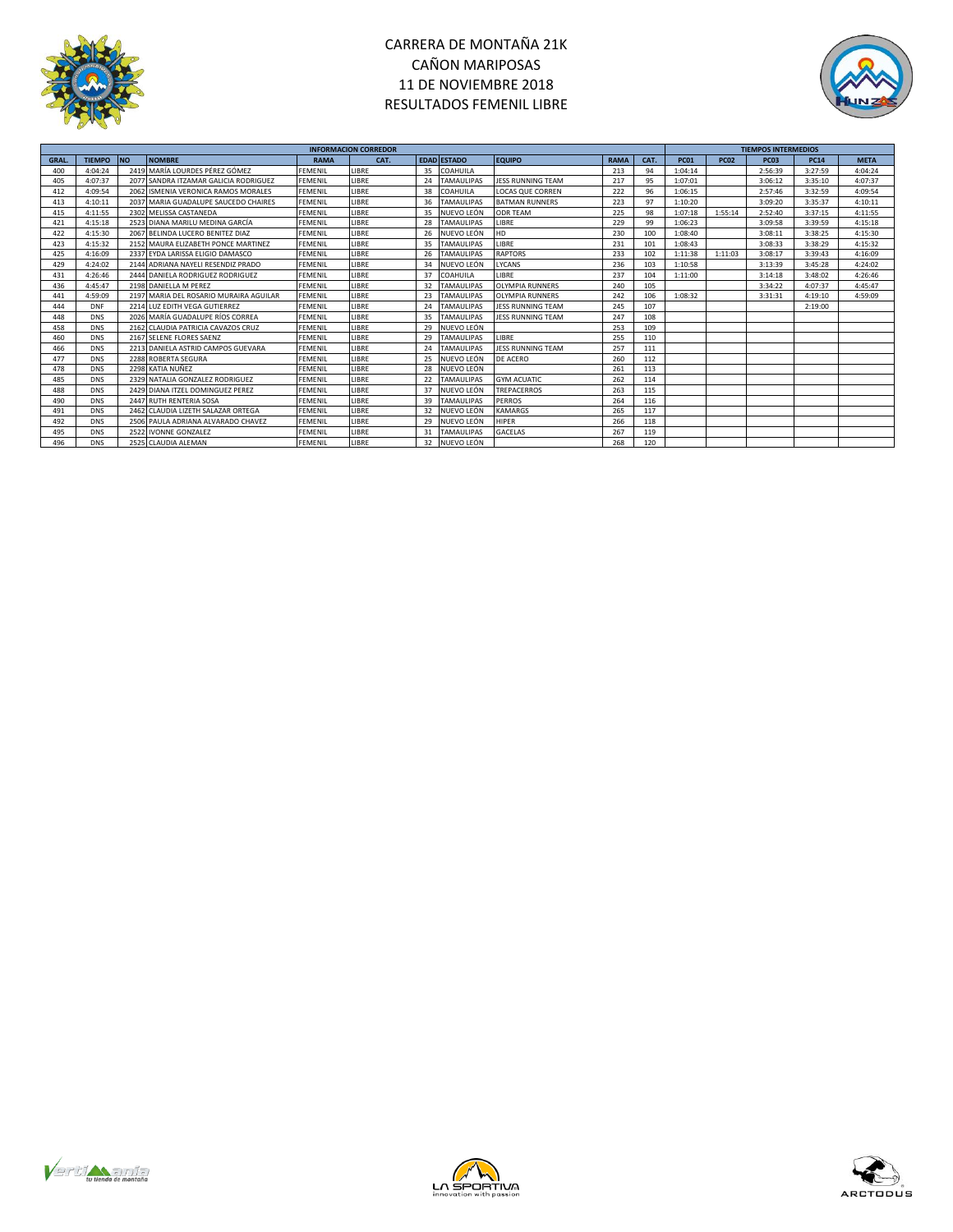



|             |               |           |                                        |                | <b>INFORMACION CORREDOR</b> |    |                    |                         |             |      | <b>TIEMPOS INTERMEDIOS</b> |             |             |             |             |  |
|-------------|---------------|-----------|----------------------------------------|----------------|-----------------------------|----|--------------------|-------------------------|-------------|------|----------------------------|-------------|-------------|-------------|-------------|--|
| <b>GRAL</b> | <b>TIEMPO</b> | <b>NO</b> | <b>NOMBRE</b>                          | <b>RAMA</b>    | CAT.                        |    | <b>EDAD ESTADO</b> | <b>EQUIPO</b>           | <b>RAMA</b> | CAT. | <b>PC01</b>                | <b>PC02</b> | <b>PC03</b> | <b>PC14</b> | <b>META</b> |  |
| 400         | 4:04:24       |           | 2419 MARÍA LOURDES PÉREZ GÓMEZ         | <b>FEMENIL</b> | LIBRE                       | 35 | COAHUILA           |                         | 213         | 94   | 1:04:14                    |             | 2:56:39     | 3:27:59     | 4:04:24     |  |
| 405         | 4:07:37       |           | 2077 SANDRA ITZAMAR GALICIA RODRIGUEZ  | <b>FEMENIL</b> | LIBRE                       | 24 | <b>TAMAULIPAS</b>  | JESS RUNNING TEAM       | 217         | 95   | 1:07:01                    |             | 3:06:12     | 3:35:10     | 4:07:37     |  |
| 412         | 4:09:54       |           | 2062 ISMENIA VERONICA RAMOS MORALES    | <b>FEMENIL</b> | LIBRE                       | 38 | COAHUILA           | <b>LOCAS QUE CORREN</b> | 222         | 96   | 1:06:15                    |             | 2:57:46     | 3:32:59     | 4:09:54     |  |
| 413         | 4:10:11       |           | 2037 MARIA GUADALUPE SAUCEDO CHAIRES   | <b>FEMENIL</b> | LIBRE                       | 36 | <b>TAMAULIPAS</b>  | <b>BATMAN RUNNERS</b>   | 223         | 97   | 1:10:20                    |             | 3:09:20     | 3:35:37     | 4:10:11     |  |
| 415         | 4:11:55       |           | 2302 MELISSA CASTANEDA                 | <b>FEMENIL</b> | LIBRE                       | 35 | NUEVO LEÓN         | <b>ODR TEAM</b>         | 225         | 98   | 1:07:18                    | 1:55:14     | 2:52:40     | 3:37:15     | 4:11:55     |  |
| 421         | 4:15:18       |           | 2523 DIANA MARILU MEDINA GARCÍA        | <b>FEMENIL</b> | LIBRE                       | 28 | <b>TAMAULIPAS</b>  | LIBRE                   | 229         | 99   | 1:06:23                    |             | 3:09:58     | 3:39:59     | 4:15:18     |  |
| 422         | 4:15:30       |           | 2067 BELINDA LUCERO BENITEZ DIAZ       | <b>FEMENIL</b> | LIBRE                       | 26 | NUEVO LEÓN         | <b>HD</b>               | 230         | 100  | 1:08:40                    |             | 3:08:11     | 3:38:25     | 4:15:30     |  |
| 423         | 4:15:32       |           | 2152 MAURA ELIZABETH PONCE MARTINEZ    | FEMENIL        | LIBRE                       | 35 | <b>TAMAULIPAS</b>  | LIBRE                   | 231         | 101  | 1:08:43                    |             | 3:08:33     | 3:38:29     | 4:15:32     |  |
| 425         | 4:16:09       |           | 2337 EYDA LARISSA ELIGIO DAMASCO       | <b>FEMENIL</b> | LIBRE                       | 26 | <b>TAMAULIPAS</b>  | <b>RAPTORS</b>          | 233         | 102  | 1:11:38                    | 1:11:03     | 3:08:17     | 3:39:43     | 4:16:09     |  |
| 429         | 4:24:02       |           | 2144 ADRIANA NAYELI RESENDIZ PRADO     | <b>FEMENIL</b> | LIBRE                       | 34 | NUEVO LEÓN         | LYCANS                  | 236         | 103  | 1:10:58                    |             | 3:13:39     | 3:45:28     | 4:24:02     |  |
| 431         | 4:26:46       |           | 2444 DANIELA RODRIGUEZ RODRIGUEZ       | FEMENIL        | LIBRE                       | 37 | COAHUILA           | LIBRE                   | 237         | 104  | 1:11:00                    |             | 3:14:18     | 3:48:02     | 4:26:46     |  |
| 436         | 4:45:47       |           | 2198 DANIELLA M PEREZ                  | <b>FEMENIL</b> | LIBRE                       | 32 | <b>TAMAULIPAS</b>  | <b>OLYMPIA RUNNERS</b>  | 240         | 105  |                            |             | 3:34:22     | 4:07:37     | 4:45:47     |  |
| 441         | 4:59:09       |           | 2197 MARIA DEL ROSARIO MURAIRA AGUILAR | <b>FEMENIL</b> | LIBRE                       | 23 | <b>TAMAULIPAS</b>  | <b>OLYMPIA RUNNERS</b>  | 242         | 106  | 1:08:32                    |             | 3:31:31     | 4:19:10     | 4:59:09     |  |
| 444         | <b>DNF</b>    |           | 2214 LUZ EDITH VEGA GUTIERREZ          | <b>FEMENIL</b> | LIBRE                       | 24 | <b>TAMAULIPAS</b>  | JESS RUNNING TEAM       | 245         | 107  |                            |             |             | 2:19:00     |             |  |
| 448         | <b>DNS</b>    |           | 2026 MARÍA GUADALUPE RÍOS CORREA       | <b>FEMENIL</b> | LIBRE                       | 35 | <b>TAMAULIPAS</b>  | JESS RUNNING TEAM       | 247         | 108  |                            |             |             |             |             |  |
| 458         | <b>DNS</b>    |           | 2162 CLAUDIA PATRICIA CAVAZOS CRUZ     | <b>FEMENIL</b> | LIBRE                       | 29 | NUEVO LEÓN         |                         | 253         | 109  |                            |             |             |             |             |  |
| 460         | <b>DNS</b>    |           | 2167 SELENE FLORES SAENZ               | <b>FEMENIL</b> | LIBRE                       | 29 | <b>TAMAULIPAS</b>  | LIBRE                   | 255         | 110  |                            |             |             |             |             |  |
| 466         | <b>DNS</b>    |           | 2213 DANIELA ASTRID CAMPOS GUEVARA     | <b>FEMENIL</b> | LIBRE                       | 24 | <b>TAMAULIPAS</b>  | JESS RUNNING TEAM       | 257         | 111  |                            |             |             |             |             |  |
| 477         | <b>DNS</b>    |           | 2288 ROBERTA SEGURA                    | <b>FEMENIL</b> | LIBRE                       | 25 | NUEVO LEÓN         | DE ACERO                | 260         | 112  |                            |             |             |             |             |  |
| 478         | <b>DNS</b>    |           | 2298 KATIA NUÑEZ                       | <b>FEMENIL</b> | LIBRE                       | 28 | NUEVO LEÓN         |                         | 261         | 113  |                            |             |             |             |             |  |
| 485         | <b>DNS</b>    |           | 2329 NATALIA GONZALEZ RODRIGUEZ        | FEMENIL        | LIBRE                       | 22 | <b>TAMAULIPAS</b>  | <b>GYM ACUATIC</b>      | 262         | 114  |                            |             |             |             |             |  |
| 488         | <b>DNS</b>    |           | 2429 DIANA ITZEL DOMINGUEZ PEREZ       | <b>FEMENIL</b> | LIBRE                       | 37 | NUEVO LEÓN         | <b>TREPACERROS</b>      | 263         | 115  |                            |             |             |             |             |  |
| 490         | <b>DNS</b>    |           | 2447 RUTH RENTERIA SOSA                | <b>FEMENIL</b> | LIBRE                       | 39 | <b>TAMAULIPAS</b>  | <b>PERROS</b>           | 264         | 116  |                            |             |             |             |             |  |
| 491         | <b>DNS</b>    |           | 2462 CLAUDIA LIZETH SALAZAR ORTEGA     | <b>FEMENIL</b> | LIBRE                       | 32 | NUEVO LEÓN         | <b>KAMARGS</b>          | 265         | 117  |                            |             |             |             |             |  |
| 492         | <b>DNS</b>    |           | 2506 PAULA ADRIANA ALVARADO CHAVEZ     | FEMENIL        | LIBRE                       | 29 | NUEVO LEÓN         | <b>HIPER</b>            | 266         | 118  |                            |             |             |             |             |  |
| 495         | <b>DNS</b>    |           | 2522 IVONNE GONZALEZ                   | <b>FEMENIL</b> | LIBRE                       | 31 | <b>TAMAULIPAS</b>  | <b>GACELAS</b>          | 267         | 119  |                            |             |             |             |             |  |
| 496         | <b>DNS</b>    |           | 2525 CLAUDIA ALEMAN                    | <b>FEMENIL</b> | LIBRE                       | 32 | NUEVO LEÓN         |                         | 268         | 120  |                            |             |             |             |             |  |





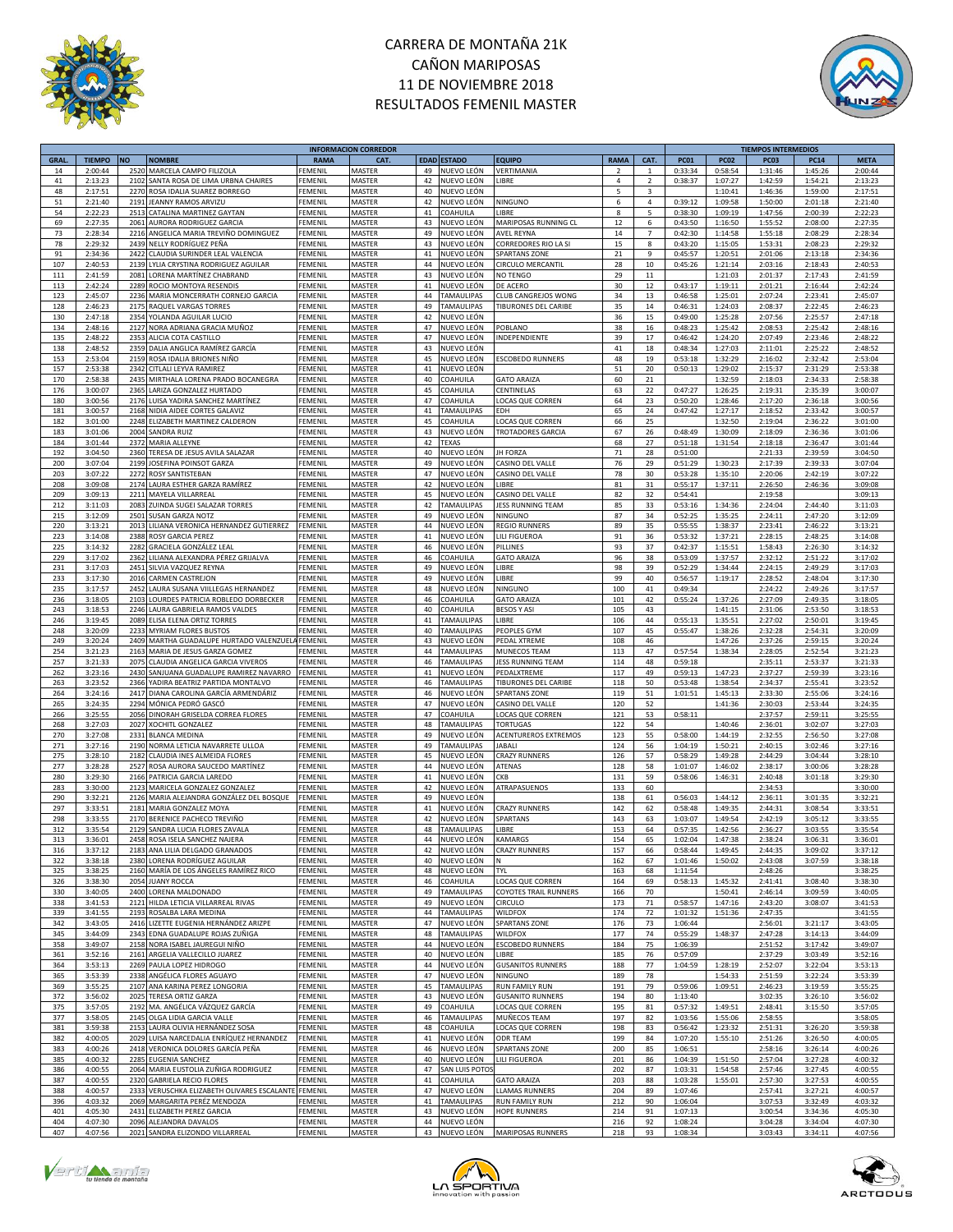



|             |               |           |                                                     |                | <b>INFORMACION CORREDOR</b> |    |                    |                              |                          |                |             |             | <b>TIEMPOS INTERMEDIOS</b> |             |             |
|-------------|---------------|-----------|-----------------------------------------------------|----------------|-----------------------------|----|--------------------|------------------------------|--------------------------|----------------|-------------|-------------|----------------------------|-------------|-------------|
| <b>GRAL</b> | <b>TIEMPO</b> | <b>NO</b> | <b>NOMBRE</b>                                       | <b>RAMA</b>    | <b>CAT</b>                  |    | <b>EDAD ESTADO</b> | <b>EQUIPO</b>                | RAMA                     | CAT.           | <b>PC01</b> | <b>PC02</b> | PC03                       | <b>PC14</b> | <b>META</b> |
| 14          | 2:00:44       | 2520      | MARCELA CAMPO FILIZOLA                              | FEMENIL        | MASTER                      | 49 | NUEVO LEÓN         | /ERTIMANIA                   | 2                        | 1              | 0:33:34     | 0:58:54     | 1:31:46                    | 1:45:26     | 2:00:44     |
| 41          | 2:13:23       | 2102      | SANTA ROSA DE LIMA URBNA CHAIRES                    | FEMENIL        | MASTER                      | 42 | NUEVO LEÓN         | LIBRE                        | $\overline{4}$           | $\overline{2}$ | 0:38:37     | 1:07:27     | 1:42:59                    | 1:54:21     | 2:13:23     |
| 48          | 2:17:51       | 2270      | ROSA IDALIA SUAREZ BORREGO                          | FEMENIL        | MASTER                      | 40 | NUEVO LEÓN         |                              | $\overline{\phantom{a}}$ | 3              |             | 1:10:41     | 1:46:36                    | 1:59:00     | 2:17:51     |
| 51          | 2:21:40       | 2191      | <b>JEANNY RAMOS ARVIZU</b>                          | FEMENIL        | MASTER                      | 42 | NUEVO LEÓN         | <b>NINGUNO</b>               | 6                        | 4              | 0:39:12     | 1:09:58     | 1:50:00                    | 2:01:18     | 2:21:40     |
| 54          | 2:22:23       | 2513      | CATALINA MARTINEZ GAYTAN                            | FEMENIL        | MASTER                      | 41 | COAHUILA           | LIBRE                        | 8                        | 5              | 0:38:30     | 1:09:19     | 1:47:56                    | 2:00:39     | 2:22:23     |
| 69          |               |           |                                                     | FEMENIL        | MASTER                      | 43 | NUEVO LEÓN         |                              |                          | 6              |             | 1:16:50     |                            |             | 2:27:35     |
|             | 2:27:35       | 2061      | AURORA RODRIGUEZ GARCIA                             |                |                             |    |                    | MARIPOSAS RUNNING CL         | 12                       | $\overline{7}$ | 0:43:50     |             | 1:55:52                    | 2:08:00     |             |
| 73          | 2:28:34       | 2216      | ANGELICA MARIA TREVIÑO DOMINGUEZ                    | FEMENIL        | MASTER                      | 49 | NUEVO LEÓN         | AVEL REYNA                   | 14                       |                | 0:42:30     | 1:14:58     | 1:55:18                    | 2:08:29     | 2:28:34     |
| 78          | 2:29:32       | 2439      | NELLY RODRÍGUEZ PEÑA                                | FEMENIL        | MASTER                      | 43 | NUEVO LEÓN         | CORREDORES RIO LA SI         | 15                       | 8              | 0:43:20     | 1:15:05     | 1:53:31                    | 2:08:23     | 2:29:32     |
| 91          | 2:34:36       | 2422      | CLAUDIA SURINDER LEAL VALENCIA                      | FEMENIL        | MASTER                      | 41 | NUEVO LEÓN         | <b>SPARTANS ZONE</b>         | 21                       | 9              | 0:45:57     | 1:20:51     | 2:01:06                    | 2:13:18     | 2:34:36     |
| 107         | 2:40:53       | 2139      | LYLIA CRYSTINA RODRIGUEZ AGUILAR                    | FEMENIL        | MASTER                      | 44 | NUEVO LEÓN         | CIRCULO MERCANTIL            | 28                       | 10             | 0:45:26     | 1:21:14     | 2:03:16                    | 2:18:43     | 2:40:53     |
| 111         | 2:41:59       | 2081      | LORENA MARTÍNEZ CHABRAND                            | FEMENI         | MASTER                      | 43 | NUEVO LEÓN         | NO TENGO                     | 29                       | 11             |             | 1:21:03     | 2:01:37                    | 2:17:43     | 2:41:59     |
| 113         | 2:42:24       | 2289      | ROCIO MONTOYA RESENDIS                              | FEMENIL        | MASTER                      | 41 | NUEVO LEÓN         | DE ACERO                     | 30                       | 12             | 0:43:17     | 1:19:11     | 2:01:21                    | 2:16:44     | 2:42:24     |
| 123         | 2:45:07       | 2236      | MARIA MONCERRATH CORNEJO GARCIA                     | <b>FEMENIL</b> | MASTER                      | 44 | <b>TAMAULIPAS</b>  | CLUB CANGREJOS WONG          | 34                       | 13             | 0:46:58     | 1:25:01     | 2:07:24                    | 2:23:41     | 2:45:07     |
| 128         | 2:46:23       | 2175      | RAQUEL VARGAS TORRES                                | <b>FEMENIL</b> | MASTER                      | 49 | TAMAULIPAS         | TIBURONES DEL CARIBE         | 35                       | 14             | 0:46:31     | 1:24:03     | 2:08:37                    | 2:22:45     | 2:46:23     |
| 130         | 2:47:18       | 2354      | YOLANDA AGUILAR LUCIO                               | FEMENIL        | MASTER                      | 42 | NUEVO LEÓN         |                              | 36                       | 15             | 0:49:00     | 1:25:28     | 2:07:56                    | 2:25:57     | 2:47:18     |
| 134         | 2:48:16       | 2127      | NORA ADRIANA GRACIA MUÑOZ                           | FEMENIL        | MASTER                      | 47 | NUEVO LEÓN         | POBLANO                      | 38                       | 16             | 0:48:23     | 1:25:42     | 2:08:53                    | 2:25:42     | 2:48:16     |
| 135         | 2:48:22       | 2353      | ALICIA COTA CASTILLO                                | <b>FEMENIL</b> | MASTER                      | 47 | NUEVO LEÓN         | INDEPENDIENTE                | 39                       | 17             | 0:46:42     | 1:24:20     | 2:07:49                    | 2:23:46     | 2:48:22     |
| 138         | 2:48:52       |           | 2359 DALIA ANGLICA RAMÍREZ GARCÍA                   | FEMENIL        | MASTER                      | 43 | NUEVO LEÓN         |                              | $41\,$                   | 18             | 0:48:34     | 1:27:03     | 2:11:01                    | 2:25:22     | 2:48:52     |
| 153         | 2:53:04       | 2159      | ROSA IDALIA BRIONES NIÑO                            | FEMENIL        | MASTER                      | 45 | NUEVO LEÓN         | <b>ESCOBEDO RUNNERS</b>      | 48                       | 19             | 0:53:18     | 1:32:29     | 2:16:02                    | 2:32:42     | 2:53:04     |
| 157         | 2:53:38       | 2342      | CITLALI LEYVA RAMIREZ                               |                |                             | 41 |                    |                              | 51                       |                |             |             |                            |             |             |
|             |               |           |                                                     | FEMENI         | MASTER                      |    | NUEVO LEÓN         |                              |                          | 20             | 0:50:13     | 1:29:02     | 2:15:37                    | 2:31:29     | 2:53:38     |
| 170         | 2:58:38       | 2435      | MIRTHALA LORENA PRADO BOCANEGRA                     | <b>FEMENIL</b> | MASTER                      | 40 | COAHUILA           | <b>GATO ARAIZA</b>           | 60                       | 21             |             | 1:32:59     | 2:18:03                    | 2:34:33     | 2:58:38     |
| 176         | 3:00:07       | 2365      | LARIZA GONZALEZ HURTADO                             | <b>FEMENIL</b> | MASTER                      | 45 | COAHUILA           | CENTINELAS                   | 63                       | 22             | 0:47:27     | 1:26:25     | 2:19:31                    | 2:35:39     | 3:00:07     |
| 180         | 3:00:56       |           | 2176 LUISA YADIRA SANCHEZ MARTÍNEZ                  | FEMENIL        | MASTER                      | 47 | COAHUILA           | <b>LOCAS QUE CORREN</b>      | 64                       | 23             | 0:50:20     | 1:28:46     | 2:17:20                    | 2:36:18     | 3:00:56     |
| 181         | 3:00:57       | 2168      | NIDIA AIDEE CORTES GALAVIZ                          | FEMENIL        | MASTER                      | 41 | TAMAULIPAS         | EDH                          | 65                       | 24             | 0:47:42     | 1:27:17     | 2:18:52                    | 2:33:42     | 3:00:57     |
| 182         | 3:01:00       | 2248      | ELIZABETH MARTINEZ CALDERON                         | <b>FEMENIL</b> | MASTER                      | 45 | COAHUILA           | LOCAS QUE CORREN             | 66                       | 25             |             | 1:32:50     | 2:19:04                    | 2:36:22     | 3:01:00     |
| 183         | 3:01:06       | 2004      | <b>SANDRA RUIZ</b>                                  | FEMENIL        | MASTER                      | 43 | NUEVO LEÓN         | TROTADORES GARCIA            | 67                       | 26             | 0:48:49     | 1:30:09     | 2:18:09                    | 2:36:36     | 3:01:06     |
| 184         | 3:01:44       | 2372      | MARIA ALLEYNE                                       | FEMENIL        | MASTER                      | 42 | <b>TEXAS</b>       |                              | 68                       | 27             | 0:51:18     | 1:31:54     | 2:18:18                    | 2:36:47     | 3:01:44     |
| 192         | 3:04:50       | 2360      | TERESA DE JESUS AVILA SALAZAR                       | FEMENI         | MASTER                      | 40 | NUEVO LEÓN         | <b>JH FORZA</b>              | 71                       | 28             | 0:51:00     |             | 2:21:33                    | 2:39:59     | 3:04:50     |
| 200         | 3:07:04       | 2199      | OSEFINA POINSOT GARZA                               | FEMENIL        | MASTER                      | 49 | NUEVO LEÓN         | CASINO DEL VALLE             | 76                       | 29             | 0:51:29     | 1:30:23     | 2:17:39                    | 2:39:33     | 3:07:04     |
| 203         | 3:07:22       | 2272      | ROSY SANTISTEBAN                                    | FEMENIL        | MASTER                      | 47 | NUEVO LEÓN         | CASINO DEL VALLE             | 78                       | 30             | 0:53:28     | 1:35:10     | 2:20:06                    | 2:42:19     | 3:07:22     |
| 208         | 3:09:08       | 2174      | LAURA ESTHER GARZA RAMÍREZ                          | FEMENIL        | MASTER                      | 42 | NUEVO LEÓN         | LIBRE                        | 81                       | 31             | 0:55:17     | 1:37:11     | 2:26:50                    | 2:46:36     | 3:09:08     |
| 209         | 3:09:13       | 2211      | MAYELA VILLARREAL                                   | FEMENIL        | MASTER                      | 45 | NUEVO LEÓN         | CASINO DEL VALLE             | 82                       | 32             | 0:54:41     |             | 2:19:58                    |             | 3:09:13     |
|             |               |           |                                                     |                |                             | 42 |                    |                              |                          |                |             | 1:34:36     |                            | 2:44:40     |             |
| 212         | 3:11:03       | 2083      | ZUINDA SUGEI SALAZAR TORRES                         | FEMENIL        | MASTER                      |    | TAMAULIPAS         | JESS RUNNING TEAM            | 85                       | 33             | 0:53:16     |             | 2:24:04                    |             | 3:11:03     |
| 215         | 3:12:09       | 2501      | SUSAN GARZA NOTZ                                    | FEMENIL        | MASTER                      | 49 | NUEVO LEÓN         | <b>NINGUNO</b>               | 87                       | 34             | 0:52:25     | 1:35:25     | 2:24:11                    | 2:47:20     | 3:12:09     |
| 220         | 3:13:21       | 2013      | LILIANA VERONICA HERNANDEZ GUTIERREZ                | FEMENII        | MASTER                      | 44 | NUEVO LEÓN         | <b>REGIO RUNNERS</b>         | 89                       | 35             | 0:55:55     | 1:38:37     | 2:23:41                    | 2:46:22     | 3:13:21     |
| 223         | 3:14:08       | 2388      | <b>ROSY GARCIA PEREZ</b>                            | <b>FEMENI</b>  | MASTER                      | 41 | NUEVO LEÓN         | LILI FIGUEROA                | 91                       | 36             | 0:53:32     | 1:37:21     | 2:28:15                    | 2:48:25     | 3:14:08     |
| 225         | 3:14:32       | 2282      | GRACIELA GONZÁLEZ LEAL                              | FEMENIL        | MASTER                      | 46 | NUEVO LEÓN         | PILLINES                     | 93                       | 37             | 0:42:37     | 1:15:51     | 1:58:43                    | 2:26:30     | 3:14:32     |
| 229         | 3:17:02       | 2362      | LILIANA ALEXANDRA PÉREZ GRIJALVA                    | FEMENIL        | MASTER                      | 46 | COAHUILA           | <b>GATO ARAIZA</b>           | 96                       | 38             | 0:53:09     | 1:37:57     | 2:32:12                    | 2:51:22     | 3:17:02     |
| 231         | 3:17:03       | 2451      | SILVIA VAZQUEZ REYNA                                | FEMENIL        | MASTER                      | 49 | NUEVO LEÓN         | LIBRE                        | 98                       | 39             | 0:52:29     | 1:34:44     | 2:24:15                    | 2:49:29     | 3:17:03     |
| 233         | 3:17:30       | 2016      | <b>CARMEN CASTREJON</b>                             | FEMENIL        | MASTER                      | 49 | NUEVO LEÓN         | LIBRE                        | 99                       | 40             | 0:56:57     | 1:19:17     | 2:28:52                    | 2:48:04     | 3:17:30     |
| 235         | 3:17:57       | 2452      | LAURA SUSANA VIILLEGAS HERNANDEZ                    | FEMENIL        | MASTER                      | 48 | NUEVO LEÓN         | NINGUNO                      | 100                      | 41             | 0:49:34     |             | 2:24:22                    | 2:49:26     | 3:17:57     |
| 236         | 3:18:05       | 2103      | LOURDES PATRICIA ROBLEDO DORBECKER                  | <b>FEMENIL</b> | MASTER                      | 46 | COAHUILA           | <b>GATO ARAIZA</b>           | 101                      | 42             | 0:55:24     | 1:37:26     | 2:27:09                    | 2:49:35     | 3:18:05     |
| 243         | 3:18:53       |           | 2246 LAURA GABRIELA RAMOS VALDES                    | FEMENIL        | MASTER                      | 40 | COAHUILA           | <b>BESOS Y ASI</b>           | 105                      | 43             |             | 1:41:15     | 2:31:06                    | 2:53:50     | 3:18:53     |
| 246         | 3:19:45       | 2089      | ELISA ELENA ORTIZ TORRES                            | FEMENIL        | MASTER                      | 41 | <b>TAMAULIPAS</b>  | LIBRE                        | 106                      | 44             | 0:55:13     | 1:35:51     | 2:27:02                    | 2:50:01     | 3:19:45     |
| 248         | 3:20:09       | 2233      | <b>MYRIAM FLORES BUSTOS</b>                         | FEMENIL        | MASTER                      | 40 | TAMAULIPAS         | PEOPLES GYM                  | 107                      | 45             | 0:55:47     | 1:38:26     | 2:32:28                    | 2:54:31     | 3:20:09     |
| 249         | 3:20:24       | 2409      | MARTHA GUADALUPE HURTADO VALENZUEL                  | FEMENIL        | MASTER                      | 43 | NUEVO LEÓN         | PEDAL XTREME                 | 108                      | 46             |             | 1:47:26     | 2:37:26                    | 2:59:15     | 3:20:24     |
| 254         |               | 2163      |                                                     | <b>FEMENIL</b> |                             | 44 |                    |                              |                          | 47             |             |             |                            |             | 3:21:23     |
|             | 3:21:23       |           | MARIA DE JESUS GARZA GOMEZ                          |                | MASTER                      |    | TAMAULIPAS         | MUNECOS TEAM                 | 113                      |                | 0:57:54     | 1:38:34     | 2:28:05                    | 2:52:54     |             |
| 257         | 3:21:33       | 2075      | CLAUDIA ANGELICA GARCIA VIVEROS                     | FEMENIL        | MASTER                      | 46 | <b>TAMAULIPAS</b>  | <b>JESS RUNNING TEAM</b>     | 114                      | 48             | 0:59:18     |             | 2:35:11                    | 2:53:37     | 3:21:33     |
| 262         | 3:23:16       | 2430      | SANJUANA GUADALUPE RAMIREZ NAVARRO                  | FEMENI         | MASTER                      | 41 | NUEVO LEÓN         | PEDALXTREME                  | 117                      | 49             | 0:59:13     | 1:47:23     | 2:37:27                    | 2:59:39     | 3:23:16     |
| 263         | 3:23:52       | 2366      | YADIRA BEATRIZ PARTIDA MONTALVO                     | FEMENIL        | MASTER                      | 46 | TAMAULIPAS         | <b>FIBURONES DEL CARIBE</b>  | 118                      | 50             | 0:53:48     | 1:38:54     | 2:34:37                    | 2:55:41     | 3:23:52     |
| 264         | 3:24:16       | 2417      | DIANA CAROLINA GARCÍA ARMENDÁRIZ                    | FEMENIL        | MASTER                      | 46 | NUEVO LEÓN         | <b>SPARTANS ZONE</b>         | 119                      | 51             | 1:01:51     | 1:45:13     | 2:33:30                    | 2:55:06     | 3:24:16     |
| 265         | 3:24:35       | 2294      | MÓNICA PEDRÓ GASCÓ                                  | FEMENIL        | MASTER                      | 47 | NUEVO LEÓN         | CASINO DEL VALLE             | 120                      | 52             |             | 1:41:36     | 2:30:03                    | 2:53:44     | 3:24:35     |
| 266         | 3:25:55       | 2056      | DINORAH GRISELDA CORREA FLORES                      | FEMENIL        | MASTER                      | 47 | COAHUILA           | LOCAS QUE CORREN             | 121                      | 53             | 0:58:11     |             | 2:37:57                    | 2:59:11     | 3:25:55     |
| 268         | 3:27:03       | 2027      | XOCHITL GONZALEZ                                    | FEMENIL        | MASTER                      | 48 | TAMAULIPAS         | <b>TORTUGAS</b>              | 122                      | 54             |             | 1:40:46     | 2:36:01                    | 3:02:07     | 3:27:03     |
| 270         | 3:27:08       | 2331      | <b>BLANCA MEDINA</b>                                | FEMENIL        | MASTER                      | 49 | NUEVO LEÓN         | <b>ACENTUREROS EXTREMOS</b>  | 123                      | 55             | 0:58:00     | 1:44:19     | 2:32:55                    | 2:56:50     | 3:27:08     |
| 271         | 3:27:16       | 2190      | NORMA LETICIA NAVARRETE ULLOA                       | FEMENIL        | MASTER                      | 49 | <b>TAMAULIPAS</b>  | JABALI                       | 124                      | 56             | 1:04:19     | 1:50:21     | 2:40:15                    | 3:02:46     | 3:27:16     |
| 275         | 3:28:10       | 2182      | CLAUDIA INES ALMEIDA FLORES                         | FEMENIL        | MASTER                      | 45 | NUEVO LEÓN         | <b>CRAZY RUNNERS</b>         | 126                      | 57             | 0:58:29     | 1:49:28     | 2:44:29                    | 3:04:44     | 3:28:10     |
| 277         | 3:28:28       | 2527      | ROSA AURORA SAUCEDO MARTÍNEZ                        | FEMENIL        | MASTER                      | 44 | NUEVO LEÓN         | ATENAS                       | 128                      | 58             | 1:01:07     | 1:46:02     | 2:38:17                    | 3:00:06     | 3:28:28     |
| 280         | 3:29:30       | 2166      | PATRICIA GARCIA LAREDO                              | FEMENIL        | MASTER                      | 41 | NUEVO LEÓN         | CKB                          | 131                      | 59             | 0:58:06     | 1:46:31     | 2:40:48                    | 3:01:18     | 3:29:30     |
|             |               | 2123      | MARICELA GONZALEZ GONZALEZ                          | FEMENIL        |                             | 42 |                    | ATRAPASUENOS                 |                          | 60             |             |             |                            |             |             |
| 283         | 3:30:00       |           |                                                     |                | MASTER                      |    | NUEVO LEÓN         |                              | 133                      |                |             |             | 2:34:53                    |             | 3:30:00     |
| 290         | 3:32:21       | 2126      | MARIA ALEJANDRA GONZÁLEZ DEL BOSQUE                 | FEMENI         | MASTER                      | 49 | NUEVO LEÓN         |                              | 138                      | 61             | 0:56:03     | 1:44:12     | 2:36:11                    | 3:01:35     | 3:32:21     |
| 297         | 3:33:51       | 2181      | MARIA GONZALEZ MOYA                                 | FEMENIL        | MASTER                      | 41 | NUEVO LEÓN         | <b>CRAZY RUNNERS</b>         | 142                      | 62             | 0:58:48     | 1:49:35     | 2:44:31                    | 3:08:54     | 3:33:51     |
| 298         | 3:33:55       | 2170      | BERENICE PACHECO TREVIÑO                            | FEMENIL        | MASTER                      | 42 | NUEVO LEÓN         | SPARTANS                     | 143                      | 63             | 1:03:07     | 1:49:54     | 2:42:19                    | 3:05:12     | 3:33:55     |
| 312         | 3:35:54       | 2129      | SANDRA LUCIA FLORES ZAVALA                          | FEMENIL        | MASTER                      | 48 | TAMAULIPAS         | LIBRE                        | 153                      | 64             | 0:57:35     | 1:42:56     | 2:36:27                    | 3:03:55     | 3:35:54     |
| 313         | 3:36:01       |           | 2458 ROSA ISELA SANCHEZ NAJERA                      | <b>FEMENIL</b> | <b>MASTER</b>               | 44 | NUEVO LEÓN         | <b>KAMARGS</b>               | 154                      | 65             | 1:02:04     | 1:47:38     | 2:38:24                    | 3:06:31     | 3:36:01     |
| 316         | 3:37:12       |           | 2183 ANA LILIA DELGADO GRANADOS                     | <b>FEMENIL</b> | MASTER                      | 42 | NUEVO LEÓN         | <b>CRAZY RUNNERS</b>         | 157                      | 66             | 0:58:44     | 1:49:45     | 2:44:35                    | 3:09:02     | 3:37:12     |
| 322         | 3:38:18       |           | 2380 LORENA RODRÍGUEZ AGUILAR                       | <b>FEMENIL</b> | MASTER                      | 40 | NUEVO LEÓN         | N                            | 162                      | 67             | 1:01:46     | 1:50:02     | 2:43:08                    | 3:07:59     | 3:38:18     |
| 325         | 3:38:25       |           | 2160 MARÍA DE LOS ÁNGELES RAMÍREZ RICO              | FEMENIL        | MASTER                      | 48 | NUEVO LEÓN         | <b>TYL</b>                   | 163                      | 68             | 1:11:54     |             | 2:48:26                    |             | 3:38:25     |
| 326         | 3:38:30       |           | 2054 JUANY ROCCA                                    | FEMENIL        | MASTER                      | 46 | COAHUILA           | <b>LOCAS QUE CORREN</b>      | 164                      | 69             | 0:58:13     | 1:45:32     | 2:41:41                    | 3:08:40     | 3:38:30     |
| 330         | 3:40:05       | 2400      | LORENA MALDONADO                                    | FEMENIL        | MASTER                      | 49 | TAMAULIPAS         | <b>COYOTES TRAIL RUNNERS</b> | 166                      | 70             |             | 1:50:41     | 2:46:14                    | 3:09:59     | 3:40:05     |
| 338         | 3:41:53       | 2121      | HILDA LETICIA VILLARREAL RIVAS                      | <b>FEMENIL</b> | MASTER                      | 49 | NUEVO LEÓN         | <b>CIRCULO</b>               | 173                      | 71             | 0:58:57     | 1:47:16     | 2:43:20                    | 3:08:07     | 3:41:53     |
| 339         | 3:41:55       |           | 2193 ROSALBA LARA MEDINA                            | FEMENIL        | MASTER                      | 44 | <b>TAMAULIPAS</b>  | WILDFOX                      | 174                      | 72             | 1:01:32     | 1:51:36     | 2:47:35                    |             | 3:41:55     |
| 342         | 3:43:05       |           | 2416 LIZETTE EUGENIA HERNÁNDEZ ARIZPE               | <b>FEMENIL</b> | MASTER                      | 47 | NUEVO LEÓN         | SPARTANS ZONE                | 176                      | 73             | 1:06:44     |             | 2:56:01                    | 3:21:17     | 3:43:05     |
| 345         | 3:44:09       | 2343      | EDNA GUADALUPE ROJAS ZUÑIGA                         | FEMENIL        | MASTER                      | 48 | TAMAULIPAS         | WILDFOX                      | 177                      | 74             | 0:55:29     | 1:48:37     | 2:47:28                    | 3:14:13     | 3:44:09     |
| 358         | 3:49:07       |           | 2158 NORA ISABEL JAUREGUI NIÑO                      | <b>FEMENIL</b> | MASTER                      | 44 | NUEVO LEÓN         | <b>ESCOBEDO RUNNERS</b>      | 184                      | 75             | 1:06:39     |             | 2:51:52                    | 3:17:42     | 3:49:07     |
|             |               |           |                                                     |                |                             |    |                    |                              |                          |                |             |             |                            |             |             |
| 361         | 3:52:16       |           | 2161 ARGELIA VALLECILLO JUAREZ                      | FEMENIL        | MASTER                      | 40 | NUEVO LEÓN         | LIBRE                        | 185                      | 76             | 0:57:09     |             | 2:37:29                    | 3:03:49     | 3:52:16     |
| 364         | 3:53:13       |           | 2269 PAULA LOPEZ HIDROGO                            | FEMENIL        | MASTER                      | 44 | NUEVO LEÓN         | <b>GUSANITOS RUNNERS</b>     | 188                      | 77             | 1:04:59     | 1:28:19     | 2:52:07                    | 3:22:04     | 3:53:13     |
| 365         | 3:53:39       | 2338      | ANGÉLICA FLORES AGUAYO                              | FEMENIL        | MASTER                      | 47 | NUEVO LEÓN         | NINGUNO                      | 189                      | 78             |             | 1:54:33     | 2:51:59                    | 3:22:24     | 3:53:39     |
| 369         | 3:55:25       | 2107      | ANA KARINA PEREZ LONGORIA                           | FEMENIL        | MASTER                      | 45 | <b>TAMAULIPAS</b>  | <b>RUN FAMILY RUN</b>        | 191                      | 79             | 0:59:06     | 1:09:51     | 2:46:23                    | 3:19:59     | 3:55:25     |
| 372         | 3:56:02       | 2025      | TERESA ORTIZ GARZA                                  | <b>FEMENIL</b> | MASTER                      | 43 | NUEVO LEÓN         | <b>GUSANITO RUNNERS</b>      | 194                      | 80             | 1:13:40     |             | 3:02:35                    | 3:26:10     | 3:56:02     |
| 375         | 3:57:05       | 2192      | MA. ANGÉLICA VÁZQUEZ GARCÍA                         | FEMENIL        | MASTER                      | 49 | COAHUILA           | LOCAS QUE CORREN             | 195                      | 81             | 0:57:32     | 1:49:51     | 2:48:41                    | 3:15:50     | 3:57:05     |
| 377         | 3:58:05       | 2145      | OLGA LIDIA GARCIA VALLE                             | FEMENIL        | MASTER                      | 46 | TAMAULIPAS         | MUÑECOS TEAM                 | 197                      | 82             | 1:03:56     | 1:55:06     | 2:58:55                    |             | 3:58:05     |
| 381         | 3:59:38       | 2153      | LAURA OLIVIA HERNÁNDEZ SOSA                         | FEMENIL        | MASTER                      | 48 | COAHUILA           | LOCAS QUE CORREN             | 198                      | 83             | 0:56:42     | 1:23:32     | 2:51:31                    | 3:26:20     | 3:59:38     |
| 382         | 4:00:05       | 2029      | LUISA NARCEDALIA ENRÍQUEZ HERNANDEZ                 | <b>FEMENIL</b> | MASTER                      | 41 | NUEVO LEÓN         | ODR TEAM                     | 199                      | 84             | 1:07:20     | 1:55:10     | 2:51:26                    | 3:26:50     | 4:00:05     |
| 383         | 4:00:26       | 2418      | VERONICA DOLORES GARCÍA PEÑA                        | FEMENIL        | MASTER                      | 46 | NUEVO LEÓN         | SPARTANS ZONE                | 200                      | 85             | 1:06:51     |             | 2:58:16                    | 3:26:14     | 4:00:26     |
| 385         | 4:00:32       | 2285      | EUGENIA SANCHEZ                                     | FEMENIL        | MASTER                      | 40 | NUEVO LEÓN         | LILI FIGUEROA                | 201                      | 86             | 1:04:39     | 1:51:50     | 2:57:04                    | 3:27:28     | 4:00:32     |
| 386         | 4:00:55       | 2064      | MARIA EUSTOLIA ZUÑIGA RODRIGUEZ                     | FEMENIL        | MASTER                      | 47 | SAN LUIS POTO      |                              | 202                      | 87             | 1:03:31     | 1:54:58     | 2:57:46                    | 3:27:45     | 4:00:55     |
| 387         | 4:00:55       | 2320      | <b>GABRIELA RECIO FLORES</b>                        | <b>FEMENIL</b> | MASTER                      | 41 | COAHUILA           | <b>GATO ARAIZA</b>           | 203                      | 88             | 1:03:28     | 1:55:01     | 2:57:30                    | 3:27:53     | 4:00:55     |
| 388         | 4:00:57       |           | 2333 VERUSCHKA ELIZABETH OLIVARES ESCALANTE FEMENIL |                | MASTER                      | 47 | NUEVO LEÓN         | <b>LLAMAS RUNNERS</b>        | 204                      | 89             | 1:07:46     |             | 2:57:41                    | 3:27:21     | 4:00:57     |
| 396         | 4:03:32       | 2069      |                                                     |                |                             | 41 | <b>TAMAULIPAS</b>  | <b>RUN FAMILY RUN</b>        | 212                      | 90             | 1:06:04     |             |                            | 3:32:49     | 4:03:32     |
|             |               |           | MARGARITA PERÉZ MENDOZA                             | FEMENIL        | MASTER                      |    |                    |                              |                          |                |             |             | 3:07:53                    |             |             |
| 401         | 4:05:30       | 2431      | ELIZABETH PEREZ GARCIA                              | FEMENIL        | MASTER                      | 43 | NUEVO LEÓN         | <b>HOPE RUNNERS</b>          | 214                      | 91             | 1:07:13     |             | 3:00:54                    | 3:34:36     | 4:05:30     |
| 404         | 4:07:30       | 2096      | ALEJANDRA DAVALOS                                   | FEMENIL        | MASTER                      | 44 | NUEVO LEÓN         |                              | 216                      | 92             | 1:08:24     |             | 3:04:28                    | 3:34:04     | 4:07:30     |
| 407         | 4:07:56       |           | 2021 SANDRA ELIZONDO VILLARREAL                     | FEMENIL        | MASTER                      |    | 43 NUEVO LEÓN      | MARIPOSAS RUNNERS            | 218                      | 93             | 1:08:34     |             | 3:03:43                    | 3:34:11     | 4:07:56     |





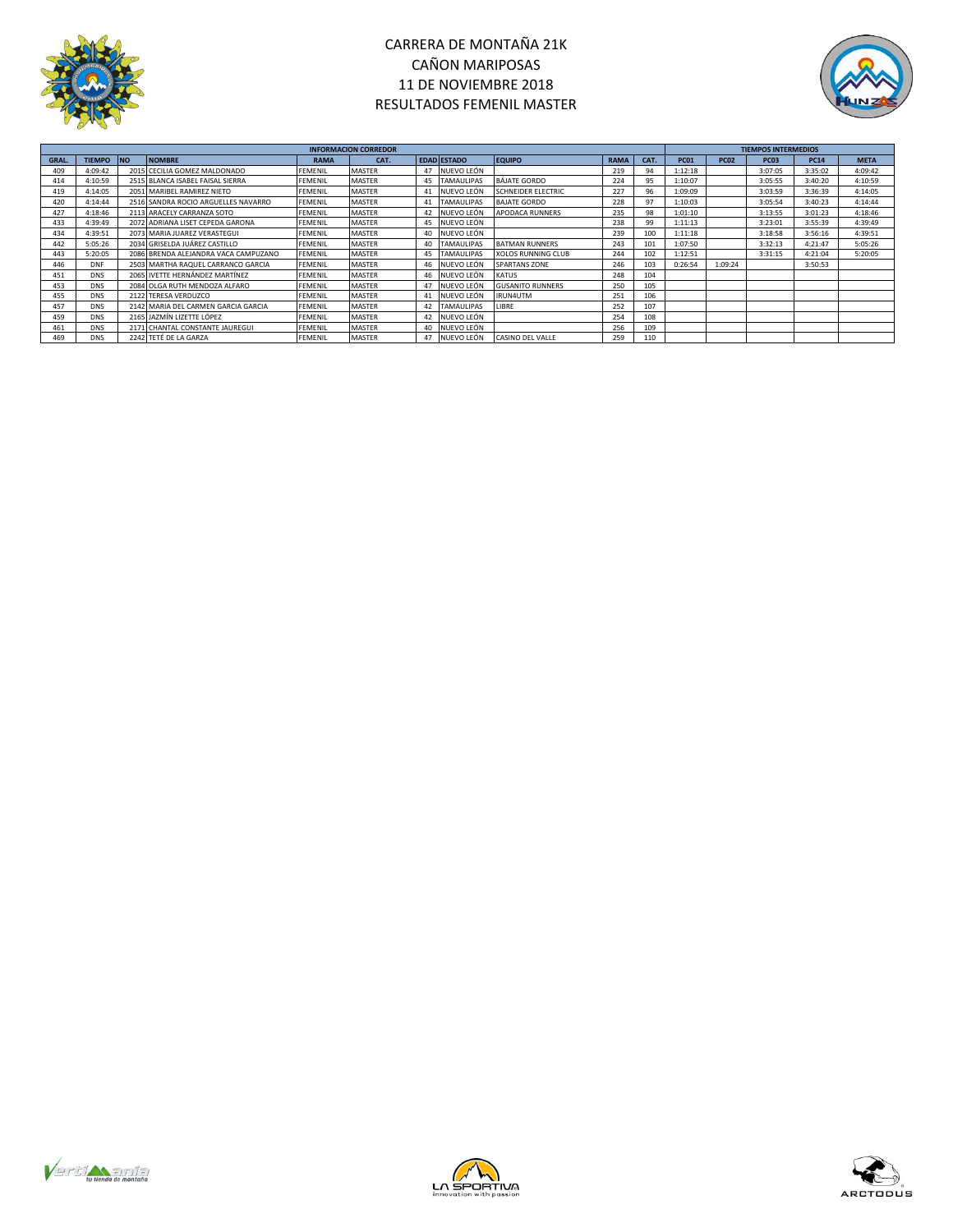



|       |            |                                      |             | <b>INFORMACION CORREDOR</b> |  |                    |                           |             |      | <b>TIEMPOS INTERMEDIOS</b> |             |                  |             |             |  |
|-------|------------|--------------------------------------|-------------|-----------------------------|--|--------------------|---------------------------|-------------|------|----------------------------|-------------|------------------|-------------|-------------|--|
| GRAL. | TIEMPO NO  | <b>NOMBRE</b>                        | <b>RAMA</b> | CAT.                        |  | <b>EDAD ESTADO</b> | <b>EQUIPO</b>             | <b>RAMA</b> | CAT. | <b>PC01</b>                | <b>PC02</b> | PC <sub>03</sub> | <b>PC14</b> | <b>META</b> |  |
| 409   | 4:09:42    | 2015 CECILIA GOMEZ MALDONADO         | FEMENIL     | <b>MASTER</b>               |  | 47 NUEVO LEÓN      |                           | 219         | 94   | 1:12:18                    |             | 3:07:05          | 3:35:02     | 4:09:42     |  |
| 414   | 4:10:59    | 2515 BLANCA ISABEL FAISAL SIERRA     | FEMENIL     | <b>MASTER</b>               |  | 45 TAMAULIPAS      | <b>BÁJATE GORDO</b>       | 224         | 95   | 1:10:07                    |             | 3:05:55          | 3:40:20     | 4:10:59     |  |
| 419   | 4:14:05    | 2051 MARIBEL RAMIREZ NIETO           | FEMENIL     | <b>MASTER</b>               |  | NUEVO LEÓN         | <b>SCHNEIDER ELECTRIC</b> | 227         | 96   | 1:09:09                    |             | 3:03:59          | 3:36:39     | 4:14:05     |  |
| 420   | 4:14:44    | 2516 SANDRA ROCIO ARGUELLES NAVARRO  | FEMENIL     | <b>MASTER</b>               |  | <b>TAMAULIPAS</b>  | <b>BAJATE GORDO</b>       | 228         | 97   | 1:10:03                    |             | 3:05:54          | 3:40:23     | 4:14:44     |  |
| 427   | 4:18:46    | 2113 ARACELY CARRANZA SOTO           | FEMENIL     | <b>MASTER</b>               |  | NUEVO LEÓN         | APODACA RUNNERS           | 235         | 98   | 1:01:10                    |             | 3:13:55          | 3:01:23     | 4:18:46     |  |
| 433   | 4:39:49    | 2072 ADRIANA LISET CEPEDA GARONA     | FEMENIL     | <b>MASTER</b>               |  | 45 NUEVO LEÓN      |                           | 238         | 99   | 1:11:13                    |             | 3:23:01          | 3:55:39     | 4:39:49     |  |
| 434   | 4:39:51    | 2073 MARIA JUAREZ VERASTEGUI         | FEMENIL     | <b>MASTER</b>               |  | NUEVO LEÓN         |                           | 239         | 100  | 1:11:18                    |             | 3:18:58          | 3:56:16     | 4:39:51     |  |
| 442   | 5:05:26    | 2034 GRISELDA JUÁREZ CASTILLO        | FEMENIL     | <b>MASTER</b>               |  | <b>TAMAULIPAS</b>  | <b>BATMAN RUNNERS</b>     | 243         | 101  | 1:07:50                    |             | 3:32:13          | 4:21:47     | 5:05:26     |  |
| 443   | 5:20:05    | 2086 BRENDA ALEJANDRA VACA CAMPUZANO | FEMENIL     | MASTER                      |  | <b>TAMAULIPAS</b>  | <b>XOLOS RUNNING CLUB</b> | 244         | 102  | 1:12:51                    |             | 3:31:15          | 4:21:04     | 5:20:05     |  |
| 446   | <b>DNF</b> | 2503 MARTHA RAQUEL CARRANCO GARCIA   | FEMENIL     | <b>MASTER</b>               |  | NUEVO LEÓN         | <b>SPARTANS ZONE</b>      | 246         | 103  | 0:26:54                    | 1:09:24     |                  | 3:50:53     |             |  |
| 451   | <b>DNS</b> | 2065 IVETTE HERNÁNDEZ MARTÍNEZ       | FEMENIL     | <b>MASTER</b>               |  | 46 NUEVO LEÓN      | <b>KATUS</b>              | 248         | 104  |                            |             |                  |             |             |  |
| 453   | <b>DNS</b> | 2084 OLGA RUTH MENDOZA ALFARO        | FEMENIL     | <b>MASTER</b>               |  | NUEVO LEÓN         | <b>GUSANITO RUNNERS</b>   | 250         | 105  |                            |             |                  |             |             |  |
| 455   | <b>DNS</b> | 2122 TERESA VERDUZCO                 | FEMENIL     | <b>MASTER</b>               |  | 41 NUEVO LEÓN      | IRUN4UTM                  | 251         | 106  |                            |             |                  |             |             |  |
| 457   | <b>DNS</b> | 2142 MARIA DEL CARMEN GARCIA GARCIA  | FEMENIL     | <b>MASTER</b>               |  | 42 TAMAULIPAS      | LIBRE                     | 252         | 107  |                            |             |                  |             |             |  |
| 459   | <b>DNS</b> | 2165 JAZMÍN LIZETTE LÓPEZ            | FEMENIL     | <b>MASTER</b>               |  | 42 NUEVO LEÓN      |                           | 254         | 108  |                            |             |                  |             |             |  |
| 461   | <b>DNS</b> | 2171 CHANTAL CONSTANTE JAUREGUI      | FEMENIL     | <b>MASTER</b>               |  | 40 NUEVO LEÓN      |                           | 256         | 109  |                            |             |                  |             |             |  |
| 469   | <b>DNS</b> | 2242 TETÉ DE LA GARZA                | FEMENIL     | <b>MASTER</b>               |  | 47 NUEVO LEÓN      | <b>CASINO DEL VALLE</b>   | 259         | 110  |                            |             |                  |             |             |  |





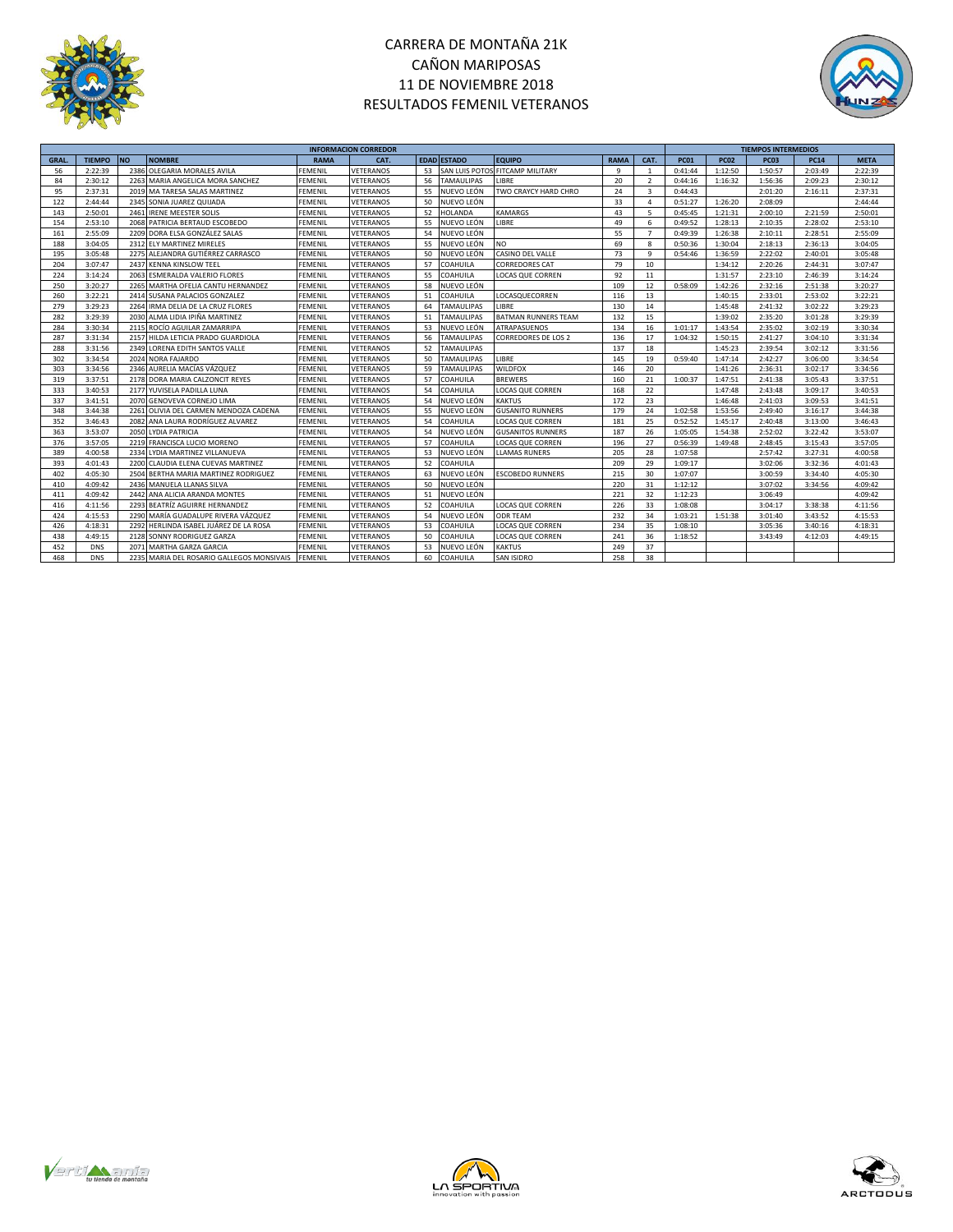



|             |               |           |                                           | <b>INFORMACION CORREDOR</b> |           |    |                    |                                 |             |                | <b>TIEMPOS INTERMEDIOS</b> |             |             |             |             |
|-------------|---------------|-----------|-------------------------------------------|-----------------------------|-----------|----|--------------------|---------------------------------|-------------|----------------|----------------------------|-------------|-------------|-------------|-------------|
| <b>GRAL</b> | <b>TIEMPO</b> | <b>NO</b> | <b>NOMBRE</b>                             | <b>RAMA</b>                 | CAT.      |    | <b>EDAD ESTADO</b> | <b>EQUIPO</b>                   | <b>RAMA</b> | CAT.           | <b>PC01</b>                | <b>PC02</b> | <b>PC03</b> | <b>PC14</b> | <b>META</b> |
| 56          | 2:22:39       | 2386      | OLEGARIA MORALES AVILA                    | <b>FEMENIL</b>              | VETERANOS | 53 |                    | SAN LUIS POTOS FITCAMP MILITARY | -9          | $\mathbf{1}$   | 0:41:44                    | 1:12:50     | 1:50:57     | 2:03:49     | 2:22:39     |
| 84          | 2:30:12       | 2263      | MARIA ANGELICA MORA SANCHEZ               | <b>FEMENIL</b>              | VETERANOS | 56 | <b>TAMAULIPAS</b>  | LIBRE                           | 20          | 2              | 0:44:16                    | 1:16:32     | 1:56:36     | 2:09:23     | 2:30:12     |
| 95          | 2:37:31       | 2019      | MA TARESA SALAS MARTINEZ                  | <b>FEMENIL</b>              | VETERANOS | 55 | NUEVO LEÓN         | TWO CRAYCY HARD CHRO            | 24          | $\mathbf{3}$   | 0:44:43                    |             | 2:01:20     | 2:16:11     | 2:37:31     |
| 122         | 2:44:44       | 2345      | SONIA JUAREZ QUIJADA                      | <b>FEMENIL</b>              | VETERANOS | 50 | NUEVO LEÓN         |                                 | 33          | $\overline{a}$ | 0:51:27                    | 1:26:20     | 2:08:09     |             | 2:44:44     |
| 143         | 2:50:01       | 2461      | <b>IRENE MEESTER SOLIS</b>                | <b>FEMENIL</b>              | VETERANOS | 52 | <b>HOLANDA</b>     | <b>KAMARGS</b>                  | 43          | -5             | 0:45:45                    | 1:21:31     | 2:00:10     | 2:21:59     | 2:50:01     |
| 154         | 2:53:10       | 2068      | PATRICIA BERTAUD ESCOBEDO                 | <b>FEMENIL</b>              | VETERANOS | 55 | NUEVO LEÓN         | LIBRE                           | 49          | 6              | 0:49:52                    | 1:28:13     | 2:10:35     | 2:28:02     | 2:53:10     |
| 161         | 2:55:09       | 2209      | DORA ELSA GONZÁLEZ SALAS                  | <b>FEMENIL</b>              | VETERANOS | 54 | NUEVO LEÓN         |                                 | 55          | $\overline{7}$ | 0:49:39                    | 1:26:38     | 2:10:11     | 2:28:51     | 2:55:09     |
| 188         | 3:04:05       | 2312      | ELY MARTINEZ MIRELES                      | <b>FEMENIL</b>              | VETERANOS | 55 | NUEVO LEÓN         | NO.                             | 69          | 8              | 0:50:36                    | 1:30:04     | 2:18:13     | 2:36:13     | 3:04:05     |
| 195         | 3:05:48       | 2275      | ALEJANDRA GUTIÉRREZ CARRASCO              | <b>FEMENIL</b>              | VETERANOS | 50 | NUEVO LEÓN         | CASINO DEL VALLE                | 73          | 9              | 0:54:46                    | 1:36:59     | 2:22:02     | 2:40:01     | 3:05:48     |
| 204         | 3:07:47       | 2437      | <b>KENNA KINSLOW TEEL</b>                 | <b>FEMENIL</b>              | VETERANOS | 57 | COAHUILA           | <b>CORREDORES CAT</b>           | 79          | 10             |                            | 1:34:12     | 2:20:26     | 2:44:31     | 3:07:47     |
| 224         | 3:14:24       | 2063      | ESMERALDA VALERIO FLORES                  | <b>FEMENIL</b>              | VETERANOS | 55 | COAHUILA           | LOCAS QUE CORREN                | 92          | 11             |                            | 1:31:57     | 2:23:10     | 2:46:39     | 3:14:24     |
| 250         | 3:20:27       | 2265      | MARTHA OFELIA CANTU HERNANDEZ             | <b>FEMENIL</b>              | VETERANOS | 58 | NUEVO LEÓN         |                                 | 109         | 12             | 0:58:09                    | 1:42:26     | 2:32:16     | 2:51:38     | 3:20:27     |
| 260         | 3:22:21       | 2414      | SUSANA PALACIOS GONZALEZ                  | <b>FEMENIL</b>              | VETERANOS | 51 | COAHUILA           | LOCASQUECORREN                  | 116         | 13             |                            | 1:40:15     | 2:33:01     | 2:53:02     | 3:22:21     |
| 279         | 3:29:23       | 2264      | IRMA DELIA DE LA CRUZ FLORES              | <b>FEMENIL</b>              | VETERANOS | 64 | <b>TAMAULIPAS</b>  | LIBRE                           | 130         | 14             |                            | 1:45:48     | 2:41:32     | 3:02:22     | 3:29:23     |
| 282         | 3:29:39       | 2030      | ALMA LIDIA IPIÑA MARTINEZ                 | <b>FEMENIL</b>              | VETERANOS | 51 | <b>TAMAULIPAS</b>  | <b>BATMAN RUNNERS TEAM</b>      | 132         | 15             |                            | 1:39:02     | 2:35:20     | 3:01:28     | 3:29:39     |
| 284         | 3:30:34       | 2115      | ROCÍO AGUILAR ZAMARRIPA                   | <b>FEMENIL</b>              | VETERANOS | 53 | NUEVO LEÓN         | ATRAPASUENOS                    | 134         | 16             | 1:01:17                    | 1:43:54     | 2:35:02     | 3:02:19     | 3:30:34     |
| 287         | 3:31:34       | 2157      | HILDA LETICIA PRADO GUARDIOLA             | <b>FEMENIL</b>              | VETERANOS | 56 | <b>TAMAULIPAS</b>  | <b>CORREDORES DE LOS 2</b>      | 136         | 17             | 1:04:32                    | 1:50:15     | 2:41:27     | 3:04:10     | 3:31:34     |
| 288         | 3:31:56       | 2349      | LORENA EDITH SANTOS VALLE                 | <b>FEMENIL</b>              | VETERANOS | 52 | TAMAULIPAS         |                                 | 137         | 18             |                            | 1:45:23     | 2:39:54     | 3:02:12     | 3:31:56     |
| 302         | 3:34:54       | 2024      | <b>NORA FAJARDO</b>                       | <b>FEMENIL</b>              | VETERANOS | 50 | <b>TAMAULIPAS</b>  | LIBRE                           | 145         | 19             | 0:59:40                    | 1:47:14     | 2:42:27     | 3:06:00     | 3:34:54     |
| 303         | 3:34:56       | 2346      | AURELIA MACÍAS VÁZQUEZ                    | <b>FEMENIL</b>              | VETERANOS | 59 | <b>TAMAULIPAS</b>  | <b>WILDFOX</b>                  | 146         | 20             |                            | 1:41:26     | 2:36:31     | 3:02:17     | 3:34:56     |
| 319         | 3:37:51       | 2178      | DORA MARIA CALZONCIT REYES                | <b>FEMENIL</b>              | VETERANOS | 57 | COAHUILA           | <b>BREWERS</b>                  | 160         | 21             | 1:00:37                    | 1:47:51     | 2:41:38     | 3:05:43     | 3:37:51     |
| 333         | 3:40:53       | 2177      | YUVISELA PADILLA LUNA                     | <b>FEMENIL</b>              | VETERANOS | 54 | COAHUILA           | <b>LOCAS QUE CORREN</b>         | 168         | 22             |                            | 1:47:48     | 2:43:48     | 3:09:17     | 3:40:53     |
| 337         | 3:41:51       | 2070      | GENOVEVA CORNEJO LIMA                     | <b>FEMENIL</b>              | VETERANOS | 54 | NUEVO LEÓN         | <b>KAKTUS</b>                   | 172         | 23             |                            | 1:46:48     | 2:41:03     | 3:09:53     | 3:41:51     |
| 348         | 3:44:38       | 2261      | OLIVIA DEL CARMEN MENDOZA CADENA          | <b>FEMENIL</b>              | VETERANOS | 55 | NUEVO LEÓN         | <b>GUSANITO RUNNERS</b>         | 179         | 24             | 1:02:58                    | 1:53:56     | 2:49:40     | 3:16:17     | 3:44:38     |
| 352         | 3:46:43       | 2082      | ANA LAURA RODRÍGUEZ ALVAREZ               | <b>FEMENIL</b>              | VETERANOS | 54 | COAHUILA           | LOCAS QUE CORREN                | 181         | 25             | 0:52:52                    | 1:45:17     | 2:40:48     | 3:13:00     | 3:46:43     |
| 363         | 3:53:07       | 2050      | <b>LYDIA PATRICIA</b>                     | <b>FEMENIL</b>              | VETERANOS | 54 | NUEVO LEÓN         | <b>GUSANITOS RUNNERS</b>        | 187         | 26             | 1:05:05                    | 1:54:38     | 2:52:02     | 3:22:42     | 3:53:07     |
| 376         | 3:57:05       | 2219      | FRANCISCA LUCIO MORENO                    | <b>FEMENIL</b>              | VETERANOS | 57 | COAHUILA           | <b>LOCAS QUE CORREN</b>         | 196         | 27             | 0:56:39                    | 1:49:48     | 2:48:45     | 3:15:43     | 3:57:05     |
| 389         | 4:00:58       | 2334      | LYDIA MARTINEZ VILLANUEVA                 | FEMENIL                     | VETERANOS | 53 | NUEVO LEÓN         | <b>LLAMAS RUNERS</b>            | 205         | 28             | 1:07:58                    |             | 2:57:42     | 3:27:31     | 4:00:58     |
| 393         | 4:01:43       | 2200      | CLAUDIA ELENA CUEVAS MARTINEZ             | <b>FEMENIL</b>              | VETERANOS | 52 | COAHUILA           |                                 | 209         | 29             | 1:09:17                    |             | 3:02:06     | 3:32:36     | 4:01:43     |
| 402         | 4:05:30       | 2504      | BERTHA MARIA MARTINEZ RODRIGUEZ           | <b>FEMENIL</b>              | VETERANOS | 63 | NUEVO LEÓN         | <b>ESCOBEDO RUNNERS</b>         | 215         | 30             | 1:07:07                    |             | 3:00:59     | 3:34:40     | 4:05:30     |
| 410         | 4:09:42       | 2436      | MANUELA LLANAS SILVA                      | <b>FEMENIL</b>              | VETERANOS | 50 | NUEVO LEÓN         |                                 | 220         | 31             | 1:12:12                    |             | 3:07:02     | 3:34:56     | 4:09:42     |
| 411         | 4:09:42       | 2442      | ANA ALICIA ARANDA MONTES                  | <b>FEMENIL</b>              | VETERANOS | 51 | NUEVO LEÓN         |                                 | 221         | 32             | 1:12:23                    |             | 3:06:49     |             | 4:09:42     |
| 416         | 4:11:56       | 2293      | BEATRÍZ AGUIRRE HERNANDEZ                 | <b>FEMENIL</b>              | VETERANOS | 52 | COAHUILA           | <b>LOCAS QUE CORREN</b>         | 226         | 33             | 1:08:08                    |             | 3:04:17     | 3:38:38     | 4:11:56     |
| 424         | 4:15:53       | 2290      | MARÍA GUADALUPE RIVERA VÁZQUEZ            | <b>FEMENIL</b>              | VETERANOS | 54 | NUEVO LEÓN         | <b>ODR TEAM</b>                 | 232         | 34             | 1:03:21                    | 1:51:38     | 3:01:40     | 3:43:52     | 4:15:53     |
| 426         | 4:18:31       | 2292      | HERLINDA ISABEL JUÁREZ DE LA ROSA         | <b>FEMENIL</b>              | VETERANOS | 53 | COAHUILA           | <b>LOCAS QUE CORREN</b>         | 234         | 35             | 1:08:10                    |             | 3:05:36     | 3:40:16     | 4:18:31     |
| 438         | 4:49:15       | 2128      | SONNY RODRIGUEZ GARZA                     | <b>FEMENIL</b>              | VETERANOS | 50 | COAHUILA           | <b>LOCAS QUE CORREN</b>         | 241         | 36             | 1:18:52                    |             | 3:43:49     | 4:12:03     | 4:49:15     |
| 452         | <b>DNS</b>    | 2071      | <b>MARTHA GARZA GARCIA</b>                | <b>FEMENIL</b>              | VETERANOS | 53 | NUEVO LEÓN         | <b>KAKTUS</b>                   | 249         | 37             |                            |             |             |             |             |
| 468         | <b>DNS</b>    |           | 2235 MARIA DEL ROSARIO GALLEGOS MONSIVAIS | <b>FEMENIL</b>              | VETERANOS | 60 | COAHUILA           | SAN ISIDRO                      | 258         | 38             |                            |             |             |             |             |





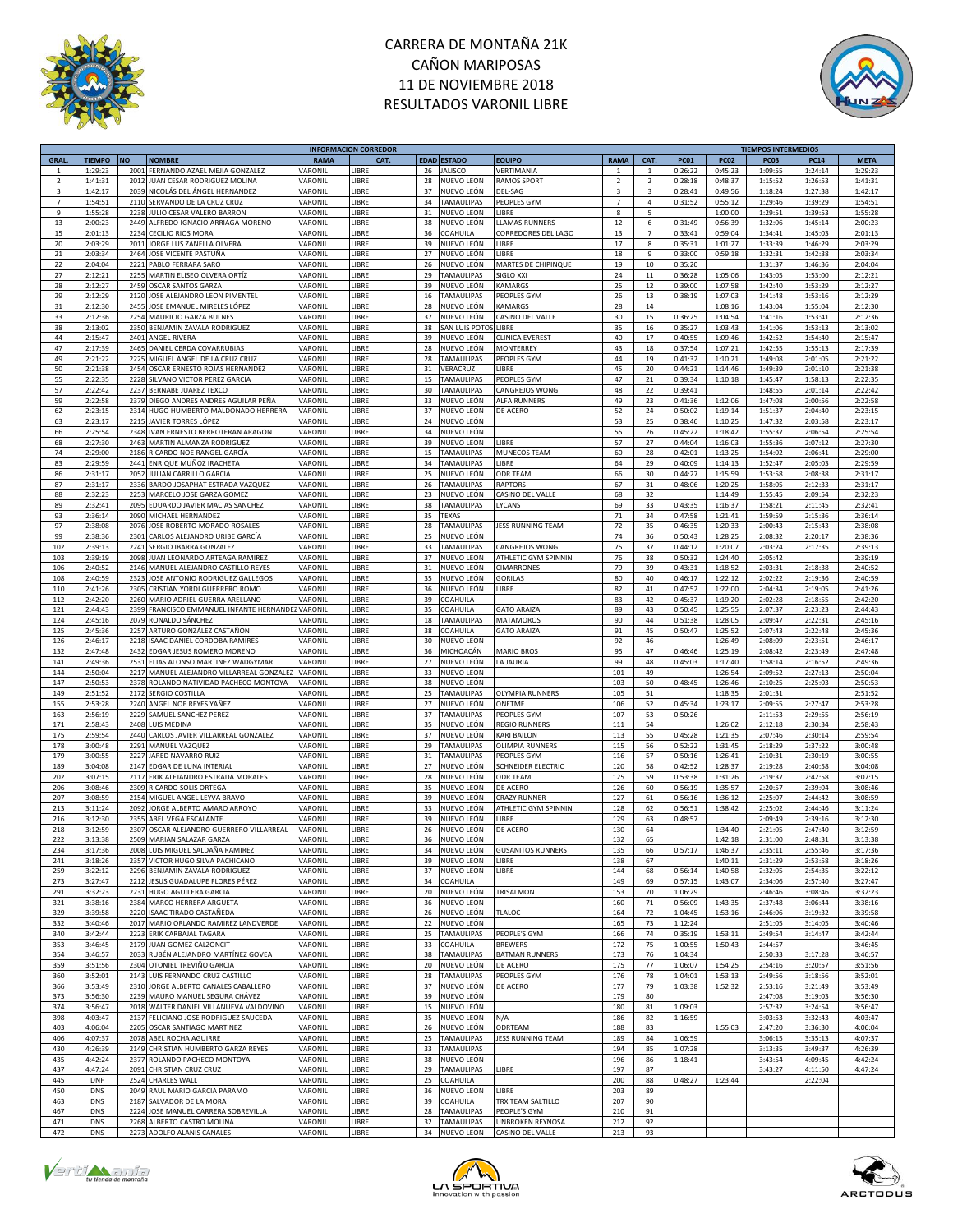

# CARRERA DE MONTAÑA 21K CAÑON MARIPOSAS 11 DE NOVIEMBRE 2018 RESULTADOS VARONIL LIBRE



|                         |               |           |                                              |                | <b>INFORMACION CORREDOR</b> |             |                          |                          |                |                         |             |             | <b>TIEMPOS INTERMEDIOS</b> |             |             |
|-------------------------|---------------|-----------|----------------------------------------------|----------------|-----------------------------|-------------|--------------------------|--------------------------|----------------|-------------------------|-------------|-------------|----------------------------|-------------|-------------|
| <b>GRAL</b>             | <b>TIEMPO</b> | <b>NO</b> | <b>NOMBRE</b>                                | <b>RAMA</b>    | CAT.                        | <b>EDAD</b> | <b>ESTADO</b>            | <b>EQUIPO</b>            | <b>RAMA</b>    | CAT.                    | <b>PC01</b> | <b>PC02</b> | <b>PC03</b>                | <b>PC14</b> | <b>META</b> |
| -1                      | 1:29:23       | 2001      | FERNANDO AZAEL MEJIA GONZALEZ                | VARONIL        | <b>IBRE</b>                 | 26          | <b>JALISCO</b>           | VERTIMANIA               | 1              | $\mathbf{1}$            | 0:26:22     | 0:45:23     | 1:09:55                    | 1:24:14     | 1:29:23     |
| $\overline{2}$          | 1:41:31       | 2012      | JUAN CESAR RODRIGUEZ MOLINA                  | VARONIL        | LIBRE                       | 28          | NUEVO LEÓN               | <b>RAMOS SPORT</b>       | $\overline{2}$ | $\overline{2}$          | 0:28:18     | 0:48:37     | 1:15:52                    | 1:26:53     | 1:41:31     |
| $\overline{\mathbf{3}}$ | 1:42:17       | 2039      | NICOLÁS DEL ÁNGEL HERNANDEZ                  | VARONII        | <b>IBRE</b>                 | 37          | NUEVO LEÓN               | DEL-SAG                  | 3              | $\overline{\mathbf{3}}$ | 0:28:41     | 0:49:56     | 1:18:24                    | 1:27:38     | 1:42:17     |
|                         |               |           |                                              |                |                             |             |                          |                          |                |                         |             |             |                            |             |             |
| $\overline{7}$          | 1:54:51       | 2110      | SERVANDO DE LA CRUZ CRUZ                     | VARONIL        | <b>IBRE</b>                 | 34          | <b>TAMAULIPAS</b>        | PEOPLES GYM              | $\overline{7}$ | 4                       | 0:31:52     | 0:55:12     | 1:29:46                    | 1:39:29     | 1:54:51     |
| 9                       | 1:55:28       | 2238      | JULIO CESAR VALERO BARRON                    | VARONIL        | <b>IBRE</b>                 | 31          | NUEVO LEÓN               | <b>IIBRF</b>             | 8              | 5                       |             | 1:00:00     | 1:29:51                    | 1:39:53     | 1:55:28     |
| 13                      | 2:00:23       | 2449      | ALFREDO IGNACIO ARRIAGA MORENO               | VARONIL        | LIBRE                       | 38          | NUEVO LEÓN               | LLAMAS RUNNERS           | 12             | 6                       | 0:31:49     | 0:56:39     | 1:32:06                    | 1:45:14     | 2:00:23     |
| 15                      | 2:01:13       | 2234      | CECILIO RIOS MORA                            | VARONIL        | LIBRE                       | 36          | COAHUILA                 | CORREDORES DEL LAGO      | 13             | $\overline{7}$          | 0:33:41     | 0:59:04     | 1:34:41                    | 1:45:03     | 2:01:13     |
| 20                      | 2:03:29       | 2011      | JORGE LUS ZANELLA OLVERA                     | VARONIL        | LIBRE                       | 39          | NUEVO LEÓN               | LIBRE                    | 17             | 8                       | 0:35:31     | 1:01:27     | 1:33:39                    | 1:46:29     | 2:03:29     |
|                         |               |           |                                              |                |                             |             |                          |                          |                |                         |             |             |                            |             |             |
| $21\,$                  | 2:03:34       | 2464      | JOSE VICENTE PASTUÑA                         | VARONIL        | LIBRE                       | 27          | NUEVO LEÓN               | LIBRE                    | 18             | 9                       | 0:33:00     | 0:59:18     | 1:32:31                    | 1:42:38     | 2:03:34     |
| 22                      | 2:04:04       | 2221      | PABLO FERRARA SARO                           | VARONIL        | LIBRE                       | 26          | NUEVO LEÓN               | MARTES DE CHIPINQUE      | 19             | 10                      | 0:35:20     |             | 1:31:37                    | 1:46:36     | 2:04:04     |
| 27                      | 2:12:21       | 2255      | MARTIN ELISEO OLVERA ORTÍZ                   | VARONII        | LIBRE                       | 29          | <b>TAMAULIPAS</b>        | SIGLO XXI                | 24             | $11\,$                  | 0:36:28     | 1:05:06     | 1:43:05                    | 1:53:00     | 2:12:21     |
| 28                      | 2:12:27       | 2459      | OSCAR SANTOS GARZA                           | VARONII        | LIBRE                       | 39          | NUEVO LEÓN               | KAMARGS                  | 25             | 12                      | 0:39:00     | 1:07:58     | 1:42:40                    | 1:53:29     | 2:12:27     |
| 29                      | 2:12:29       | 2120      | JOSE ALEJANDRO LEON PIMENTEL                 | VARONIL        | LIBRE                       | 16          | <b>TAMAULIPAS</b>        | PEOPLES GYM              | 26             | 13                      | 0:38:19     | 1:07:03     | 1:41:48                    | 1:53:16     | 2:12:29     |
|                         |               | 2455      |                                              |                |                             | 28          | NUEVO LEÓN               |                          |                |                         |             |             |                            |             | 2:12:30     |
| 31                      | 2:12:30       |           | JOSE EMANUEL MIRELES LÓPEZ                   | VARONIL        | LIBRE                       |             |                          | <b>KAMARGS</b>           | 28             | 14                      |             | 1:08:16     | 1:43:04                    | 1:55:04     |             |
| 33                      | 2:12:36       | 2254      | MAURICIO GARZA BULNES                        | VARONIL        | LIBRE                       | 37          | NUEVO LEÓN               | CASINO DEL VALLE         | 30             | 15                      | 0:36:25     | 1:04:54     | 1:41:16                    | 1:53:41     | 2:12:36     |
| 38                      | 2:13:02       | 2350      | BENJAMIN ZAVALA RODRIGUEZ                    | VARONIL        | LIBRE                       | 38          | SAN LUIS POTC            | LIBRE                    | 35             | 16                      | 0:35:27     | 1:03:43     | 1:41:06                    | 1:53:13     | 2:13:02     |
| 44                      | 2:15:47       | 2401      | ANGEL RIVERA                                 | VARONIL        | LIBRE                       | 39          | NUEVO LEÓN               | <b>CLINICA EVEREST</b>   | 40             | 17                      | 0:40:55     | 1:09:46     | 1:42:52                    | 1:54:40     | 2:15:47     |
| 47                      | 2:17:39       | 2465      | DANIEL CERDA COVARRUBIAS                     | VARONIL        | LIBRE                       | 28          | NUEVO LEÓN               | MONTERREY                | 43             | $18\,$                  | 0:37:54     | 1:07:21     | 1:42:55                    | 1:55:13     | 2:17:39     |
|                         |               |           |                                              |                |                             |             |                          |                          |                |                         |             |             |                            |             |             |
| 49                      | 2:21:22       | 2225      | MIGUEL ANGEL DE LA CRUZ CRUZ                 | VARONIL        | LIBRE                       | 28          | <b>TAMAULIPAS</b>        | PEOPLES GYM              | 44             | 19                      | 0:41:32     | 1:10:21     | 1:49:08                    | 2:01:05     | 2:21:22     |
| 50                      | 2:21:38       | 2454      | OSCAR ERNESTO ROJAS HERNANDEZ                | VARONIL        | LIBRE                       | 31          | VERACRUZ                 | LIBRE                    | 45             | 20                      | 0:44:21     | 1:14:46     | 1:49:39                    | 2:01:10     | 2:21:38     |
| 55                      | 2:22:35       | 2228      | SILVANO VICTOR PEREZ GARCIA                  | VARONIL        | LIBRE                       | 15          | <b>TAMAULIPAS</b>        | PEOPLES GYM              | 47             | 21                      | 0:39:34     | 1:10:18     | 1:45:47                    | 1:58:13     | 2:22:35     |
| 57                      | 2:22:42       |           | 2237 BERNABE JUAREZ TEXCO                    | VARONIL        | LIBRE                       | 30          | <b>TAMAULIPAS</b>        | CANGREJOS WONG           | 48             | 22                      | 0:39:41     |             | 1:48:55                    | 2:01:14     | 2:22:42     |
| 59                      | 2:22:58       | 2379      | DIEGO ANDRES ANDRES AGUILAR PEÑA             | VARONIL        | LIBRE                       | 33          | NUEVO LEÓN               | <b>ALFA RUNNERS</b>      | 49             | 23                      | 0:41:36     | 1:12:06     | 1:47:08                    | 2:00:56     | 2:22:58     |
|                         |               |           |                                              |                |                             |             |                          |                          |                |                         |             |             |                            |             |             |
| 62                      | 2:23:15       | 2314      | HUGO HUMBERTO MALDONADO HERRERA              | VARONIL        | <b>IBRE</b>                 | 37          | NUEVO LEÓN               | DE ACERO                 | 52             | 24                      | 0:50:02     | 1:19:14     | 1:51:37                    | 2:04:40     | 2:23:15     |
| 63                      | 2:23:17       | 2215      | JAVIER TORRES LÓPEZ                          | VARONIL        | LIBRE                       | 24          | NUEVO LEÓN               |                          | 53             | 25                      | 0:38:46     | 1:10:25     | 1:47:32                    | 2:03:58     | 2:23:17     |
| 66                      | 2:25:54       | 2348      | IVAN ERNESTO BERROTERAN ARAGON               | VARONIL        | <b>IBRE</b>                 | 34          | NUEVO LEÓN               |                          | 55             | 26                      | 0:45:22     | 1:18:42     | 1:55:37                    | 2:06:54     | 2:25:54     |
| 68                      | 2:27:30       | 2463      | MARTIN ALMANZA RODRIGUEZ                     | VARONIL        | LIBRE                       | 39          | NUEVO LEÓN               | LIBRE                    | 57             | 27                      | 0:44:04     | 1:16:03     | 1:55:36                    | 2:07:12     | 2:27:30     |
| 74                      | 2:29:00       | 2186      | RICARDO NOE RANGEL GARCÍA                    | VARONIL        | LIBRE                       | 15          | TAMAULIPAS               | MUNECOS TEAM             | 60             | 28                      | 0:42:01     | 1:13:25     | 1:54:02                    | 2:06:41     | 2:29:00     |
| 83                      |               | 2441      |                                              |                |                             | 34          | <b>TAMAULIPAS</b>        | LIBRE                    |                |                         |             |             |                            |             |             |
|                         | 2:29:59       |           | ENRIQUE MUÑOZ IRACHETA                       | VARONIL        | <b>IBRE</b>                 |             |                          |                          | 64             | 29                      | 0:40:09     | 1:14:13     | 1:52:47                    | 2:05:03     | 2:29:59     |
| 86                      | 2:31:17       | 2052      | JULIAN CARRILLO GARCIA                       | VARONIL        | <b>IBRE</b>                 | 25          | NUEVO LEÓN               | <b>ODR TEAM</b>          | 66             | 30                      | 0:44:27     | 1:15:59     | 1:53:58                    | 2:08:38     | 2:31:17     |
| 87                      | 2:31:17       | 2336      | BARDO JOSAPHAT ESTRADA VAZQUEZ               | VARONIL        | LIBRE                       | 26          | <b>TAMAULIPAS</b>        | <b>RAPTORS</b>           | 67             | 31                      | 0:48:06     | 1:20:25     | 1:58:05                    | 2:12:33     | 2:31:17     |
| 88                      | 2:32:23       | 2253      | MARCELO JOSE GARZA GOMEZ                     | VARONIL        | LIBRE                       | 23          | NUEVO LEÓN               | CASINO DEL VALLE         | 68             | 32                      |             | 1:14:49     | 1:55:45                    | 2:09:54     | 2:32:23     |
| 89                      | 2:32:41       | 2095      | EDUARDO JAVIER MACIAS SANCHEZ                | VARONIL        | LIBRE                       | 38          | TAMAULIPAS               | YCANS                    | 69             | 33                      | 0:43:35     | 1:16:37     | 1:58:21                    | 2:11:45     | 2:32:41     |
|                         |               | 2090      | MICHAEL HERNANDEZ                            | <b>VARONIL</b> | <b>IBRE</b>                 | 35          |                          |                          |                |                         |             |             |                            |             |             |
| 93                      | 2:36:14       |           |                                              |                |                             |             | TEXAS                    |                          | $71\,$         | 34                      | 0:47:58     | 1:21:41     | 1:59:59                    | 2:15:36     | 2:36:14     |
| 97                      | 2:38:08       | 2076      | JOSE ROBERTO MORADO ROSALES                  | VARONIL        | LIBRE                       | 28          | <b>TAMAULIPAS</b>        | JESS RUNNING TEAM        | 72             | 35                      | 0:46:35     | 1:20:33     | 2:00:43                    | 2:15:43     | 2:38:08     |
| 99                      | 2:38:36       | 2301      | CARLOS ALEJANDRO URIBE GARCÍA                | VARONII        | LIBRE                       | 25          | NUEVO LEÓN               |                          | 74             | 36                      | 0:50:43     | 1:28:25     | 2:08:32                    | 2:20:17     | 2:38:36     |
| 102                     | 2:39:13       | 2241      | SERGIO IBARRA GONZALEZ                       | VARONII        | <b>IBRE</b>                 | 33          | <b>TAMAULIPAS</b>        | CANGREJOS WONG           | 75             | 37                      | 0:44:12     | 1:20:07     | 2:03:24                    | 2:17:35     | 2:39:13     |
| 103                     | 2:39:19       | 2098      | JUAN LEONARDO ARTEAGA RAMIREZ                | VARONIL        | LIBRE                       | 37          | NUEVO LEÓN               | ATHLETIC GYM SPINNIN     | 76             | 38                      | 0:50:32     | 1:24:40     | 2:05:42                    |             | 2:39:19     |
| 106                     | 2:40:52       | 2146      | MANUEL ALEJANDRO CASTILLO REYES              | VARONIL        | LIBRE                       | 31          | NUEVO LEÓN               | CIMARRONES               | 79             | 39                      | 0:43:31     | 1:18:52     | 2:03:31                    | 2:18:38     | 2:40:52     |
|                         |               |           |                                              |                |                             |             |                          |                          |                |                         |             |             |                            |             |             |
| 108                     | 2:40:59       | 2323      | JOSE ANTONIO RODRIGUEZ GALLEGOS              | VARONIL        | LIBRE                       | 35          | NUEVO LEÓN               | GORILAS                  | 80             | 40                      | 0:46:17     | 1:22:12     | 2:02:22                    | 2:19:36     | 2:40:59     |
| 110                     | 2:41:26       | 2305      | CRISTIAN YORDI GUERRERO ROMO                 | VARONIL        | LIBRE                       | 36          | NUEVO LEÓN               | LIBRE                    | 82             | 41                      | 0:47:52     | 1:22:00     | 2:04:34                    | 2:19:05     | 2:41:26     |
| 112                     | 2:42:20       | 2260      | MARIO ADRIEL GUERRA ARELLANO                 | VARONIL        | LIBRE                       | 39          | COAHUILA                 |                          | 83             | 42                      | 0:45:37     | 1:19:20     | 2:02:28                    | 2:18:55     | 2:42:20     |
| 121                     | 2:44:43       | 2399      | FRANCISCO EMMANUEL INFANTE HERNANDEZ VARONIL |                | LIBRE                       | 35          | COAHUILA                 | <b>GATO ARAIZA</b>       | 89             | 43                      | 0:50:45     | 1:25:55     | 2:07:37                    | 2:23:23     | 2:44:43     |
| 124                     | 2:45:16       | 2079      | RONALDO SÁNCHEZ                              | VARONIL        | LIBRE                       | 18          | <b>TAMAULIPAS</b>        | <b>MATAMOROS</b>         | 90             | 44                      | 0:51:38     | 1:28:05     | 2:09:47                    | 2:22:31     | 2:45:16     |
|                         |               |           |                                              |                |                             |             |                          |                          |                |                         |             |             |                            |             |             |
| 125                     | 2:45:36       | 2257      | ARTURO GONZÁLEZ CASTAÑÓN                     | VARONIL        | LIBRE                       | 38          | COAHUILA                 | <b>GATO ARAIZA</b>       | 91             | 45                      | 0:50:47     | 1:25:52     | 2:07:43                    | 2:22:48     | 2:45:36     |
| 126                     | 2:46:17       | 2218      | ISAAC DANIEL CORDOBA RAMIRES                 | VARONIL        | LIBRE                       | 30          | NUEVO LEÓN               |                          | 92             | 46                      |             | 1:26:49     | 2:08:09                    | 2:23:51     | 2:46:17     |
| 132                     | 2:47:48       | 2432      | EDGAR JESUS ROMERO MORENO                    | VARONIL        | LIBRE                       | 36          | MICHOACÁN                | <b>MARIO BROS</b>        | 95             | 47                      | 0:46:46     | 1:25:19     | 2:08:42                    | 2:23:49     | 2:47:48     |
| 141                     | 2:49:36       | 2531      | ELIAS ALONSO MARTINEZ WADGYMAR               | VARONIL        | LIBRE                       | 27          | NUEVO LEÓN               | LA JAURIA                | 99             | 48                      | 0:45:03     | 1:17:40     | 1:58:14                    | 2:16:52     | 2:49:36     |
| 144                     | 2:50:04       | 2217      | MANUEL ALEJANDRO VILLARREAL GONZALEZ         | VARONIL        | <b>IBRE</b>                 | 33          | NUEVO LEÓN               |                          | 101            | 49                      |             | 1:26:54     | 2:09:52                    | 2:27:13     | 2:50:04     |
|                         |               |           |                                              |                |                             |             |                          |                          |                |                         |             |             |                            |             |             |
| 147                     | 2:50:53       | 2378      | ROLANDO NATIVIDAD PACHECO MONTOYA            | VARONIL        | LIBRE                       | 38          | NUEVO LEÓN               |                          | 103            | 50                      | 0:48:45     | 1:26:46     | 2:10:25                    | 2:25:03     | 2:50:53     |
| 149                     | 2:51:52       | 2172      | SERGIO COSTILLA                              | VARONIL        | LIBRE                       | 25          | TAMAULIPAS               | <b>OLYMPIA RUNNERS</b>   | 105            | 51                      |             | 1:18:35     | 2:01:31                    |             | 2:51:52     |
| 155                     | 2:53:28       | 2240      | ANGEL NOE REYES YAÑEZ                        | VARONIL        | <b>IBRE</b>                 | 27          | NUEVO LEÓN               | ONETME                   | 106            | 52                      | 0:45:34     | 1:23:17     | 2:09:55                    | 2:27:47     | 2:53:28     |
| 163                     | 2:56:19       | 2229      | SAMUEL SANCHEZ PEREZ                         | VARONIL        | LIBRE                       | 37          | <b>TAMAULIPAS</b>        | PEOPLES GYM              | 107            | 53                      | 0:50:26     |             | 2:11:53                    | 2:29:55     | 2:56:19     |
| 171                     | 2:58:43       | 2408      | LUIS MEDINA                                  | VARONIL        | <b>IBRE</b>                 | 35          | NUEVO LEÓN               | <b>REGIO RUNNERS</b>     | 111            | 54                      |             | 1:26:02     | 2:12:18                    | 2:30:34     | 2:58:43     |
|                         |               |           |                                              |                |                             |             |                          |                          |                |                         |             |             |                            |             |             |
| 175                     | 2:59:54       | 2440      | CARLOS JAVIER VILLARREAL GONZALEZ            | VARONIL        | <b>IBRE</b>                 | 37          | NUEVO LEÓN               | KARI BAILON              | 113            | 55                      | 0:45:28     | 1:21:35     | 2:07:46                    | 2:30:14     | 2:59:54     |
| 178                     | 3:00:48       | 2291      | MANUEL VÁZQUEZ                               | VARONIL        | LIBRE                       | 29          | <b>TAMAULIPAS</b>        | <b>OLIMPIA RUNNERS</b>   | 115            | 56                      | 0:52:22     | 1:31:45     | 2:18:29                    | 2:37:22     | 3:00:48     |
| 179                     | 3:00:55       | 2227      | JARED NAVARRO RUIZ                           | VARONIL        | LIBRE                       | 31          | <b><i>FAMAULIPAS</i></b> | PEOPLES GYM              | 116            | 57                      | 0:50:16     | 1:26:41     | 2:10:31                    | 2:30:19     | 3:00:55     |
| 189                     | 3:04:08       | 2147      | EDGAR DE LUNA INTERIAL                       | VARONIL        | <b>IBRE</b>                 | 27          | NUEVO LEÓN               | SCHNEIDER ELECTRIC       | 120            | 58                      | 0:42:52     | 1:28:37     | 2:19:28                    | 2:40:58     | 3:04:08     |
| 202                     | 3:07:15       | 2117      | ERIK ALEJANDRO ESTRADA MORALES               | VARONIL        | <b>IBRE</b>                 | 28          | NUEVO LEÓN               | ODR TEAM                 | 125            | 59                      | 0:53:38     | 1:31:26     | 2:19:37                    | 2:42:58     | 3:07:15     |
|                         |               |           |                                              |                |                             |             |                          |                          |                |                         |             |             |                            |             |             |
| 206                     | 3:08:46       | 2309      | RICARDO SOLIS ORTEGA                         | VARONIL        | LIBRE                       | 35          | NUEVO LEÓN               | DE ACERO                 | 126            | 60                      | 0:56:19     | 1:35:57     | 2:20:57                    | 2:39:04     | 3:08:46     |
| 207                     | 3:08:59       | 2154      | MIGUEL ANGEL LEYVA BRAVO                     | VARONII        | <b>IBRE</b>                 | 39          | NUEVO LEÓN               | <b>CRAZY RUNNER</b>      | 127            | 61                      | 0:56:16     | 1:36:12     | 2:25:07                    | 2:44:42     | 3:08:59     |
| 213                     | 3:11:24       | 2092      | JORGE ALBERTO AMARO ARROYO                   | VARONIL        | <b>IBRE</b>                 | 33          | NUEVO LEÓN               | ATHLETIC GYM SPINNIN     | 128            | 62                      | 0:56:51     | 1:38:42     | 2:25:02                    | 2:44:46     | 3:11:24     |
| 216                     | 3:12:30       | 2355      | ABEL VEGA ESCALANTE                          | VARONIL        | LIBRE                       | 39          | NUEVO LEÓN               | LIBRE                    | 129            | 63                      | 0:48:57     |             | 2:09:49                    | 2:39:16     | 3:12:30     |
| 218                     | 3:12:59       |           | 2307 OSCAR ALEJANDRO GUERRERO VILLARREAL     | VARONIL        | LIBRE                       | 26          | NUEVO LEÓN               | DE ACERO                 | 130            | 64                      |             | 1:34:40     | 2:21:05                    | 2:47:40     | 3:12:59     |
| 222                     | 3:13:38       |           | 2509 MARIAN SALAZAR GARZA                    | VARONIL        | LIBRE                       | 36          | NUEVO LEÓN               |                          | 132            | 65                      |             | 1:42:18     | 2:31:00                    | 2:48:31     | 3:13:38     |
|                         |               |           |                                              |                |                             |             |                          |                          |                |                         | 0:57:17     |             |                            |             |             |
| 234                     | 3:17:36       |           | 2008 LUIS MIGUEL SALDAÑA RAMIREZ             | VARONIL        | LIBRE                       | 34          | NUEVO LEÓN               | <b>GUSANITOS RUNNERS</b> | 135            | 66                      |             | 1:46:37     | 2:35:11                    | 2:55:46     | 3:17:36     |
| 241                     | 3:18:26       |           | 2357 VICTOR HUGO SILVA PACHICANO             | VARONIL        | LIBRE                       | 39          | NUEVO LEÓN               | LIBRE                    | 138            | 67                      |             | 1:40:11     | 2:31:29                    | 2:53:58     | 3:18:26     |
| 259                     | 3:22:12       |           | 2296 BENJAMIN ZAVALA RODRIGUEZ               | VARONIL        | LIBRE                       | 37          | NUEVO LEÓN               | LIBRE                    | 144            | 68                      | 0:56:14     | 1:40:58     | 2:32:05                    | 2:54:35     | 3:22:12     |
| 273                     | 3:27:47       | 2212      | JESUS GUADALUPE FLORES PÉREZ                 | VARONIL        | LIBRE                       | 34          | COAHUILA                 |                          | 149            | 69                      | 0:57:15     | 1:43:07     | 2:34:06                    | 2:57:40     | 3:27:47     |
| 291                     | 3:32:23       | 2231      | HUGO AGUILERA GARCIA                         | VARONIL        | LIBRE                       | 20          | NUEVO LEÓN               | TRISALMON                | 153            | 70                      | 1:06:29     |             | 2:46:46                    | 3:08:46     | 3:32:23     |
| 321                     | 3:38:16       | 2384      | MARCO HERRERA ARGUETA                        | VARONIL        | LIBRE                       | 36          | NUEVO LEÓN               |                          | 160            | $71\,$                  | 0:56:09     | 1:43:35     | 2:37:48                    | 3:06:44     | 3:38:16     |
|                         |               |           |                                              |                |                             |             |                          |                          |                |                         |             |             |                            |             |             |
| 329                     | 3:39:58       | 2220      | ISAAC TIRADO CASTAÑEDA                       | VARONIL        | LIBRE                       | 26          | NUEVO LEÓN               | TLALOC                   | 164            | $72\,$                  | 1:04:45     | 1:53:16     | 2:46:06                    | 3:19:32     | 3:39:58     |
| 332                     | 3:40:46       | 2017      | MARIO ORLANDO RAMIREZ LANDVERDE              | VARONIL        | LIBRE                       | 22          | NUEVO LEÓN               |                          | 165            | 73                      | 1:12:24     |             | 2:51:05                    | 3:14:05     | 3:40:46     |
| 340                     | 3:42:44       | 2223      | ERIK CARBAJAL TAGARA                         | VARONIL        | LIBRE                       | 25          | <b>TAMAULIPAS</b>        | PEOPLE'S GYM             | 166            | 74                      | 0:35:19     | 1:53:11     | 2:49:54                    | 3:14:47     | 3:42:44     |
| 353                     | 3:46:45       | 2179      | JUAN GOMEZ CALZONCIT                         | VARONIL        | LIBRE                       | 33          | COAHUILA                 | <b>BREWERS</b>           | 172            | 75                      | 1:00:55     | 1:50:43     | 2:44:57                    |             | 3:46:45     |
|                         | 3:46:57       |           | RUBÉN ALEJANDRO MARTÍNEZ GOVEA               | VARONIL        | <b>IBRE</b>                 |             |                          | <b>BATMAN RUNNERS</b>    |                |                         | 1:04:34     |             |                            |             | 3:46:57     |
| 354                     |               | 2033      |                                              |                |                             | 38          | TAMAULIPAS               |                          | 173            | 76                      |             |             | 2:50:33                    | 3:17:28     |             |
| 359                     | 3:51:56       | 2304      | OTONIEL TREVIÑO GARCIA                       | VARONIL        | LIBRE                       | 20          | NUEVO LEÓN               | DE ACERO                 | 175            | 77                      | 1:06:07     | 1:54:25     | 2:54:16                    | 3:20:57     | 3:51:56     |
| 360                     | 3:52:01       | 2143      | LUIS FERNANDO CRUZ CASTILLO                  | VARONIL        | LIBRE                       | 28          | TAMAULIPAS               | PEOPLES GYM              | 176            | 78                      | 1:04:01     | 1:53:13     | 2:49:56                    | 3:18:56     | 3:52:01     |
| 366                     | 3:53:49       | 2310      | JORGE ALBERTO CANALES CABALLERO              | VARONIL        | LIBRE                       | 37          | NUEVO LEÓN               | DE ACERO                 | 177            | 79                      | 1:03:38     | 1:52:32     | 2:53:16                    | 3:21:49     | 3:53:49     |
| 373                     | 3:56:30       | 2239      | MAURO MANUEL SEGURA CHÁVEZ                   | VARONIL        | LIBRE                       | 39          | NUEVO LEÓN               |                          | 179            | 80                      |             |             | 2:47:08                    | 3:19:03     | 3:56:30     |
| 374                     | 3:56:47       | 2018      | WALTER DANIEL VILLANUEVA VALDOVINO           | VARONIL        | LIBRE                       | 15          | NUEVO LEÓN               |                          | 180            | 81                      | 1:09:03     |             | 2:57:32                    | 3:24:54     | 3:56:47     |
|                         |               |           |                                              |                |                             |             |                          |                          |                |                         |             |             |                            |             |             |
| 398                     | 4:03:47       | 2137      | FELICIANO JOSE RODRIGUEZ SAUCEDA             | VARONIL        | LIBRE                       | 35          | NUEVO LEÓN               | N/A                      | 186            | 82                      | 1:16:59     |             | 3:03:53                    | 3:32:43     | 4:03:47     |
| 403                     | 4:06:04       | 2205      | OSCAR SANTIAGO MARTINEZ                      | VARONIL        | LIBRE                       | 26          | NUEVO LEÓN               | ODRTEAM                  | 188            | 83                      |             | 1:55:03     | 2:47:20                    | 3:36:30     | 4:06:04     |
| 406                     | 4:07:37       | 2078      | ABEL ROCHA AGUIRRE                           | VARONIL        | LIBRE                       | 25          | TAMAULIPAS               | JESS RUNNING TEAM        | 189            | 84                      | 1:06:59     |             | 3:06:15                    | 3:35:13     | 4:07:37     |
| 430                     | 4:26:39       | 2149      | CHRISTIAN HUMBERTO GARZA REYES               | VARONIL        | LIBRE                       | 33          | TAMAULIPAS               |                          | 194            | 85                      | 1:07:28     |             | 3:13:35                    | 3:49:37     | 4:26:39     |
| 435                     | 4:42:24       | 2377      | ROLANDO PACHECO MONTOYA                      | VARONIL        | LIBRE                       | 38          | NUEVO LEÓN               |                          | 196            | 86                      | 1:18:41     |             | 3:43:54                    | 4:09:45     | 4:42:24     |
|                         |               |           |                                              |                |                             |             |                          |                          |                |                         |             |             |                            |             |             |
| 437                     | 4:47:24       | 2091      | CHRISTIAN CRUZ CRUZ                          | VARONIL        | LIBRE                       | 29          | TAMAULIPAS               | LIBRE                    | 197            | 87                      |             |             | 3:43:27                    | 4:11:50     | 4:47:24     |
| 445                     | DNF           | 2524      | <b>CHARLES WALL</b>                          | VARONIL        | LIBRE                       | 25          | COAHUILA                 |                          | 200            | 88                      | 0:48:27     | 1:23:44     |                            | 2:22:04     |             |
| 450                     | DNS           | 2049      | RAUL MARIO GARCIA PARAMO                     | VARONIL        | LIBRE                       | 36          | NUEVO LEÓN               | LIBRE                    | 203            | 89                      |             |             |                            |             |             |
| 463                     | <b>DNS</b>    | 2187      | SALVADOR DE LA MORA                          | VARONIL        | LIBRE                       | 39          | COAHUILA                 | TRX TEAM SALTILLO        | 207            | 90                      |             |             |                            |             |             |
| 467                     | <b>DNS</b>    | 2224      | JOSE MANUEL CARRERA SOBREVILLA               | VARONIL        | LIBRE                       | 28          | TAMAULIPAS               | PEOPLE'S GYM             | 210            | 91                      |             |             |                            |             |             |
|                         |               |           |                                              |                |                             |             |                          |                          |                |                         |             |             |                            |             |             |
| 471                     | <b>DNS</b>    | 2268      | ALBERTO CASTRO MOLINA                        | VARONIL        | LIBRE                       | 32          | <b>TAMAULIPAS</b>        | UNBROKEN REYNOSA         | 212            | 92                      |             |             |                            |             |             |
| 472                     | <b>DNS</b>    |           | 2273 ADOLFO ALANIS CANALES                   | VARONIL        | LIBRE                       |             | 34 NUEVO LEÓN            | CASINO DEL VALLE         | 213            | 93                      |             |             |                            |             |             |





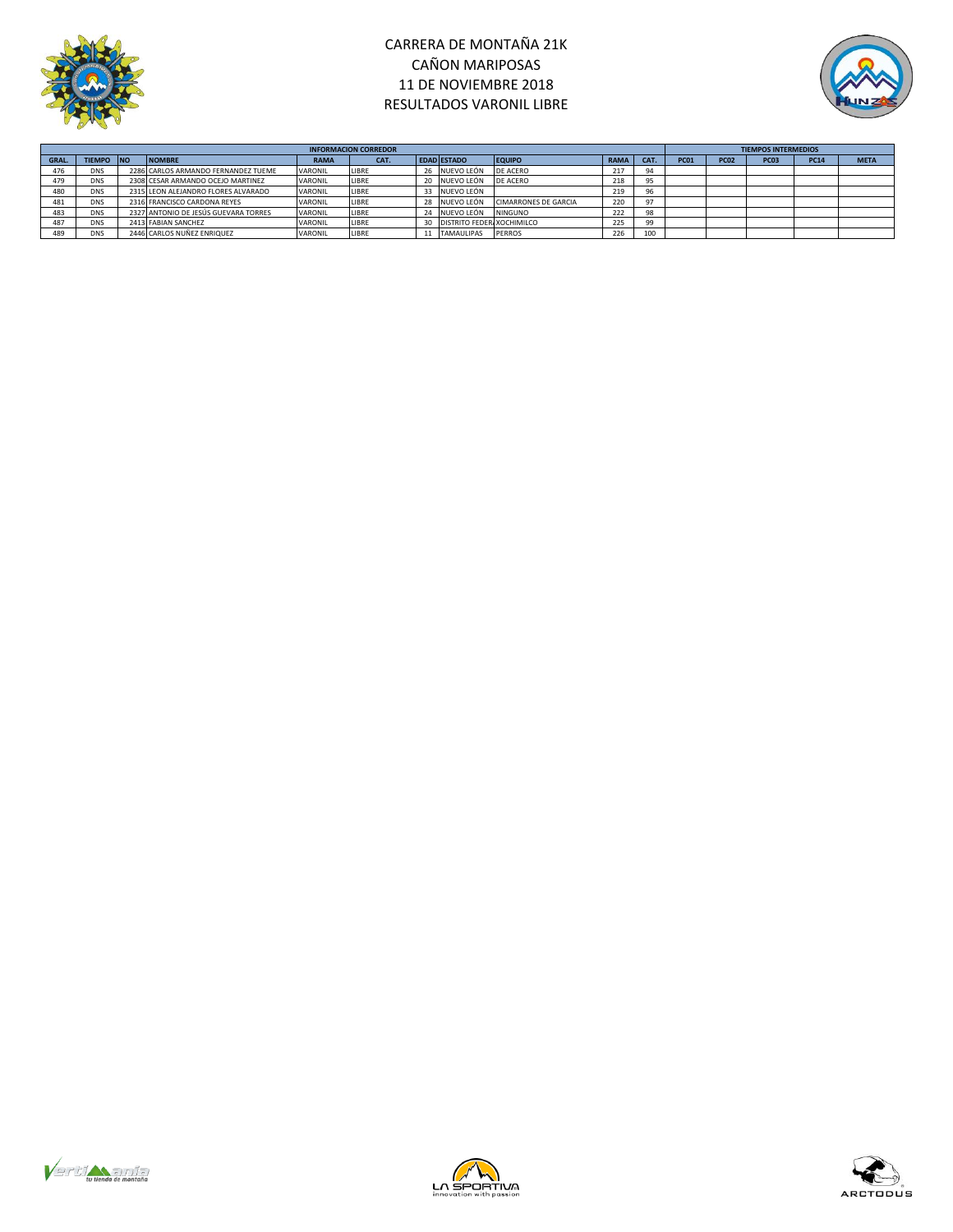

# CARRERA DE MONTAÑA 21K CAÑON MARIPOSAS 11 DE NOVIEMBRE 2018 RESULTADOS VARONIL LIBRE



|       | <b>INFORMACION CORREDOR</b> |  |                                      |             |       |  |                           |                             |             |      |             |             | <b>TIEMPOS INTERMEDIOS</b> |             |             |  |  |  |  |
|-------|-----------------------------|--|--------------------------------------|-------------|-------|--|---------------------------|-----------------------------|-------------|------|-------------|-------------|----------------------------|-------------|-------------|--|--|--|--|
| GRAL. | TIEMPO NO                   |  | <b>NOMBRE</b>                        | <b>RAMA</b> | CAT.  |  | <b>EDAD ESTADO</b>        | <b>EQUIPO</b>               | <b>RAMA</b> | CAT. | <b>PC01</b> | <b>PC02</b> | <b>PC03</b>                | <b>PC14</b> | <b>META</b> |  |  |  |  |
|       | <b>DNS</b>                  |  | 2286 CARLOS ARMANDO FERNANDEZ TUEME  | VARONIL     | LIBRE |  | 26 NUEVO LEÓN             | DE ACERO                    | 217         |      |             |             |                            |             |             |  |  |  |  |
| 479   | <b>DNS</b>                  |  | 2308 CESAR ARMANDO OCEJO MARTINEZ    | VARONIL     | LIBRE |  | NUEVO LEÓN                | DE ACERO                    | 218         |      |             |             |                            |             |             |  |  |  |  |
| 480   | <b>DNS</b>                  |  | 2315 LEON ALEJANDRO FLORES ALVARADO  | VARONIL     | LIBRE |  | NUEVO LEÓN                |                             | 219         |      |             |             |                            |             |             |  |  |  |  |
| 481   | <b>DNS</b>                  |  | 2316 FRANCISCO CARDONA REYES         | VARONIL     | LIBRE |  | NUEVO LEÓN                | <b>CIMARRONES DE GARCIA</b> | 220         |      |             |             |                            |             |             |  |  |  |  |
| 483   | <b>DNS</b>                  |  | 2327 ANTONIO DE JESÚS GUEVARA TORRES | VARONIL     | LIBRE |  | NUEVO LEÓN                | <b>NINGUNO</b>              | 222         | 98   |             |             |                            |             |             |  |  |  |  |
| 487   | <b>DNS</b>                  |  | 2413 FABIAN SANCHEZ                  | VARONIL     | LIBRE |  | DISTRITO FEDER XOCHIMILCO |                             | 225         | 99   |             |             |                            |             |             |  |  |  |  |
| 489   | <b>DNS</b>                  |  | 2446 CARLOS NUÑEZ ENRIQUEZ           | VARONIL     | LIBRE |  | <b>TAMAULIPAS</b>         | PERROS                      | 226         | 100  |             |             |                            |             |             |  |  |  |  |





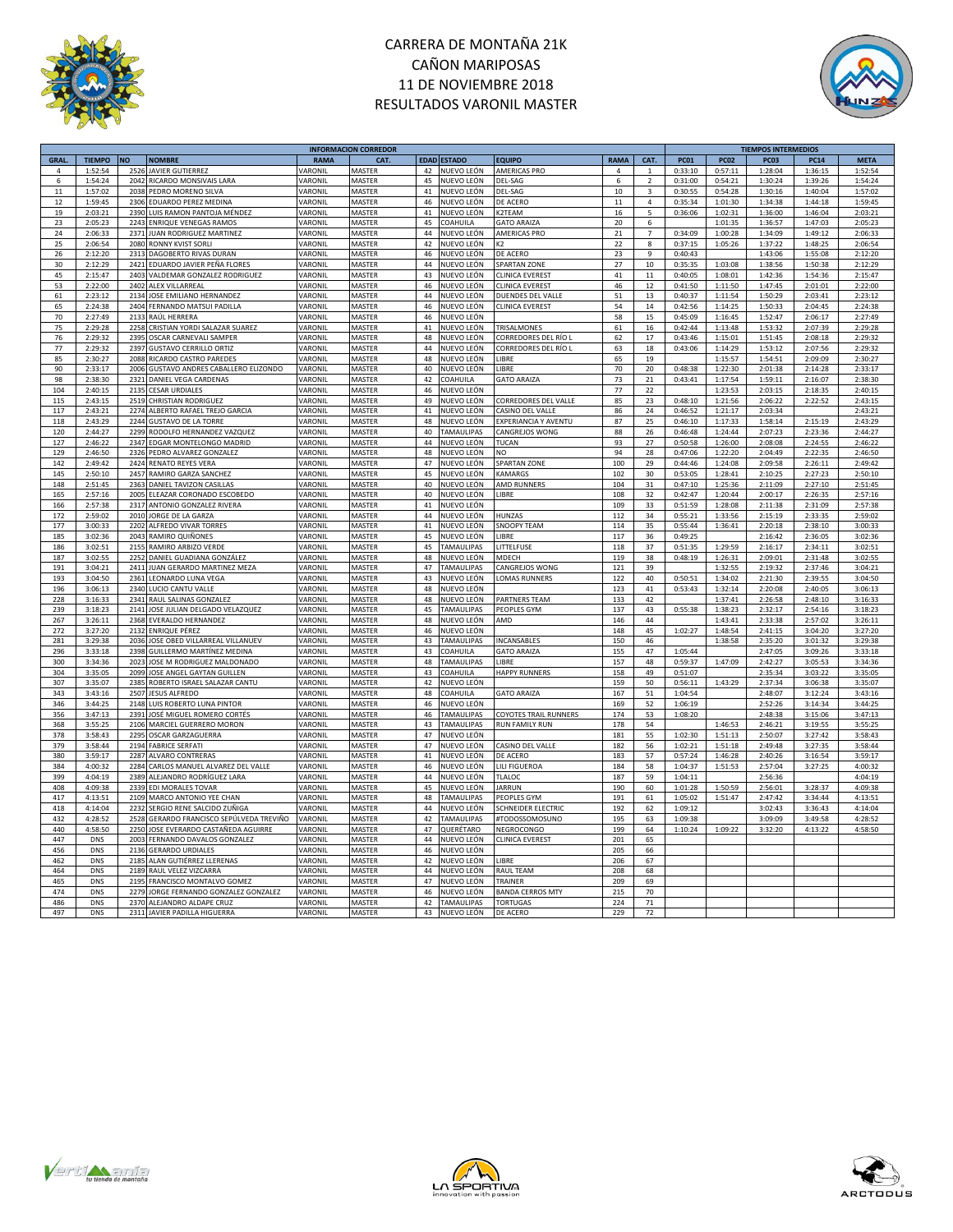

# CARRERA DE MONTAÑA 21K CAÑON MARIPOSAS 11 DE NOVIEMBRE 2018 RESULTADOS VARONIL MASTER



|             |               |                                             |             | <b>INFORMACION CORREDOR</b> |    |                   |                              |             |                |         |             | <b>TIEMPOS INTERMEDIOS</b> |             |             |
|-------------|---------------|---------------------------------------------|-------------|-----------------------------|----|-------------------|------------------------------|-------------|----------------|---------|-------------|----------------------------|-------------|-------------|
| <b>GRAL</b> | <b>TIEMPO</b> | <b>NO</b><br><b>NOMBRE</b>                  | <b>RAMA</b> | CAT                         |    | EDAD ESTADO       | <b>EQUIPO</b>                | <b>RAMA</b> | CAT.           | PC01    | <b>PC02</b> | PC03                       | <b>PC14</b> | <b>META</b> |
| 4           | 1:52:54       | 2526<br><b>JAVIER GUTIERREZ</b>             | VARONIL     | <b>MASTER</b>               | 42 | NUEVO LEÓN        | AMERICAS PRO                 | $\Delta$    | $\overline{1}$ | 0:33:10 | 0:57:11     | 1:28:04                    | 1:36:15     | 1:52:54     |
| 6           | 1:54:24       | 204<br>RICARDO MONSIVAIS LARA               | VARONIL     | MASTER                      | 45 | NUEVO LEÓN        | DEL-SAG                      | 6           | $\overline{2}$ | 0:31:00 | 0:54:21     | 1:30:24                    | 1:39:26     | 1:54:24     |
| 11          | 1:57:02       | PEDRO MORENO SILVA<br>2038                  | VARONIL     | MASTER                      | 41 | NUEVO LEÓN        | DEL-SAG                      | 10          | $\mathsf 3$    | 0:30:55 | 0:54:28     | 1:30:16                    | 1:40:04     | 1:57:02     |
| 12          | 1:59:45       | 2306                                        |             |                             |    |                   |                              |             |                |         |             |                            |             | 1:59:45     |
|             |               | EDUARDO PEREZ MEDINA                        | VARONIL     | MASTER                      | 46 | NUEVO LEÓN        | DE ACERO                     | 11          | $\sqrt{4}$     | 0:35:34 | 1:01:30     | 1:34:38                    | 1:44:18     |             |
| 19          | 2:03:21       | LUIS RAMON PANTOJA MÉNDEZ<br>2390           | VARONIL     | MASTER                      | 41 | NUEVO LEÓN        | K2TEAM                       | 16          | 5              | 0:36:06 | 1:02:31     | 1:36:00                    | 1:46:04     | 2:03:21     |
| 23          | 2:05:23       | 2243 ENRIQUE VENEGAS RAMOS                  | VARONIL     | MASTER                      | 45 | COAHUILA          | <b>GATO ARAIZA</b>           | 20          | 6              |         | 1:01:35     | 1:36:57                    | 1:47:03     | 2:05:23     |
| 24          | 2:06:33       | 2371 JUAN RODRIGUEZ MARTINEZ                | VARONIL     | MASTER                      | 44 | NUEVO LEÓN        | AMERICAS PRO                 | 21          | $\overline{7}$ | 0:34:09 | 1:00:28     | 1:34:09                    | 1:49:12     | 2:06:33     |
| 25          | 2:06:54       | 2080<br>RONNY KVIST SORLI                   | VARONIL     | <b>MASTER</b>               |    | 42 NUEVO LEÓN     | K <sub>2</sub>               | 22          | 8              | 0:37:15 | 1:05:26     | 1:37:22                    | 1:48:25     | 2:06:54     |
| 26          | 2:12:20       | DAGOBERTO RIVAS DURAN<br>2313               | VARONIL     | MASTER                      | 46 | NUEVO LEÓN        | DE ACERO                     | 23          | 9              | 0:40:43 |             | 1:43:06                    | 1:55:08     | 2:12:20     |
| 30          | 2:12:29       | 2421 EDUARDO JAVIER PEÑA FLORES             | VARONIL     | MASTER                      |    | 44 NUEVO LEÓN     | <b>SPARTAN ZONE</b>          | 27          | 10             | 0:35:35 | 1:03:08     | 1:38:56                    | 1:50:38     | 2:12:29     |
|             |               | 2403                                        |             | MASTER                      | 43 |                   |                              | 41          |                |         | 1:08:01     |                            | 1:54:36     |             |
| 45          | 2:15:47       | VALDEMAR GONZALEZ RODRIGUEZ                 | VARONIL     |                             |    | NUEVO LEÓN        | <b>CLINICA EVEREST</b>       |             | $11$           | 0:40:05 |             | 1:42:36                    |             | 2:15:47     |
| 53          | 2:22:00       | 2402<br><b>ALEX VILLARREAL</b>              | VARONIL     | MASTER                      | 46 | NUEVO LEÓN        | <b>CLINICA EVEREST</b>       | 46          | 12             | 0:41:50 | 1:11:50     | 1:47:45                    | 2:01:01     | 2:22:00     |
| 61          | 2:23:12       | 2134 JOSE EMILIANO HERNANDEZ                | VARONIL     | <b>MASTER</b>               |    | 44 NUEVO LEÓN     | DUENDES DEL VALLE            | 51          | 13             | 0:40:37 | 1:11:54     | 1:50:29                    | 2:03:41     | 2:23:12     |
| 65          | 2:24:38       | 2404<br>FERNANDO MATSUI PADILLA             | VARONIL     | MASTER                      | 46 | NUEVO LEÓN        | <b>CLINICA EVEREST</b>       | 54          | 14             | 0:42:56 | 1:14:25     | 1:50:33                    | 2:04:45     | 2:24:38     |
| 70          | 2:27:49       | 2133<br>RAÚL HERRERA                        | VARONIL     | MASTER                      | 46 | NUEVO LEÓN        |                              | 58          | 15             | 0:45:09 | 1:16:45     | 1:52:47                    | 2:06:17     | 2:27:49     |
| 75          | 2:29:28       | CRISTIAN YORDI SALAZAR SUAREZ<br>2258       | VARONIL     | <b>MASTER</b>               | 41 | NUEVO LEÓN        | TRISALMONES                  | 61          | 16             | 0:42:44 | 1:13:48     | 1:53:32                    | 2:07:39     | 2:29:28     |
| 76          | 2:29:32       | 2395<br>OSCAR CARNEVALI SAMPER              | VARONIL     | MASTER                      | 48 | NUEVO LEÓN        | CORREDORES DEL RÍO L         | 62          | 17             | 0:43:46 | 1:15:01     | 1:51:45                    | 2:08:18     | 2:29:32     |
| 77          | 2:29:32       | 2397<br><b>GUSTAVO CERRILLO ORTIZ</b>       | VARONIL     | MASTER                      | 44 | NUEVO LEÓN        | CORREDORES DEL RÍO L         | 63          | 18             | 0:43:06 | 1:14:29     | 1:53:12                    | 2:07:56     | 2:29:32     |
| 85          | 2:30:27       | 2088<br>RICARDO CASTRO PAREDES              | VARONIL     | MASTER                      | 48 | NUEVO LEÓN        | LIBRE                        | 65          | 19             |         | 1:15:57     | 1:54:51                    | 2:09:09     | 2:30:27     |
|             |               | 2006                                        | VARONIL     | <b>MASTER</b>               | 40 |                   | LIBRE                        |             |                |         |             |                            |             |             |
| 90          | 2:33:17       | GUSTAVO ANDRES CABALLERO ELIZONDO           |             |                             |    | NUEVO LEÓN        |                              | 70          | $20\,$         | 0:48:38 | 1:22:30     | 2:01:38                    | 2:14:28     | 2:33:17     |
| 98          | 2:38:30       | 2321<br>DANIEL VEGA CARDENAS                | VARONIL     | <b>MASTER</b>               | 42 | COAHUILA          | <b>GATO ARAIZA</b>           | 73          | 21             | 0:43:41 | 1:17:54     | 1:59:11                    | 2:16:07     | 2:38:30     |
| 104         | 2:40:15       | 2135<br><b>CESAR URDIALES</b>               | VARONIL     | <b>MASTER</b>               | 46 | NUEVO LEÓN        |                              | 77          | 22             |         | 1:23:53     | 2:03:15                    | 2:18:35     | 2:40:15     |
| 115         | 2:43:15       | 2519<br>CHRISTIAN RODRIGUEZ                 | VARONIL     | <b>MASTER</b>               | 49 | NUEVO LEÓN        | CORREDORES DEL VALLE         | 85          | 23             | 0:48:10 | 1:21:56     | 2:06:22                    | 2:22:52     | 2:43:15     |
| 117         | 2:43:21       | 2274 ALBERTO RAFAEL TREJO GARCIA            | VARONIL     | MASTER                      | 41 | NUEVO LEÓN        | CASINO DEL VALLE             | 86          | 24             | 0:46:52 | 1:21:17     | 2:03:34                    |             | 2:43:21     |
| 118         | 2:43:29       | 2244<br><b>GUSTAVO DE LA TORRE</b>          | VARONII     | <b>MASTER</b>               | 48 | NUEVO LEÓN        | EXPERIANCIA Y AVENTU         | 87          | 25             | 0:46:10 | 1:17:33     | 1:58:14                    | 2:15:19     | 2:43:29     |
| 120         | 2:44:27       | 2299<br>RODOLFO HERNANDEZ VAZQUEZ           | VARONIL     | MASTER                      | 40 | TAMAULIPAS        | CANGREJOS WONG               | 88          | 26             | 0:46:48 | 1:24:44     | 2:07:23                    | 2:23:36     | 2:44:27     |
| 127         | 2:46:22       | 2347<br>EDGAR MONTELONGO MADRID             | VARONIL     | MASTER                      | 44 | NUEVO LEÓN        | TUCAN                        | 93          | 27             | 0:50:58 | 1:26:00     | 2:08:08                    | 2:24:55     | 2:46:22     |
|             |               |                                             |             | MASTER                      |    |                   |                              |             |                |         |             |                            |             |             |
| 129         | 2:46:50       | 2326<br>PEDRO ALVAREZ GONZALEZ              | VARONIL     |                             | 48 | NUEVO LEÓN        | NO                           | 94          | 28             | 0:47:06 | 1:22:20     | 2:04:49                    | 2:22:35     | 2:46:50     |
| 142         | 2:49:42       | 2424<br>RENATO REYES VERA                   | VARONIL     | MASTER                      | 47 | NUEVO LEÓN        | SPARTAN ZONE                 | 100         | 29             | 0:44:46 | 1:24:08     | 2:09:58                    | 2:26:11     | 2:49:42     |
| 145         | 2:50:10       | 2457<br>RAMIRO GARZA SANCHEZ                | VARONIL     | MASTER                      | 45 | NUEVO LEÓN        | KAMARGS                      | 102         | 30             | 0:53:05 | 1:28:41     | 2:10:25                    | 2:27:23     | 2:50:10     |
| 148         | 2:51:45       | 2363<br>DANIEL TAVIZON CASILLAS             | VARONIL     | MASTER                      |    | 40 NUEVO LEÓN     | AMD RUNNERS                  | 104         | 31             | 0:47:10 | 1:25:36     | 2:11:09                    | 2:27:10     | 2:51:45     |
| 165         | 2:57:16       | 2005 ELEAZAR CORONADO ESCOBEDO              | VARONIL     | MASTER                      |    | 40 NUEVO LEÓN     | LIBRE                        | 108         | 32             | 0:42:47 | 1:20:44     | 2:00:17                    | 2:26:35     | 2:57:16     |
| 166         | 2:57:38       | 2317 ANTONIO GONZALEZ RIVERA                | VARONIL     | <b>MASTER</b>               |    | 41 NUEVO LEÓN     |                              | 109         | 33             | 0:51:59 | 1:28:08     | 2:11:38                    | 2:31:09     | 2:57:38     |
| 172         | 2:59:02       | JORGE DE LA GARZA<br>2010                   | VARONIL     | <b>MASTER</b>               |    | 44 NUEVO LEÓN     | HUNZAS                       | 112         | 34             | 0:55:21 | 1:33:56     | 2:15:19                    | 2:33:35     | 2:59:02     |
| 177         | 3:00:33       | ALFREDO VIVAR TORRES<br>2202                | VARONIL     | <b>MASTER</b>               | 41 | NUEVO LEÓN        | <b>SNOOPY TEAM</b>           | 114         | 35             | 0:55:44 | 1:36:41     | 2:20:18                    | 2:38:10     | 3:00:33     |
|             |               |                                             |             |                             |    |                   |                              |             |                |         |             |                            |             |             |
| 185         | 3:02:36       | 2043 RAMIRO QUIÑONES                        | VARONII     | MASTER                      |    | 45 NUEVO LEÓN     | <b>IIBRF</b>                 | 117         | 36             | 0:49:25 |             | 2:16:42                    | 2:36:05     | 3:02:36     |
| 186         | 3:02:51       | 2155 RAMIRO ARBIZO VERDE                    | VARONII     | <b>MASTER</b>               |    | 45 TAMAULIPAS     | <b>LITTELFUSE</b>            | 118         | 37             | 0:51:35 | 1:29:59     | 2:16:17                    | 2:34:11     | 3:02:51     |
| 187         | 3:02:55       | DANIEL GUADIANA GONZÁLEZ<br>2252            | VARONIL     | <b>MASTER</b>               |    | 48 NUEVO LEÓN     | MDECH                        | 119         | 38             | 0:48:19 | 1:26:31     | 2:09:01                    | 2:31:48     | 3:02:55     |
| 191         | 3:04:21       | JUAN GERARDO MARTINEZ MEZA<br>2411          | VARONIL     | <b>MASTER</b>               | 47 | <b>TAMAULIPAS</b> | CANGREJOS WONG               | 121         | 39             |         | 1:32:55     | 2:19:32                    | 2:37:46     | 3:04:21     |
| 193         | 3:04:50       | 2361<br>LEONARDO LUNA VEGA                  | VARONII     | MASTER                      | 43 | NUEVO LEÓN        | <b>LOMAS RUNNERS</b>         | 122         | 40             | 0:50:51 | 1:34:02     | 2:21:30                    | 2:39:55     | 3:04:50     |
| 196         | 3:06:13       | 2340<br>LUCIO CANTU VALLE                   | VARONII     | MASTER                      | 48 | NUEVO LEÓN        |                              | 123         | 41             | 0:53:43 | 1:32:14     | 2:20:08                    | 2:40:05     | 3:06:13     |
| 228         | 3:16:33       | 2341<br>RAUL SALINAS GONZALEZ               | VARONIL     | MASTER                      | 48 | NUEVO LEÓN        | <b>PARTNERS TEAM</b>         | 133         | 42             |         | 1:37:41     | 2:26:58                    | 2:48:10     | 3:16:33     |
| 239         | 3:18:23       | 2141<br>JOSE JULIAN DELGADO VELAZQUEZ       | VARONII     | MASTER                      | 45 | TAMAULIPAS        | PEOPLES GYM                  | 137         | 43             | 0:55:38 | 1:38:23     | 2:32:17                    | 2:54:16     | 3:18:23     |
|             |               |                                             |             |                             |    |                   |                              |             |                |         |             |                            |             |             |
| 267         | 3:26:11       | 2368<br>EVERALDO HERNANDEZ                  | VARONIL     | MASTER                      | 48 | NUEVO LEÓN        | AMD                          | 146         | 44             |         | 1:43:41     | 2:33:38                    | 2:57:02     | 3:26:11     |
| 272         | 3:27:20       | <b>ENRIQUE PÉREZ</b><br>2132                | VARONIL     | MASTER                      | 46 | NUEVO LEÓN        |                              | 148         | 45             | 1:02:27 | 1:48:54     | 2:41:15                    | 3:04:20     | 3:27:20     |
| 281         | 3:29:38       | JOSE OBED VILLARREAL VILLANUEV<br>2036      | VARONIL     | MASTER                      | 43 | TAMAULIPAS        | INCANSABLES                  | 150         | 46             |         | 1:38:58     | 2:35:20                    | 3:01:32     | 3:29:38     |
| 296         | 3:33:18       | 2398<br>GUILLERMO MARTÍNEZ MEDINA           | VARONIL     | MASTER                      | 43 | COAHUILA          | <b>GATO ARAIZA</b>           | 155         | 47             | 1:05:44 |             | 2:47:05                    | 3:09:26     | 3:33:18     |
| 300         | 3:34:36       | JOSE M RODRIGUEZ MALDONADO<br>2023          | VARONII     | MASTER                      | 48 | TAMAULIPAS        | LIBRE                        | 157         | 48             | 0:59:37 | 1:47:09     | 2:42:27                    | 3:05:53     | 3:34:36     |
| 304         | 3:35:05       | 2099<br>JOSE ANGEL GAYTAN GUILLEN           | VARONIL     | MASTER                      | 43 | COAHUILA          | <b>HAPPY RUNNERS</b>         | 158         | 49             | 0:51:07 |             | 2:35:34                    | 3:03:22     | 3:35:05     |
| 307         | 3:35:07       | 2385<br>ROBERTO ISRAEL SALAZAR CANTU        | VARONII     | MASTER                      | 42 | NUEVO LEÓN        |                              | 159         | 50             | 0:56:11 | 1:43:29     | 2:37:34                    | 3:06:38     | 3:35:07     |
| 343         | 3:43:16       | 2507<br><b>JESUS ALFREDO</b>                | VARONII     | MASTER                      | 48 | COAHUILA          | <b>GATO ARAIZA</b>           | 167         | 51             | 1:04:54 |             | 2:48:07                    | 3:12:24     | 3:43:16     |
| 346         | 3:44:25       |                                             | VARONIL     | MASTER                      | 46 | NUEVO LEÓN        |                              |             | 52             |         |             | 2:52:26                    | 3:14:34     | 3:44:25     |
|             |               | 2148<br>LUIS ROBERTO LUNA PINTOR            |             |                             |    |                   |                              | 169         |                | 1:06:19 |             |                            |             |             |
| 356         | 3:47:13       | 2391<br>JOSÉ MIGUEL ROMERO CORTÉS           | VARONII     | MASTER                      | 46 | TAMAULIPAS        | <b>COYOTES TRAIL RUNNERS</b> | 174         | 53             | 1:08:20 |             | 2:48:38                    | 3:15:06     | 3:47:13     |
| 368         | 3:55:25       | 2106<br>MARCIEL GUERRERO MORON              | VARONIL     | MASTER                      | 43 | TAMAULIPAS        | <b>RUN FAMILY RUN</b>        | 178         | 54             |         | 1:46:53     | 2:46:21                    | 3:19:55     | 3:55:25     |
| 378         | 3:58:43       | 2295<br>OSCAR GARZAGUERRA                   | VARONII     | MASTER                      | 47 | NUEVO LEÓN        |                              | 181         | 55             | 1:02:30 | 1:51:13     | 2:50:07                    | 3:27:42     | 3:58:43     |
| 379         | 3:58:44       | 2194<br><b>FABRICE SERFATI</b>              | VARONIL     | MASTER                      | 47 | NUEVO LEÓN        | CASINO DEL VALLE             | 182         | 56             | 1:02:21 | 1:51:18     | 2:49:48                    | 3:27:35     | 3:58:44     |
| 380         | 3:59:17       | 2287<br>ALVARO CONTRERAS                    | VARONIL     | MASTER                      | 41 | NUEVO LEÓN        | DE ACERO                     | 183         | 57             | 0:57:24 | 1:46:28     | 2:40:26                    | 3:16:54     | 3:59:17     |
| 384         | 4:00:32       | CARLOS MANUEL ALVAREZ DEL VALLE<br>2284     | VARONIL     | MASTER                      | 46 | NUEVO LEÓN        | LILI FIGUEROA                | 184         | 58             | 1:04:37 | 1:51:53     | 2:57:04                    | 3:27:25     | 4:00:32     |
| 399         | 4:04:19       | ALEJANDRO RODRÍGUEZ LARA<br>2389            | VARONIL     | MASTER                      | 44 | NUEVO LEÓN        | <b>TLALOC</b>                | 187         | 59             | 1:04:11 |             | 2:56:36                    |             | 4:04:19     |
|             | 4:09:38       | EDI MORALES TOVAR<br>2339                   | VARONIL     | MASTER                      | 45 |                   | <b>IARRUN</b>                |             |                | 1:01:28 |             | 2:56:01                    | 3:28:37     | 4:09:38     |
| 408         |               |                                             |             |                             |    | NUEVO LEÓN        |                              | 190         | 60             |         | 1:50:59     |                            |             |             |
| 417         | 4:13:51       | 2109<br>MARCO ANTONIO YEE CHAN              | VARONIL     | MASTER                      | 48 | TAMAULIPAS        | PEOPLES GYM                  | 191         | 61             | 1:05:02 | 1:51:47     | 2:47:42                    | 3:34:44     | 4:13:51     |
| 418         | 4:14:04       | 2232<br>SERGIO RENE SALCIDO ZUÑIGA          | VARONIL     | MASTER                      | 44 | NUEVO LEÓN        | SCHNEIDER ELECTRIC           | 192         | 62             | 1:09:12 |             | 3:02:43                    | 3:36:43     | 4:14:04     |
| 432         | 4:28:52       | 2528<br>GERARDO FRANCISCO SEPÚLVEDA TREVIÑO | VARONIL     | MASTER                      | 42 | <b>TAMAULIPAS</b> | #TODOSSOMOSUNO               | 195         | 63             | 1:09:38 |             | 3:09:09                    | 3:49:58     | 4:28:52     |
| 440         | 4:58:50       | JOSE EVERARDO CASTAÑEDA AGUIRRE<br>2250     | VARONII     | MASTER                      | 47 | QUERÉTARO         | NEGROCONGO                   | 199         | 64             | 1:10:24 | 1:09:22     | 3:32:20                    | 4:13:22     | 4:58:50     |
| 447         | DNS           | 2003<br>FERNANDO DAVALOS GONZALEZ           | VARONIL     | MASTER                      | 44 | NUEVO LEÓN        | CLINICA EVEREST              | 201         | 65             |         |             |                            |             |             |
| 456         | DNS           | 2136<br><b>GERARDO URDIALES</b>             | VARONIL     | MASTER                      | 46 | NUEVO LEÓN        |                              | 205         | 66             |         |             |                            |             |             |
| 462         | <b>DNS</b>    | 2185<br>ALAN GUTIÉRREZ LLERENAS             | VARONIL     | MASTER                      | 42 | NUEVO LEÓN        | LIBRE                        | 206         | 67             |         |             |                            |             |             |
| 464         | <b>DNS</b>    | 2189<br>RAUL VELEZ VIZCARRA                 | VARONIL     | MASTER                      | 44 | NUEVO LEÓN        | <b>RAUL TEAM</b>             | 208         | 68             |         |             |                            |             |             |
|             |               |                                             |             |                             |    |                   |                              |             |                |         |             |                            |             |             |
| 465         | <b>DNS</b>    | FRANCISCO MONTALVO GOMEZ<br>2195            | VARONIL     | MASTER                      | 47 | NUEVO LEÓN        | TRAINER                      | 209         | 69             |         |             |                            |             |             |
| 474         | <b>DNS</b>    | JORGE FERNANDO GONZALEZ GONZALEZ<br>2279    | VARONIL     | MASTER                      | 46 | NUEVO LEÓN        | <b>BANDA CERROS MTY</b>      | 215         | 70             |         |             |                            |             |             |
| 486         | DNS           | 2370<br>ALEJANDRO ALDAPE CRUZ               | VARONIL     | MASTER                      | 42 | TAMAULIPAS        | <b>TORTUGAS</b>              | 224         | 71             |         |             |                            |             |             |
| 497         | DNS           | 2311 JAVIER PADILLA HIGUERRA                | VARONIL     | MASTER                      |    | 43 NUEVO LEÓN     | DE ACERO                     | 229         | 72             |         |             |                            |             |             |
|             |               |                                             |             |                             |    |                   |                              |             |                |         |             |                            |             |             |